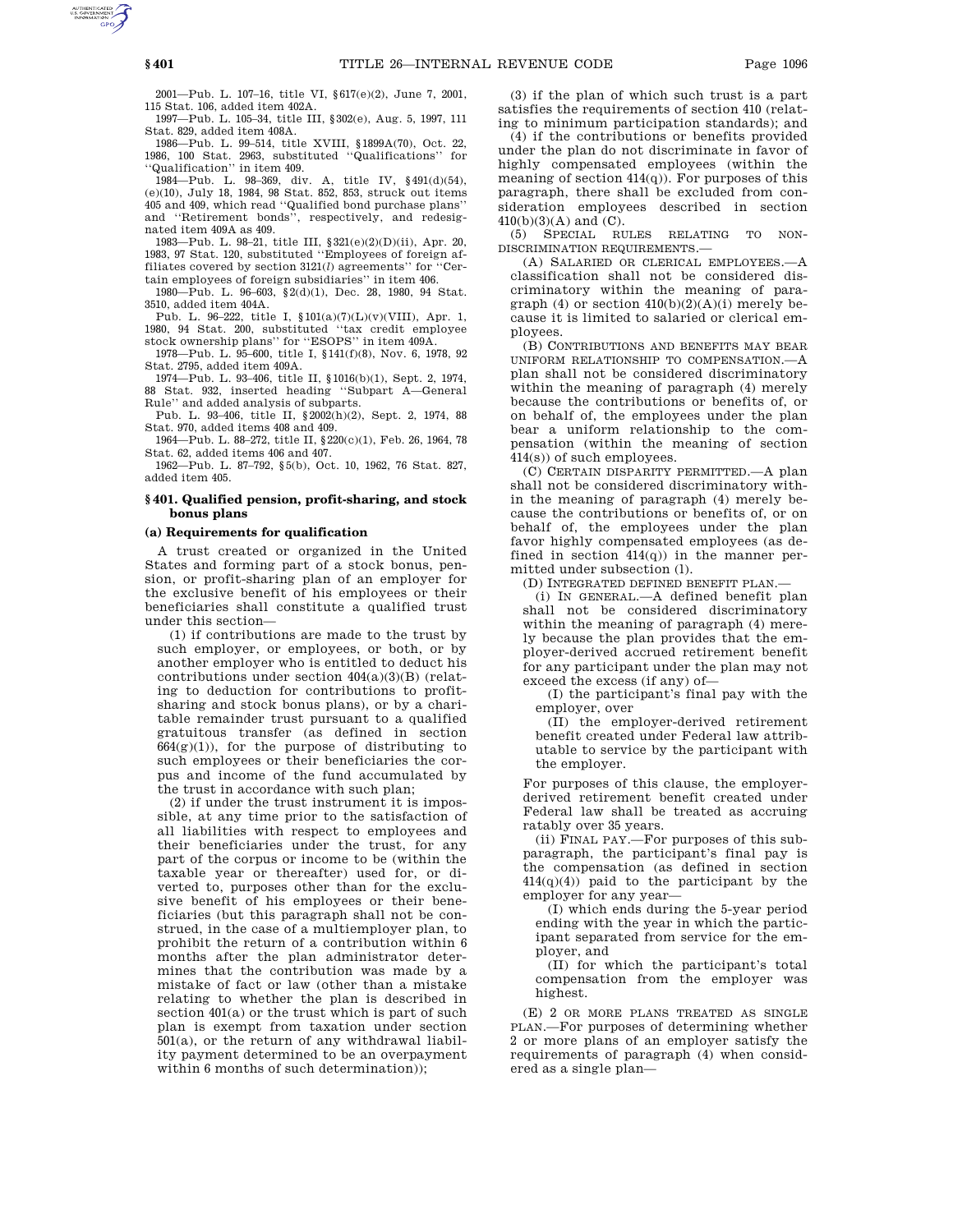2001—Pub. L. 107–16, title VI, §617(e)(2), June 7, 2001, 115 Stat. 106, added item 402A.

1997—Pub. L. 105–34, title III, §302(e), Aug. 5, 1997, 111 Stat. 829, added item 408A.

1986—Pub. L. 99–514, title XVIII, §1899A(70), Oct. 22, 1986, 100 Stat. 2963, substituted ''Qualifications'' for ''Qualification'' in item 409.

1984—Pub. L. 98–369, div. A, title IV, §491(d)(54), (e)(10), July 18, 1984, 98 Stat. 852, 853, struck out items 405 and 409, which read ''Qualified bond purchase plans'' and ''Retirement bonds'', respectively, and redesignated item 409A as 409.

1983—Pub. L. 98–21, title III, §321(e)(2)(D)(ii), Apr. 20, 1983, 97 Stat. 120, substituted ''Employees of foreign affiliates covered by section 3121(*l*) agreements'' for ''Certain employees of foreign subsidiaries'' in item 406.

1980—Pub. L. 96–603, §2(d)(1), Dec. 28, 1980, 94 Stat. 3510, added item 404A.

Pub. L. 96–222, title I, §101(a)(7)(L)(v)(VIII), Apr. 1, 1980, 94 Stat. 200, substituted ''tax credit employee stock ownership plans'' for ''ESOPS'' in item 409A.

1978—Pub. L. 95–600, title I, §141(f)(8), Nov. 6, 1978, 92 Stat. 2795, added item 409A.

1974—Pub. L. 93–406, title II, §1016(b)(1), Sept. 2, 1974, 88 Stat. 932, inserted heading ''Subpart A—General Rule'' and added analysis of subparts.

Pub. L. 93–406, title II, §2002(h)(2), Sept. 2, 1974, 88 Stat. 970, added items 408 and 409.

1964—Pub. L. 88–272, title II, §220(c)(1), Feb. 26, 1964, 78 Stat. 62, added items 406 and 407.

1962—Pub. L. 87–792, §5(b), Oct. 10, 1962, 76 Stat. 827, added item 405.

### **§ 401. Qualified pension, profit-sharing, and stock bonus plans**

#### **(a) Requirements for qualification**

A trust created or organized in the United States and forming part of a stock bonus, pension, or profit-sharing plan of an employer for the exclusive benefit of his employees or their beneficiaries shall constitute a qualified trust under this section—

(1) if contributions are made to the trust by such employer, or employees, or both, or by another employer who is entitled to deduct his contributions under section 404(a)(3)(B) (relating to deduction for contributions to profitsharing and stock bonus plans), or by a charitable remainder trust pursuant to a qualified gratuitous transfer (as defined in section  $664(g)(1)$ , for the purpose of distributing to such employees or their beneficiaries the corpus and income of the fund accumulated by the trust in accordance with such plan;

(2) if under the trust instrument it is impossible, at any time prior to the satisfaction of all liabilities with respect to employees and their beneficiaries under the trust, for any part of the corpus or income to be (within the taxable year or thereafter) used for, or diverted to, purposes other than for the exclusive benefit of his employees or their beneficiaries (but this paragraph shall not be construed, in the case of a multiemployer plan, to prohibit the return of a contribution within 6 months after the plan administrator determines that the contribution was made by a mistake of fact or law (other than a mistake relating to whether the plan is described in section 401(a) or the trust which is part of such plan is exempt from taxation under section 501(a), or the return of any withdrawal liability payment determined to be an overpayment within 6 months of such determination));

(3) if the plan of which such trust is a part satisfies the requirements of section 410 (relating to minimum participation standards); and

(4) if the contributions or benefits provided under the plan do not discriminate in favor of highly compensated employees (within the meaning of section  $414(q)$ ). For purposes of this paragraph, there shall be excluded from consideration employees described in section 410(b)(3)(A) and (C).

(5) SPECIAL RULES RELATING TO NON-DISCRIMINATION REQUIREMENTS.—

(A) SALARIED OR CLERICAL EMPLOYEES.—A classification shall not be considered discriminatory within the meaning of paragraph (4) or section  $410(b)(2)(A)(i)$  merely because it is limited to salaried or clerical employees.

(B) CONTRIBUTIONS AND BENEFITS MAY BEAR UNIFORM RELATIONSHIP TO COMPENSATION.—A plan shall not be considered discriminatory within the meaning of paragraph (4) merely because the contributions or benefits of, or on behalf of, the employees under the plan bear a uniform relationship to the compensation (within the meaning of section 414(s)) of such employees.

(C) CERTAIN DISPARITY PERMITTED.—A plan shall not be considered discriminatory within the meaning of paragraph (4) merely because the contributions or benefits of, or on behalf of, the employees under the plan favor highly compensated employees (as defined in section 414(q)) in the manner permitted under subsection (l).

(D) INTEGRATED DEFINED BENEFIT PLAN.—

(i) IN GENERAL.—A defined benefit plan shall not be considered discriminatory within the meaning of paragraph (4) merely because the plan provides that the employer-derived accrued retirement benefit for any participant under the plan may not exceed the excess (if any) of—

(I) the participant's final pay with the employer, over

(II) the employer-derived retirement benefit created under Federal law attributable to service by the participant with the employer.

For purposes of this clause, the employerderived retirement benefit created under Federal law shall be treated as accruing ratably over 35 years.

(ii) FINAL PAY.—For purposes of this subparagraph, the participant's final pay is the compensation (as defined in section 414(q)(4)) paid to the participant by the employer for any year—

(I) which ends during the 5-year period ending with the year in which the participant separated from service for the employer, and

(II) for which the participant's total compensation from the employer was highest.

(E) 2 OR MORE PLANS TREATED AS SINGLE PLAN.—For purposes of determining whether 2 or more plans of an employer satisfy the requirements of paragraph (4) when considered as a single plan—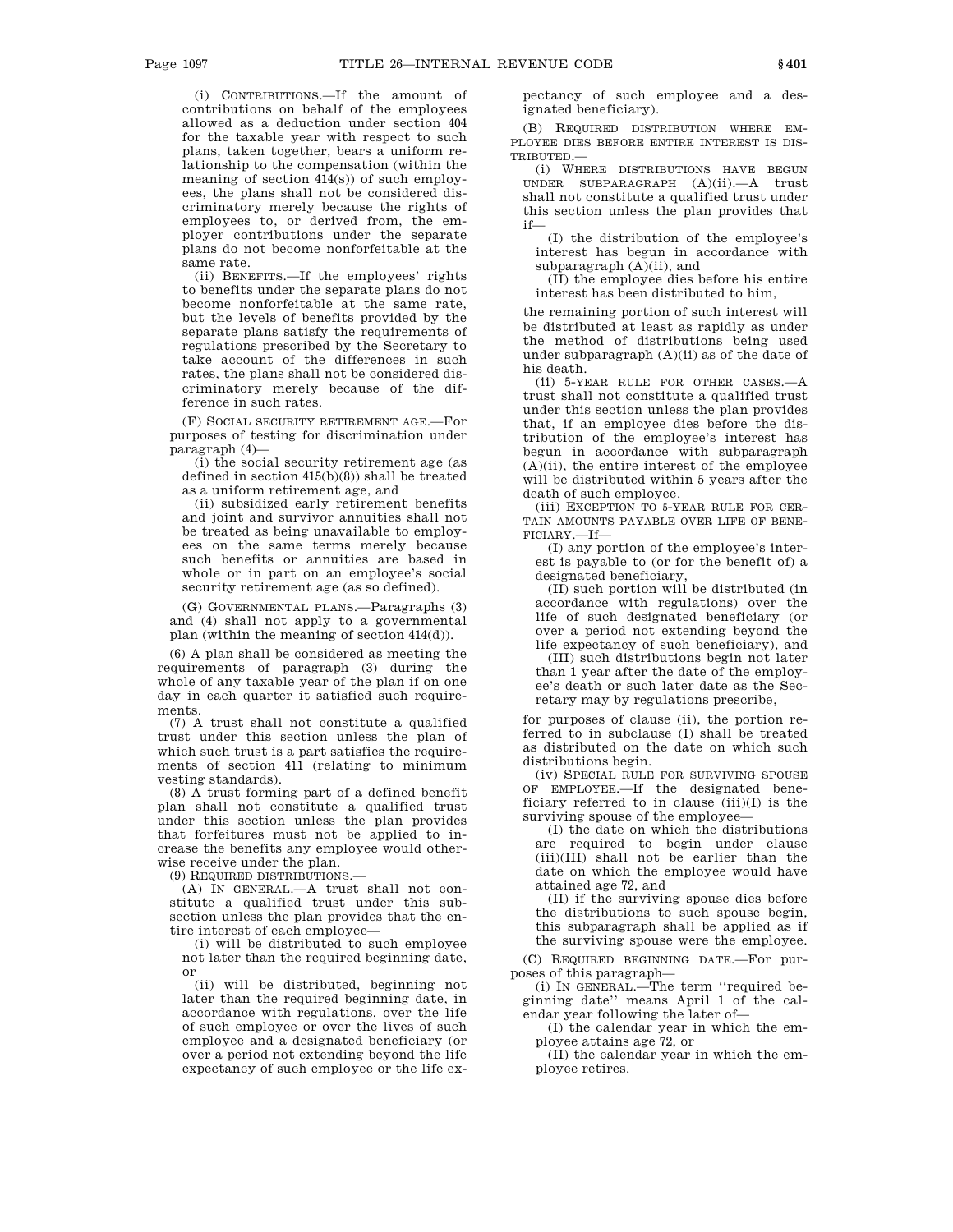(i) CONTRIBUTIONS.—If the amount of contributions on behalf of the employees allowed as a deduction under section 404 for the taxable year with respect to such plans, taken together, bears a uniform relationship to the compensation (within the meaning of section 414(s)) of such employees, the plans shall not be considered discriminatory merely because the rights of employees to, or derived from, the employer contributions under the separate plans do not become nonforfeitable at the same rate.

(ii) BENEFITS.—If the employees' rights to benefits under the separate plans do not become nonforfeitable at the same rate, but the levels of benefits provided by the separate plans satisfy the requirements of regulations prescribed by the Secretary to take account of the differences in such rates, the plans shall not be considered discriminatory merely because of the difference in such rates.

(F) SOCIAL SECURITY RETIREMENT AGE.—For purposes of testing for discrimination under paragraph (4)—

(i) the social security retirement age (as defined in section 415(b)(8)) shall be treated as a uniform retirement age, and

(ii) subsidized early retirement benefits and joint and survivor annuities shall not be treated as being unavailable to employees on the same terms merely because such benefits or annuities are based in whole or in part on an employee's social security retirement age (as so defined).

(G) GOVERNMENTAL PLANS.—Paragraphs (3) and (4) shall not apply to a governmental plan (within the meaning of section 414(d)).

(6) A plan shall be considered as meeting the requirements of paragraph (3) during the whole of any taxable year of the plan if on one day in each quarter it satisfied such requirements.

(7) A trust shall not constitute a qualified trust under this section unless the plan of which such trust is a part satisfies the requirements of section 411 (relating to minimum vesting standards).

(8) A trust forming part of a defined benefit plan shall not constitute a qualified trust under this section unless the plan provides that forfeitures must not be applied to increase the benefits any employee would otherwise receive under the plan.

(9) REQUIRED DISTRIBUTIONS.—

(A) IN GENERAL.—A trust shall not constitute a qualified trust under this subsection unless the plan provides that the entire interest of each employee—

(i) will be distributed to such employee not later than the required beginning date, or

(ii) will be distributed, beginning not later than the required beginning date, in accordance with regulations, over the life of such employee or over the lives of such employee and a designated beneficiary (or over a period not extending beyond the life expectancy of such employee or the life expectancy of such employee and a designated beneficiary).

(B) REQUIRED DISTRIBUTION WHERE EM-PLOYEE DIES BEFORE ENTIRE INTEREST IS DIS-TRIBUTED.—

(i) WHERE DISTRIBUTIONS HAVE BEGUN UNDER SUBPARAGRAPH (A)(ii).—A trust shall not constitute a qualified trust under this section unless the plan provides that if—

(I) the distribution of the employee's interest has begun in accordance with subparagraph (A)(ii), and

(II) the employee dies before his entire interest has been distributed to him,

the remaining portion of such interest will be distributed at least as rapidly as under the method of distributions being used under subparagraph (A)(ii) as of the date of his death.

(ii) 5-YEAR RULE FOR OTHER CASES.—A trust shall not constitute a qualified trust under this section unless the plan provides that, if an employee dies before the distribution of the employee's interest has begun in accordance with subparagraph  $(A)(ii)$ , the entire interest of the employee will be distributed within 5 years after the death of such employee.

(iii) EXCEPTION TO 5-YEAR RULE FOR CER-TAIN AMOUNTS PAYABLE OVER LIFE OF BENE-FICIARY.—If—

(I) any portion of the employee's interest is payable to (or for the benefit of) a designated beneficiary,

(II) such portion will be distributed (in accordance with regulations) over the life of such designated beneficiary (or over a period not extending beyond the life expectancy of such beneficiary), and

(III) such distributions begin not later than 1 year after the date of the employee's death or such later date as the Secretary may by regulations prescribe,

for purposes of clause (ii), the portion referred to in subclause (I) shall be treated as distributed on the date on which such distributions begin.

(iv) SPECIAL RULE FOR SURVIVING SPOUSE OF EMPLOYEE.—If the designated beneficiary referred to in clause  $(iii)(I)$  is the surviving spouse of the employee—

(I) the date on which the distributions are required to begin under clause (iii)(III) shall not be earlier than the date on which the employee would have attained age 72, and

(II) if the surviving spouse dies before the distributions to such spouse begin, this subparagraph shall be applied as if the surviving spouse were the employee.

(C) REQUIRED BEGINNING DATE.—For purposes of this paragraph—

(i) IN GENERAL.—The term ''required beginning date'' means April 1 of the calendar year following the later of—

(I) the calendar year in which the employee attains age 72, or

(II) the calendar year in which the employee retires.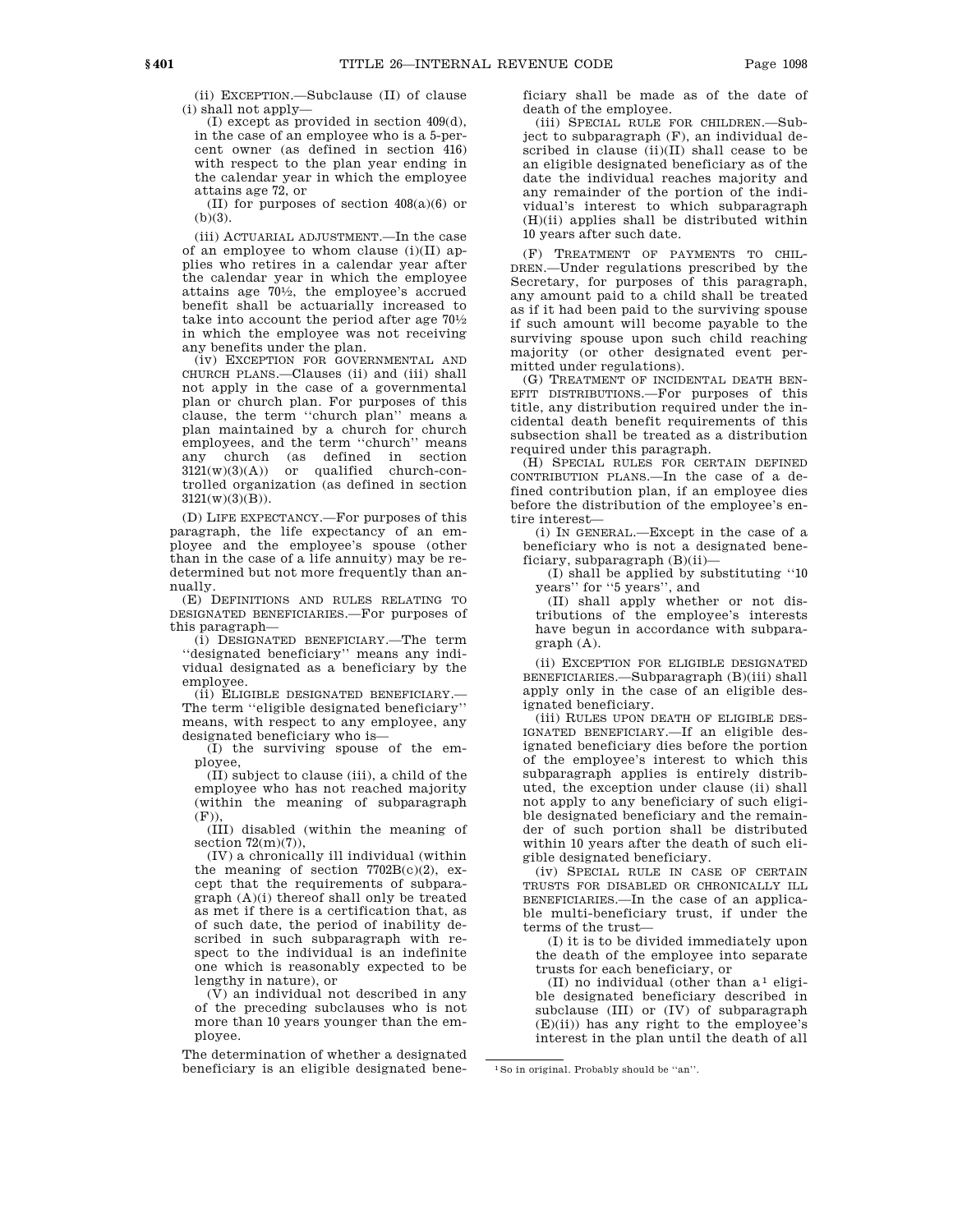(ii) EXCEPTION.—Subclause (II) of clause (i) shall not apply—

(I) except as provided in section 409(d), in the case of an employee who is a 5-percent owner (as defined in section 416) with respect to the plan year ending in the calendar year in which the employee attains age 72, or

(II) for purposes of section 408(a)(6) or  $(b)(3)$ .

(iii) ACTUARIAL ADJUSTMENT.—In the case of an employee to whom clause  $(i)(II)$  applies who retires in a calendar year after the calendar year in which the employee attains age 701 ⁄2, the employee's accrued benefit shall be actuarially increased to take into account the period after age  $70\frac{1}{2}$ in which the employee was not receiving any benefits under the plan.

(iv) EXCEPTION FOR GOVERNMENTAL AND CHURCH PLANS.—Clauses (ii) and (iii) shall not apply in the case of a governmental plan or church plan. For purposes of this clause, the term ''church plan'' means a plan maintained by a church for church employees, and the term ''church'' means any church (as defined in section  $3121(w)(3)(A)$  or qualified church-controlled organization (as defined in section  $3121(w)(3)(B)$ .

(D) LIFE EXPECTANCY.—For purposes of this paragraph, the life expectancy of an employee and the employee's spouse (other than in the case of a life annuity) may be redetermined but not more frequently than annually.

(E) DEFINITIONS AND RULES RELATING TO DESIGNATED BENEFICIARIES.—For purposes of this paragraph—

(i) DESIGNATED BENEFICIARY.—The term ''designated beneficiary'' means any individual designated as a beneficiary by the employee.

(ii) ELIGIBLE DESIGNATED BENEFICIARY.— The term ''eligible designated beneficiary'' means, with respect to any employee, any designated beneficiary who is—

(I) the surviving spouse of the employee,

(II) subject to clause (iii), a child of the employee who has not reached majority (within the meaning of subparagraph  $(F)),$ 

(III) disabled (within the meaning of section  $72(m)(7)$ )

(IV) a chronically ill individual (within the meaning of section  $7702B(c)(2)$ , except that the requirements of subparagraph (A)(i) thereof shall only be treated as met if there is a certification that, as of such date, the period of inability described in such subparagraph with respect to the individual is an indefinite one which is reasonably expected to be lengthy in nature), or

 $(\bar{V})$  an individual not described in any of the preceding subclauses who is not more than 10 years younger than the employee.

The determination of whether a designated beneficiary is an eligible designated beneficiary shall be made as of the date of death of the employee.

(iii) SPECIAL RULE FOR CHILDREN.—Subject to subparagraph (F), an individual described in clause  $(ii)(II)$  shall cease to be an eligible designated beneficiary as of the date the individual reaches majority and any remainder of the portion of the individual's interest to which subparagraph (H)(ii) applies shall be distributed within 10 years after such date.

(F) TREATMENT OF PAYMENTS TO CHIL-DREN.—Under regulations prescribed by the Secretary, for purposes of this paragraph, any amount paid to a child shall be treated as if it had been paid to the surviving spouse if such amount will become payable to the surviving spouse upon such child reaching majority (or other designated event permitted under regulations).

(G) TREATMENT OF INCIDENTAL DEATH BEN-EFIT DISTRIBUTIONS.—For purposes of this title, any distribution required under the incidental death benefit requirements of this subsection shall be treated as a distribution required under this paragraph.

(H) SPECIAL RULES FOR CERTAIN DEFINED CONTRIBUTION PLANS.—In the case of a defined contribution plan, if an employee dies before the distribution of the employee's entire interest—

(i) IN GENERAL.—Except in the case of a beneficiary who is not a designated beneficiary, subparagraph (B)(ii)—

(I) shall be applied by substituting ''10 years'' for ''5 years'', and

(II) shall apply whether or not distributions of the employee's interests have begun in accordance with subparagraph (A).

(ii) EXCEPTION FOR ELIGIBLE DESIGNATED BENEFICIARIES.—Subparagraph (B)(iii) shall apply only in the case of an eligible designated beneficiary.

(iii) RULES UPON DEATH OF ELIGIBLE DES-IGNATED BENEFICIARY.—If an eligible designated beneficiary dies before the portion of the employee's interest to which this subparagraph applies is entirely distributed, the exception under clause (ii) shall not apply to any beneficiary of such eligible designated beneficiary and the remainder of such portion shall be distributed within 10 years after the death of such eligible designated beneficiary.

(iv) SPECIAL RULE IN CASE OF CERTAIN TRUSTS FOR DISABLED OR CHRONICALLY ILL BENEFICIARIES.—In the case of an applicable multi-beneficiary trust, if under the terms of the trust—

(I) it is to be divided immediately upon the death of the employee into separate trusts for each beneficiary, or

(II) no individual (other than  $a^1$  eligible designated beneficiary described in subclause (III) or (IV) of subparagraph (E)(ii)) has any right to the employee's interest in the plan until the death of all

<sup>1</sup>So in original. Probably should be ''an''.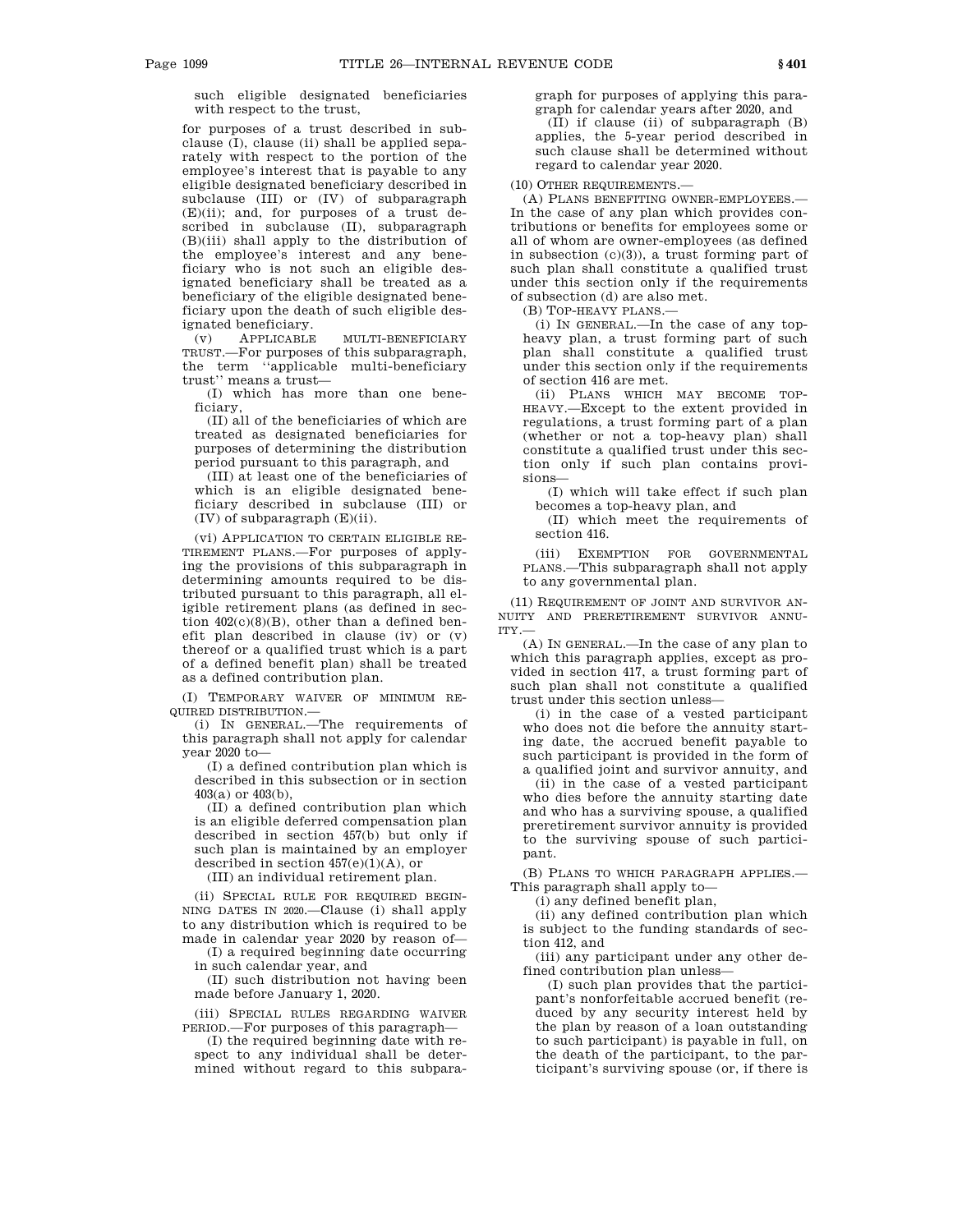such eligible designated beneficiaries with respect to the trust,

for purposes of a trust described in subclause (I), clause (ii) shall be applied separately with respect to the portion of the employee's interest that is payable to any eligible designated beneficiary described in subclause (III) or (IV) of subparagraph (E)(ii); and, for purposes of a trust described in subclause (II), subparagraph (B)(iii) shall apply to the distribution of the employee's interest and any beneficiary who is not such an eligible designated beneficiary shall be treated as a beneficiary of the eligible designated beneficiary upon the death of such eligible designated beneficiary.

(v) APPLICABLE MULTI-BENEFICIARY TRUST.—For purposes of this subparagraph, the term ''applicable multi-beneficiary trust'' means a trust—

(I) which has more than one beneficiary,

(II) all of the beneficiaries of which are treated as designated beneficiaries for purposes of determining the distribution period pursuant to this paragraph, and

(III) at least one of the beneficiaries of which is an eligible designated beneficiary described in subclause (III) or (IV) of subparagraph (E)(ii).

(vi) APPLICATION TO CERTAIN ELIGIBLE RE-TIREMENT PLANS.—For purposes of applying the provisions of this subparagraph in determining amounts required to be distributed pursuant to this paragraph, all eligible retirement plans (as defined in section  $402(c)(8)(B)$ , other than a defined benefit plan described in clause (iv) or (v) thereof or a qualified trust which is a part of a defined benefit plan) shall be treated as a defined contribution plan.

(I) TEMPORARY WAIVER OF MINIMUM RE-QUIRED DISTRIBUTION.—

(i) IN GENERAL.—The requirements of this paragraph shall not apply for calendar year 2020 to—

(I) a defined contribution plan which is described in this subsection or in section 403(a) or 403(b),

(II) a defined contribution plan which is an eligible deferred compensation plan described in section 457(b) but only if such plan is maintained by an employer described in section  $457(e)(1)(A)$ , or

(III) an individual retirement plan.

(ii) SPECIAL RULE FOR REQUIRED BEGIN-NING DATES IN 2020.—Clause (i) shall apply to any distribution which is required to be made in calendar year 2020 by reason of—

(I) a required beginning date occurring in such calendar year, and

(II) such distribution not having been made before January 1, 2020.

(iii) SPECIAL RULES REGARDING WAIVER PERIOD.—For purposes of this paragraph—

(I) the required beginning date with respect to any individual shall be determined without regard to this subparagraph for purposes of applying this paragraph for calendar years after 2020, and

(II) if clause (ii) of subparagraph (B) applies, the 5-year period described in such clause shall be determined without regard to calendar year 2020.

(10) OTHER REQUIREMENTS.—

(A) PLANS BENEFITING OWNER-EMPLOYEES.— In the case of any plan which provides contributions or benefits for employees some or all of whom are owner-employees (as defined in subsection (c)(3)), a trust forming part of such plan shall constitute a qualified trust under this section only if the requirements of subsection (d) are also met.

(B) TOP-HEAVY PLANS.—

(i) IN GENERAL.—In the case of any topheavy plan, a trust forming part of such plan shall constitute a qualified trust under this section only if the requirements of section 416 are met.

(ii) PLANS WHICH MAY BECOME TOP-HEAVY.—Except to the extent provided in regulations, a trust forming part of a plan (whether or not a top-heavy plan) shall constitute a qualified trust under this section only if such plan contains provisions—

(I) which will take effect if such plan becomes a top-heavy plan, and

(II) which meet the requirements of section 416.

(iii) EXEMPTION FOR GOVERNMENTAL PLANS.—This subparagraph shall not apply to any governmental plan.

(11) REQUIREMENT OF JOINT AND SURVIVOR AN-NUITY AND PRERETIREMENT SURVIVOR ANNU-ITY.—

(A) IN GENERAL.—In the case of any plan to which this paragraph applies, except as provided in section 417, a trust forming part of such plan shall not constitute a qualified trust under this section unless—

(i) in the case of a vested participant who does not die before the annuity starting date, the accrued benefit payable to such participant is provided in the form of a qualified joint and survivor annuity, and

(ii) in the case of a vested participant who dies before the annuity starting date and who has a surviving spouse, a qualified preretirement survivor annuity is provided to the surviving spouse of such participant.

(B) PLANS TO WHICH PARAGRAPH APPLIES.— This paragraph shall apply to—

(i) any defined benefit plan,

(ii) any defined contribution plan which is subject to the funding standards of section 412, and

(iii) any participant under any other defined contribution plan unless—

(I) such plan provides that the participant's nonforfeitable accrued benefit (reduced by any security interest held by the plan by reason of a loan outstanding to such participant) is payable in full, on the death of the participant, to the participant's surviving spouse (or, if there is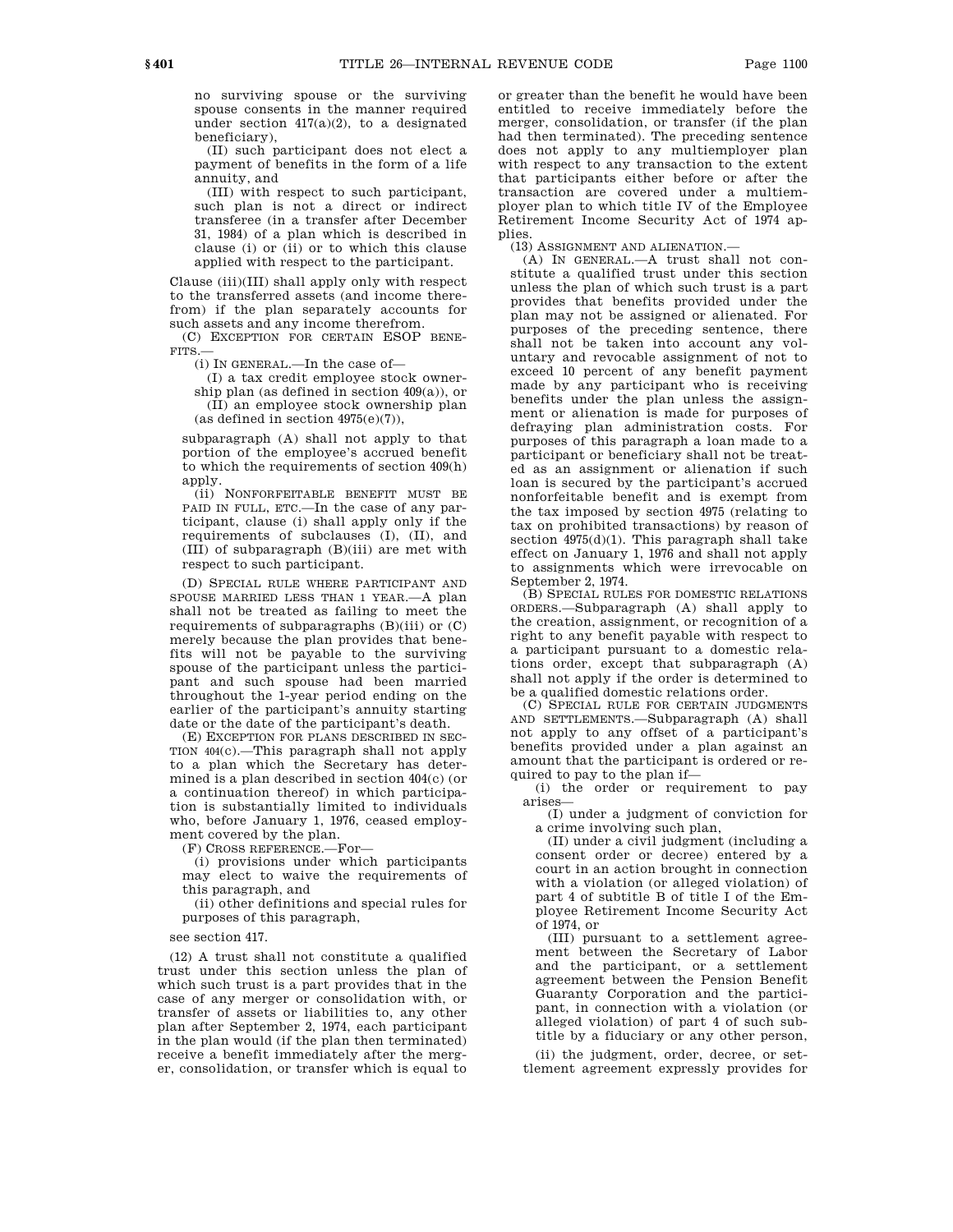no surviving spouse or the surviving spouse consents in the manner required under section  $417(a)(2)$ , to a designated beneficiary),

(II) such participant does not elect a payment of benefits in the form of a life annuity, and

(III) with respect to such participant, such plan is not a direct or indirect transferee (in a transfer after December 31, 1984) of a plan which is described in clause (i) or (ii) or to which this clause applied with respect to the participant.

Clause (iii)(III) shall apply only with respect to the transferred assets (and income therefrom) if the plan separately accounts for such assets and any income therefrom.

(C) EXCEPTION FOR CERTAIN ESOP BENE-FITS.—

(i) IN GENERAL.—In the case of—

(I) a tax credit employee stock ownership plan (as defined in section  $409(a)$ ), or (II) an employee stock ownership plan (as defined in section  $4975(e)(7)$ ),

subparagraph (A) shall not apply to that portion of the employee's accrued benefit to which the requirements of section 409(h) apply.

(ii) NONFORFEITABLE BENEFIT MUST BE PAID IN FULL, ETC.—In the case of any participant, clause (i) shall apply only if the requirements of subclauses (I), (II), and (III) of subparagraph (B)(iii) are met with respect to such participant.

(D) SPECIAL RULE WHERE PARTICIPANT AND SPOUSE MARRIED LESS THAN 1 YEAR.—A plan shall not be treated as failing to meet the requirements of subparagraphs (B)(iii) or (C) merely because the plan provides that benefits will not be payable to the surviving spouse of the participant unless the participant and such spouse had been married throughout the 1-year period ending on the earlier of the participant's annuity starting date or the date of the participant's death.

(E) EXCEPTION FOR PLANS DESCRIBED IN SEC-TION 404(c).—This paragraph shall not apply to a plan which the Secretary has determined is a plan described in section 404(c) (or a continuation thereof) in which participation is substantially limited to individuals who, before January 1, 1976, ceased employment covered by the plan.

(F) CROSS REFERENCE.—For—

(i) provisions under which participants may elect to waive the requirements of this paragraph, and

(ii) other definitions and special rules for purposes of this paragraph,

see section 417.

(12) A trust shall not constitute a qualified trust under this section unless the plan of which such trust is a part provides that in the case of any merger or consolidation with, or transfer of assets or liabilities to, any other plan after September 2, 1974, each participant in the plan would (if the plan then terminated) receive a benefit immediately after the merger, consolidation, or transfer which is equal to

or greater than the benefit he would have been entitled to receive immediately before the merger, consolidation, or transfer (if the plan had then terminated). The preceding sentence does not apply to any multiemployer plan with respect to any transaction to the extent that participants either before or after the transaction are covered under a multiemployer plan to which title IV of the Employee Retirement Income Security Act of 1974 applies.

(13) ASSIGNMENT AND ALIENATION.—

(A) IN GENERAL.—A trust shall not constitute a qualified trust under this section unless the plan of which such trust is a part provides that benefits provided under the plan may not be assigned or alienated. For purposes of the preceding sentence, there shall not be taken into account any voluntary and revocable assignment of not to exceed 10 percent of any benefit payment made by any participant who is receiving benefits under the plan unless the assignment or alienation is made for purposes of defraying plan administration costs. For purposes of this paragraph a loan made to a participant or beneficiary shall not be treated as an assignment or alienation if such loan is secured by the participant's accrued nonforfeitable benefit and is exempt from the tax imposed by section 4975 (relating to tax on prohibited transactions) by reason of section  $4975(d)(1)$ . This paragraph shall take effect on January 1, 1976 and shall not apply to assignments which were irrevocable on September 2, 1974.

(B) SPECIAL RULES FOR DOMESTIC RELATIONS ORDERS.—Subparagraph (A) shall apply to the creation, assignment, or recognition of a right to any benefit payable with respect to a participant pursuant to a domestic relations order, except that subparagraph (A) shall not apply if the order is determined to be a qualified domestic relations order.

(C) SPECIAL RULE FOR CERTAIN JUDGMENTS AND SETTLEMENTS.—Subparagraph (A) shall not apply to any offset of a participant's benefits provided under a plan against an amount that the participant is ordered or required to pay to the plan if—

(i) the order or requirement to pay arises—

(I) under a judgment of conviction for a crime involving such plan,

(II) under a civil judgment (including a consent order or decree) entered by a court in an action brought in connection with a violation (or alleged violation) of part 4 of subtitle B of title I of the Employee Retirement Income Security Act of 1974, or

(III) pursuant to a settlement agreement between the Secretary of Labor and the participant, or a settlement agreement between the Pension Benefit Guaranty Corporation and the participant, in connection with a violation (or alleged violation) of part 4 of such subtitle by a fiduciary or any other person,

(ii) the judgment, order, decree, or settlement agreement expressly provides for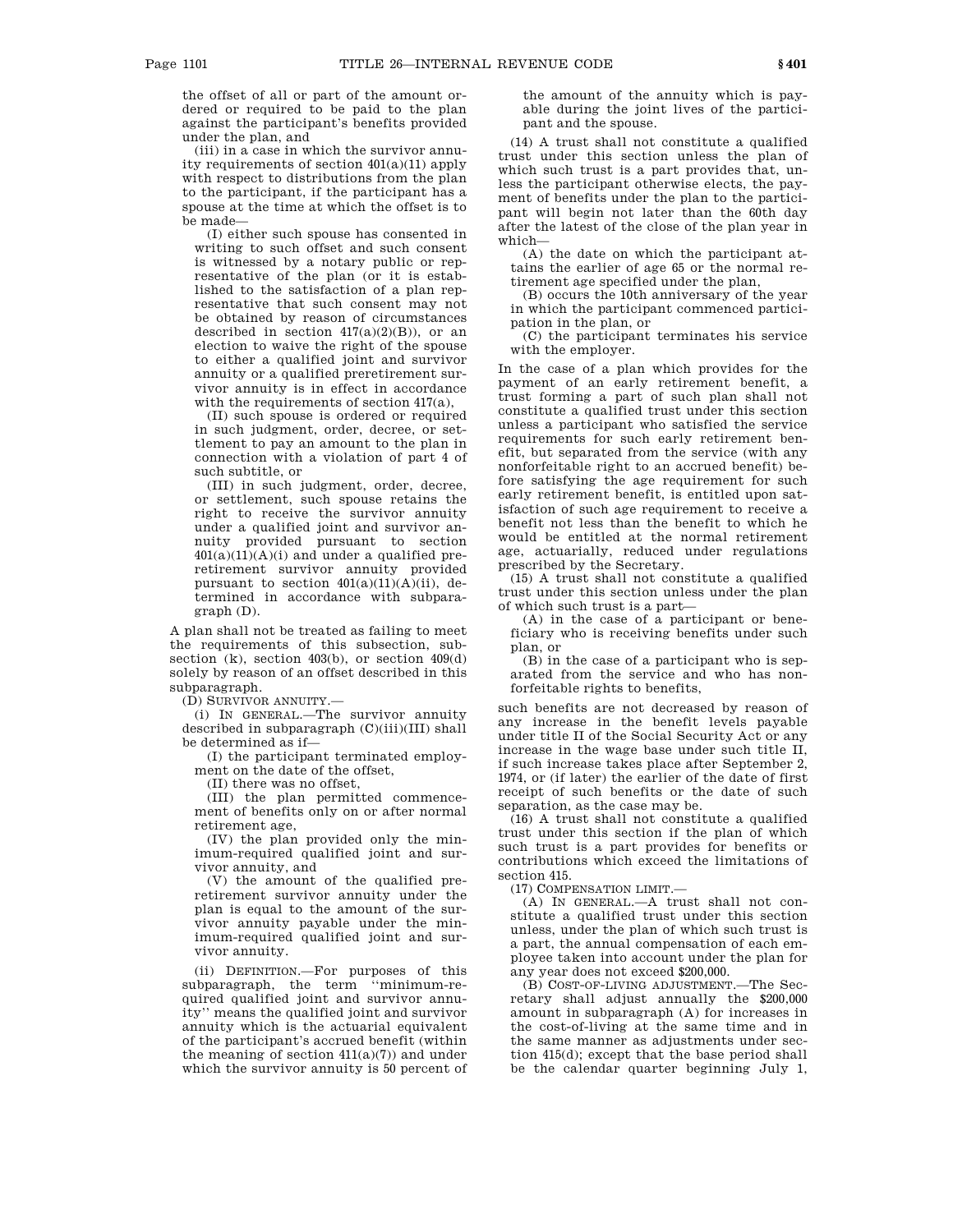the offset of all or part of the amount ordered or required to be paid to the plan against the participant's benefits provided under the plan, and

(iii) in a case in which the survivor annuity requirements of section 401(a)(11) apply with respect to distributions from the plan to the participant, if the participant has a spouse at the time at which the offset is to be made—

(I) either such spouse has consented in writing to such offset and such consent is witnessed by a notary public or representative of the plan (or it is established to the satisfaction of a plan representative that such consent may not be obtained by reason of circumstances described in section  $417(a)(2)(B)$ , or an election to waive the right of the spouse to either a qualified joint and survivor annuity or a qualified preretirement survivor annuity is in effect in accordance with the requirements of section 417(a),

(II) such spouse is ordered or required in such judgment, order, decree, or settlement to pay an amount to the plan in connection with a violation of part 4 of such subtitle, or

(III) in such judgment, order, decree, or settlement, such spouse retains the right to receive the survivor annuity under a qualified joint and survivor annuity provided pursuant to section  $401(a)(11)(A)(i)$  and under a qualified preretirement survivor annuity provided pursuant to section  $401(a)(11)(A)(ii)$ , determined in accordance with subparagraph (D).

A plan shall not be treated as failing to meet the requirements of this subsection, subsection (k), section 403(b), or section 409(d) solely by reason of an offset described in this subparagraph.

(D) SURVIVOR ANNUITY.—

(i) IN GENERAL.—The survivor annuity described in subparagraph (C)(iii)(III) shall be determined as if—

(I) the participant terminated employment on the date of the offset,

(II) there was no offset,

(III) the plan permitted commencement of benefits only on or after normal retirement age,

(IV) the plan provided only the minimum-required qualified joint and survivor annuity, and

(V) the amount of the qualified preretirement survivor annuity under the plan is equal to the amount of the survivor annuity payable under the minimum-required qualified joint and survivor annuity.

(ii) DEFINITION.—For purposes of this subparagraph, the term ''minimum-required qualified joint and survivor annuity'' means the qualified joint and survivor annuity which is the actuarial equivalent of the participant's accrued benefit (within the meaning of section  $411(a)(7)$  and under which the survivor annuity is 50 percent of the amount of the annuity which is payable during the joint lives of the participant and the spouse.

(14) A trust shall not constitute a qualified trust under this section unless the plan of which such trust is a part provides that, unless the participant otherwise elects, the payment of benefits under the plan to the participant will begin not later than the 60th day after the latest of the close of the plan year in which—

(A) the date on which the participant attains the earlier of age 65 or the normal retirement age specified under the plan,

(B) occurs the 10th anniversary of the year in which the participant commenced participation in the plan, or

(C) the participant terminates his service with the employer.

In the case of a plan which provides for the payment of an early retirement benefit, a trust forming a part of such plan shall not constitute a qualified trust under this section unless a participant who satisfied the service requirements for such early retirement benefit, but separated from the service (with any nonforfeitable right to an accrued benefit) before satisfying the age requirement for such early retirement benefit, is entitled upon satisfaction of such age requirement to receive a benefit not less than the benefit to which he would be entitled at the normal retirement age, actuarially, reduced under regulations prescribed by the Secretary.

(15) A trust shall not constitute a qualified trust under this section unless under the plan of which such trust is a part—

(A) in the case of a participant or beneficiary who is receiving benefits under such plan, or

(B) in the case of a participant who is separated from the service and who has nonforfeitable rights to benefits,

such benefits are not decreased by reason of any increase in the benefit levels payable under title II of the Social Security Act or any increase in the wage base under such title II, if such increase takes place after September 2, 1974, or (if later) the earlier of the date of first receipt of such benefits or the date of such separation, as the case may be.

(16) A trust shall not constitute a qualified trust under this section if the plan of which such trust is a part provides for benefits or contributions which exceed the limitations of section 415.

 $(17)$  COMPENSATION LIMIT $-$ 

(A) IN GENERAL.—A trust shall not constitute a qualified trust under this section unless, under the plan of which such trust is a part, the annual compensation of each employee taken into account under the plan for any year does not exceed \$200,000.

(B) COST-OF-LIVING ADJUSTMENT.—The Secretary shall adjust annually the \$200,000 amount in subparagraph (A) for increases in the cost-of-living at the same time and in the same manner as adjustments under section 415(d); except that the base period shall be the calendar quarter beginning July 1,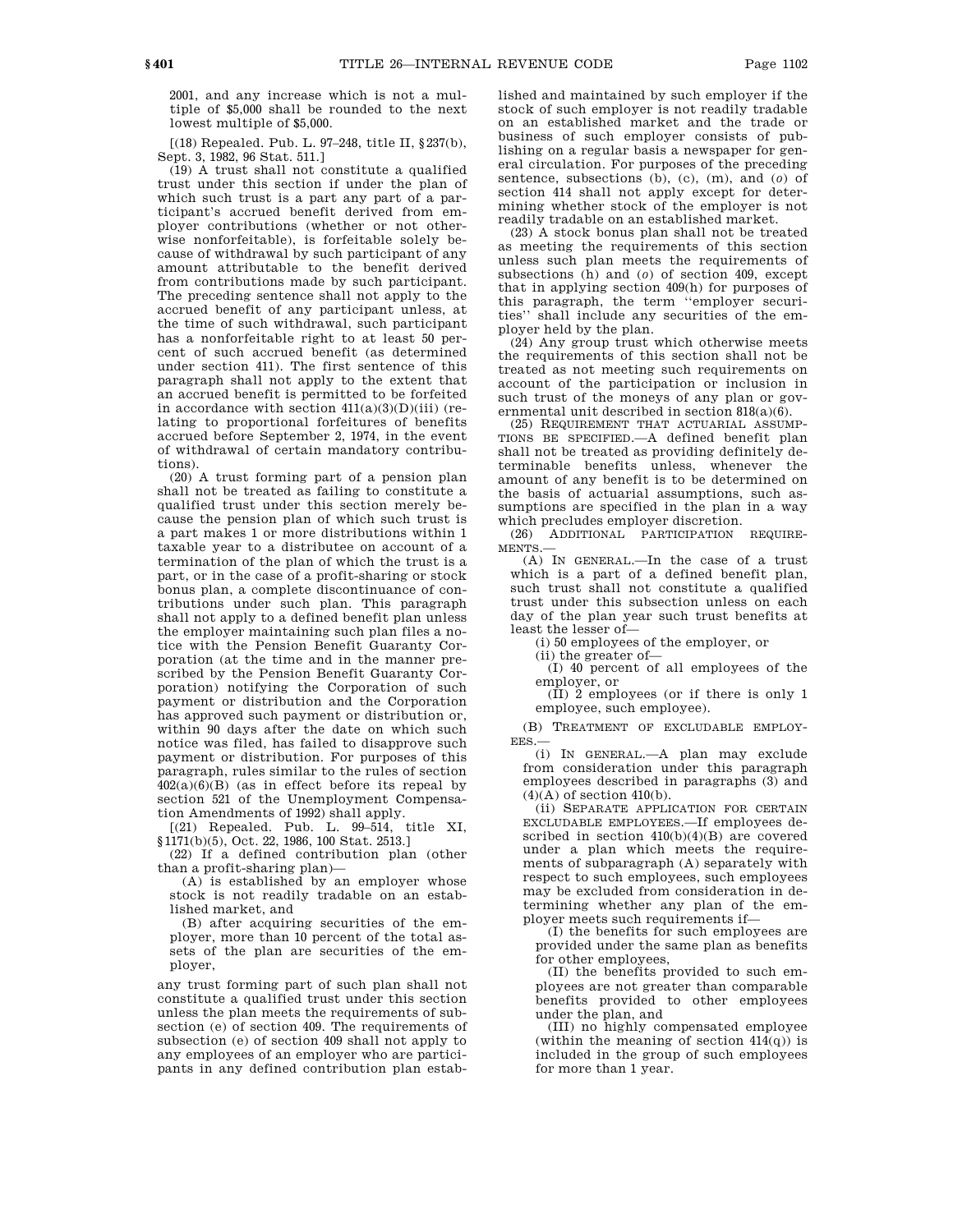2001, and any increase which is not a multiple of \$5,000 shall be rounded to the next lowest multiple of \$5,000.

[(18) Repealed. Pub. L. 97–248, title II, §237(b), Sept. 3, 1982, 96 Stat. 511.]

(19) A trust shall not constitute a qualified trust under this section if under the plan of which such trust is a part any part of a participant's accrued benefit derived from employer contributions (whether or not otherwise nonforfeitable), is forfeitable solely because of withdrawal by such participant of any amount attributable to the benefit derived from contributions made by such participant. The preceding sentence shall not apply to the accrued benefit of any participant unless, at the time of such withdrawal, such participant has a nonforfeitable right to at least 50 percent of such accrued benefit (as determined under section 411). The first sentence of this paragraph shall not apply to the extent that an accrued benefit is permitted to be forfeited in accordance with section  $411(a)(3)(D)(iii)$  (relating to proportional forfeitures of benefits accrued before September 2, 1974, in the event of withdrawal of certain mandatory contributions).

(20) A trust forming part of a pension plan shall not be treated as failing to constitute a qualified trust under this section merely because the pension plan of which such trust is a part makes 1 or more distributions within 1 taxable year to a distributee on account of a termination of the plan of which the trust is a part, or in the case of a profit-sharing or stock bonus plan, a complete discontinuance of contributions under such plan. This paragraph shall not apply to a defined benefit plan unless the employer maintaining such plan files a notice with the Pension Benefit Guaranty Corporation (at the time and in the manner prescribed by the Pension Benefit Guaranty Corporation) notifying the Corporation of such payment or distribution and the Corporation has approved such payment or distribution or, within 90 days after the date on which such notice was filed, has failed to disapprove such payment or distribution. For purposes of this paragraph, rules similar to the rules of section  $402(a)(6)(B)$  (as in effect before its repeal by section 521 of the Unemployment Compensation Amendments of 1992) shall apply.

[(21) Repealed. Pub. L. 99–514, title XI, §1171(b)(5), Oct. 22, 1986, 100 Stat. 2513.]

(22) If a defined contribution plan (other than a profit-sharing plan)—

(A) is established by an employer whose stock is not readily tradable on an established market, and

(B) after acquiring securities of the employer, more than 10 percent of the total assets of the plan are securities of the employer,

any trust forming part of such plan shall not constitute a qualified trust under this section unless the plan meets the requirements of subsection (e) of section 409. The requirements of subsection (e) of section 409 shall not apply to any employees of an employer who are participants in any defined contribution plan established and maintained by such employer if the stock of such employer is not readily tradable on an established market and the trade or business of such employer consists of publishing on a regular basis a newspaper for general circulation. For purposes of the preceding sentence, subsections (b), (c), (m), and (*o*) of section 414 shall not apply except for determining whether stock of the employer is not readily tradable on an established market.

(23) A stock bonus plan shall not be treated as meeting the requirements of this section unless such plan meets the requirements of subsections (h) and (*o*) of section 409, except that in applying section 409(h) for purposes of this paragraph, the term ''employer securities'' shall include any securities of the employer held by the plan.

(24) Any group trust which otherwise meets the requirements of this section shall not be treated as not meeting such requirements on account of the participation or inclusion in such trust of the moneys of any plan or governmental unit described in section 818(a)(6).

(25) REQUIREMENT THAT ACTUARIAL ASSUMP-TIONS BE SPECIFIED.—A defined benefit plan shall not be treated as providing definitely determinable benefits unless, whenever the amount of any benefit is to be determined on the basis of actuarial assumptions, such assumptions are specified in the plan in a way which precludes employer discretion.<br>(26) ADDITIONAL PARTICIPATION

(26) ADDITIONAL PARTICIPATION REQUIRE-MENTS.—

(A) IN GENERAL.—In the case of a trust which is a part of a defined benefit plan, such trust shall not constitute a qualified trust under this subsection unless on each day of the plan year such trust benefits at least the lesser of—

(i) 50 employees of the employer, or

(ii) the greater of—

(I) 40 percent of all employees of the employer, or

 $(\overline{II})$  2 employees (or if there is only 1 employee, such employee).

(B) TREATMENT OF EXCLUDABLE EMPLOY-EES.—

(i) IN GENERAL.—A plan may exclude from consideration under this paragraph employees described in paragraphs (3) and  $(4)(A)$  of section  $410(b)$ .

(ii) SEPARATE APPLICATION FOR CERTAIN EXCLUDABLE EMPLOYEES.—If employees described in section 410(b)(4)(B) are covered under a plan which meets the requirements of subparagraph (A) separately with respect to such employees, such employees may be excluded from consideration in determining whether any plan of the employer meets such requirements if—

(I) the benefits for such employees are provided under the same plan as benefits for other employees,

(II) the benefits provided to such employees are not greater than comparable benefits provided to other employees under the plan, and

(III) no highly compensated employee (within the meaning of section  $414(q)$ ) is included in the group of such employees for more than 1 year.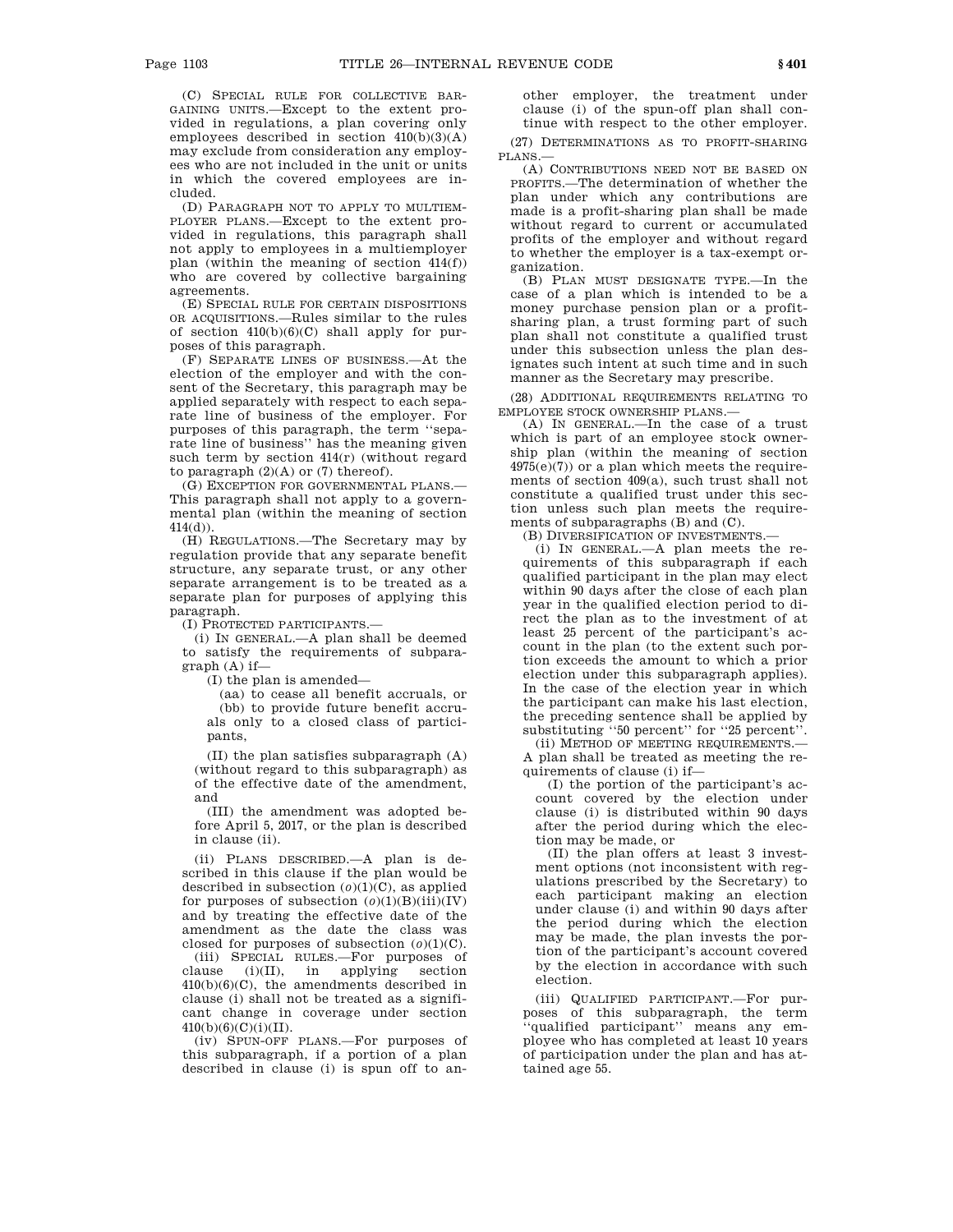(C) SPECIAL RULE FOR COLLECTIVE BAR-GAINING UNITS.—Except to the extent provided in regulations, a plan covering only employees described in section  $410(b)(3)(A)$ may exclude from consideration any employees who are not included in the unit or units in which the covered employees are included.

(D) PARAGRAPH NOT TO APPLY TO MULTIEM-PLOYER PLANS.—Except to the extent provided in regulations, this paragraph shall not apply to employees in a multiemployer plan (within the meaning of section 414(f)) who are covered by collective bargaining agreements.

(E) SPECIAL RULE FOR CERTAIN DISPOSITIONS OR ACQUISITIONS.—Rules similar to the rules of section  $410(b)(6)(C)$  shall apply for purposes of this paragraph.

(F) SEPARATE LINES OF BUSINESS.—At the election of the employer and with the consent of the Secretary, this paragraph may be applied separately with respect to each separate line of business of the employer. For purposes of this paragraph, the term ''separate line of business'' has the meaning given such term by section 414(r) (without regard to paragraph  $(2)(A)$  or  $(7)$  thereof).

(G) EXCEPTION FOR GOVERNMENTAL PLANS.— This paragraph shall not apply to a governmental plan (within the meaning of section  $414(d)$ ).

(H) REGULATIONS.—The Secretary may by regulation provide that any separate benefit structure, any separate trust, or any other separate arrangement is to be treated as a separate plan for purposes of applying this paragraph.

(I) PROTECTED PARTICIPANTS.—

(i) IN GENERAL.—A plan shall be deemed to satisfy the requirements of subparagraph (A) if—

(I) the plan is amended—

(aa) to cease all benefit accruals, or (bb) to provide future benefit accruals only to a closed class of participants,

(II) the plan satisfies subparagraph (A) (without regard to this subparagraph) as of the effective date of the amendment, and

(III) the amendment was adopted before April 5, 2017, or the plan is described in clause (ii).

(ii) PLANS DESCRIBED.—A plan is described in this clause if the plan would be described in subsection  $(0)(1)(C)$ , as applied for purposes of subsection  $(0)(1)(B)(iii)(IV)$ and by treating the effective date of the amendment as the date the class was closed for purposes of subsection  $(0)(1)(C)$ .

(iii) SPECIAL RULES.—For purposes of clause (i)(II), in applying section 410(b)(6)(C), the amendments described in clause (i) shall not be treated as a significant change in coverage under section  $410(b)(6)(C)(i)(II).$ 

(iv) SPUN-OFF PLANS.—For purposes of this subparagraph, if a portion of a plan described in clause (i) is spun off to another employer, the treatment under clause (i) of the spun-off plan shall continue with respect to the other employer.

(27) DETERMINATIONS AS TO PROFIT-SHARING PLANS.—

(A) CONTRIBUTIONS NEED NOT BE BASED ON PROFITS.—The determination of whether the plan under which any contributions are made is a profit-sharing plan shall be made without regard to current or accumulated profits of the employer and without regard to whether the employer is a tax-exempt organization.

(B) PLAN MUST DESIGNATE TYPE.—In the case of a plan which is intended to be a money purchase pension plan or a profitsharing plan, a trust forming part of such plan shall not constitute a qualified trust under this subsection unless the plan designates such intent at such time and in such manner as the Secretary may prescribe.

(28) ADDITIONAL REQUIREMENTS RELATING TO EMPLOYEE STOCK OWNERSHIP PLANS.—

(A) IN GENERAL.—In the case of a trust which is part of an employee stock ownership plan (within the meaning of section 4975(e)(7)) or a plan which meets the requirements of section 409(a), such trust shall not constitute a qualified trust under this section unless such plan meets the requirements of subparagraphs (B) and (C).

(B) DIVERSIFICATION OF INVESTMENTS.—

(i) IN GENERAL.—A plan meets the requirements of this subparagraph if each qualified participant in the plan may elect within 90 days after the close of each plan year in the qualified election period to direct the plan as to the investment of at least 25 percent of the participant's account in the plan (to the extent such portion exceeds the amount to which a prior election under this subparagraph applies). In the case of the election year in which the participant can make his last election, the preceding sentence shall be applied by substituting ''50 percent'' for ''25 percent''.

(ii) METHOD OF MEETING REQUIREMENTS.— A plan shall be treated as meeting the requirements of clause (i) if—

(I) the portion of the participant's account covered by the election under clause (i) is distributed within 90 days after the period during which the election may be made, or

(II) the plan offers at least 3 investment options (not inconsistent with regulations prescribed by the Secretary) to each participant making an election under clause (i) and within 90 days after the period during which the election may be made, the plan invests the portion of the participant's account covered by the election in accordance with such election.

(iii) QUALIFIED PARTICIPANT.—For purposes of this subparagraph, the term 'qualified participant'' means any employee who has completed at least 10 years of participation under the plan and has attained age 55.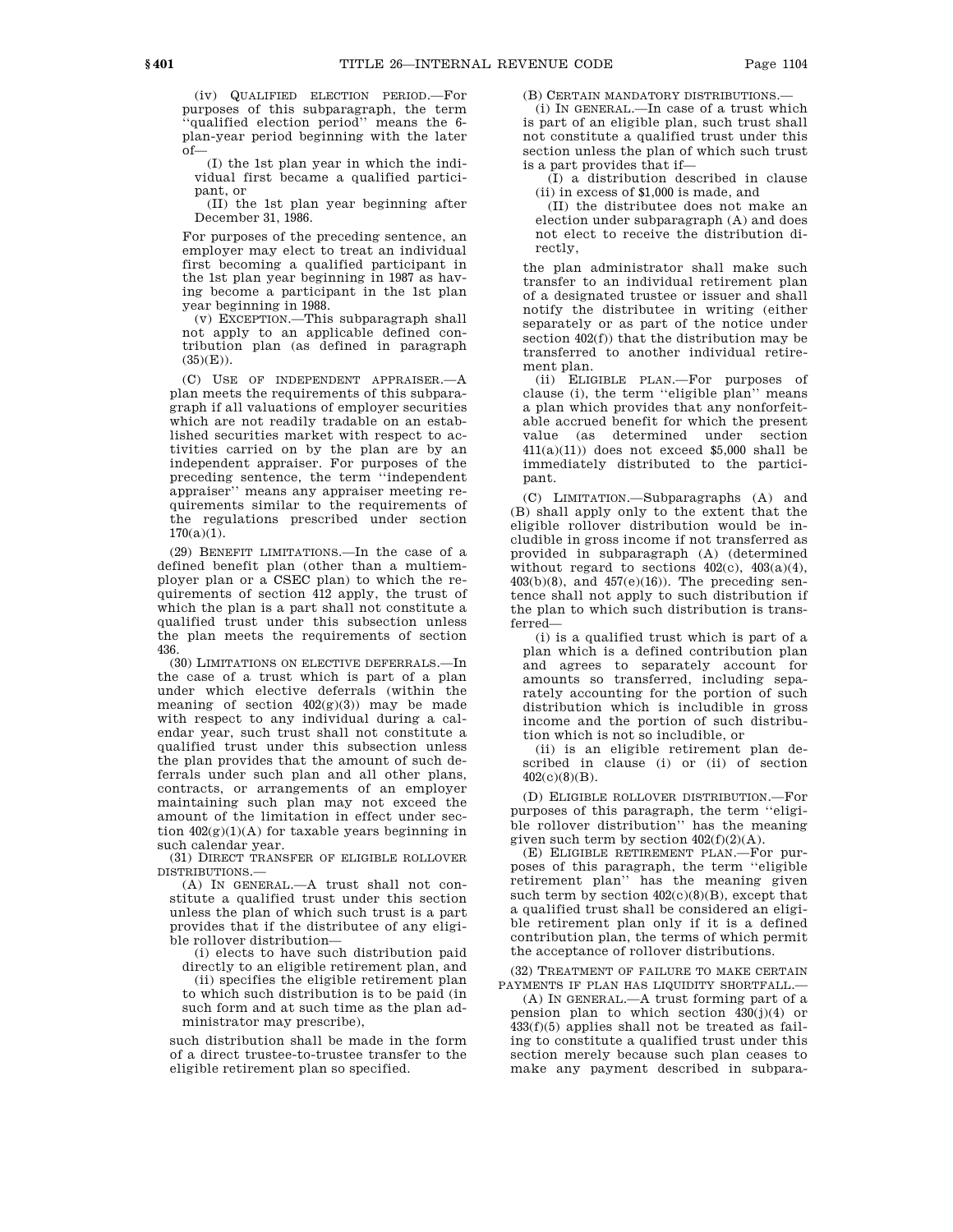(iv) QUALIFIED ELECTION PERIOD.—For purposes of this subparagraph, the term ''qualified election period'' means the 6 plan-year period beginning with the later of—

(I) the 1st plan year in which the individual first became a qualified participant, or

(II) the 1st plan year beginning after December 31, 1986.

For purposes of the preceding sentence, an employer may elect to treat an individual first becoming a qualified participant in the 1st plan year beginning in 1987 as having become a participant in the 1st plan year beginning in 1988.

(v) EXCEPTION.—This subparagraph shall not apply to an applicable defined contribution plan (as defined in paragraph  $(35)(E)$ ).

(C) USE OF INDEPENDENT APPRAISER.—A plan meets the requirements of this subparagraph if all valuations of employer securities which are not readily tradable on an established securities market with respect to activities carried on by the plan are by an independent appraiser. For purposes of the preceding sentence, the term ''independent appraiser'' means any appraiser meeting requirements similar to the requirements of the regulations prescribed under section  $170(a)(1)$ .

(29) BENEFIT LIMITATIONS.—In the case of a defined benefit plan (other than a multiemployer plan or a CSEC plan) to which the requirements of section 412 apply, the trust of which the plan is a part shall not constitute a qualified trust under this subsection unless the plan meets the requirements of section 436.

(30) LIMITATIONS ON ELECTIVE DEFERRALS.—In the case of a trust which is part of a plan under which elective deferrals (within the meaning of section  $402(g)(3)$  may be made with respect to any individual during a calendar year, such trust shall not constitute a qualified trust under this subsection unless the plan provides that the amount of such deferrals under such plan and all other plans, contracts, or arrangements of an employer maintaining such plan may not exceed the amount of the limitation in effect under section 402(g)(1)(A) for taxable years beginning in such calendar year.

(31) DIRECT TRANSFER OF ELIGIBLE ROLLOVER DISTRIBUTIONS.—

(A) IN GENERAL.—A trust shall not constitute a qualified trust under this section unless the plan of which such trust is a part provides that if the distributee of any eligible rollover distribution—

(i) elects to have such distribution paid directly to an eligible retirement plan, and (ii) specifies the eligible retirement plan to which such distribution is to be paid (in such form and at such time as the plan administrator may prescribe),

such distribution shall be made in the form of a direct trustee-to-trustee transfer to the eligible retirement plan so specified.

(B) CERTAIN MANDATORY DISTRIBUTIONS.—

(i) IN GENERAL.—In case of a trust which is part of an eligible plan, such trust shall not constitute a qualified trust under this section unless the plan of which such trust is a part provides that if—

(I) a distribution described in clause (ii) in excess of \$1,000 is made, and

(II) the distributee does not make an election under subparagraph (A) and does not elect to receive the distribution directly,

the plan administrator shall make such transfer to an individual retirement plan of a designated trustee or issuer and shall notify the distributee in writing (either separately or as part of the notice under section 402(f)) that the distribution may be transferred to another individual retirement plan.

(ii) ELIGIBLE PLAN.—For purposes of clause (i), the term ''eligible plan'' means a plan which provides that any nonforfeitable accrued benefit for which the present value (as determined under section  $411(a)(11)$  does not exceed \$5,000 shall be immediately distributed to the participant.

(C) LIMITATION.—Subparagraphs (A) and (B) shall apply only to the extent that the eligible rollover distribution would be includible in gross income if not transferred as provided in subparagraph (A) (determined without regard to sections  $402(c)$ ,  $403(a)(4)$ ,  $403(b)(8)$ , and  $457(e)(16)$ ). The preceding sentence shall not apply to such distribution if the plan to which such distribution is transferred—

(i) is a qualified trust which is part of a plan which is a defined contribution plan and agrees to separately account for amounts so transferred, including separately accounting for the portion of such distribution which is includible in gross income and the portion of such distribution which is not so includible, or

(ii) is an eligible retirement plan described in clause (i) or (ii) of section 402(c)(8)(B).

(D) ELIGIBLE ROLLOVER DISTRIBUTION.—For purposes of this paragraph, the term ''eligible rollover distribution'' has the meaning given such term by section 402(f)(2)(A).

(E) ELIGIBLE RETIREMENT PLAN.—For purposes of this paragraph, the term ''eligible retirement plan'' has the meaning given such term by section  $402(c)(8)(B)$ , except that a qualified trust shall be considered an eligible retirement plan only if it is a defined contribution plan, the terms of which permit the acceptance of rollover distributions.

(32) TREATMENT OF FAILURE TO MAKE CERTAIN PAYMENTS IF PLAN HAS LIQUIDITY SHORTFALL.

(A) IN GENERAL.—A trust forming part of a pension plan to which section  $430(j)(4)$  or 433(f)(5) applies shall not be treated as failing to constitute a qualified trust under this section merely because such plan ceases to make any payment described in subpara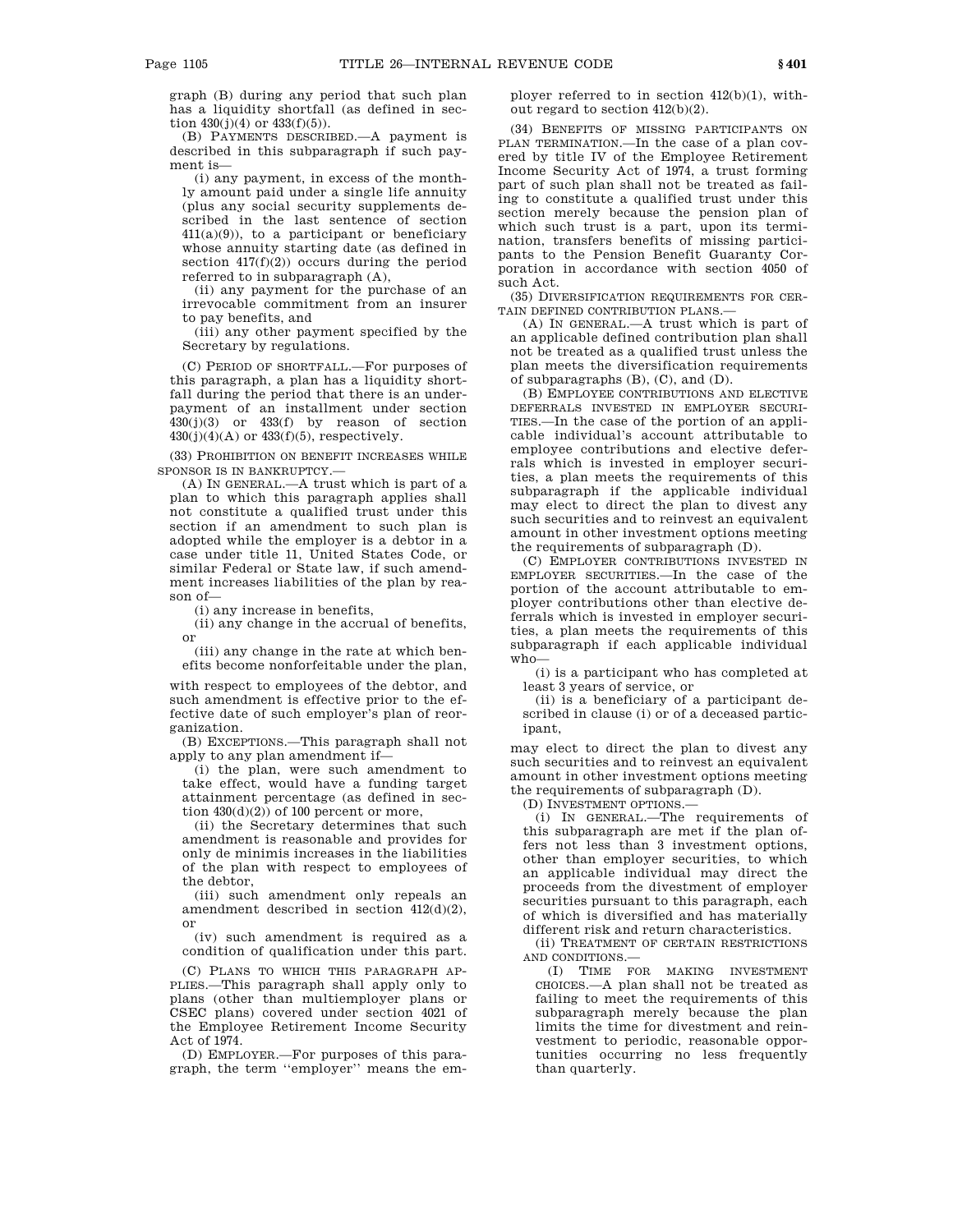graph (B) during any period that such plan has a liquidity shortfall (as defined in section  $430(j)(4)$  or  $433(f)(5)$ ).

(B) PAYMENTS DESCRIBED.—A payment is described in this subparagraph if such payment is—

(i) any payment, in excess of the monthly amount paid under a single life annuity (plus any social security supplements described in the last sentence of section  $411(a)(9)$ , to a participant or beneficiary whose annuity starting date (as defined in section  $417(f)(2)$  occurs during the period referred to in subparagraph (A),

(ii) any payment for the purchase of an irrevocable commitment from an insurer to pay benefits, and

(iii) any other payment specified by the Secretary by regulations.

(C) PERIOD OF SHORTFALL.—For purposes of this paragraph, a plan has a liquidity shortfall during the period that there is an underpayment of an installment under section  $430(j)(3)$  or  $433(f)$  by reason of section  $430(j)(4)(A)$  or  $433(f)(5)$ , respectively.

(33) PROHIBITION ON BENEFIT INCREASES WHILE SPONSOR IS IN BANKRUPTCY.—

(A) IN GENERAL.—A trust which is part of a plan to which this paragraph applies shall not constitute a qualified trust under this section if an amendment to such plan is adopted while the employer is a debtor in a case under title 11, United States Code, or similar Federal or State law, if such amendment increases liabilities of the plan by reason of—

(i) any increase in benefits,

(ii) any change in the accrual of benefits, or

(iii) any change in the rate at which benefits become nonforfeitable under the plan,

with respect to employees of the debtor, and such amendment is effective prior to the effective date of such employer's plan of reorganization.

(B) EXCEPTIONS.—This paragraph shall not apply to any plan amendment if—

(i) the plan, were such amendment to take effect, would have a funding target attainment percentage (as defined in section  $430(d)(2)$ ) of 100 percent or more,

(ii) the Secretary determines that such amendment is reasonable and provides for only de minimis increases in the liabilities of the plan with respect to employees of the debtor,

(iii) such amendment only repeals an amendment described in section 412(d)(2), or

(iv) such amendment is required as a condition of qualification under this part.

(C) PLANS TO WHICH THIS PARAGRAPH AP-PLIES.—This paragraph shall apply only to plans (other than multiemployer plans or CSEC plans) covered under section 4021 of the Employee Retirement Income Security Act of 1974.

(D) EMPLOYER.—For purposes of this paragraph, the term ''employer'' means the employer referred to in section 412(b)(1), without regard to section 412(b)(2).

(34) BENEFITS OF MISSING PARTICIPANTS ON PLAN TERMINATION.—In the case of a plan covered by title IV of the Employee Retirement Income Security Act of 1974, a trust forming part of such plan shall not be treated as failing to constitute a qualified trust under this section merely because the pension plan of which such trust is a part, upon its termination, transfers benefits of missing participants to the Pension Benefit Guaranty Corporation in accordance with section 4050 of such Act.

(35) DIVERSIFICATION REQUIREMENTS FOR CER-TAIN DEFINED CONTRIBUTION PLANS.

(A) IN GENERAL.—A trust which is part of an applicable defined contribution plan shall not be treated as a qualified trust unless the plan meets the diversification requirements of subparagraphs (B), (C), and (D).

(B) EMPLOYEE CONTRIBUTIONS AND ELECTIVE DEFERRALS INVESTED IN EMPLOYER SECURI-TIES.—In the case of the portion of an applicable individual's account attributable to employee contributions and elective deferrals which is invested in employer securities, a plan meets the requirements of this subparagraph if the applicable individual may elect to direct the plan to divest any such securities and to reinvest an equivalent amount in other investment options meeting the requirements of subparagraph (D).

(C) EMPLOYER CONTRIBUTIONS INVESTED IN EMPLOYER SECURITIES.—In the case of the portion of the account attributable to employer contributions other than elective deferrals which is invested in employer securities, a plan meets the requirements of this subparagraph if each applicable individual who—

(i) is a participant who has completed at least 3 years of service, or

(ii) is a beneficiary of a participant described in clause (i) or of a deceased participant,

may elect to direct the plan to divest any such securities and to reinvest an equivalent amount in other investment options meeting the requirements of subparagraph (D).

(D) INVESTMENT OPTIONS.—

(i) IN GENERAL.—The requirements of this subparagraph are met if the plan offers not less than 3 investment options, other than employer securities, to which an applicable individual may direct the proceeds from the divestment of employer securities pursuant to this paragraph, each of which is diversified and has materially different risk and return characteristics.

(ii) TREATMENT OF CERTAIN RESTRICTIONS AND CONDITIONS.—

(I) TIME FOR MAKING INVESTMENT CHOICES.—A plan shall not be treated as failing to meet the requirements of this subparagraph merely because the plan limits the time for divestment and reinvestment to periodic, reasonable opportunities occurring no less frequently than quarterly.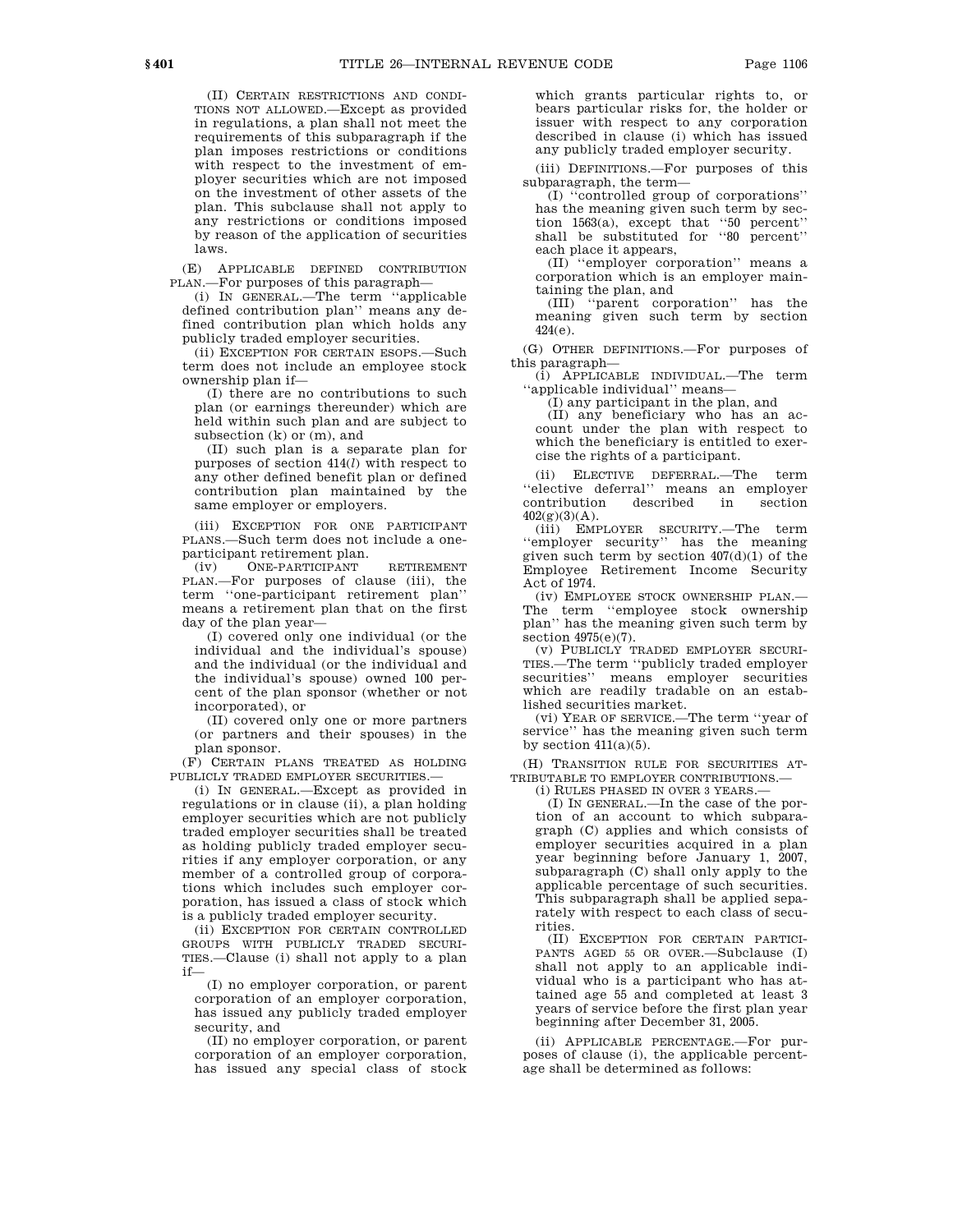(II) CERTAIN RESTRICTIONS AND CONDI-TIONS NOT ALLOWED.—Except as provided in regulations, a plan shall not meet the requirements of this subparagraph if the plan imposes restrictions or conditions with respect to the investment of employer securities which are not imposed on the investment of other assets of the plan. This subclause shall not apply to any restrictions or conditions imposed by reason of the application of securities

(E) APPLICABLE DEFINED CONTRIBUTION PLAN.—For purposes of this paragraph—

(i) IN GENERAL.—The term ''applicable defined contribution plan'' means any defined contribution plan which holds any publicly traded employer securities.

(ii) EXCEPTION FOR CERTAIN ESOPS.—Such term does not include an employee stock ownership plan if—

(I) there are no contributions to such plan (or earnings thereunder) which are held within such plan and are subject to subsection  $(k)$  or  $(m)$ , and

(II) such plan is a separate plan for purposes of section 414(*l*) with respect to any other defined benefit plan or defined contribution plan maintained by the same employer or employers.

(iii) EXCEPTION FOR ONE PARTICIPANT PLANS.—Such term does not include a oneparticipant retirement plan.

(iv) ONE-PARTICIPANT RETIREMENT PLAN.—For purposes of clause (iii), the term ''one-participant retirement plan'' means a retirement plan that on the first day of the plan year—

(I) covered only one individual (or the individual and the individual's spouse) and the individual (or the individual and the individual's spouse) owned 100 percent of the plan sponsor (whether or not incorporated), or

(II) covered only one or more partners (or partners and their spouses) in the plan sponsor.

(F) CERTAIN PLANS TREATED AS HOLDING PUBLICLY TRADED EMPLOYER SECURITIES.—

(i) IN GENERAL.—Except as provided in regulations or in clause (ii), a plan holding employer securities which are not publicly traded employer securities shall be treated as holding publicly traded employer securities if any employer corporation, or any member of a controlled group of corporations which includes such employer corporation, has issued a class of stock which is a publicly traded employer security.

(ii) EXCEPTION FOR CERTAIN CONTROLLED GROUPS WITH PUBLICLY TRADED SECURI-TIES.—Clause (i) shall not apply to a plan if—

(I) no employer corporation, or parent corporation of an employer corporation, has issued any publicly traded employer security, and

(II) no employer corporation, or parent corporation of an employer corporation, has issued any special class of stock

which grants particular rights to, or bears particular risks for, the holder or issuer with respect to any corporation described in clause (i) which has issued any publicly traded employer security.

(iii) DEFINITIONS.—For purposes of this subparagraph, the term—

(I) ''controlled group of corporations'' has the meaning given such term by section 1563(a), except that ''50 percent'' shall be substituted for ''80 percent'' each place it appears,

(II) ''employer corporation'' means a corporation which is an employer maintaining the plan, and

(III) ''parent corporation'' has the meaning given such term by section 424(e).

(G) OTHER DEFINITIONS.—For purposes of this paragraph—

(i) APPLICABLE INDIVIDUAL.—The term ''applicable individual'' means—

(I) any participant in the plan, and

(II) any beneficiary who has an account under the plan with respect to which the beneficiary is entitled to exercise the rights of a participant.

(ii) ELECTIVE DEFERRAL.—The term ''elective deferral'' means an employer contribution  $402(g)(3)(A)$ .

(iii) EMPLOYER SECURITY.—The term ''employer security'' has the meaning given such term by section 407(d)(1) of the Employee Retirement Income Security Act of 1974.

(iv) EMPLOYEE STOCK OWNERSHIP PLAN.— The term ''employee stock ownership plan'' has the meaning given such term by section  $4975(e)(7)$ .

(v) PUBLICLY TRADED EMPLOYER SECURI-TIES.—The term ''publicly traded employer securities'' means employer securities which are readily tradable on an established securities market.

(vi) YEAR OF SERVICE.—The term ''year of service'' has the meaning given such term by section  $411(a)(5)$ .

(H) TRANSITION RULE FOR SECURITIES AT-TRIBUTABLE TO EMPLOYER CONTRIBUTIONS -

(i) RULES PHASED IN OVER 3 YEARS.—

(I) IN GENERAL.—In the case of the portion of an account to which subparagraph (C) applies and which consists of employer securities acquired in a plan year beginning before January 1, 2007, subparagraph (C) shall only apply to the applicable percentage of such securities. This subparagraph shall be applied separately with respect to each class of securities.

(II) EXCEPTION FOR CERTAIN PARTICI-PANTS AGED 55 OR OVER.—Subclause (I) shall not apply to an applicable individual who is a participant who has attained age 55 and completed at least 3 years of service before the first plan year beginning after December 31, 2005.

(ii) APPLICABLE PERCENTAGE.—For purposes of clause (i), the applicable percentage shall be determined as follows:

laws.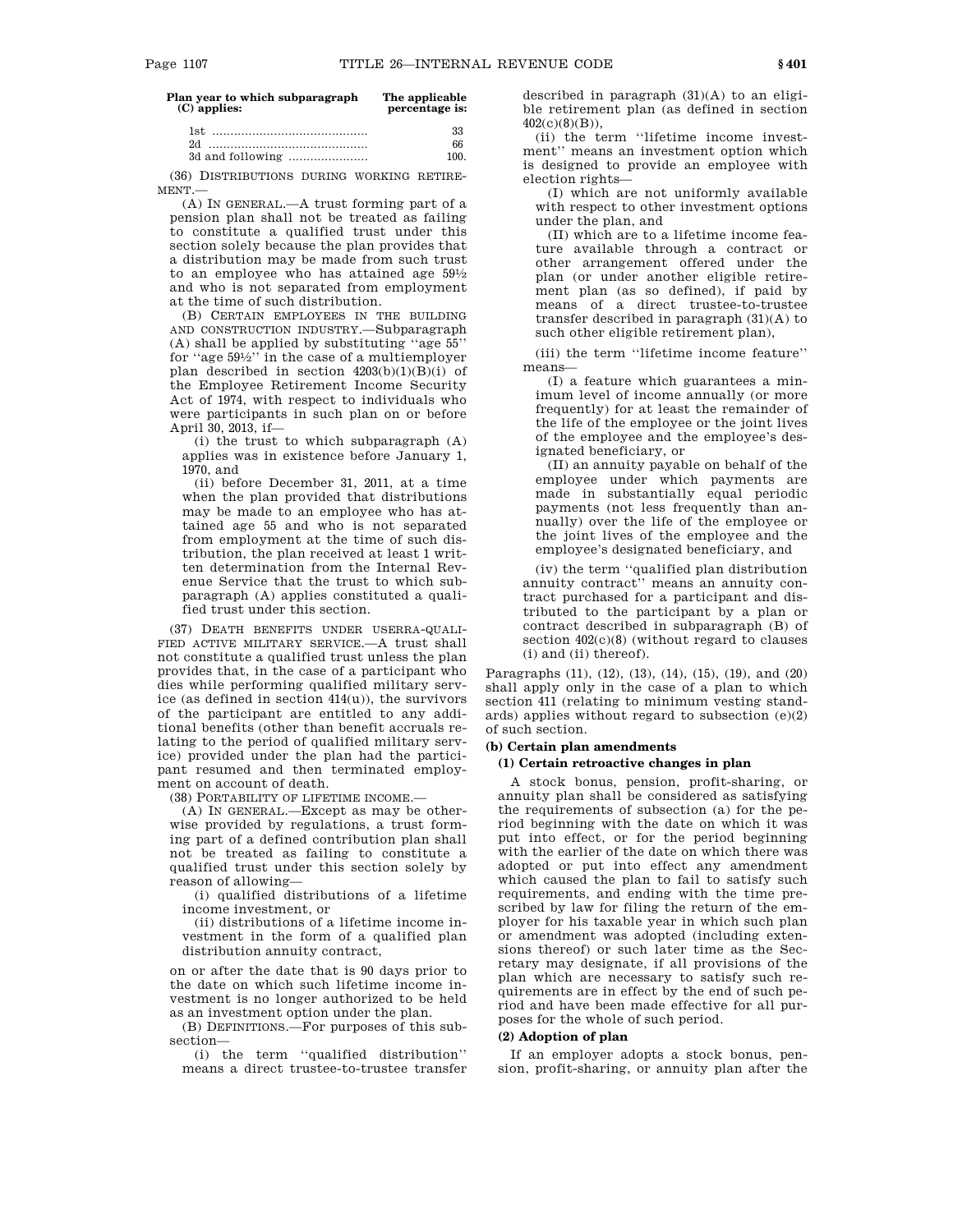| Plan year to which subparagraph<br>$(C)$ applies: | The applicable<br>percentage is: |
|---------------------------------------------------|----------------------------------|
|                                                   | 33                               |
| 2d                                                | 66                               |
| 3d and following                                  | 100                              |

(36) DISTRIBUTIONS DURING WORKING RETIRE-MENT.—

(A) IN GENERAL.—A trust forming part of a pension plan shall not be treated as failing to constitute a qualified trust under this section solely because the plan provides that a distribution may be made from such trust to an employee who has attained age  $59\frac{1}{2}$ and who is not separated from employment at the time of such distribution.

(B) CERTAIN EMPLOYEES IN THE BUILDING AND CONSTRUCTION INDUSTRY.—Subparagraph (A) shall be applied by substituting ''age 55'' for ''age 591 ⁄2'' in the case of a multiemployer plan described in section  $4203(b)(1)(B)(i)$  of the Employee Retirement Income Security Act of 1974, with respect to individuals who were participants in such plan on or before April 30, 2013, if—

(i) the trust to which subparagraph (A) applies was in existence before January 1, 1970, and

(ii) before December 31, 2011, at a time when the plan provided that distributions may be made to an employee who has attained age 55 and who is not separated from employment at the time of such distribution, the plan received at least 1 written determination from the Internal Revenue Service that the trust to which subparagraph (A) applies constituted a qualified trust under this section.

(37) DEATH BENEFITS UNDER USERRA-QUALI-FIED ACTIVE MILITARY SERVICE.—A trust shall not constitute a qualified trust unless the plan provides that, in the case of a participant who dies while performing qualified military service (as defined in section 414(u)), the survivors of the participant are entitled to any additional benefits (other than benefit accruals relating to the period of qualified military service) provided under the plan had the participant resumed and then terminated employment on account of death.

(38) PORTABILITY OF LIFETIME INCOME.—

(A) IN GENERAL.—Except as may be otherwise provided by regulations, a trust forming part of a defined contribution plan shall not be treated as failing to constitute a qualified trust under this section solely by reason of allowing—

(i) qualified distributions of a lifetime income investment, or

(ii) distributions of a lifetime income investment in the form of a qualified plan distribution annuity contract,

on or after the date that is 90 days prior to the date on which such lifetime income investment is no longer authorized to be held as an investment option under the plan.

(B) DEFINITIONS.—For purposes of this subsection—

(i) the term ''qualified distribution'' means a direct trustee-to-trustee transfer described in paragraph  $(31)(A)$  to an eligible retirement plan (as defined in section 402(c)(8)(B)),

(ii) the term ''lifetime income investment'' means an investment option which is designed to provide an employee with election rights—

(I) which are not uniformly available with respect to other investment options under the plan, and

(II) which are to a lifetime income feature available through a contract or other arrangement offered under the plan (or under another eligible retirement plan (as so defined), if paid by means of a direct trustee-to-trustee transfer described in paragraph (31)(A) to such other eligible retirement plan),

(iii) the term ''lifetime income feature'' means—

(I) a feature which guarantees a minimum level of income annually (or more frequently) for at least the remainder of the life of the employee or the joint lives of the employee and the employee's designated beneficiary, or

(II) an annuity payable on behalf of the employee under which payments are made in substantially equal periodic payments (not less frequently than annually) over the life of the employee or the joint lives of the employee and the employee's designated beneficiary, and

(iv) the term ''qualified plan distribution annuity contract'' means an annuity contract purchased for a participant and distributed to the participant by a plan or contract described in subparagraph (B) of section 402(c)(8) (without regard to clauses (i) and (ii) thereof).

Paragraphs (11), (12), (13), (14), (15), (19), and (20) shall apply only in the case of a plan to which section 411 (relating to minimum vesting standards) applies without regard to subsection (e)(2) of such section.

# **(b) Certain plan amendments**

# **(1) Certain retroactive changes in plan**

A stock bonus, pension, profit-sharing, or annuity plan shall be considered as satisfying the requirements of subsection (a) for the period beginning with the date on which it was put into effect, or for the period beginning with the earlier of the date on which there was adopted or put into effect any amendment which caused the plan to fail to satisfy such requirements, and ending with the time prescribed by law for filing the return of the employer for his taxable year in which such plan or amendment was adopted (including extensions thereof) or such later time as the Secretary may designate, if all provisions of the plan which are necessary to satisfy such requirements are in effect by the end of such period and have been made effective for all purposes for the whole of such period.

### **(2) Adoption of plan**

If an employer adopts a stock bonus, pension, profit-sharing, or annuity plan after the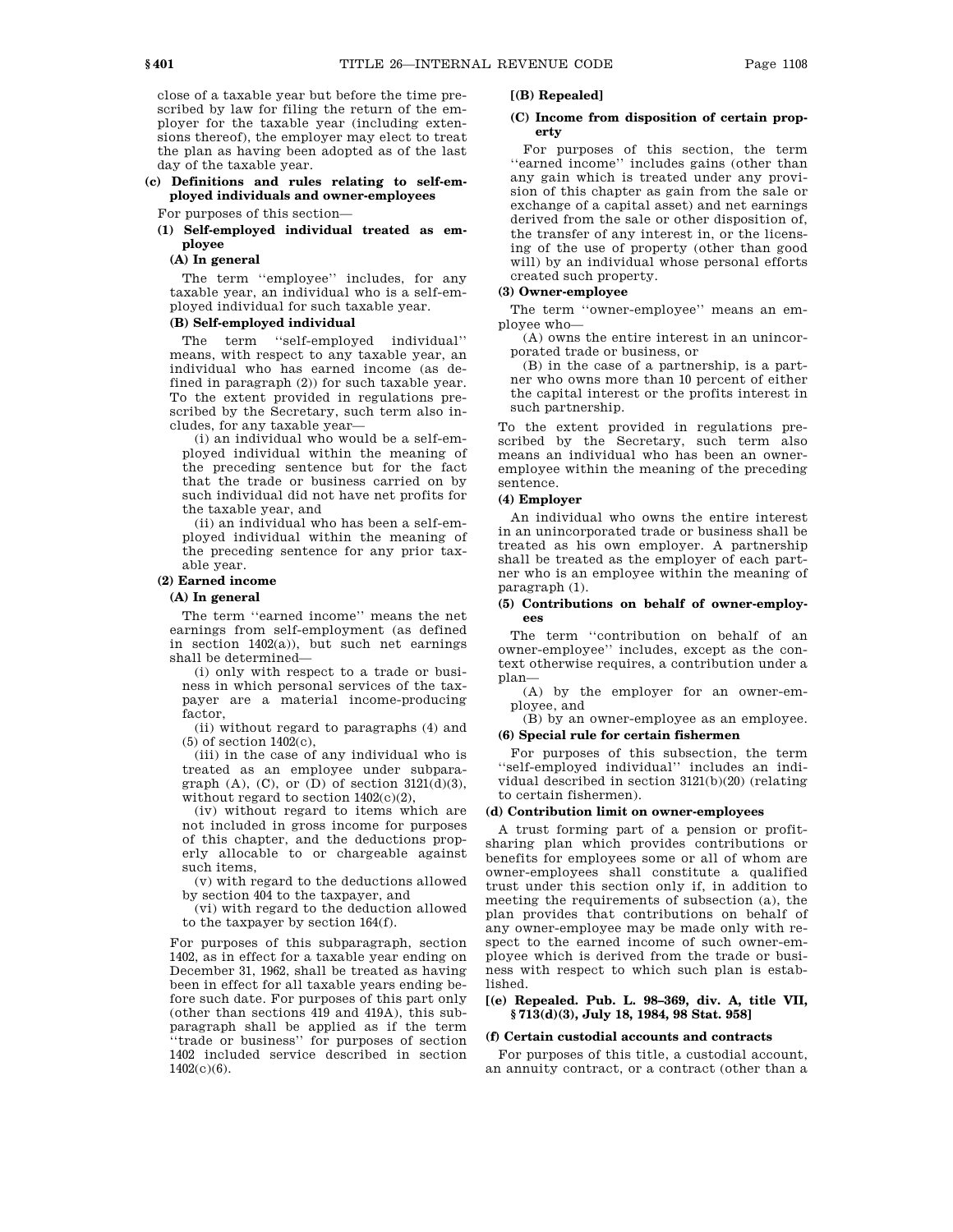close of a taxable year but before the time prescribed by law for filing the return of the employer for the taxable year (including extensions thereof), the employer may elect to treat the plan as having been adopted as of the last day of the taxable year.

**(c) Definitions and rules relating to self-employed individuals and owner-employees** 

For purposes of this section—

**(1) Self-employed individual treated as employee** 

#### **(A) In general**

The term "employee" includes, for any taxable year, an individual who is a self-employed individual for such taxable year.

# **(B) Self-employed individual**

The term ''self-employed individual'' means, with respect to any taxable year, an individual who has earned income (as defined in paragraph (2)) for such taxable year. To the extent provided in regulations prescribed by the Secretary, such term also includes, for any taxable year—

(i) an individual who would be a self-employed individual within the meaning of the preceding sentence but for the fact that the trade or business carried on by such individual did not have net profits for the taxable year, and

(ii) an individual who has been a self-employed individual within the meaning of the preceding sentence for any prior taxable year.

# **(2) Earned income**

### **(A) In general**

The term ''earned income'' means the net earnings from self-employment (as defined in section 1402(a)), but such net earnings shall be determined—

(i) only with respect to a trade or business in which personal services of the taxpayer are a material income-producing factor,

(ii) without regard to paragraphs (4) and (5) of section 1402(c),

(iii) in the case of any individual who is treated as an employee under subparagraph  $(A)$ ,  $(C)$ , or  $(D)$  of section 3121 $(d)(3)$ , without regard to section  $1402(c)(2)$ ,

(iv) without regard to items which are not included in gross income for purposes of this chapter, and the deductions properly allocable to or chargeable against such items,

(v) with regard to the deductions allowed by section 404 to the taxpayer, and

(vi) with regard to the deduction allowed to the taxpayer by section 164(f).

For purposes of this subparagraph, section 1402, as in effect for a taxable year ending on December 31, 1962, shall be treated as having been in effect for all taxable years ending before such date. For purposes of this part only (other than sections 419 and 419A), this subparagraph shall be applied as if the term ''trade or business'' for purposes of section 1402 included service described in section 1402(c)(6).

# **[(B) Repealed]**

### **(C) Income from disposition of certain property**

For purposes of this section, the term ''earned income'' includes gains (other than any gain which is treated under any provision of this chapter as gain from the sale or exchange of a capital asset) and net earnings derived from the sale or other disposition of, the transfer of any interest in, or the licensing of the use of property (other than good will) by an individual whose personal efforts created such property.

# **(3) Owner-employee**

The term ''owner-employee'' means an employee who—

(A) owns the entire interest in an unincorporated trade or business, or

(B) in the case of a partnership, is a partner who owns more than 10 percent of either the capital interest or the profits interest in such partnership.

To the extent provided in regulations prescribed by the Secretary, such term also means an individual who has been an owneremployee within the meaning of the preceding sentence.

#### **(4) Employer**

An individual who owns the entire interest in an unincorporated trade or business shall be treated as his own employer. A partnership shall be treated as the employer of each partner who is an employee within the meaning of paragraph (1).

### **(5) Contributions on behalf of owner-employees**

The term ''contribution on behalf of an owner-employee'' includes, except as the context otherwise requires, a contribution under a plan—

(A) by the employer for an owner-employee, and

(B) by an owner-employee as an employee.

# **(6) Special rule for certain fishermen**

For purposes of this subsection, the term ''self-employed individual'' includes an individual described in section 3121(b)(20) (relating to certain fishermen).

#### **(d) Contribution limit on owner-employees**

A trust forming part of a pension or profitsharing plan which provides contributions or benefits for employees some or all of whom are owner-employees shall constitute a qualified trust under this section only if, in addition to meeting the requirements of subsection (a), the plan provides that contributions on behalf of any owner-employee may be made only with respect to the earned income of such owner-employee which is derived from the trade or business with respect to which such plan is established.

# **[(e) Repealed. Pub. L. 98–369, div. A, title VII, § 713(d)(3), July 18, 1984, 98 Stat. 958]**

#### **(f) Certain custodial accounts and contracts**

For purposes of this title, a custodial account, an annuity contract, or a contract (other than a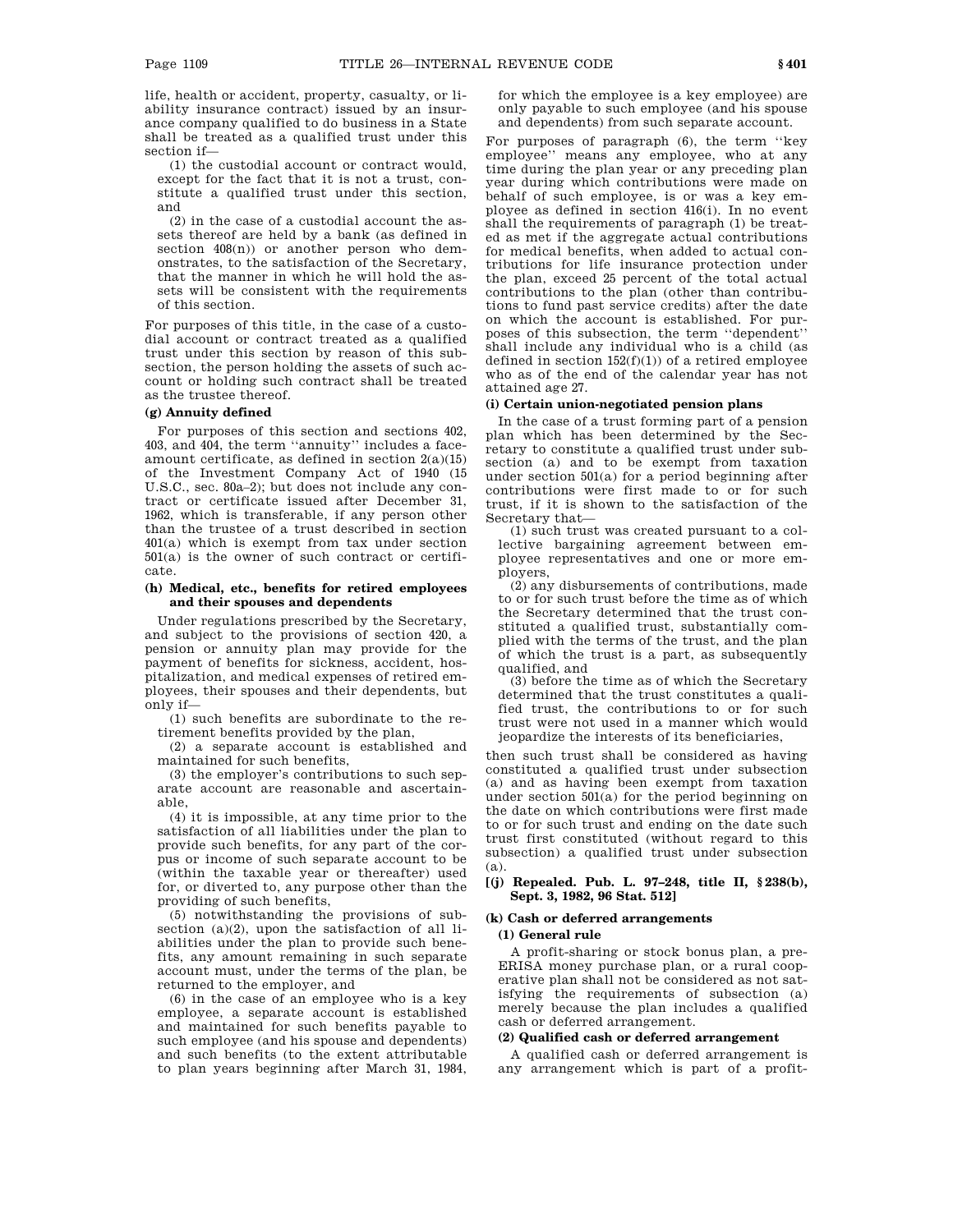life, health or accident, property, casualty, or liability insurance contract) issued by an insurance company qualified to do business in a State shall be treated as a qualified trust under this section if—

(1) the custodial account or contract would, except for the fact that it is not a trust, constitute a qualified trust under this section, and

(2) in the case of a custodial account the assets thereof are held by a bank (as defined in section 408(n)) or another person who demonstrates, to the satisfaction of the Secretary, that the manner in which he will hold the assets will be consistent with the requirements of this section.

For purposes of this title, in the case of a custodial account or contract treated as a qualified trust under this section by reason of this subsection, the person holding the assets of such account or holding such contract shall be treated as the trustee thereof.

#### **(g) Annuity defined**

For purposes of this section and sections 402, 403, and 404, the term ''annuity'' includes a faceamount certificate, as defined in section  $2(a)(15)$ of the Investment Company Act of 1940 (15 U.S.C., sec. 80a–2); but does not include any contract or certificate issued after December 31, 1962, which is transferable, if any person other than the trustee of a trust described in section 401(a) which is exempt from tax under section 501(a) is the owner of such contract or certificate.

### **(h) Medical, etc., benefits for retired employees and their spouses and dependents**

Under regulations prescribed by the Secretary, and subject to the provisions of section 420, a pension or annuity plan may provide for the payment of benefits for sickness, accident, hospitalization, and medical expenses of retired employees, their spouses and their dependents, but only if—

(1) such benefits are subordinate to the retirement benefits provided by the plan,

(2) a separate account is established and maintained for such benefits,

(3) the employer's contributions to such separate account are reasonable and ascertainable,

(4) it is impossible, at any time prior to the satisfaction of all liabilities under the plan to provide such benefits, for any part of the corpus or income of such separate account to be (within the taxable year or thereafter) used for, or diverted to, any purpose other than the providing of such benefits,

(5) notwithstanding the provisions of subsection (a)(2), upon the satisfaction of all liabilities under the plan to provide such benefits, any amount remaining in such separate account must, under the terms of the plan, be returned to the employer, and

(6) in the case of an employee who is a key employee, a separate account is established and maintained for such benefits payable to such employee (and his spouse and dependents) and such benefits (to the extent attributable to plan years beginning after March 31, 1984,

for which the employee is a key employee) are only payable to such employee (and his spouse and dependents) from such separate account.

For purposes of paragraph (6), the term ''key employee'' means any employee, who at any time during the plan year or any preceding plan year during which contributions were made on behalf of such employee, is or was a key employee as defined in section 416(i). In no event shall the requirements of paragraph (1) be treated as met if the aggregate actual contributions for medical benefits, when added to actual contributions for life insurance protection under the plan, exceed 25 percent of the total actual contributions to the plan (other than contributions to fund past service credits) after the date on which the account is established. For purposes of this subsection, the term ''dependent'' shall include any individual who is a child (as defined in section  $152(f)(1)$ ) of a retired employee who as of the end of the calendar year has not attained age 27.

#### **(i) Certain union-negotiated pension plans**

In the case of a trust forming part of a pension plan which has been determined by the Secretary to constitute a qualified trust under subsection (a) and to be exempt from taxation under section 501(a) for a period beginning after contributions were first made to or for such trust, if it is shown to the satisfaction of the Secretary that—

(1) such trust was created pursuant to a collective bargaining agreement between employee representatives and one or more employers,

(2) any disbursements of contributions, made to or for such trust before the time as of which the Secretary determined that the trust constituted a qualified trust, substantially complied with the terms of the trust, and the plan of which the trust is a part, as subsequently qualified, and

(3) before the time as of which the Secretary determined that the trust constitutes a qualified trust, the contributions to or for such trust were not used in a manner which would jeopardize the interests of its beneficiaries,

then such trust shall be considered as having constituted a qualified trust under subsection (a) and as having been exempt from taxation under section 501(a) for the period beginning on the date on which contributions were first made to or for such trust and ending on the date such trust first constituted (without regard to this subsection) a qualified trust under subsection (a).

# **[(j) Repealed. Pub. L. 97–248, title II, § 238(b), Sept. 3, 1982, 96 Stat. 512]**

# **(k) Cash or deferred arrangements**

# **(1) General rule**

A profit-sharing or stock bonus plan, a pre-ERISA money purchase plan, or a rural cooperative plan shall not be considered as not satisfying the requirements of subsection (a) merely because the plan includes a qualified cash or deferred arrangement.

# **(2) Qualified cash or deferred arrangement**

A qualified cash or deferred arrangement is any arrangement which is part of a profit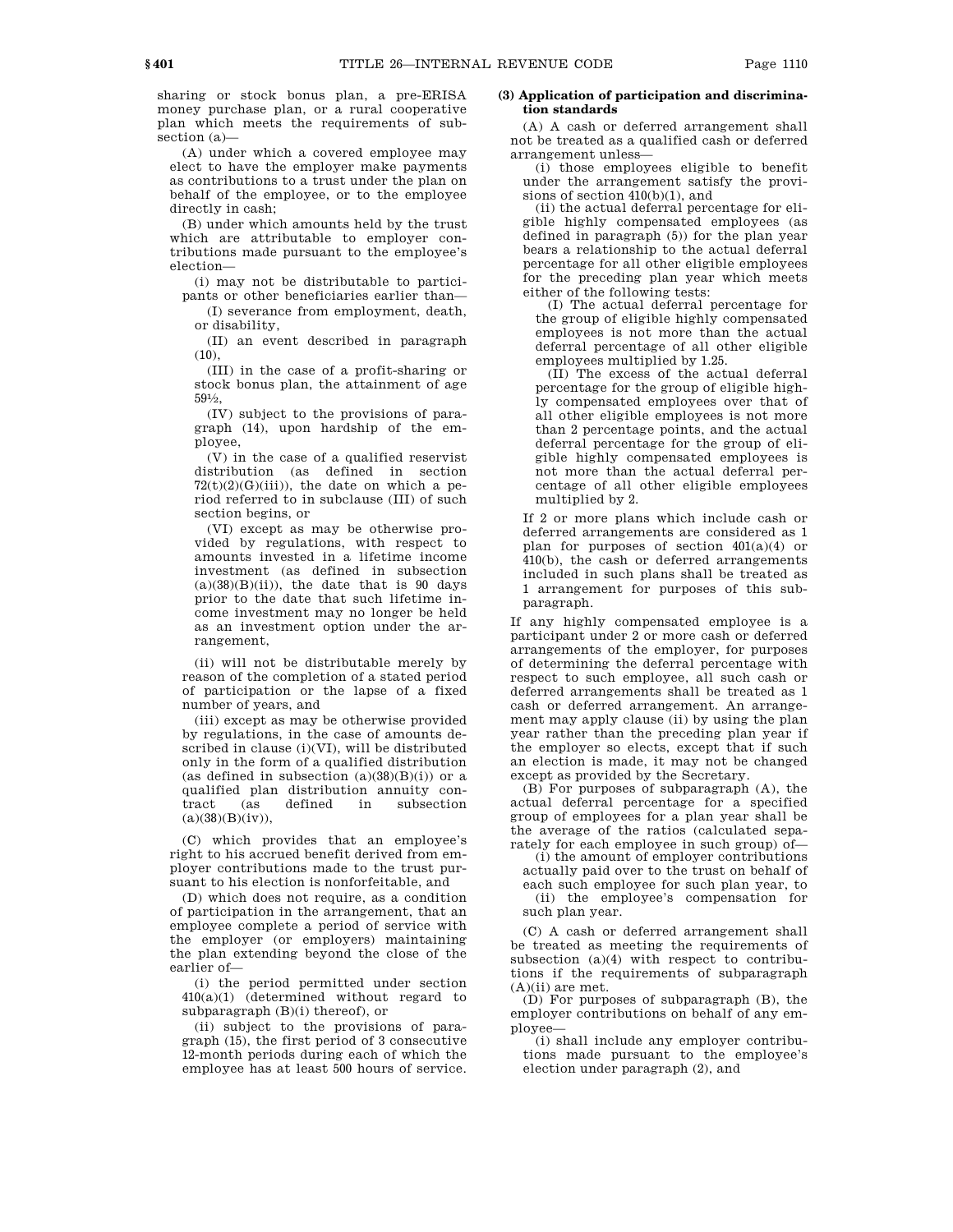sharing or stock bonus plan, a pre-ERISA money purchase plan, or a rural cooperative plan which meets the requirements of subsection (a)—

(A) under which a covered employee may elect to have the employer make payments as contributions to a trust under the plan on behalf of the employee, or to the employee directly in cash;

(B) under which amounts held by the trust which are attributable to employer contributions made pursuant to the employee's election—

(i) may not be distributable to participants or other beneficiaries earlier than—

(I) severance from employment, death, or disability,

(II) an event described in paragraph  $(10)$ ,

(III) in the case of a profit-sharing or stock bonus plan, the attainment of age  $59\frac{1}{2}$ ,

(IV) subject to the provisions of paragraph (14), upon hardship of the employee,

(V) in the case of a qualified reservist distribution (as defined in section  $72(t)(2)(G)(iii)$ , the date on which a period referred to in subclause (III) of such section begins, or

(VI) except as may be otherwise provided by regulations, with respect to amounts invested in a lifetime income investment (as defined in subsection  $(a)(38)(B)(ii)$ , the date that is 90 days prior to the date that such lifetime income investment may no longer be held as an investment option under the arrangement,

(ii) will not be distributable merely by reason of the completion of a stated period of participation or the lapse of a fixed number of years, and

(iii) except as may be otherwise provided by regulations, in the case of amounts described in clause (i)(VI), will be distributed only in the form of a qualified distribution (as defined in subsection  $(a)(38)(B)(i)$ ) or a qualified plan distribution annuity contract (as defined in subsection  $(a)(38)(B)(iv)$ ,

(C) which provides that an employee's right to his accrued benefit derived from employer contributions made to the trust pursuant to his election is nonforfeitable, and

(D) which does not require, as a condition of participation in the arrangement, that an employee complete a period of service with the employer (or employers) maintaining the plan extending beyond the close of the earlier of—

(i) the period permitted under section 410(a)(1) (determined without regard to subparagraph (B)(i) thereof), or

(ii) subject to the provisions of paragraph (15), the first period of 3 consecutive 12-month periods during each of which the employee has at least 500 hours of service.

# **(3) Application of participation and discrimination standards**

(A) A cash or deferred arrangement shall not be treated as a qualified cash or deferred arrangement unless—

(i) those employees eligible to benefit under the arrangement satisfy the provisions of section 410(b)(1), and

(ii) the actual deferral percentage for eligible highly compensated employees (as defined in paragraph (5)) for the plan year bears a relationship to the actual deferral percentage for all other eligible employees for the preceding plan year which meets either of the following tests:

(I) The actual deferral percentage for the group of eligible highly compensated employees is not more than the actual deferral percentage of all other eligible employees multiplied by 1.25.

(II) The excess of the actual deferral percentage for the group of eligible highly compensated employees over that of all other eligible employees is not more than 2 percentage points, and the actual deferral percentage for the group of eligible highly compensated employees is not more than the actual deferral percentage of all other eligible employees multiplied by 2.

If 2 or more plans which include cash or deferred arrangements are considered as 1 plan for purposes of section  $401(a)(4)$  or 410(b), the cash or deferred arrangements included in such plans shall be treated as 1 arrangement for purposes of this subparagraph.

If any highly compensated employee is a participant under 2 or more cash or deferred arrangements of the employer, for purposes of determining the deferral percentage with respect to such employee, all such cash or deferred arrangements shall be treated as 1 cash or deferred arrangement. An arrangement may apply clause (ii) by using the plan year rather than the preceding plan year if the employer so elects, except that if such an election is made, it may not be changed except as provided by the Secretary.

(B) For purposes of subparagraph (A), the actual deferral percentage for a specified group of employees for a plan year shall be the average of the ratios (calculated separately for each employee in such group) of—

(i) the amount of employer contributions actually paid over to the trust on behalf of each such employee for such plan year, to (ii) the employee's compensation for such plan year.

(C) A cash or deferred arrangement shall be treated as meeting the requirements of subsection (a)(4) with respect to contributions if the requirements of subparagraph  $(A)(ii)$  are met.

(D) For purposes of subparagraph (B), the employer contributions on behalf of any employee—

(i) shall include any employer contributions made pursuant to the employee's election under paragraph (2), and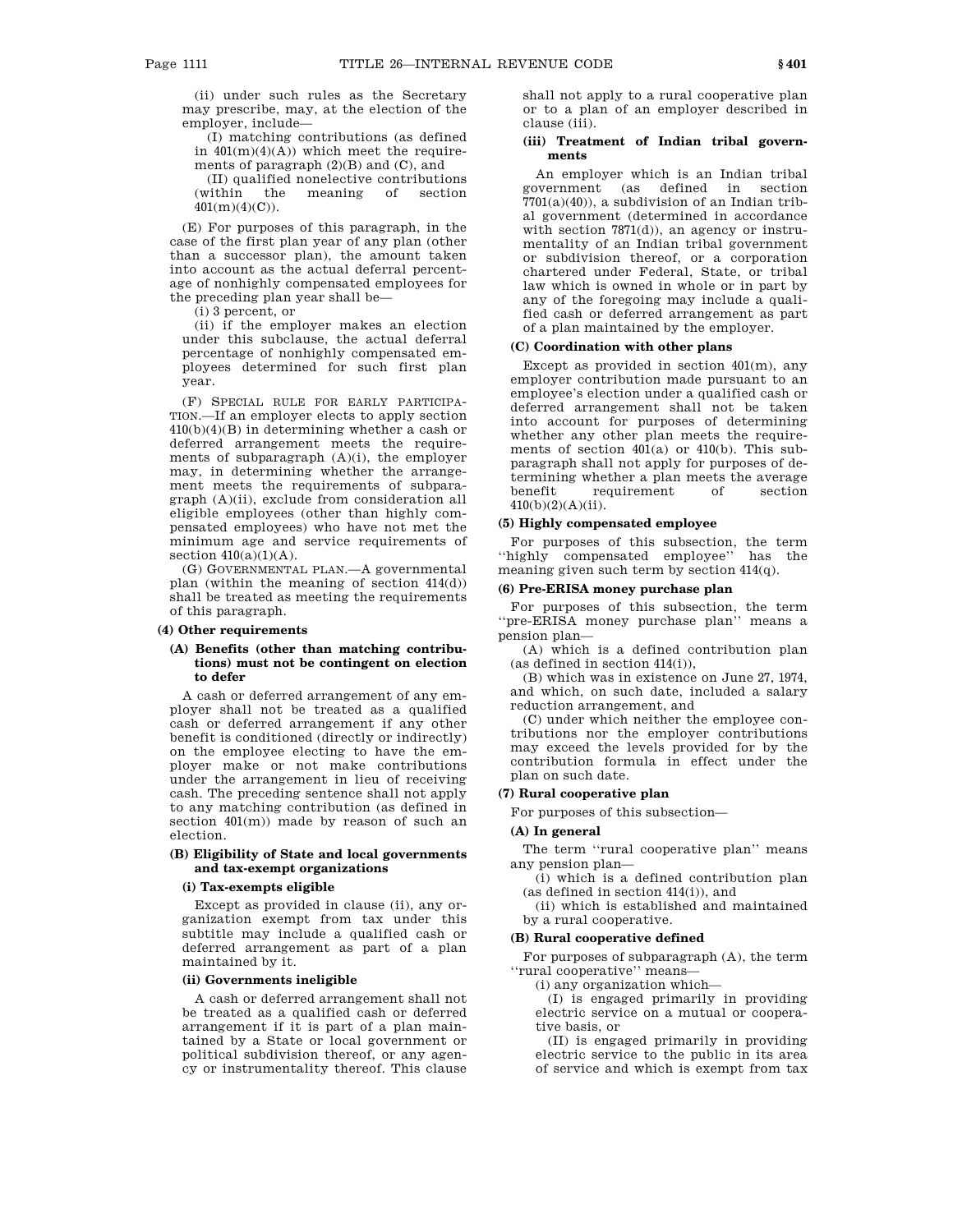(ii) under such rules as the Secretary may prescribe, may, at the election of the employer, include—

(I) matching contributions (as defined in  $401(m)(4)(A)$  which meet the requirements of paragraph  $(2)(B)$  and  $(C)$ , and

(II) qualified nonelective contributions (within the meaning of section  $401(m)(4)(C)$ .

(E) For purposes of this paragraph, in the case of the first plan year of any plan (other than a successor plan), the amount taken into account as the actual deferral percentage of nonhighly compensated employees for the preceding plan year shall be—

(i) 3 percent, or

(ii) if the employer makes an election under this subclause, the actual deferral percentage of nonhighly compensated employees determined for such first plan year.

(F) SPECIAL RULE FOR EARLY PARTICIPA-TION.—If an employer elects to apply section 410(b)(4)(B) in determining whether a cash or deferred arrangement meets the requirements of subparagraph (A)(i), the employer may, in determining whether the arrangement meets the requirements of subparagraph (A)(ii), exclude from consideration all eligible employees (other than highly compensated employees) who have not met the minimum age and service requirements of section  $410(a)(1)(A)$ .

(G) GOVERNMENTAL PLAN.—A governmental plan (within the meaning of section 414(d)) shall be treated as meeting the requirements of this paragraph.

#### **(4) Other requirements**

# **(A) Benefits (other than matching contributions) must not be contingent on election to defer**

A cash or deferred arrangement of any employer shall not be treated as a qualified cash or deferred arrangement if any other benefit is conditioned (directly or indirectly) on the employee electing to have the employer make or not make contributions under the arrangement in lieu of receiving cash. The preceding sentence shall not apply to any matching contribution (as defined in section 401(m)) made by reason of such an election.

# **(B) Eligibility of State and local governments and tax-exempt organizations**

# **(i) Tax-exempts eligible**

Except as provided in clause (ii), any organization exempt from tax under this subtitle may include a qualified cash or deferred arrangement as part of a plan maintained by it.

### **(ii) Governments ineligible**

A cash or deferred arrangement shall not be treated as a qualified cash or deferred arrangement if it is part of a plan maintained by a State or local government or political subdivision thereof, or any agency or instrumentality thereof. This clause

shall not apply to a rural cooperative plan or to a plan of an employer described in clause (iii).

# **(iii) Treatment of Indian tribal governments**

An employer which is an Indian tribal<br>government (as defined in section defined in section  $7701(a)(40)$ , a subdivision of an Indian tribal government (determined in accordance with section 7871(d)), an agency or instrumentality of an Indian tribal government or subdivision thereof, or a corporation chartered under Federal, State, or tribal law which is owned in whole or in part by any of the foregoing may include a qualified cash or deferred arrangement as part of a plan maintained by the employer.

# **(C) Coordination with other plans**

Except as provided in section  $401(m)$ , any employer contribution made pursuant to an employee's election under a qualified cash or deferred arrangement shall not be taken into account for purposes of determining whether any other plan meets the requirements of section 401(a) or 410(b). This subparagraph shall not apply for purposes of determining whether a plan meets the average benefit requirement of section 410(b)(2)(A)(ii).

#### **(5) Highly compensated employee**

For purposes of this subsection, the term ''highly compensated employee'' has the meaning given such term by section 414(q).

# **(6) Pre-ERISA money purchase plan**

For purposes of this subsection, the term ''pre-ERISA money purchase plan'' means a pension plan—

(A) which is a defined contribution plan (as defined in section 414(i)),

(B) which was in existence on June 27, 1974, and which, on such date, included a salary reduction arrangement, and

(C) under which neither the employee contributions nor the employer contributions may exceed the levels provided for by the contribution formula in effect under the plan on such date.

# **(7) Rural cooperative plan**

For purposes of this subsection—

#### **(A) In general**

The term ''rural cooperative plan'' means any pension plan—

(i) which is a defined contribution plan (as defined in section 414(i)), and

(ii) which is established and maintained by a rural cooperative.

# **(B) Rural cooperative defined**

For purposes of subparagraph (A), the term ''rural cooperative'' means—

(i) any organization which—

(I) is engaged primarily in providing electric service on a mutual or cooperative basis, or

(II) is engaged primarily in providing electric service to the public in its area of service and which is exempt from tax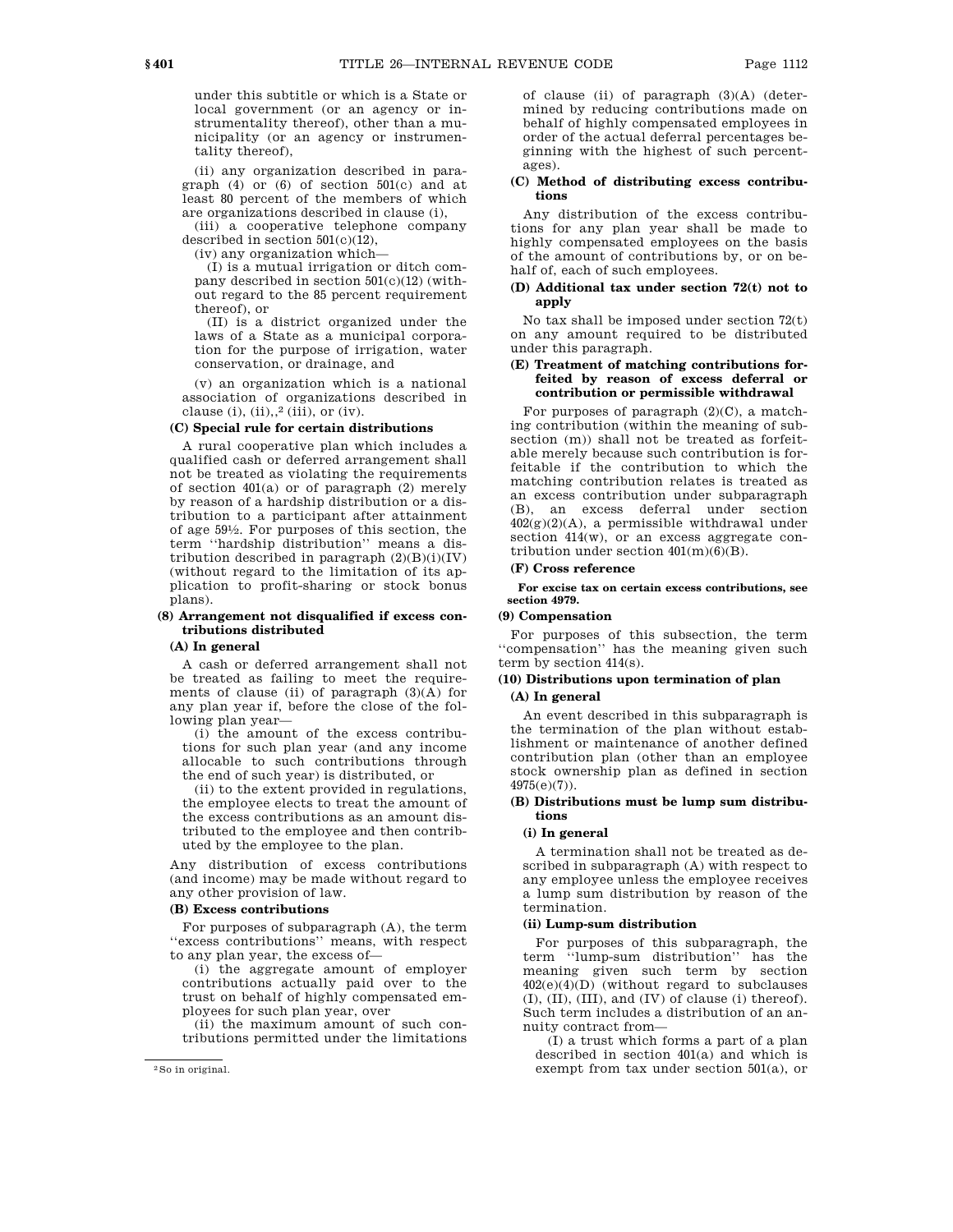under this subtitle or which is a State or local government (or an agency or instrumentality thereof), other than a municipality (or an agency or instrumentality thereof),

(ii) any organization described in paragraph (4) or (6) of section 501(c) and at least 80 percent of the members of which are organizations described in clause (i),

(iii) a cooperative telephone company described in section 501(c)(12),

(iv) any organization which—

(I) is a mutual irrigation or ditch company described in section 501(c)(12) (without regard to the 85 percent requirement thereof), or

(II) is a district organized under the laws of a State as a municipal corporation for the purpose of irrigation, water conservation, or drainage, and

(v) an organization which is a national association of organizations described in clause (i),  $(ii),<sup>2</sup> (iii), or (iv).$ 

# **(C) Special rule for certain distributions**

A rural cooperative plan which includes a qualified cash or deferred arrangement shall not be treated as violating the requirements of section 401(a) or of paragraph (2) merely by reason of a hardship distribution or a distribution to a participant after attainment of age 591 ⁄2. For purposes of this section, the term ''hardship distribution'' means a distribution described in paragraph  $(2)(B)(i)(IV)$ (without regard to the limitation of its application to profit-sharing or stock bonus plans).

# **(8) Arrangement not disqualified if excess contributions distributed**

### **(A) In general**

A cash or deferred arrangement shall not be treated as failing to meet the requirements of clause (ii) of paragraph (3)(A) for any plan year if, before the close of the following plan year—

(i) the amount of the excess contributions for such plan year (and any income allocable to such contributions through the end of such year) is distributed, or

(ii) to the extent provided in regulations, the employee elects to treat the amount of the excess contributions as an amount distributed to the employee and then contributed by the employee to the plan.

Any distribution of excess contributions (and income) may be made without regard to any other provision of law.

#### **(B) Excess contributions**

For purposes of subparagraph (A), the term ''excess contributions'' means, with respect to any plan year, the excess of—

(i) the aggregate amount of employer contributions actually paid over to the trust on behalf of highly compensated employees for such plan year, over

(ii) the maximum amount of such contributions permitted under the limitations of clause (ii) of paragraph  $(3)(A)$  (determined by reducing contributions made on behalf of highly compensated employees in order of the actual deferral percentages beginning with the highest of such percentages).

# **(C) Method of distributing excess contributions**

Any distribution of the excess contributions for any plan year shall be made to highly compensated employees on the basis of the amount of contributions by, or on behalf of, each of such employees.

# **(D) Additional tax under section 72(t) not to apply**

No tax shall be imposed under section 72(t) on any amount required to be distributed under this paragraph.

# **(E) Treatment of matching contributions forfeited by reason of excess deferral or contribution or permissible withdrawal**

For purposes of paragraph  $(2)(C)$ , a matching contribution (within the meaning of subsection (m)) shall not be treated as forfeitable merely because such contribution is forfeitable if the contribution to which the matching contribution relates is treated as an excess contribution under subparagraph (B), an excess deferral under section  $402(g)(2)(A)$ , a permissible withdrawal under section  $414(w)$ , or an excess aggregate contribution under section  $401(m)(6)(B)$ .

# **(F) Cross reference**

**For excise tax on certain excess contributions, see section 4979.** 

# **(9) Compensation**

For purposes of this subsection, the term ''compensation'' has the meaning given such term by section 414(s).

# **(10) Distributions upon termination of plan**

# **(A) In general**

An event described in this subparagraph is the termination of the plan without establishment or maintenance of another defined contribution plan (other than an employee stock ownership plan as defined in section 4975(e)(7)).

# **(B) Distributions must be lump sum distributions**

#### **(i) In general**

A termination shall not be treated as described in subparagraph (A) with respect to any employee unless the employee receives a lump sum distribution by reason of the termination.

### **(ii) Lump-sum distribution**

For purposes of this subparagraph, the term ''lump-sum distribution'' has the meaning given such term by section 402(e)(4)(D) (without regard to subclauses (I), (II), (III), and (IV) of clause (i) thereof). Such term includes a distribution of an annuity contract from—

(I) a trust which forms a part of a plan described in section 401(a) and which is exempt from tax under section 501(a), or

<sup>2</sup>So in original.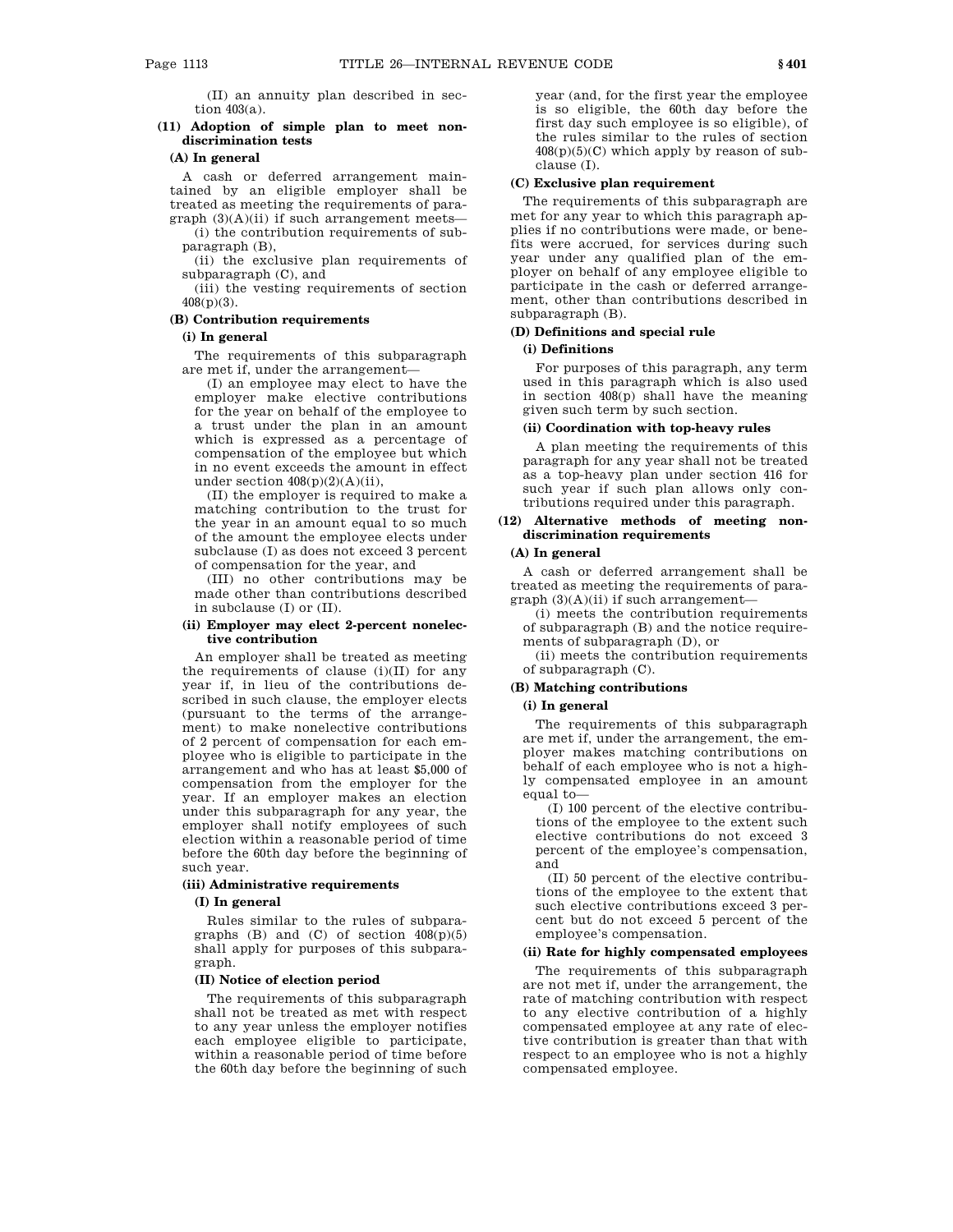(II) an annuity plan described in section 403(a).

# **(11) Adoption of simple plan to meet nondiscrimination tests**

#### **(A) In general**

A cash or deferred arrangement maintained by an eligible employer shall be treated as meeting the requirements of paragraph  $(3)(A)(ii)$  if such arrangement meets—

(i) the contribution requirements of subparagraph (B),

(ii) the exclusive plan requirements of subparagraph (C), and

(iii) the vesting requirements of section 408(p)(3).

# **(B) Contribution requirements**

# **(i) In general**

The requirements of this subparagraph are met if, under the arrangement—

(I) an employee may elect to have the employer make elective contributions for the year on behalf of the employee to a trust under the plan in an amount which is expressed as a percentage of compensation of the employee but which in no event exceeds the amount in effect under section  $408(p)(2)(A)(ii)$ ,

(II) the employer is required to make a matching contribution to the trust for the year in an amount equal to so much of the amount the employee elects under subclause (I) as does not exceed 3 percent of compensation for the year, and

(III) no other contributions may be made other than contributions described in subclause (I) or (II).

# **(ii) Employer may elect 2-percent nonelective contribution**

An employer shall be treated as meeting the requirements of clause (i)(II) for any year if, in lieu of the contributions described in such clause, the employer elects (pursuant to the terms of the arrangement) to make nonelective contributions of 2 percent of compensation for each employee who is eligible to participate in the arrangement and who has at least \$5,000 of compensation from the employer for the year. If an employer makes an election under this subparagraph for any year, the employer shall notify employees of such election within a reasonable period of time before the 60th day before the beginning of such year.

#### **(iii) Administrative requirements**

#### **(I) In general**

Rules similar to the rules of subparagraphs  $(B)$  and  $(C)$  of section  $408(p)(5)$ shall apply for purposes of this subparagraph.

### **(II) Notice of election period**

The requirements of this subparagraph shall not be treated as met with respect to any year unless the employer notifies each employee eligible to participate, within a reasonable period of time before the 60th day before the beginning of such

year (and, for the first year the employee is so eligible, the 60th day before the first day such employee is so eligible), of the rules similar to the rules of section  $408(p)(5)(C)$  which apply by reason of subclause (I).

### **(C) Exclusive plan requirement**

The requirements of this subparagraph are met for any year to which this paragraph applies if no contributions were made, or benefits were accrued, for services during such year under any qualified plan of the employer on behalf of any employee eligible to participate in the cash or deferred arrangement, other than contributions described in subparagraph (B).

# **(D) Definitions and special rule**

# **(i) Definitions**

For purposes of this paragraph, any term used in this paragraph which is also used in section 408(p) shall have the meaning given such term by such section.

# **(ii) Coordination with top-heavy rules**

A plan meeting the requirements of this paragraph for any year shall not be treated as a top-heavy plan under section 416 for such year if such plan allows only contributions required under this paragraph.

# **(12) Alternative methods of meeting nondiscrimination requirements**

### **(A) In general**

A cash or deferred arrangement shall be treated as meeting the requirements of para $graph (3)(A)(ii)$  if such arrangement-

(i) meets the contribution requirements of subparagraph (B) and the notice requirements of subparagraph (D), or

(ii) meets the contribution requirements of subparagraph (C).

#### **(B) Matching contributions**

#### **(i) In general**

The requirements of this subparagraph are met if, under the arrangement, the employer makes matching contributions on behalf of each employee who is not a highly compensated employee in an amount equal to—

(I) 100 percent of the elective contributions of the employee to the extent such elective contributions do not exceed 3 percent of the employee's compensation, and

(II) 50 percent of the elective contributions of the employee to the extent that such elective contributions exceed 3 percent but do not exceed 5 percent of the employee's compensation.

# **(ii) Rate for highly compensated employees**

The requirements of this subparagraph are not met if, under the arrangement, the rate of matching contribution with respect to any elective contribution of a highly compensated employee at any rate of elective contribution is greater than that with respect to an employee who is not a highly compensated employee.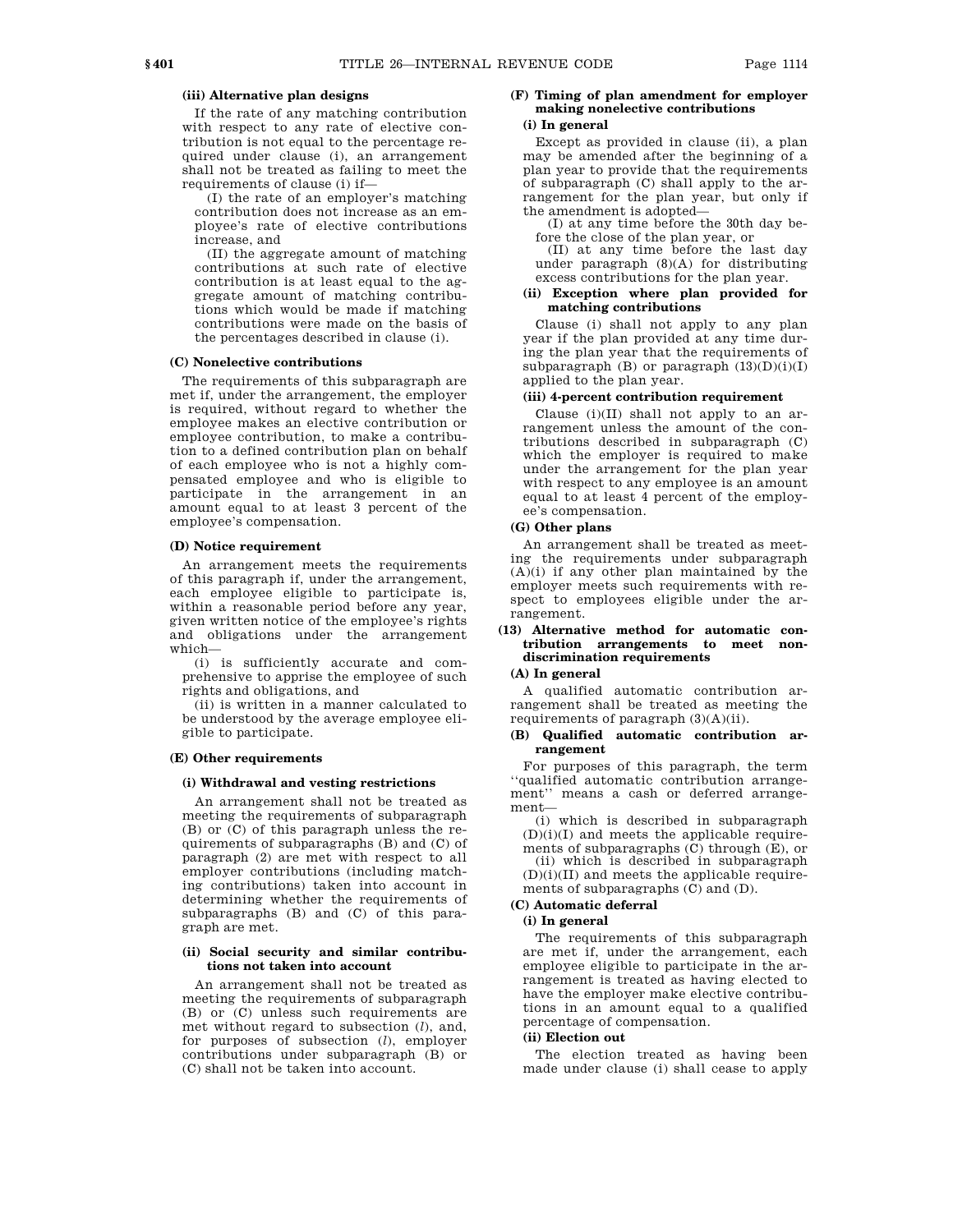# **(iii) Alternative plan designs**

If the rate of any matching contribution with respect to any rate of elective contribution is not equal to the percentage required under clause (i), an arrangement shall not be treated as failing to meet the requirements of clause (i) if—

(I) the rate of an employer's matching contribution does not increase as an employee's rate of elective contributions increase, and

(II) the aggregate amount of matching contributions at such rate of elective contribution is at least equal to the aggregate amount of matching contributions which would be made if matching contributions were made on the basis of the percentages described in clause (i).

#### **(C) Nonelective contributions**

The requirements of this subparagraph are met if, under the arrangement, the employer is required, without regard to whether the employee makes an elective contribution or employee contribution, to make a contribution to a defined contribution plan on behalf of each employee who is not a highly compensated employee and who is eligible to participate in the arrangement in an amount equal to at least 3 percent of the employee's compensation.

### **(D) Notice requirement**

An arrangement meets the requirements of this paragraph if, under the arrangement, each employee eligible to participate is, within a reasonable period before any year, given written notice of the employee's rights and obligations under the arrangement which—

(i) is sufficiently accurate and comprehensive to apprise the employee of such rights and obligations, and

(ii) is written in a manner calculated to be understood by the average employee eligible to participate.

#### **(E) Other requirements**

#### **(i) Withdrawal and vesting restrictions**

An arrangement shall not be treated as meeting the requirements of subparagraph (B) or (C) of this paragraph unless the requirements of subparagraphs (B) and (C) of paragraph (2) are met with respect to all employer contributions (including matching contributions) taken into account in determining whether the requirements of subparagraphs (B) and (C) of this paragraph are met.

#### **(ii) Social security and similar contributions not taken into account**

An arrangement shall not be treated as meeting the requirements of subparagraph (B) or (C) unless such requirements are met without regard to subsection (*l*), and, for purposes of subsection (*l*), employer contributions under subparagraph (B) or (C) shall not be taken into account.

# **(F) Timing of plan amendment for employer making nonelective contributions**

# **(i) In general**

Except as provided in clause (ii), a plan may be amended after the beginning of a plan year to provide that the requirements of subparagraph (C) shall apply to the arrangement for the plan year, but only if the amendment is adopted—

(I) at any time before the 30th day before the close of the plan year, or

(II) at any time before the last day under paragraph (8)(A) for distributing excess contributions for the plan year.

#### **(ii) Exception where plan provided for matching contributions**

Clause (i) shall not apply to any plan year if the plan provided at any time during the plan year that the requirements of subparagraph  $(B)$  or paragraph  $(13)(D)(i)(I)$ applied to the plan year.

#### **(iii) 4-percent contribution requirement**

Clause (i)(II) shall not apply to an arrangement unless the amount of the contributions described in subparagraph (C) which the employer is required to make under the arrangement for the plan year with respect to any employee is an amount equal to at least 4 percent of the employee's compensation.

# **(G) Other plans**

An arrangement shall be treated as meeting the requirements under subparagraph  $(A)(i)$  if any other plan maintained by the employer meets such requirements with respect to employees eligible under the arrangement.

# **(13) Alternative method for automatic contribution arrangements to meet nondiscrimination requirements**

# **(A) In general**

A qualified automatic contribution arrangement shall be treated as meeting the requirements of paragraph  $(3)(A)(ii)$ .

### **(B) Qualified automatic contribution arrangement**

For purposes of this paragraph, the term ''qualified automatic contribution arrangement'' means a cash or deferred arrangement—

(i) which is described in subparagraph  $(D)(i)(I)$  and meets the applicable requirements of subparagraphs (C) through (E), or

(ii) which is described in subparagraph  $(D)(i)(II)$  and meets the applicable requirements of subparagraphs (C) and (D).

# **(C) Automatic deferral**

# **(i) In general**

The requirements of this subparagraph are met if, under the arrangement, each employee eligible to participate in the arrangement is treated as having elected to have the employer make elective contributions in an amount equal to a qualified percentage of compensation.

# **(ii) Election out**

The election treated as having been made under clause (i) shall cease to apply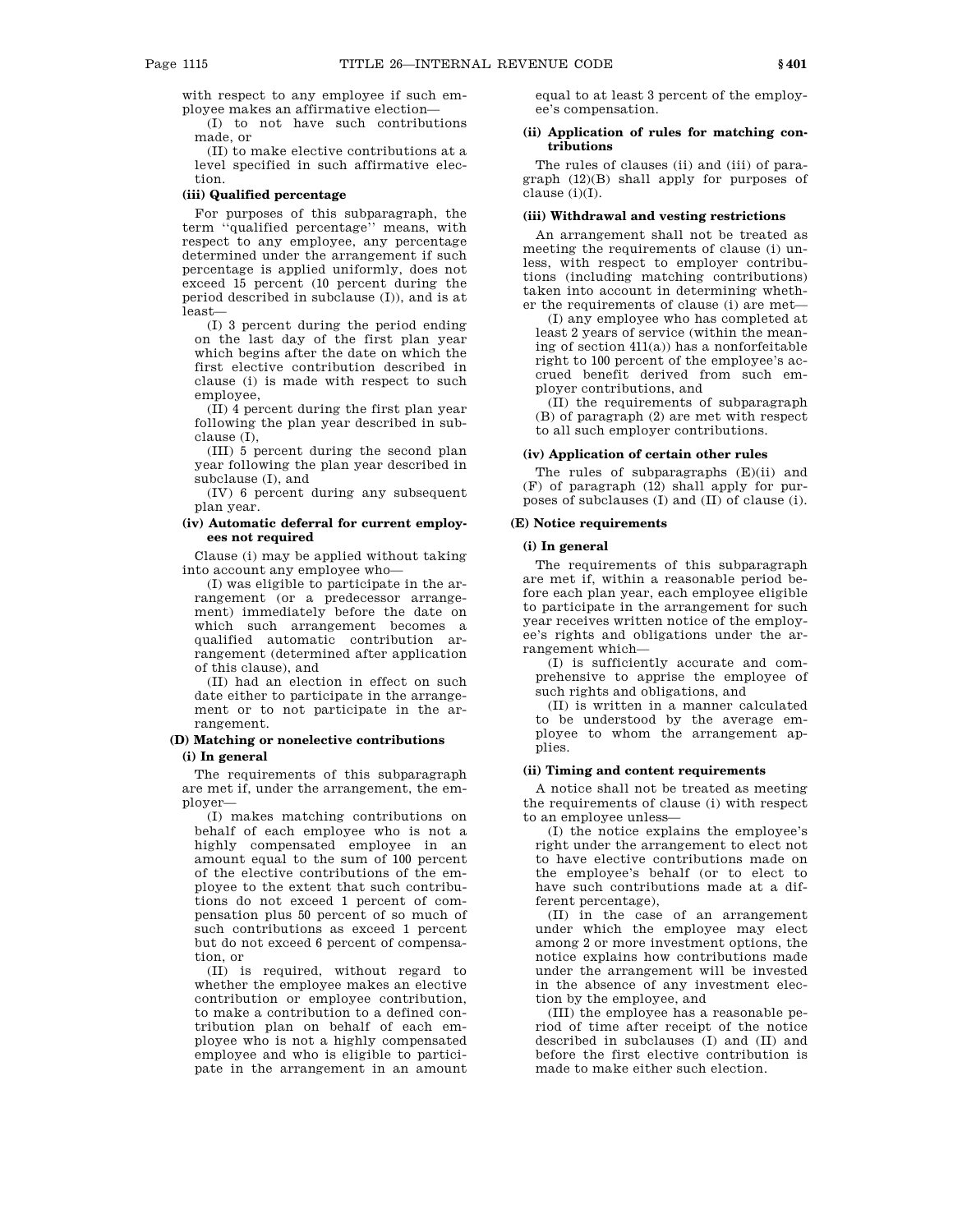with respect to any employee if such employee makes an affirmative election—

(I) to not have such contributions made, or

(II) to make elective contributions at a level specified in such affirmative election.

#### **(iii) Qualified percentage**

For purposes of this subparagraph, the term ''qualified percentage'' means, with respect to any employee, any percentage determined under the arrangement if such percentage is applied uniformly, does not exceed 15 percent (10 percent during the period described in subclause (I)), and is at least—

(I) 3 percent during the period ending on the last day of the first plan year which begins after the date on which the first elective contribution described in clause (i) is made with respect to such employee,

(II) 4 percent during the first plan year following the plan year described in subclause (I),

(III) 5 percent during the second plan year following the plan year described in subclause (I), and

(IV) 6 percent during any subsequent plan year.

#### **(iv) Automatic deferral for current employees not required**

Clause (i) may be applied without taking into account any employee who—

(I) was eligible to participate in the arrangement (or a predecessor arrangement) immediately before the date on which such arrangement becomes a qualified automatic contribution arrangement (determined after application of this clause), and

(II) had an election in effect on such date either to participate in the arrangement or to not participate in the arrangement.

# **(D) Matching or nonelective contributions (i) In general**

The requirements of this subparagraph are met if, under the arrangement, the employer—

(I) makes matching contributions on behalf of each employee who is not a highly compensated employee in an amount equal to the sum of 100 percent of the elective contributions of the employee to the extent that such contributions do not exceed 1 percent of compensation plus 50 percent of so much of such contributions as exceed 1 percent but do not exceed 6 percent of compensation, or

(II) is required, without regard to whether the employee makes an elective contribution or employee contribution, to make a contribution to a defined contribution plan on behalf of each employee who is not a highly compensated employee and who is eligible to participate in the arrangement in an amount equal to at least 3 percent of the employee's compensation.

### **(ii) Application of rules for matching contributions**

The rules of clauses (ii) and (iii) of paragraph (12)(B) shall apply for purposes of clause (i)(I).

#### **(iii) Withdrawal and vesting restrictions**

An arrangement shall not be treated as meeting the requirements of clause (i) unless, with respect to employer contributions (including matching contributions) taken into account in determining whether the requirements of clause (i) are met—

(I) any employee who has completed at least 2 years of service (within the meaning of section  $41(a)$ ) has a nonforfeitable right to 100 percent of the employee's accrued benefit derived from such employer contributions, and

(II) the requirements of subparagraph (B) of paragraph (2) are met with respect to all such employer contributions.

#### **(iv) Application of certain other rules**

The rules of subparagraphs (E)(ii) and (F) of paragraph (12) shall apply for purposes of subclauses (I) and (II) of clause (i).

### **(E) Notice requirements**

# **(i) In general**

The requirements of this subparagraph are met if, within a reasonable period before each plan year, each employee eligible to participate in the arrangement for such year receives written notice of the employee's rights and obligations under the arrangement which—

(I) is sufficiently accurate and comprehensive to apprise the employee of such rights and obligations, and

(II) is written in a manner calculated to be understood by the average employee to whom the arrangement applies.

#### **(ii) Timing and content requirements**

A notice shall not be treated as meeting the requirements of clause (i) with respect to an employee unless—

(I) the notice explains the employee's right under the arrangement to elect not to have elective contributions made on the employee's behalf (or to elect to have such contributions made at a different percentage),

(II) in the case of an arrangement under which the employee may elect among 2 or more investment options, the notice explains how contributions made under the arrangement will be invested in the absence of any investment election by the employee, and

(III) the employee has a reasonable period of time after receipt of the notice described in subclauses (I) and (II) and before the first elective contribution is made to make either such election.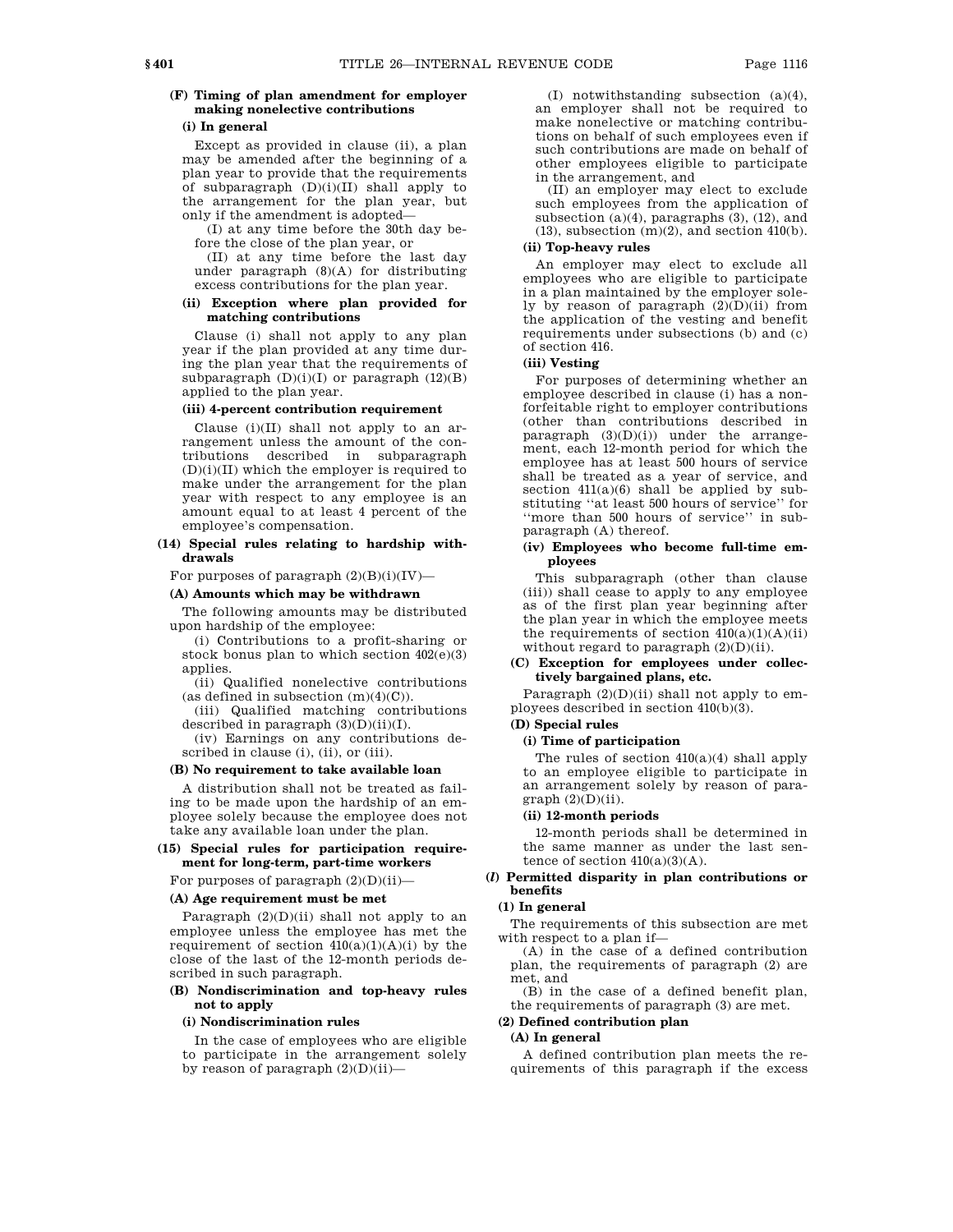# **(F) Timing of plan amendment for employer making nonelective contributions**

### **(i) In general**

Except as provided in clause (ii), a plan may be amended after the beginning of a plan year to provide that the requirements of subparagraph  $(D)(i)(II)$  shall apply to the arrangement for the plan year, but only if the amendment is adopted—

(I) at any time before the 30th day before the close of the plan year, or

(II) at any time before the last day under paragraph  $(8)(A)$  for distributing excess contributions for the plan year.

#### **(ii) Exception where plan provided for matching contributions**

Clause (i) shall not apply to any plan year if the plan provided at any time during the plan year that the requirements of subparagraph  $(D)(i)(I)$  or paragraph  $(12)(B)$ applied to the plan year.

# **(iii) 4-percent contribution requirement**

Clause (i)(II) shall not apply to an arrangement unless the amount of the contributions described in subparagraph  $(D)(i)(II)$  which the employer is required to make under the arrangement for the plan year with respect to any employee is an amount equal to at least 4 percent of the employee's compensation.

### **(14) Special rules relating to hardship withdrawals**

For purposes of paragraph  $(2)(B)(i)(IV)$ —

#### **(A) Amounts which may be withdrawn**

The following amounts may be distributed upon hardship of the employee:

(i) Contributions to a profit-sharing or stock bonus plan to which section 402(e)(3) applies.

(ii) Qualified nonelective contributions (as defined in subsection  $(m)(4)(C)$ ).

(iii) Qualified matching contributions described in paragraph  $(3)(D)(ii)(I)$ .

(iv) Earnings on any contributions described in clause (i), (ii), or (iii).

#### **(B) No requirement to take available loan**

A distribution shall not be treated as failing to be made upon the hardship of an employee solely because the employee does not take any available loan under the plan.

# **(15) Special rules for participation requirement for long-term, part-time workers**

For purposes of paragraph  $(2)(D)(ii)$ —

# **(A) Age requirement must be met**

Paragraph  $(2)(D)(ii)$  shall not apply to an employee unless the employee has met the requirement of section  $410(a)(1)(A)(i)$  by the close of the last of the 12-month periods described in such paragraph.

# **(B) Nondiscrimination and top-heavy rules not to apply**

### **(i) Nondiscrimination rules**

In the case of employees who are eligible to participate in the arrangement solely by reason of paragraph (2)(D)(ii)—

(I) notwithstanding subsection (a)(4), an employer shall not be required to make nonelective or matching contributions on behalf of such employees even if such contributions are made on behalf of other employees eligible to participate in the arrangement, and

(II) an employer may elect to exclude such employees from the application of subsection  $(a)(4)$ , paragraphs  $(3)$ ,  $(12)$ , and  $(13)$ , subsection  $(m)(2)$ , and section  $410(b)$ .

# **(ii) Top-heavy rules**

An employer may elect to exclude all employees who are eligible to participate in a plan maintained by the employer solely by reason of paragraph (2)(D)(ii) from the application of the vesting and benefit requirements under subsections (b) and (c) of section 416.

# **(iii) Vesting**

For purposes of determining whether an employee described in clause (i) has a nonforfeitable right to employer contributions (other than contributions described in paragraph (3)(D)(i)) under the arrangement, each 12-month period for which the employee has at least 500 hours of service shall be treated as a year of service, and section 411(a)(6) shall be applied by substituting ''at least 500 hours of service'' for ''more than 500 hours of service'' in subparagraph (A) thereof.

### **(iv) Employees who become full-time employees**

This subparagraph (other than clause (iii)) shall cease to apply to any employee as of the first plan year beginning after the plan year in which the employee meets the requirements of section  $410(a)(1)(A)(ii)$ without regard to paragraph  $(2)(D)(ii)$ .

# **(C) Exception for employees under collectively bargained plans, etc.**

Paragraph  $(2)(D)(ii)$  shall not apply to employees described in section 410(b)(3).

# **(D) Special rules**

# **(i) Time of participation**

The rules of section 410(a)(4) shall apply to an employee eligible to participate in an arrangement solely by reason of para $graph (2)(D)(ii)$ .

#### **(ii) 12-month periods**

12-month periods shall be determined in the same manner as under the last sentence of section  $410(a)(3)(A)$ .

# **(***l***) Permitted disparity in plan contributions or benefits**

# **(1) In general**

The requirements of this subsection are met with respect to a plan if—

(A) in the case of a defined contribution plan, the requirements of paragraph (2) are met, and

(B) in the case of a defined benefit plan, the requirements of paragraph (3) are met.

# **(2) Defined contribution plan**

# **(A) In general**

A defined contribution plan meets the requirements of this paragraph if the excess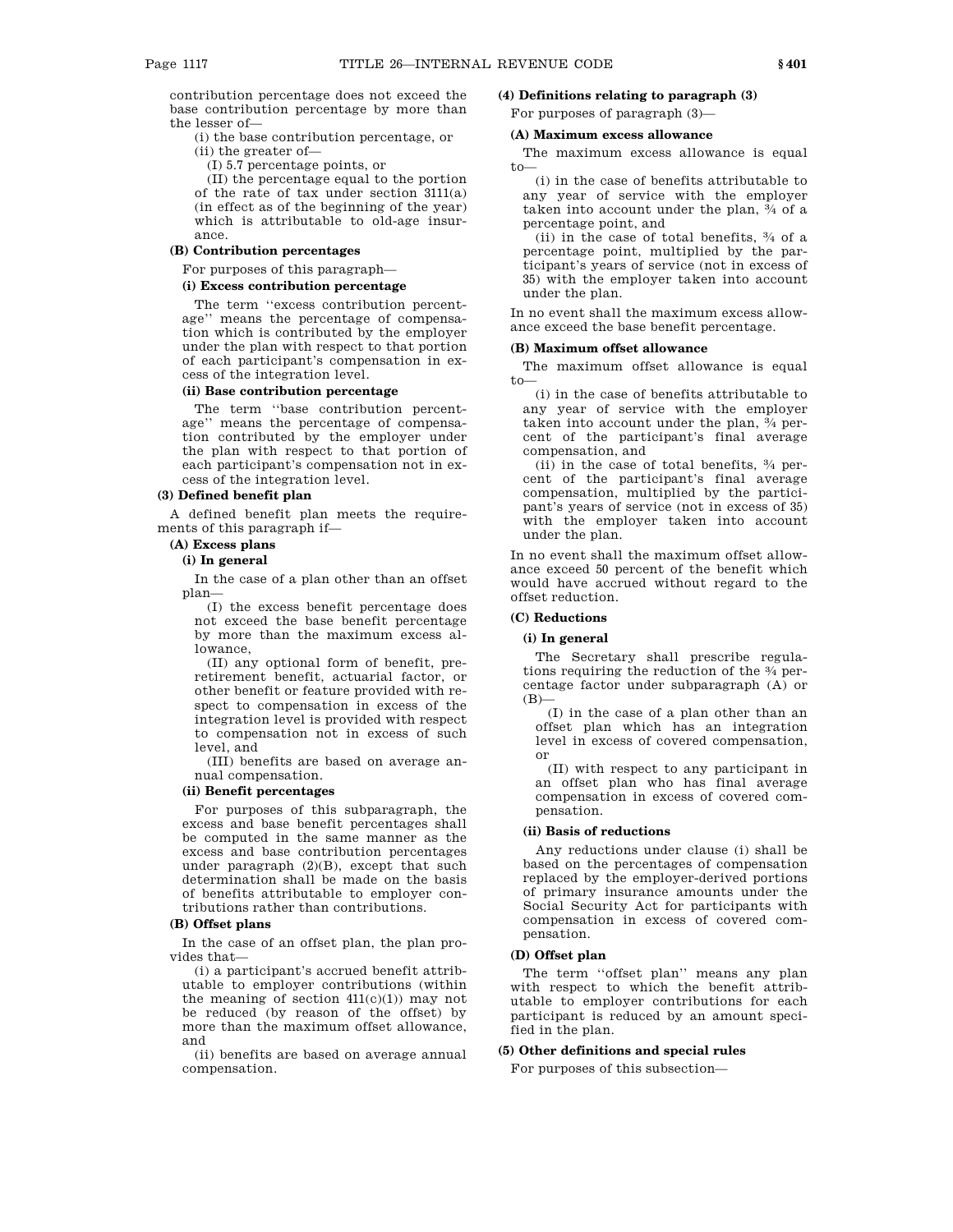contribution percentage does not exceed the base contribution percentage by more than the lesser of—

(i) the base contribution percentage, or

(ii) the greater of—

(I) 5.7 percentage points, or

(II) the percentage equal to the portion of the rate of tax under section 3111(a) (in effect as of the beginning of the year) which is attributable to old-age insurance.

# **(B) Contribution percentages**

For purposes of this paragraph—

# **(i) Excess contribution percentage**

The term ''excess contribution percentage'' means the percentage of compensation which is contributed by the employer under the plan with respect to that portion of each participant's compensation in excess of the integration level.

# **(ii) Base contribution percentage**

The term ''base contribution percentage'' means the percentage of compensation contributed by the employer under the plan with respect to that portion of each participant's compensation not in excess of the integration level.

# **(3) Defined benefit plan**

A defined benefit plan meets the requirements of this paragraph if—

#### **(A) Excess plans**

#### **(i) In general**

In the case of a plan other than an offset plan—

(I) the excess benefit percentage does not exceed the base benefit percentage by more than the maximum excess allowance,

(II) any optional form of benefit, preretirement benefit, actuarial factor, or other benefit or feature provided with respect to compensation in excess of the integration level is provided with respect to compensation not in excess of such level, and

(III) benefits are based on average annual compensation.

### **(ii) Benefit percentages**

For purposes of this subparagraph, the excess and base benefit percentages shall be computed in the same manner as the excess and base contribution percentages under paragraph (2)(B), except that such determination shall be made on the basis of benefits attributable to employer contributions rather than contributions.

### **(B) Offset plans**

In the case of an offset plan, the plan provides that—

(i) a participant's accrued benefit attributable to employer contributions (within the meaning of section  $411(c)(1)$  may not be reduced (by reason of the offset) by more than the maximum offset allowance, and

(ii) benefits are based on average annual compensation.

# **(4) Definitions relating to paragraph (3)**

For purposes of paragraph (3)—

# **(A) Maximum excess allowance**

The maximum excess allowance is equal to—

(i) in the case of benefits attributable to any year of service with the employer taken into account under the plan, 3 ⁄4 of a percentage point, and

(ii) in the case of total benefits, 3 ⁄4 of a percentage point, multiplied by the participant's years of service (not in excess of 35) with the employer taken into account under the plan.

In no event shall the maximum excess allowance exceed the base benefit percentage.

# **(B) Maximum offset allowance**

The maximum offset allowance is equal to—

(i) in the case of benefits attributable to any year of service with the employer taken into account under the plan, 3 ⁄4 percent of the participant's final average compensation, and

(ii) in the case of total benefits, 3 ⁄4 percent of the participant's final average compensation, multiplied by the participant's years of service (not in excess of 35) with the employer taken into account under the plan.

In no event shall the maximum offset allowance exceed 50 percent of the benefit which would have accrued without regard to the offset reduction.

# **(C) Reductions**

#### **(i) In general**

The Secretary shall prescribe regulations requiring the reduction of the 3 ⁄4 percentage factor under subparagraph (A) or  $(B)$ 

(I) in the case of a plan other than an offset plan which has an integration level in excess of covered compensation, or

(II) with respect to any participant in an offset plan who has final average compensation in excess of covered compensation.

#### **(ii) Basis of reductions**

Any reductions under clause (i) shall be based on the percentages of compensation replaced by the employer-derived portions of primary insurance amounts under the Social Security Act for participants with compensation in excess of covered compensation.

# **(D) Offset plan**

The term ''offset plan'' means any plan with respect to which the benefit attributable to employer contributions for each participant is reduced by an amount specified in the plan.

# **(5) Other definitions and special rules**

For purposes of this subsection—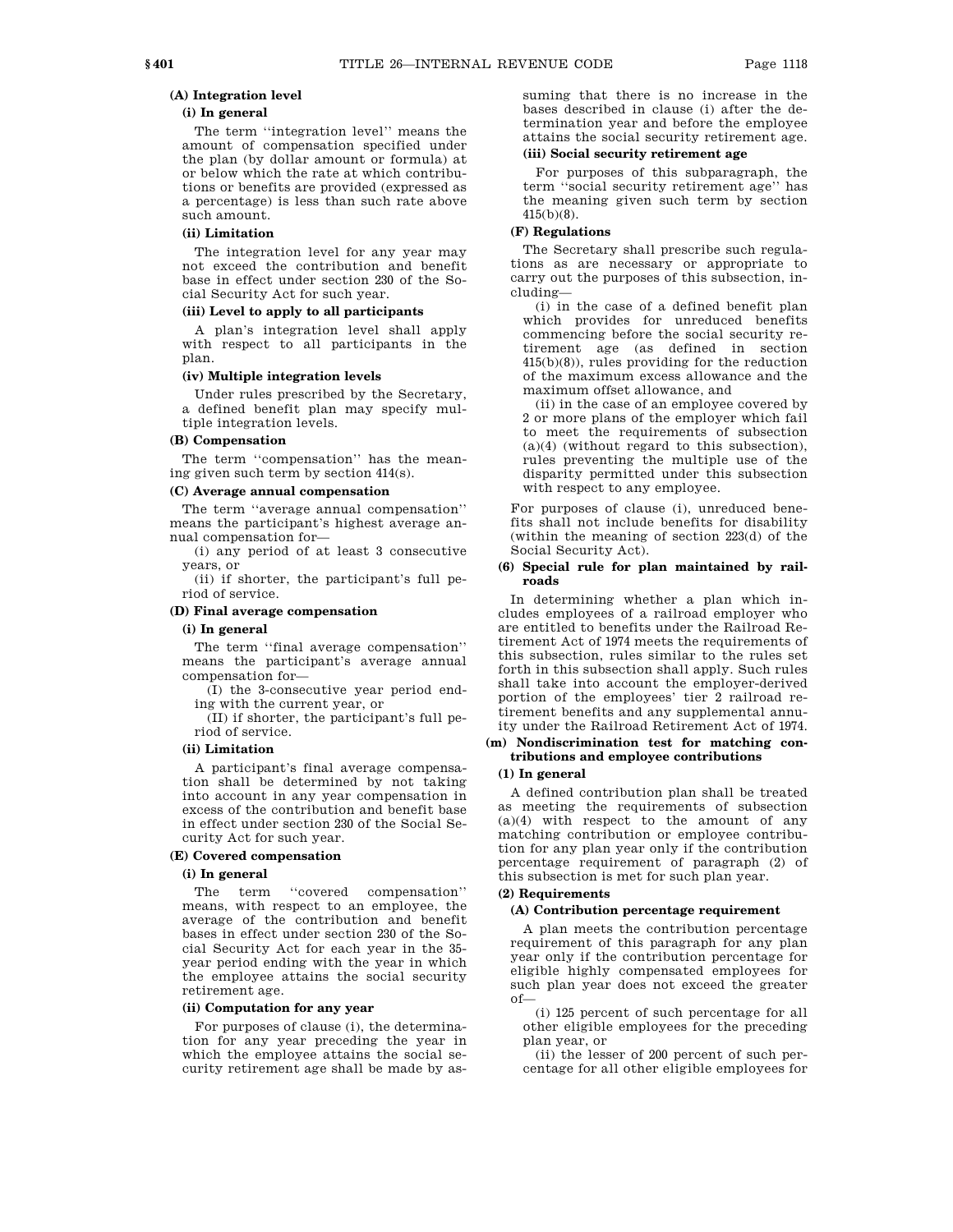# **(A) Integration level**

# **(i) In general**

The term ''integration level'' means the amount of compensation specified under the plan (by dollar amount or formula) at or below which the rate at which contributions or benefits are provided (expressed as a percentage) is less than such rate above such amount.

# **(ii) Limitation**

The integration level for any year may not exceed the contribution and benefit base in effect under section 230 of the Social Security Act for such year.

#### **(iii) Level to apply to all participants**

A plan's integration level shall apply with respect to all participants in the plan.

#### **(iv) Multiple integration levels**

Under rules prescribed by the Secretary, a defined benefit plan may specify multiple integration levels.

### **(B) Compensation**

The term "compensation" has the meaning given such term by section 414(s).

#### **(C) Average annual compensation**

The term ''average annual compensation'' means the participant's highest average annual compensation for—

(i) any period of at least 3 consecutive years, or

(ii) if shorter, the participant's full period of service.

#### **(D) Final average compensation**

### **(i) In general**

The term ''final average compensation'' means the participant's average annual compensation for—

(I) the 3-consecutive year period ending with the current year, or

(II) if shorter, the participant's full period of service.

# **(ii) Limitation**

A participant's final average compensation shall be determined by not taking into account in any year compensation in excess of the contribution and benefit base in effect under section 230 of the Social Security Act for such year.

# **(E) Covered compensation**

# **(i) In general**

The term "covered compensation" means, with respect to an employee, the average of the contribution and benefit bases in effect under section 230 of the Social Security Act for each year in the 35 year period ending with the year in which the employee attains the social security retirement age.

#### **(ii) Computation for any year**

For purposes of clause (i), the determination for any year preceding the year in which the employee attains the social security retirement age shall be made by assuming that there is no increase in the bases described in clause (i) after the determination year and before the employee attains the social security retirement age.

# **(iii) Social security retirement age**

For purposes of this subparagraph, the term ''social security retirement age'' has the meaning given such term by section 415(b)(8).

# **(F) Regulations**

The Secretary shall prescribe such regulations as are necessary or appropriate to carry out the purposes of this subsection, including—

(i) in the case of a defined benefit plan which provides for unreduced benefits commencing before the social security retirement age (as defined in section 415(b)(8)), rules providing for the reduction of the maximum excess allowance and the maximum offset allowance, and

(ii) in the case of an employee covered by 2 or more plans of the employer which fail to meet the requirements of subsection (a)(4) (without regard to this subsection), rules preventing the multiple use of the disparity permitted under this subsection with respect to any employee.

For purposes of clause (i), unreduced benefits shall not include benefits for disability (within the meaning of section 223(d) of the Social Security Act).

# **(6) Special rule for plan maintained by railroads**

In determining whether a plan which includes employees of a railroad employer who are entitled to benefits under the Railroad Retirement Act of 1974 meets the requirements of this subsection, rules similar to the rules set forth in this subsection shall apply. Such rules shall take into account the employer-derived portion of the employees' tier 2 railroad retirement benefits and any supplemental annuity under the Railroad Retirement Act of 1974.

### **(m) Nondiscrimination test for matching contributions and employee contributions**

# **(1) In general**

A defined contribution plan shall be treated as meeting the requirements of subsection (a)(4) with respect to the amount of any matching contribution or employee contribution for any plan year only if the contribution percentage requirement of paragraph (2) of this subsection is met for such plan year.

#### **(2) Requirements**

#### **(A) Contribution percentage requirement**

A plan meets the contribution percentage requirement of this paragraph for any plan year only if the contribution percentage for eligible highly compensated employees for such plan year does not exceed the greater of—

(i) 125 percent of such percentage for all other eligible employees for the preceding plan year, or

(ii) the lesser of 200 percent of such percentage for all other eligible employees for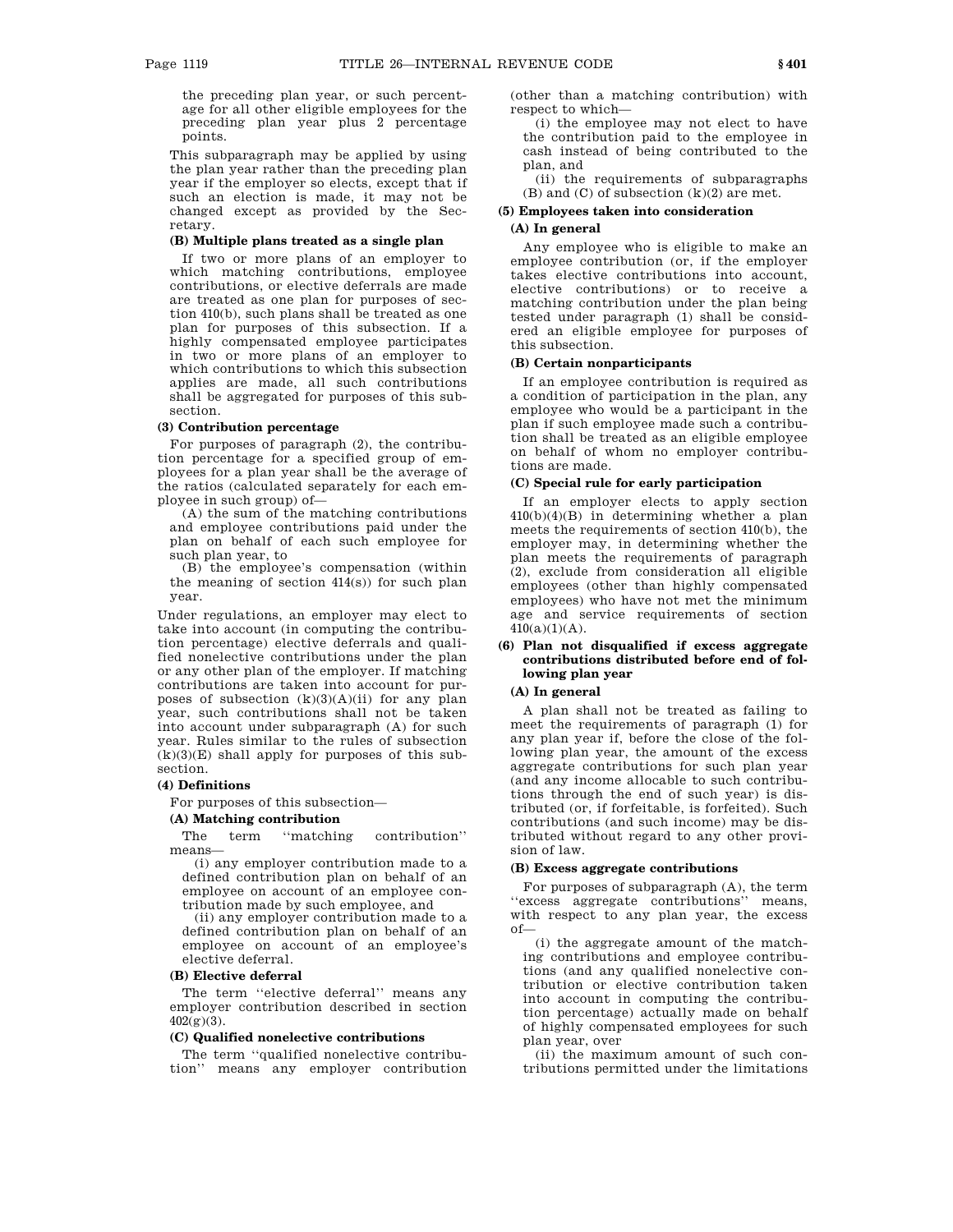the preceding plan year, or such percentage for all other eligible employees for the preceding plan year plus 2 percentage points.

This subparagraph may be applied by using the plan year rather than the preceding plan year if the employer so elects, except that if such an election is made, it may not be changed except as provided by the Secretary.

# **(B) Multiple plans treated as a single plan**

If two or more plans of an employer to which matching contributions, employee contributions, or elective deferrals are made are treated as one plan for purposes of section 410(b), such plans shall be treated as one plan for purposes of this subsection. If a highly compensated employee participates in two or more plans of an employer to which contributions to which this subsection applies are made, all such contributions shall be aggregated for purposes of this subsection.

# **(3) Contribution percentage**

For purposes of paragraph (2), the contribution percentage for a specified group of employees for a plan year shall be the average of the ratios (calculated separately for each employee in such group) of—

(A) the sum of the matching contributions and employee contributions paid under the plan on behalf of each such employee for such plan year, to

(B) the employee's compensation (within the meaning of section 414(s)) for such plan year.

Under regulations, an employer may elect to take into account (in computing the contribution percentage) elective deferrals and qualified nonelective contributions under the plan or any other plan of the employer. If matching contributions are taken into account for purposes of subsection  $(k)(3)(A)(ii)$  for any plan year, such contributions shall not be taken into account under subparagraph (A) for such year. Rules similar to the rules of subsection  $(k)(3)(E)$  shall apply for purposes of this subsection.

### **(4) Definitions**

For purposes of this subsection—

# **(A) Matching contribution**

The term "matching contribution" means—

(i) any employer contribution made to a defined contribution plan on behalf of an employee on account of an employee contribution made by such employee, and

(ii) any employer contribution made to a defined contribution plan on behalf of an employee on account of an employee's elective deferral.

### **(B) Elective deferral**

The term ''elective deferral'' means any employer contribution described in section  $402(g)(3)$ .

### **(C) Qualified nonelective contributions**

The term ''qualified nonelective contribution'' means any employer contribution (other than a matching contribution) with respect to which—

(i) the employee may not elect to have the contribution paid to the employee in cash instead of being contributed to the plan, and

(ii) the requirements of subparagraphs  $(B)$  and  $(C)$  of subsection  $(k)(2)$  are met.

# **(5) Employees taken into consideration**

# **(A) In general**

Any employee who is eligible to make an employee contribution (or, if the employer takes elective contributions into account, elective contributions) or to receive a matching contribution under the plan being tested under paragraph (1) shall be considered an eligible employee for purposes of this subsection.

# **(B) Certain nonparticipants**

If an employee contribution is required as a condition of participation in the plan, any employee who would be a participant in the plan if such employee made such a contribution shall be treated as an eligible employee on behalf of whom no employer contributions are made.

#### **(C) Special rule for early participation**

If an employer elects to apply section 410(b)(4)(B) in determining whether a plan meets the requirements of section 410(b), the employer may, in determining whether the plan meets the requirements of paragraph (2), exclude from consideration all eligible employees (other than highly compensated employees) who have not met the minimum age and service requirements of section  $410(a)(1)(A)$ .

# **(6) Plan not disqualified if excess aggregate contributions distributed before end of following plan year**

#### **(A) In general**

A plan shall not be treated as failing to meet the requirements of paragraph (1) for any plan year if, before the close of the following plan year, the amount of the excess aggregate contributions for such plan year (and any income allocable to such contributions through the end of such year) is distributed (or, if forfeitable, is forfeited). Such contributions (and such income) may be distributed without regard to any other provision of law.

#### **(B) Excess aggregate contributions**

For purposes of subparagraph (A), the term ''excess aggregate contributions'' means, with respect to any plan year, the excess of—

(i) the aggregate amount of the matching contributions and employee contributions (and any qualified nonelective contribution or elective contribution taken into account in computing the contribution percentage) actually made on behalf of highly compensated employees for such plan year, over

(ii) the maximum amount of such contributions permitted under the limitations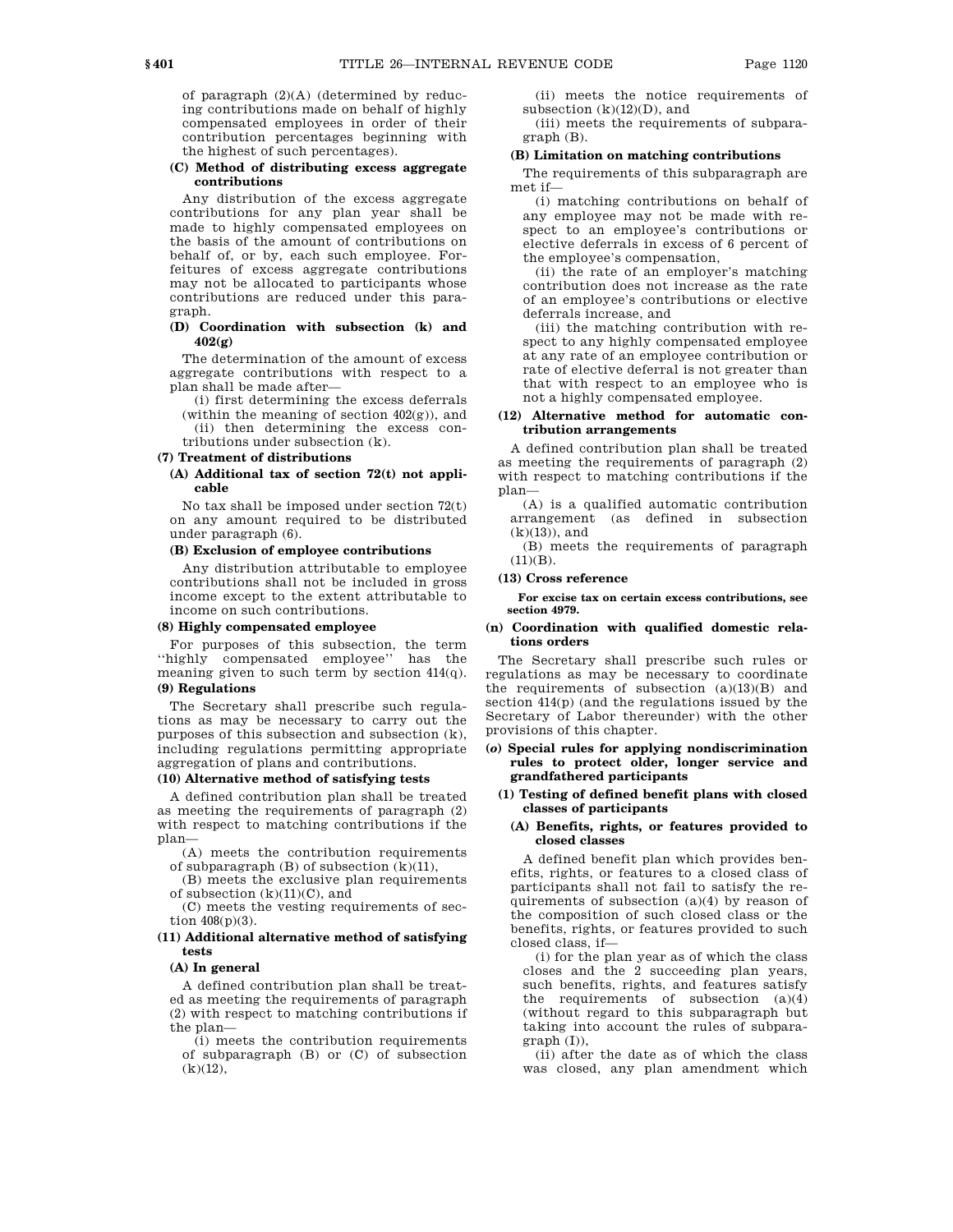of paragraph  $(2)(A)$  (determined by reducing contributions made on behalf of highly compensated employees in order of their contribution percentages beginning with the highest of such percentages).

### **(C) Method of distributing excess aggregate contributions**

Any distribution of the excess aggregate contributions for any plan year shall be made to highly compensated employees on the basis of the amount of contributions on behalf of, or by, each such employee. Forfeitures of excess aggregate contributions may not be allocated to participants whose contributions are reduced under this paragraph.

#### **(D) Coordination with subsection (k) and 402(g)**

The determination of the amount of excess aggregate contributions with respect to a plan shall be made after—

(i) first determining the excess deferrals (within the meaning of section  $402(g)$ ), and (ii) then determining the excess contributions under subsection (k).

#### **(7) Treatment of distributions**

**(A) Additional tax of section 72(t) not applicable** 

No tax shall be imposed under section 72(t) on any amount required to be distributed under paragraph (6).

### **(B) Exclusion of employee contributions**

Any distribution attributable to employee contributions shall not be included in gross income except to the extent attributable to income on such contributions.

#### **(8) Highly compensated employee**

For purposes of this subsection, the term ''highly compensated employee'' has the meaning given to such term by section 414(q).

# **(9) Regulations**

The Secretary shall prescribe such regulations as may be necessary to carry out the purposes of this subsection and subsection (k), including regulations permitting appropriate aggregation of plans and contributions.

#### **(10) Alternative method of satisfying tests**

A defined contribution plan shall be treated as meeting the requirements of paragraph (2) with respect to matching contributions if the plan—

(A) meets the contribution requirements of subparagraph  $(B)$  of subsection  $(k)(11)$ ,

(B) meets the exclusive plan requirements of subsection  $(k)(11)(C)$ , and

(C) meets the vesting requirements of section 408(p)(3).

# **(11) Additional alternative method of satisfying tests**

#### **(A) In general**

A defined contribution plan shall be treated as meeting the requirements of paragraph (2) with respect to matching contributions if the plan—

(i) meets the contribution requirements of subparagraph (B) or (C) of subsection  $(k)(12)$ ,

(ii) meets the notice requirements of subsection  $(k)(12)(D)$ , and

(iii) meets the requirements of subparagraph (B).

# **(B) Limitation on matching contributions**

The requirements of this subparagraph are met if—

(i) matching contributions on behalf of any employee may not be made with respect to an employee's contributions or elective deferrals in excess of 6 percent of the employee's compensation,

(ii) the rate of an employer's matching contribution does not increase as the rate of an employee's contributions or elective deferrals increase, and

(iii) the matching contribution with respect to any highly compensated employee at any rate of an employee contribution or rate of elective deferral is not greater than that with respect to an employee who is not a highly compensated employee.

# **(12) Alternative method for automatic contribution arrangements**

A defined contribution plan shall be treated as meeting the requirements of paragraph (2) with respect to matching contributions if the plan—

(A) is a qualified automatic contribution arrangement (as defined in subsection (k)(13)), and

(B) meets the requirements of paragraph  $(11)(B)$ .

### **(13) Cross reference**

**For excise tax on certain excess contributions, see section 4979.** 

#### **(n) Coordination with qualified domestic relations orders**

The Secretary shall prescribe such rules or regulations as may be necessary to coordinate the requirements of subsection  $(a)(13)(B)$  and section 414(p) (and the regulations issued by the Secretary of Labor thereunder) with the other provisions of this chapter.

# **(***o***) Special rules for applying nondiscrimination rules to protect older, longer service and grandfathered participants**

# **(1) Testing of defined benefit plans with closed classes of participants**

# **(A) Benefits, rights, or features provided to closed classes**

A defined benefit plan which provides benefits, rights, or features to a closed class of participants shall not fail to satisfy the requirements of subsection (a)(4) by reason of the composition of such closed class or the benefits, rights, or features provided to such closed class, if—

(i) for the plan year as of which the class closes and the 2 succeeding plan years, such benefits, rights, and features satisfy the requirements of subsection  $(a)(4)$ (without regard to this subparagraph but taking into account the rules of subparagraph (I)),

(ii) after the date as of which the class was closed, any plan amendment which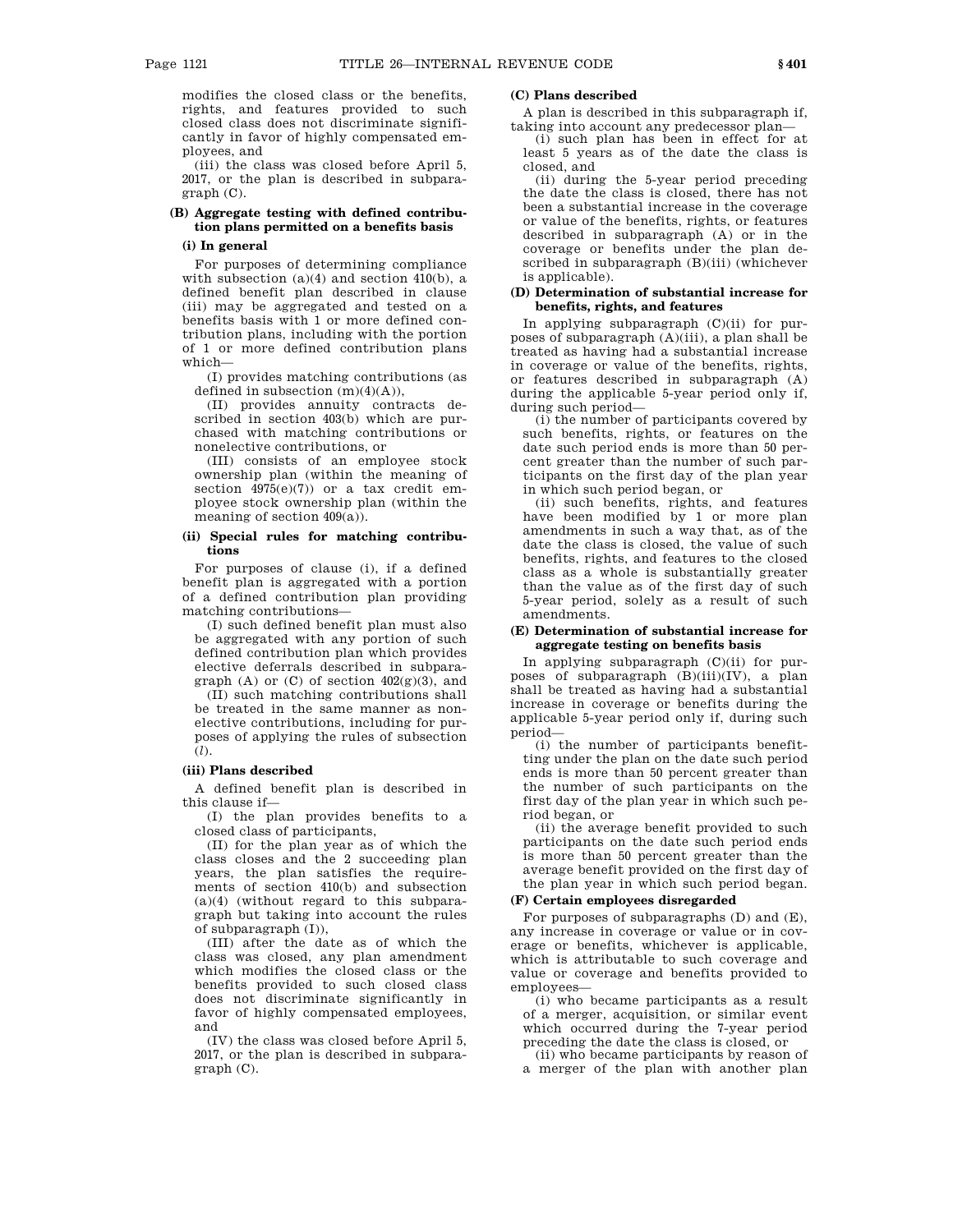modifies the closed class or the benefits, rights, and features provided to such closed class does not discriminate significantly in favor of highly compensated employees, and

(iii) the class was closed before April 5, 2017, or the plan is described in subparagraph (C).

# **(B) Aggregate testing with defined contribution plans permitted on a benefits basis**

# **(i) In general**

For purposes of determining compliance with subsection  $(a)(4)$  and section  $410(b)$ , a defined benefit plan described in clause (iii) may be aggregated and tested on a benefits basis with 1 or more defined contribution plans, including with the portion of 1 or more defined contribution plans which—

(I) provides matching contributions (as defined in subsection  $(m)(4)(A)$ ),

(II) provides annuity contracts described in section 403(b) which are purchased with matching contributions or nonelective contributions, or

(III) consists of an employee stock ownership plan (within the meaning of section  $4975(e)(7)$  or a tax credit employee stock ownership plan (within the meaning of section 409(a)).

# **(ii) Special rules for matching contributions**

For purposes of clause (i), if a defined benefit plan is aggregated with a portion of a defined contribution plan providing matching contributions—

(I) such defined benefit plan must also be aggregated with any portion of such defined contribution plan which provides elective deferrals described in subparagraph (A) or (C) of section  $402(g)(3)$ , and

(II) such matching contributions shall be treated in the same manner as nonelective contributions, including for purposes of applying the rules of subsection (*l*).

#### **(iii) Plans described**

A defined benefit plan is described in this clause if—

(I) the plan provides benefits to a closed class of participants,

(II) for the plan year as of which the class closes and the 2 succeeding plan years, the plan satisfies the requirements of section 410(b) and subsection (a)(4) (without regard to this subparagraph but taking into account the rules of subparagraph (I)),

(III) after the date as of which the class was closed, any plan amendment which modifies the closed class or the benefits provided to such closed class does not discriminate significantly in favor of highly compensated employees, and

(IV) the class was closed before April 5, 2017, or the plan is described in subparagraph (C).

### **(C) Plans described**

A plan is described in this subparagraph if, taking into account any predecessor plan—

(i) such plan has been in effect for at least 5 years as of the date the class is closed, and

(ii) during the 5-year period preceding the date the class is closed, there has not been a substantial increase in the coverage or value of the benefits, rights, or features described in subparagraph (A) or in the coverage or benefits under the plan described in subparagraph (B)(iii) (whichever is applicable).

# **(D) Determination of substantial increase for benefits, rights, and features**

In applying subparagraph (C)(ii) for purposes of subparagraph (A)(iii), a plan shall be treated as having had a substantial increase in coverage or value of the benefits, rights, or features described in subparagraph (A) during the applicable 5-year period only if, during such period—

(i) the number of participants covered by such benefits, rights, or features on the date such period ends is more than 50 percent greater than the number of such participants on the first day of the plan year in which such period began, or

(ii) such benefits, rights, and features have been modified by 1 or more plan amendments in such a way that, as of the date the class is closed, the value of such benefits, rights, and features to the closed class as a whole is substantially greater than the value as of the first day of such 5-year period, solely as a result of such amendments.

# **(E) Determination of substantial increase for aggregate testing on benefits basis**

In applying subparagraph  $(C)(ii)$  for purposes of subparagraph (B)(iii)(IV), a plan shall be treated as having had a substantial increase in coverage or benefits during the applicable 5-year period only if, during such period—

(i) the number of participants benefitting under the plan on the date such period ends is more than 50 percent greater than the number of such participants on the first day of the plan year in which such period began, or

(ii) the average benefit provided to such participants on the date such period ends is more than 50 percent greater than the average benefit provided on the first day of the plan year in which such period began.

# **(F) Certain employees disregarded**

For purposes of subparagraphs (D) and (E), any increase in coverage or value or in coverage or benefits, whichever is applicable, which is attributable to such coverage and value or coverage and benefits provided to employees—

(i) who became participants as a result of a merger, acquisition, or similar event which occurred during the 7-year period preceding the date the class is closed, or

(ii) who became participants by reason of a merger of the plan with another plan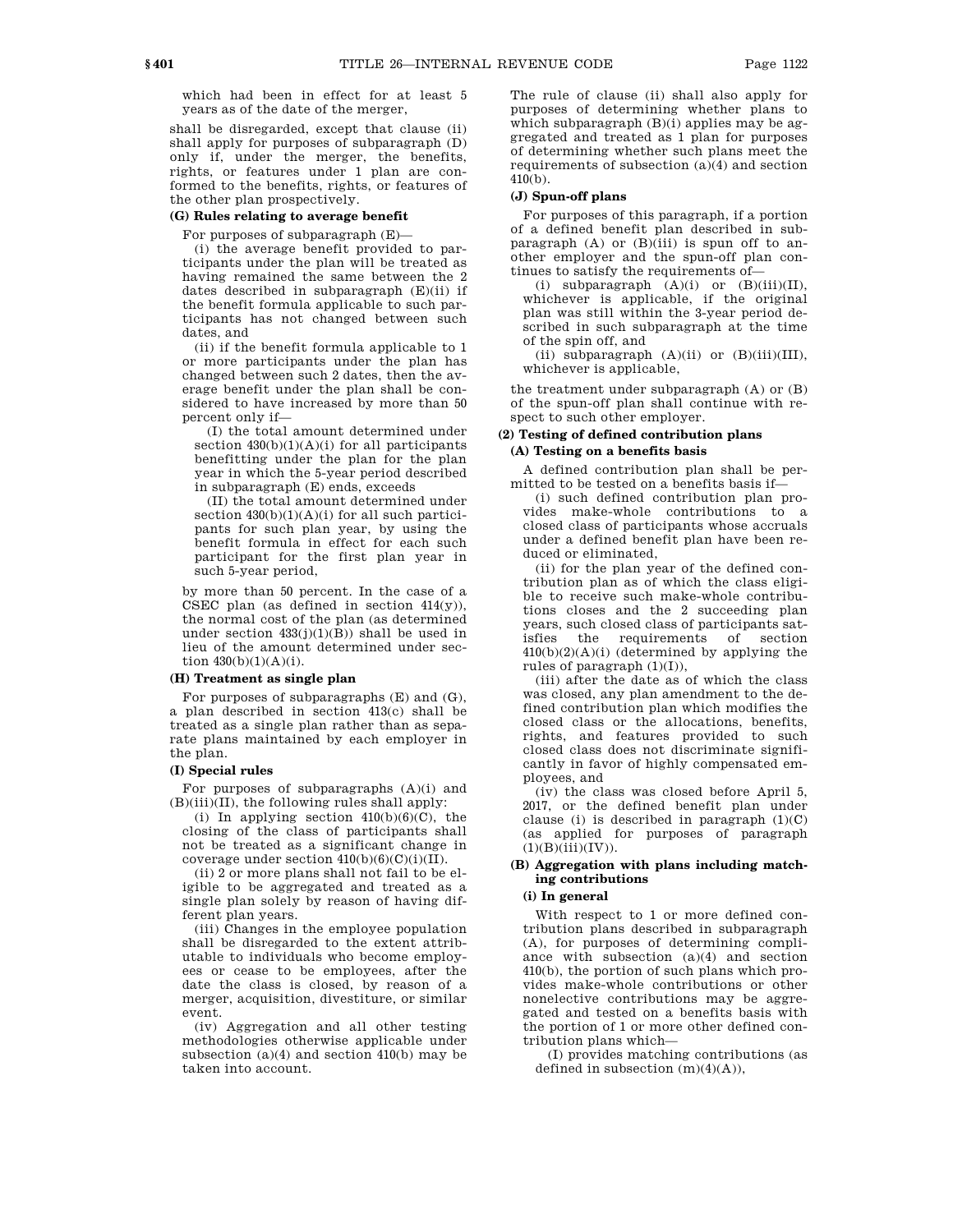which had been in effect for at least 5 years as of the date of the merger,

shall be disregarded, except that clause (ii) shall apply for purposes of subparagraph (D) only if, under the merger, the benefits, rights, or features under 1 plan are conformed to the benefits, rights, or features of the other plan prospectively.

#### **(G) Rules relating to average benefit**

For purposes of subparagraph (E)—

(i) the average benefit provided to participants under the plan will be treated as having remained the same between the 2 dates described in subparagraph (E)(ii) if the benefit formula applicable to such participants has not changed between such dates, and

(ii) if the benefit formula applicable to 1 or more participants under the plan has changed between such 2 dates, then the average benefit under the plan shall be considered to have increased by more than 50 percent only if—

(I) the total amount determined under section  $430(b)(1)(A)(i)$  for all participants benefitting under the plan for the plan year in which the 5-year period described in subparagraph (E) ends, exceeds

(II) the total amount determined under section  $430(b)(1)(A)(i)$  for all such participants for such plan year, by using the benefit formula in effect for each such participant for the first plan year in such 5-year period,

by more than 50 percent. In the case of a CSEC plan (as defined in section 414(y)), the normal cost of the plan (as determined under section 433(j)(1)(B)) shall be used in lieu of the amount determined under section  $430(b)(1)(A)(i)$ .

# **(H) Treatment as single plan**

For purposes of subparagraphs (E) and (G), a plan described in section 413(c) shall be treated as a single plan rather than as separate plans maintained by each employer in the plan.

#### **(I) Special rules**

For purposes of subparagraphs  $(A)(i)$  and (B)(iii)(II), the following rules shall apply:

(i) In applying section  $410(b)(6)(C)$ , the closing of the class of participants shall not be treated as a significant change in coverage under section  $410(b)(6)(C)(i)(II)$ .

(ii) 2 or more plans shall not fail to be eligible to be aggregated and treated as a single plan solely by reason of having different plan years.

(iii) Changes in the employee population shall be disregarded to the extent attributable to individuals who become employees or cease to be employees, after the date the class is closed, by reason of a merger, acquisition, divestiture, or similar event.

(iv) Aggregation and all other testing methodologies otherwise applicable under subsection  $(a)(4)$  and section  $410(b)$  may be taken into account.

The rule of clause (ii) shall also apply for purposes of determining whether plans to which subparagraph  $(B)(i)$  applies may be aggregated and treated as 1 plan for purposes of determining whether such plans meet the requirements of subsection  $(a)(4)$  and section 410(b).

# **(J) Spun-off plans**

For purposes of this paragraph, if a portion of a defined benefit plan described in subparagraph  $(A)$  or  $(B)(iii)$  is spun off to another employer and the spun-off plan continues to satisfy the requirements of—

(i) subparagraph  $(A)(i)$  or  $(B)(iii)(II)$ , whichever is applicable, if the original plan was still within the 3-year period described in such subparagraph at the time of the spin off, and

(ii) subparagraph  $(A)(ii)$  or  $(B)(iii)(III)$ , whichever is applicable,

the treatment under subparagraph (A) or (B) of the spun-off plan shall continue with respect to such other employer.

# **(2) Testing of defined contribution plans (A) Testing on a benefits basis**

A defined contribution plan shall be permitted to be tested on a benefits basis if—

(i) such defined contribution plan provides make-whole contributions to a closed class of participants whose accruals under a defined benefit plan have been reduced or eliminated,

(ii) for the plan year of the defined contribution plan as of which the class eligible to receive such make-whole contributions closes and the 2 succeeding plan years, such closed class of participants satisfies the requirements of section  $410(b)(2)(A)(i)$  (determined by applying the rules of paragraph (1)(I)),

(iii) after the date as of which the class was closed, any plan amendment to the defined contribution plan which modifies the closed class or the allocations, benefits, rights, and features provided to such closed class does not discriminate significantly in favor of highly compensated employees, and

(iv) the class was closed before April 5, 2017, or the defined benefit plan under clause (i) is described in paragraph  $(1)(C)$ (as applied for purposes of paragraph  $(1)(B)(iii)(IV)).$ 

#### **(B) Aggregation with plans including matching contributions**

#### **(i) In general**

With respect to 1 or more defined contribution plans described in subparagraph (A), for purposes of determining compliance with subsection (a)(4) and section 410(b), the portion of such plans which provides make-whole contributions or other nonelective contributions may be aggregated and tested on a benefits basis with the portion of 1 or more other defined contribution plans which—

(I) provides matching contributions (as defined in subsection  $(m)(4)(A)$ .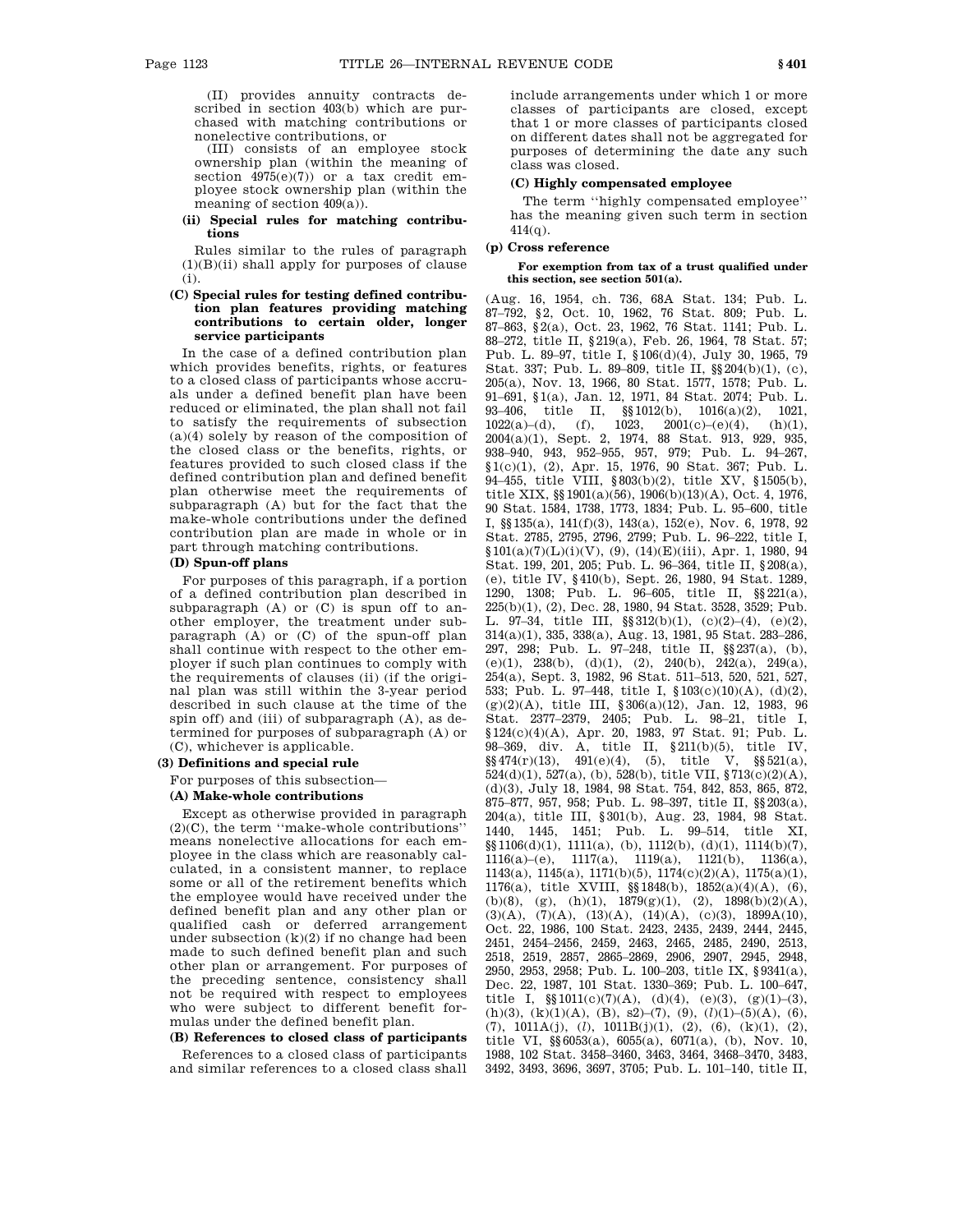(II) provides annuity contracts described in section 403(b) which are purchased with matching contributions or nonelective contributions, or

(III) consists of an employee stock ownership plan (within the meaning of section  $4975(e)(7)$  or a tax credit employee stock ownership plan (within the meaning of section 409(a)).

### **(ii) Special rules for matching contributions**

Rules similar to the rules of paragraph  $(1)(B)(ii)$  shall apply for purposes of clause (i).

### **(C) Special rules for testing defined contribution plan features providing matching contributions to certain older, longer service participants**

In the case of a defined contribution plan which provides benefits, rights, or features to a closed class of participants whose accruals under a defined benefit plan have been reduced or eliminated, the plan shall not fail to satisfy the requirements of subsection (a)(4) solely by reason of the composition of the closed class or the benefits, rights, or features provided to such closed class if the defined contribution plan and defined benefit plan otherwise meet the requirements of subparagraph (A) but for the fact that the make-whole contributions under the defined contribution plan are made in whole or in part through matching contributions.

# **(D) Spun-off plans**

For purposes of this paragraph, if a portion of a defined contribution plan described in subparagraph (A) or (C) is spun off to another employer, the treatment under subparagraph (A) or (C) of the spun-off plan shall continue with respect to the other employer if such plan continues to comply with the requirements of clauses (ii) (if the original plan was still within the 3-year period described in such clause at the time of the spin off) and (iii) of subparagraph (A), as determined for purposes of subparagraph (A) or (C), whichever is applicable.

# **(3) Definitions and special rule**

For purposes of this subsection—

### **(A) Make-whole contributions**

Except as otherwise provided in paragraph (2)(C), the term ''make-whole contributions'' means nonelective allocations for each employee in the class which are reasonably calculated, in a consistent manner, to replace some or all of the retirement benefits which the employee would have received under the defined benefit plan and any other plan or qualified cash or deferred arrangement under subsection (k)(2) if no change had been made to such defined benefit plan and such other plan or arrangement. For purposes of the preceding sentence, consistency shall not be required with respect to employees who were subject to different benefit formulas under the defined benefit plan.

### **(B) References to closed class of participants**

References to a closed class of participants and similar references to a closed class shall include arrangements under which 1 or more classes of participants are closed, except that 1 or more classes of participants closed on different dates shall not be aggregated for purposes of determining the date any such class was closed.

#### **(C) Highly compensated employee**

The term ''highly compensated employee'' has the meaning given such term in section 414(q).

# **(p) Cross reference**

**For exemption from tax of a trust qualified under this section, see section 501(a).** 

(Aug. 16, 1954, ch. 736, 68A Stat. 134; Pub. L. 87–792, §2, Oct. 10, 1962, 76 Stat. 809; Pub. L. 87–863, §2(a), Oct. 23, 1962, 76 Stat. 1141; Pub. L. 88–272, title II, §219(a), Feb. 26, 1964, 78 Stat. 57; Pub. L. 89–97, title I, §106(d)(4), July 30, 1965, 79 Stat. 337; Pub. L. 89–809, title II, §§204(b)(1), (c), 205(a), Nov. 13, 1966, 80 Stat. 1577, 1578; Pub. L. 91–691, §1(a), Jan. 12, 1971, 84 Stat. 2074; Pub. L. 93–406, title II, §§1012(b), 1016(a)(2), 1021, 1022(a)–(d), (f), 1023, 2001(c)–(e)(4), (h)(1), 2004(a)(1), Sept. 2, 1974, 88 Stat. 913, 929, 935, 938–940, 943, 952–955, 957, 979; Pub. L. 94–267, §1(c)(1), (2), Apr. 15, 1976, 90 Stat. 367; Pub. L. 94–455, title VIII, §803(b)(2), title XV, §1505(b), title XIX, §§1901(a)(56), 1906(b)(13)(A), Oct. 4, 1976, 90 Stat. 1584, 1738, 1773, 1834; Pub. L. 95–600, title I, §§135(a), 141(f)(3), 143(a), 152(e), Nov. 6, 1978, 92 Stat. 2785, 2795, 2796, 2799; Pub. L. 96–222, title I,  $$101(a)(7)(L)(i)(V), (9), (14)(E)(iii), Apr. 1, 1980, 94$ Stat. 199, 201, 205; Pub. L. 96–364, title II, §208(a), (e), title IV, §410(b), Sept. 26, 1980, 94 Stat. 1289, 1290, 1308; Pub. L. 96–605, title II, §§221(a), 225(b)(1), (2), Dec. 28, 1980, 94 Stat. 3528, 3529; Pub. L. 97–34, title III, §§312(b)(1), (c)(2)–(4), (e)(2), 314(a)(1), 335, 338(a), Aug. 13, 1981, 95 Stat. 283–286, 297, 298; Pub. L. 97–248, title II, §§237(a), (b), (e)(1), 238(b), (d)(1), (2), 240(b), 242(a), 249(a), 254(a), Sept. 3, 1982, 96 Stat. 511–513, 520, 521, 527, 533; Pub. L. 97–448, title I, §103(c)(10)(A), (d)(2), (g)(2)(A), title III, §306(a)(12), Jan. 12, 1983, 96 Stat. 2377–2379, 2405; Pub. L. 98–21, title I, §124(c)(4)(A), Apr. 20, 1983, 97 Stat. 91; Pub. L. 98–369, div. A, title II, §211(b)(5), title IV,  $\S\$ 474(r)(13), 491(e)(4), (5), title V,  $\S$  $521(a)$ , 524(d)(1), 527(a), (b), 528(b), title VII,  $\sqrt[8]{13(c)(2)(A)}$ , (d)(3), July 18, 1984, 98 Stat. 754, 842, 853, 865, 872, 875–877, 957, 958; Pub. L. 98–397, title II, §§203(a), 204(a), title III, §301(b), Aug. 23, 1984, 98 Stat. 1440, 1445, 1451; Pub. L. 99–514, title XI, §§1106(d)(1), 1111(a), (b), 1112(b), (d)(1), 1114(b)(7), 1116(a)–(e), 1117(a), 1119(a), 1121(b), 1136(a), 1143(a), 1145(a), 1171(b)(5), 1174(c)(2)(A), 1175(a)(1), 1176(a), title XVIII, §§1848(b), 1852(a)(4)(A), (6), (b)(8), (g), (h)(1),  $1879(g)(1)$ , (2),  $1898(b)(2)(A)$ , (3)(A), (7)(A), (13)(A), (14)(A), (c)(3), 1899A(10), Oct. 22, 1986, 100 Stat. 2423, 2435, 2439, 2444, 2445, 2451, 2454–2456, 2459, 2463, 2465, 2485, 2490, 2513, 2518, 2519, 2857, 2865–2869, 2906, 2907, 2945, 2948, 2950, 2953, 2958; Pub. L. 100–203, title IX, §9341(a), Dec. 22, 1987, 101 Stat. 1330–369; Pub. L. 100–647, title I,  $\S(1011(c)(7)(A), (d)(4), (e)(3), (g)(1)-(3),$ (h)(3), (k)(1)(A), (B), s2)–(7), (9), (*l*)(1)–(5)(A), (6), (7), 1011A(j), (*l*), 1011B(j)(1), (2), (6), (k)(1), (2), title VI, §§6053(a), 6055(a), 6071(a), (b), Nov. 10, 1988, 102 Stat. 3458–3460, 3463, 3464, 3468–3470, 3483, 3492, 3493, 3696, 3697, 3705; Pub. L. 101–140, title II,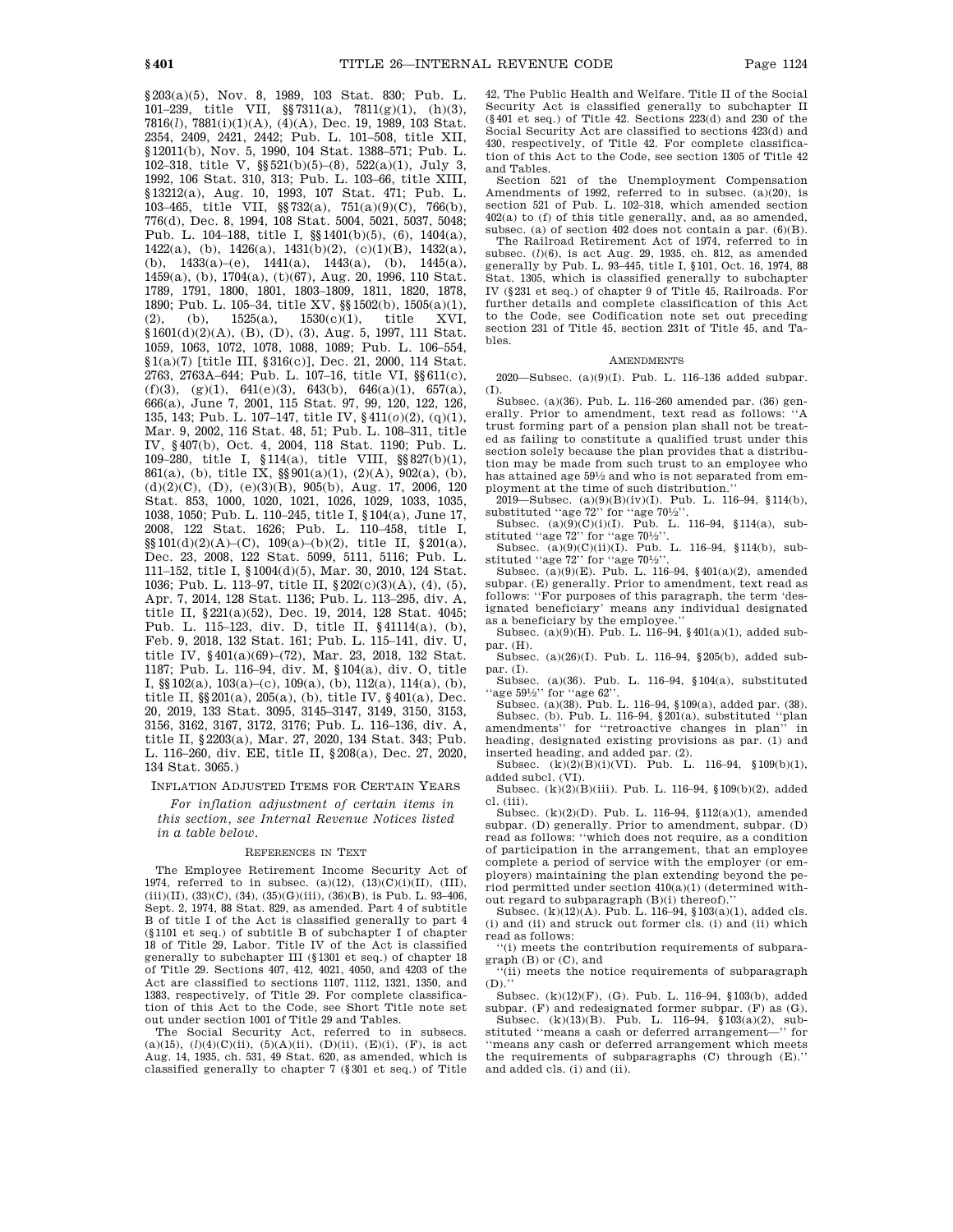§203(a)(5), Nov. 8, 1989, 103 Stat. 830; Pub. L. 101–239, title VII, §§7311(a), 7811(g)(1), (h)(3), 7816(*l*), 7881(i)(1)(A), (4)(A), Dec. 19, 1989, 103 Stat. 2354, 2409, 2421, 2442; Pub. L. 101–508, title XII, §12011(b), Nov. 5, 1990, 104 Stat. 1388–571; Pub. L. 102–318, title V, §§521(b)(5)–(8), 522(a)(1), July 3, 1992, 106 Stat. 310, 313; Pub. L. 103–66, title XIII, §13212(a), Aug. 10, 1993, 107 Stat. 471; Pub. L. 103–465, title VII, §§732(a), 751(a)(9)(C), 766(b), 776(d), Dec. 8, 1994, 108 Stat. 5004, 5021, 5037, 5048; Pub. L. 104–188, title I, §§1401(b)(5), (6), 1404(a), 1422(a), (b), 1426(a), 1431(b)(2), (c)(1)(B), 1432(a), (b),  $1433(a)-(e)$ ,  $1441(a)$ ,  $1443(a)$ , (b),  $1445(a)$ , 1459(a), (b), 1704(a), (t)(67), Aug. 20, 1996, 110 Stat. 1789, 1791, 1800, 1801, 1803–1809, 1811, 1820, 1878, 1890; Pub. L. 105–34, title XV, §§1502(b), 1505(a)(1), (2), (b), 1525(a), 1530(c)(1), title XVI,  $$1601(d)(2)(A), (B), (D), (3), Aug. 5, 1997, 111 Stat.$ 1059, 1063, 1072, 1078, 1088, 1089; Pub. L. 106–554, §1(a)(7) [title III, §316(c)], Dec. 21, 2000, 114 Stat. 2763, 2763A–644; Pub. L. 107–16, title VI, §§611(c),  $(f)(3)$ ,  $(g)(1)$ ,  $641(e)(3)$ ,  $643(b)$ ,  $646(a)(1)$ ,  $657(a)$ , 666(a), June 7, 2001, 115 Stat. 97, 99, 120, 122, 126, 135, 143; Pub. L. 107–147, title IV, §411(*o*)(2), (q)(1), Mar. 9, 2002, 116 Stat. 48, 51; Pub. L. 108–311, title IV, §407(b), Oct. 4, 2004, 118 Stat. 1190; Pub. L. 109–280, title I, §114(a), title VIII, §§827(b)(1), 861(a), (b), title IX,  $\S\$ 901(a)(1), (2)(A), 902(a), (b),  $(d)(2)(C)$ ,  $(D)$ ,  $(e)(3)(B)$ ,  $905(b)$ , Aug. 17, 2006, 120 Stat. 853, 1000, 1020, 1021, 1026, 1029, 1033, 1035, 1038, 1050; Pub. L. 110–245, title I, §104(a), June 17, 2008, 122 Stat. 1626; Pub. L. 110–458, title I, §§101(d)(2)(A)–(C), 109(a)–(b)(2), title II, §201(a), Dec. 23, 2008, 122 Stat. 5099, 5111, 5116; Pub. L. 111–152, title I, §1004(d)(5), Mar. 30, 2010, 124 Stat. 1036; Pub. L. 113–97, title II, §202(c)(3)(A), (4), (5), Apr. 7, 2014, 128 Stat. 1136; Pub. L. 113–295, div. A, title II, §221(a)(52), Dec. 19, 2014, 128 Stat. 4045; Pub. L. 115–123, div. D, title II, §41114(a), (b), Feb. 9, 2018, 132 Stat. 161; Pub. L. 115–141, div. U, title IV, §401(a)(69)–(72), Mar. 23, 2018, 132 Stat. 1187; Pub. L. 116–94, div. M, §104(a), div. O, title I,  $\S$  $102(a)$ ,  $103(a)$ –(c),  $109(a)$ , (b),  $112(a)$ ,  $114(a)$ , (b), title II, §§201(a), 205(a), (b), title IV, §401(a), Dec. 20, 2019, 133 Stat. 3095, 3145–3147, 3149, 3150, 3153, 3156, 3162, 3167, 3172, 3176; Pub. L. 116–136, div. A, title II, §2203(a), Mar. 27, 2020, 134 Stat. 343; Pub. L. 116–260, div. EE, title II, §208(a), Dec. 27, 2020, 134 Stat. 3065.)

INFLATION ADJUSTED ITEMS FOR CERTAIN YEARS

*For inflation adjustment of certain items in this section, see Internal Revenue Notices listed in a table below.* 

#### REFERENCES IN TEXT

The Employee Retirement Income Security Act of 1974, referred to in subsec.  $(a)(12)$ ,  $(13)(C)(i)(II)$ ,  $(III)$ ,  $(iii)(II), (33)(C), (34), (35)(G)(iii), (36)(B),$  is Pub. L. 93-406, Sept. 2, 1974, 88 Stat. 829, as amended. Part 4 of subtitle B of title I of the Act is classified generally to part 4 (§1101 et seq.) of subtitle B of subchapter I of chapter 18 of Title 29, Labor. Title IV of the Act is classified generally to subchapter III (§1301 et seq.) of chapter 18 of Title 29. Sections 407, 412, 4021, 4050, and 4203 of the Act are classified to sections 1107, 1112, 1321, 1350, and 1383, respectively, of Title 29. For complete classification of this Act to the Code, see Short Title note set out under section 1001 of Title 29 and Tables.

The Social Security Act, referred to in subsecs. (a)(15), (l)(4)(C)(ii), (5)(A)(ii), (D)(ii), (E)(i), (F), is act Aug. 14, 1935, ch. 531, 49 Stat. 620, as amended, which is classified generally to chapter 7 (§301 et seq.) of Title

42, The Public Health and Welfare. Title II of the Social Security Act is classified generally to subchapter II (§401 et seq.) of Title 42. Sections 223(d) and 230 of the Social Security Act are classified to sections 423(d) and 430, respectively, of Title 42. For complete classification of this Act to the Code, see section 1305 of Title 42 and Tables.

Section 521 of the Unemployment Compensation Amendments of 1992, referred to in subsec. (a)(20), is section 521 of Pub. L. 102-318, which amended section 402(a) to (f) of this title generally, and, as so amended, subsec. (a) of section 402 does not contain a par. (6)(B).

The Railroad Retirement Act of 1974, referred to in subsec. (*l*)(6), is act Aug. 29, 1935, ch. 812, as amended generally by Pub. L. 93–445, title I, §101, Oct. 16, 1974, 88 Stat. 1305, which is classified generally to subchapter IV (§231 et seq.) of chapter 9 of Title 45, Railroads. For further details and complete classification of this Act to the Code, see Codification note set out preceding section 231 of Title 45, section 231t of Title 45, and Tables.

#### AMENDMENTS

2020—Subsec. (a)(9)(I). Pub. L. 116–136 added subpar. (I).

Subsec. (a)(36). Pub. L. 116–260 amended par. (36) generally. Prior to amendment, text read as follows: ''A trust forming part of a pension plan shall not be treated as failing to constitute a qualified trust under this section solely because the plan provides that a distribution may be made from such trust to an employee who has attained age 591 ⁄2 and who is not separated from employment at the time of such distribution.''

2019—Subsec. (a)(9)(B)(iv)(I). Pub. L. 116–94, §114(b), substituted "age 72" for "age 70½".<br>Subsec.  $(a)(9)(C)(i)(I)$ . Pub. L. 116–94, §114(a), sub-

stituted ''age 72'' for ''age 701 ⁄2''.

Subsec.  $(a)(9)(C)(ii)(I)$ . Pub. L. 116–94, §114(b), substituted "age 72" for "age 70<sup>1</sup>/<sub>2</sub>".

Subsec.  $(a)(9)(E)$ . Pub. L. 116–94, §401(a)(2), amended subpar. (E) generally. Prior to amendment, text read as follows: ''For purposes of this paragraph, the term 'designated beneficiary' means any individual designated as a beneficiary by the employee.

Subsec. (a)(9)(H). Pub. L. 116–94, §401(a)(1), added subpar. (H).

Subsec. (a)(26)(I). Pub. L. 116–94, §205(b), added subpar. (I).

Subsec. (a)(36). Pub. L. 116–94, §104(a), substituted "age 59<sup>1</sup>/<sub>2</sub>" for "age 62".

Subsec. (a)(38). Pub. L. 116–94, §109(a), added par. (38). Subsec. (b). Pub. L. 116–94, §201(a), substituted ''plan amendments'' for ''retroactive changes in plan'' in heading, designated existing provisions as par. (1) and

inserted heading, and added par. (2). Subsec. (k)(2)(B)(i)(VI). Pub. L. 116–94, §109(b)(1), added subcl. (VI).

Subsec.  $(k)(2)(B)(iii)$ . Pub. L. 116–94, §109(b)(2), added cl. (iii).

Subsec. (k)(2)(D). Pub. L. 116–94, §112(a)(1), amended subpar. (D) generally. Prior to amendment, subpar. (D) read as follows: ''which does not require, as a condition of participation in the arrangement, that an employee complete a period of service with the employer (or employers) maintaining the plan extending beyond the period permitted under section 410(a)(1) (determined without regard to subparagraph (B)(i) thereof).''

Subsec. (k)(12)(A). Pub. L. 116–94, §103(a)(1), added cls. (i) and (ii) and struck out former cls. (i) and (ii) which read as follows:

''(i) meets the contribution requirements of subparagraph (B) or (C), and

''(ii) meets the notice requirements of subparagraph (D).''

Subsec. (k)(12)(F), (G). Pub. L. 116–94, §103(b), added subpar. (F) and redesignated former subpar. (F) as (G). Subsec.  $(k)(13)(B)$ . Pub. L. 116–94, §103(a)(2), sub-

stituted ''means a cash or deferred arrangement—'' for ''means any cash or deferred arrangement which meets the requirements of subparagraphs (C) through (E).'' and added cls. (i) and (ii).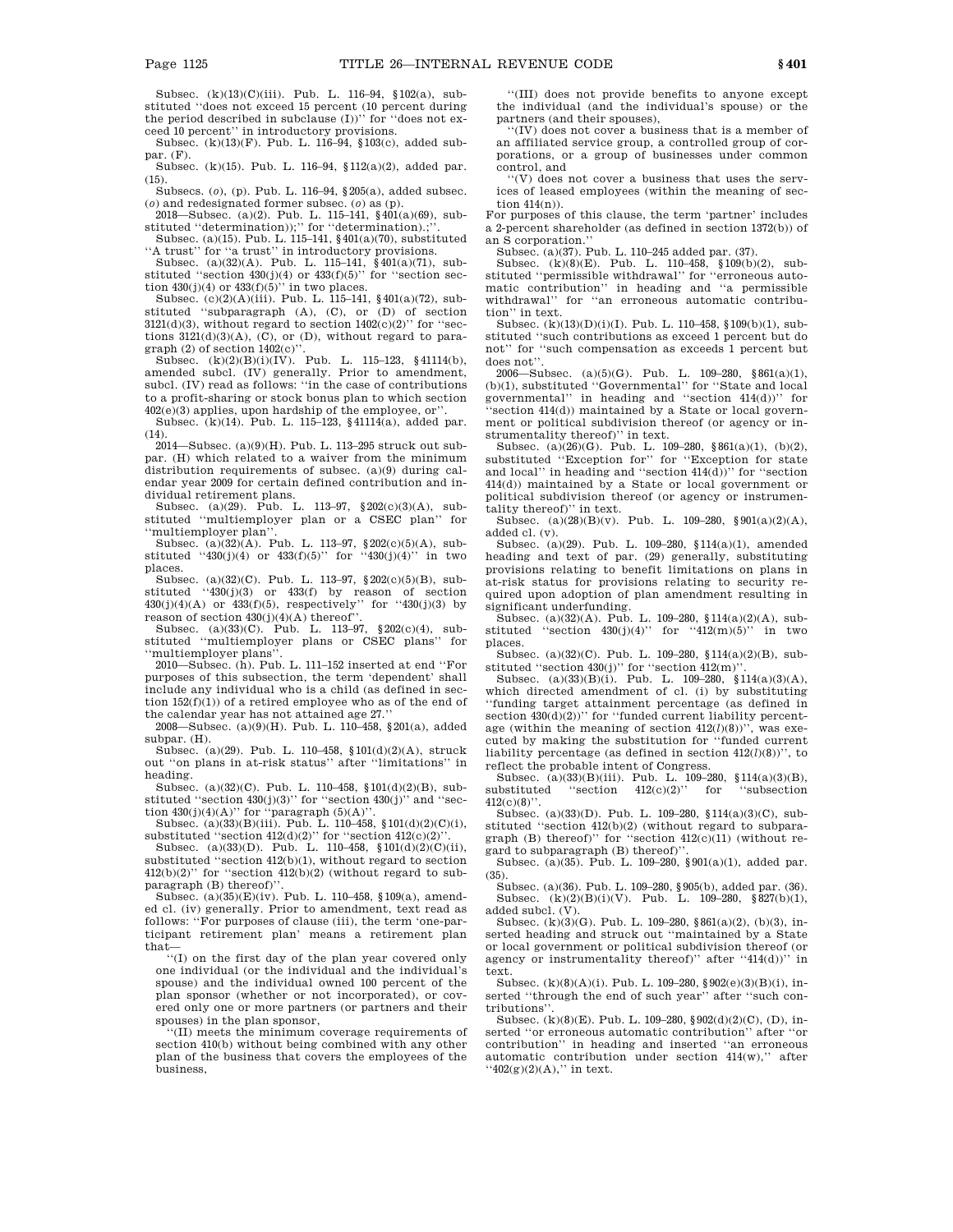Subsec. (k)(13)(C)(iii). Pub. L. 116–94, §102(a), substituted ''does not exceed 15 percent (10 percent during the period described in subclause  $(I)$ )" for "does not exceed 10 percent'' in introductory provisions.

Subsec. (k)(13)(F). Pub. L. 116–94, §103(c), added subpar. (F).

Subsec. (k)(15). Pub. L. 116–94, §112(a)(2), added par. (15).

Subsecs. (*o*), (p). Pub. L. 116–94, §205(a), added subsec. (*o*) and redesignated former subsec. (*o*) as (p). 2018—Subsec. (a)(2). Pub. L. 115–141, §401(a)(69), sub-

stituted ''determination));'' for ''determination).;''.

Subsec. (a)(15). Pub. L. 115–141, §401(a)(70), substituted "A trust" for "a trust" in introductory provisions.

Subsec. (a)(32)(A). Pub. L. 115–141, §401(a)(71), substituted "section  $430(j)(4)$  or  $433(f)(5)$ " for "section sec-

tion  $430(j)(4)$  or  $433(f)(5)$ " in two places.<br>Subsec. (c)(2)(A)(iii). Pub. L. 115–141, §401(a)(72), substituted ''subparagraph (A), (C), or (D) of section  $3121(d)(3)$ , without regard to section  $1402(c)(2)$ " for "sections  $3121(d)(3)(A)$ , (C), or (D), without regard to paragraph (2) of section 1402(c)''.

Subsec. (k)(2)(B)(i)(IV). Pub. L. 115–123, §41114(b), amended subcl. (IV) generally. Prior to amendment, subcl. (IV) read as follows: ''in the case of contributions to a profit-sharing or stock bonus plan to which section 402(e)(3) applies, upon hardship of the employee, or''.

Subsec. (k)(14). Pub. L. 115–123, §41114(a), added par. (14).

2014—Subsec. (a)(9)(H). Pub. L. 113–295 struck out subpar. (H) which related to a waiver from the minimum distribution requirements of subsec. (a)(9) during calendar year 2009 for certain defined contribution and individual retirement plans.

Subsec. (a)(29). Pub. L. 113–97, §202(c)(3)(A), substituted ''multiemployer plan or a CSEC plan'' for ''multiemployer plan''.

Subsec. (a)(32)(A). Pub. L. 113–97, §202(c)(5)(A), substituted "430(j)(4) or 433(f)(5)" for "430(j)(4)" in two places.

Subsec. (a)(32)(C). Pub. L. 113–97,  $\S 202(c)(5)(B)$ , substituted  $(430(j)(3)$  or  $433(f)$  by reason of section 430(j)(4)(A) or  $433(f)(5)$ , respectively" for  $430(j)(3)$  by reason of section 430(j)(4)(A) thereof''. Subsec. (a)(33)(C). Pub. L. 113–97, §202(c)(4), sub-

stituted ''multiemployer plans or CSEC plans'' for ''multiemployer plans''.

2010—Subsec. (h). Pub. L. 111–152 inserted at end ''For purposes of this subsection, the term 'dependent' shall include any individual who is a child (as defined in section 152(f)(1)) of a retired employee who as of the end of the calendar year has not attained age 27.''

2008—Subsec. (a)(9)(H). Pub. L. 110–458, §201(a), added subpar. (H).

Subsec. (a)(29). Pub. L. 110–458, §101(d)(2)(A), struck out ''on plans in at-risk status'' after ''limitations'' in heading.

Subsec. (a)(32)(C). Pub. L. 110–458, §101(d)(2)(B), substituted "section 430(j)(3)" for "section 430(j)" and "sec-

tion  $430(j)(4)(A)$ " for "paragraph  $(5)(A)$ ".<br>Subsec.  $(a)(33)(B)(iii)$ . Pub. L. 110–458, §101(d)(2)(C)(i), substituted "section  $412(d)(2)$ " for "section  $412(c)(2)$ "

Subsec. (a)(33)(D). Pub. L. 110–458,  $$101(d)(2)(C)(ii)$ , substituted ''section 412(b)(1), without regard to section  $412(b)(2)$ " for "section  $412(b)(2)$  (without regard to subparagraph (B) thereof)''.

Subsec. (a)(35)(E)(iv). Pub. L. 110–458, §109(a), amended cl. (iv) generally. Prior to amendment, text read as follows: ''For purposes of clause (iii), the term 'one-participant retirement plan' means a retirement plan

that— ''(I) on the first day of the plan year covered only one individual (or the individual and the individual's spouse) and the individual owned 100 percent of the plan sponsor (whether or not incorporated), or covered only one or more partners (or partners and their spouses) in the plan sponsor,

''(II) meets the minimum coverage requirements of section 410(b) without being combined with any other plan of the business that covers the employees of the business,

''(III) does not provide benefits to anyone except the individual (and the individual's spouse) or the partners (and their spouses),

''(IV) does not cover a business that is a member of an affiliated service group, a controlled group of corporations, or a group of businesses under common control, and

''(V) does not cover a business that uses the services of leased employees (within the meaning of section 414(n)).

For purposes of this clause, the term 'partner' includes a 2-percent shareholder (as defined in section 1372(b)) of an S corporation.''

Subsec. (a)(37). Pub. L. 110–245 added par. (37).

Subsec. (k)(8)(E). Pub. L. 110–458, §109(b)(2), substituted ''permissible withdrawal'' for ''erroneous automatic contribution'' in heading and ''a permissible withdrawal'' for ''an erroneous automatic contribution'' in text.

Subsec.  $(k)(13)(D)(i)(I)$ . Pub. L. 110–458, §109(b)(1), substituted ''such contributions as exceed 1 percent but do not'' for ''such compensation as exceeds 1 percent but does not''.

2006—Subsec. (a)(5)(G). Pub. L. 109–280, §861(a)(1), (b)(1), substituted ''Governmental'' for ''State and local governmental'' in heading and ''section 414(d))'' for 'section 414(d)) maintained by a State or local government or political subdivision thereof (or agency or in-

strumentality thereof)'' in text.<br>Subsec.  $(a)(26)(G)$ . Pub. L. 109–280, §861(a)(1), (b)(2), substituted ''Exception for'' for ''Exception for state and local'' in heading and ''section 414(d))'' for ''section 414(d)) maintained by a State or local government or political subdivision thereof (or agency or instrumentality thereof)'' in text.

Subsec. (a)(28)(B)(v). Pub. L. 109–280, §901(a)(2)(A), added cl. (v).

Subsec. (a)(29). Pub. L. 109–280, §114(a)(1), amended heading and text of par. (29) generally, substituting provisions relating to benefit limitations on plans in at-risk status for provisions relating to security required upon adoption of plan amendment resulting in significant underfunding.

Subsec. (a)(32)(A). Pub. L. 109–280, §114(a)(2)(A), substituted "section 430(j)(4)" for "412(m)(5)" in two places.

Subsec. (a)(32)(C). Pub. L. 109–280, §114(a)(2)(B), substituted "section 430(j)" for "section 412(m)".<br>Subsec. (a)(33)(B)(i). Pub. L. 109–280, §114(a)(3)(A),

which directed amendment of cl. (i) by substituting ''funding target attainment percentage (as defined in section  $430(d)(2)$ )" for "funded current liability percentage (within the meaning of section 412(*l*)(8))'', was executed by making the substitution for ''funded current liability percentage (as defined in section 412(*l*)(8))'', to reflect the probable intent of Congress.

Subsec. (a)(33)(B)(iii). Pub. L. 109–280, §114(a)(3)(B), substituted "section  $412(c)(2)$ " for "subsection  $412(c)(8)$ 

Subsec. (a)(33)(D). Pub. L. 109–280, §114(a)(3)(C), substituted ''section 412(b)(2) (without regard to subparagraph (B) thereof)" for "section  $412(c)(11)$  (without regard to subparagraph (B) thereof)'

Subsec. (a)(35). Pub. L. 109–280, §901(a)(1), added par. (35).

Subsec. (a)(36). Pub. L. 109–280, §905(b), added par. (36). Subsec. (k)(2)(B)(i)(V). Pub. L. 109–280, §827(b)(1), added subcl. (V).

Subsec. (k)(3)(G). Pub. L. 109–280, §861(a)(2), (b)(3), inserted heading and struck out "maintained by a State or local government or political subdivision thereof (or agency or instrumentality thereof)'' after ''414(d))'' in text.

Subsec. (k)(8)(A)(i). Pub. L. 109–280, §902(e)(3)(B)(i), inserted ''through the end of such year'' after ''such contributions'

Subsec. (k)(8)(E). Pub. L. 109–280, §902(d)(2)(C), (D), inserted ''or erroneous automatic contribution'' after ''or contribution'' in heading and inserted ''an erroneous automatic contribution under section 414(w),'' after  $``402(g)(2)(A),"$  in text.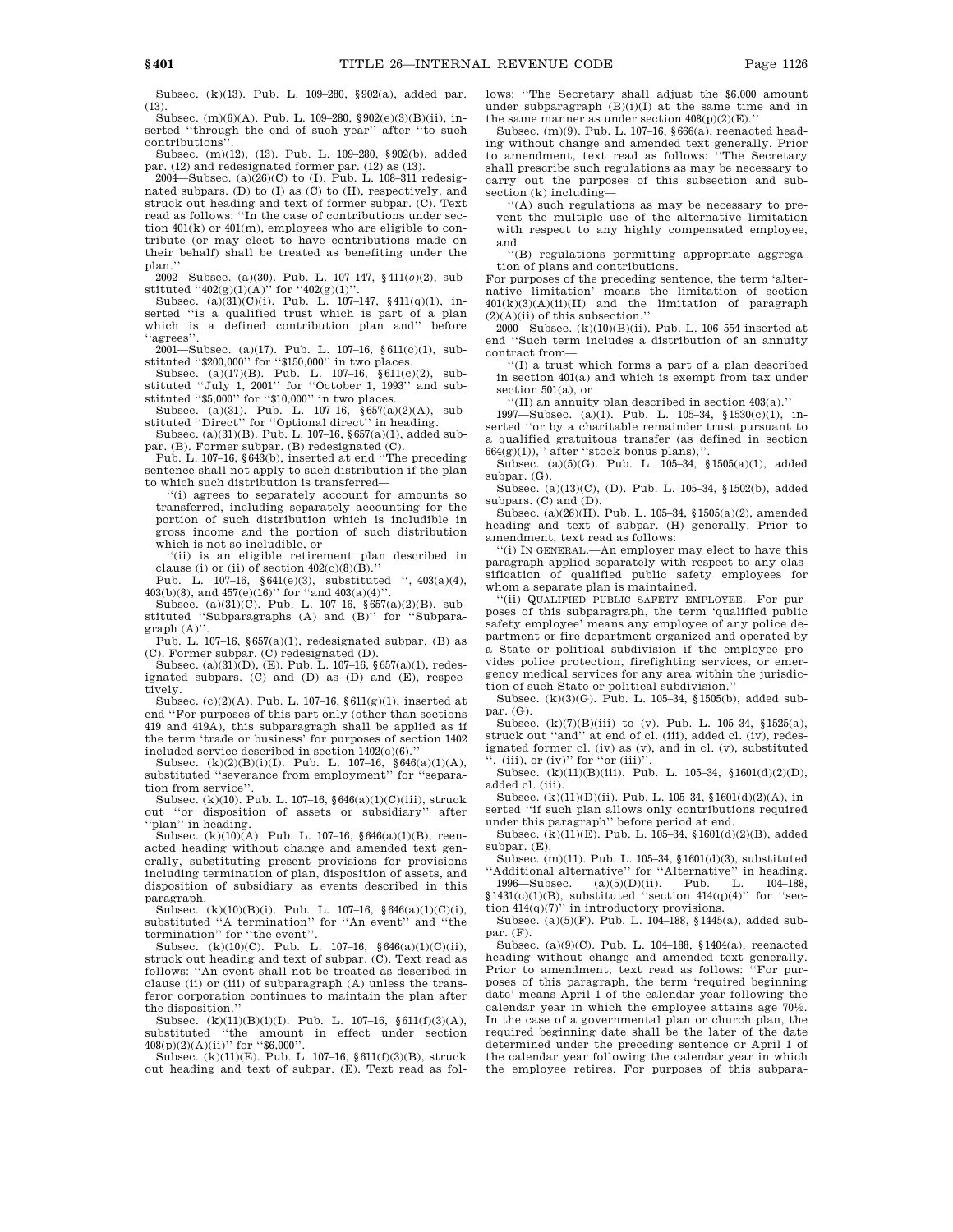Subsec. (k)(13). Pub. L. 109–280, §902(a), added par. (13).

Subsec. (m)(6)(A). Pub. L. 109–280, §902(e)(3)(B)(ii), inserted ''through the end of such year'' after ''to such contributions''.

Subsec. (m)(12), (13). Pub. L. 109–280, §902(b), added par. (12) and redesignated former par. (12) as (13).

2004—Subsec.  $(a)(26)(C)$  to  $(I)$ . Pub. L. 108-311 redesignated subpars. (D) to (I) as (C) to (H), respectively, and struck out heading and text of former subpar. (C). Text read as follows: ''In the case of contributions under section 401(k) or 401(m), employees who are eligible to contribute (or may elect to have contributions made on their behalf) shall be treated as benefiting under the plan.''

2002—Subsec. (a)(30). Pub. L. 107–147, §411(*o*)(2), sub-

stituted ''402(g)(1)(A)'' for ''402(g)(1)''.<br>Subsec. (a)(31)(C)(i). Pub. L. 107–147, §411(q)(1), inserted "is a qualified trust which is part of a plan which is a defined contribution plan and'' before 'agrees"

2001—Subsec. (a)(17). Pub. L. 107–16, §611(c)(1), sub-

stituted ''\$200,000'' for ''\$150,000'' in two places.<br>Subsec. (a)(17)(B). Pub. L. 107–16, §611(c)(2), substituted ''July 1, 2001'' for ''October 1, 1993'' and substituted ''\$5,000'' for ''\$10,000'' in two places.

Subsec. (a)(31). Pub. L. 107–16, §657(a)(2)(A), substituted ''Direct'' for ''Optional direct'' in heading. Subsec. (a)(31)(B). Pub. L. 107–16, §657(a)(1), added sub-

par. (B). Former subpar. (B) redesignated (C). Pub. L. 107–16, §643(b), inserted at end ''The preceding

sentence shall not apply to such distribution if the plan to which such distribution is transferred—

''(i) agrees to separately account for amounts so transferred, including separately accounting for the portion of such distribution which is includible in gross income and the portion of such distribution which is not so includible, or

''(ii) is an eligible retirement plan described in

clause (i) or (ii) of section  $402(c)(8)(B)$ ."<br>Pub. L. 107–16, §641(e)(3), substituted '', 403(a)(4),  $403(b)(8)$ , and  $457(e)(16)$ " for "and  $403(a)(4)$ ".

Subsec. (a)(31)(C). Pub. L. 107–16, §657(a)(2)(B), substituted "Subparagraphs (A) and (B)" for "Subpara $graph(A)$ "

Pub. L. 107-16,  $§657(a)(1)$ , redesignated subpar. (B) as (C). Former subpar. (C) redesignated (D).

Subsec.  $(a)(31)(D)$ , (E). Pub. L. 107–16, §657(a)(1), redesignated subpars. (C) and (D) as (D) and (E), respectively.

Subsec. (c)(2)(A). Pub. L. 107–16, §611(g)(1), inserted at end ''For purposes of this part only (other than sections 419 and 419A), this subparagraph shall be applied as if the term 'trade or business' for purposes of section 1402 included service described in section  $1402(c)(6)$ ."

Subsec. (k)(2)(B)(i)(I). Pub. L. 107–16, §646(a)(1)(A), substituted "severance from employment" for "separation from service''.

Subsec. (k)(10). Pub. L. 107–16,  $\S 646(a)(1)(C)(iii)$ , struck out ''or disposition of assets or subsidiary'' after "plan" in heading.

Subsec. (k)(10)(A). Pub. L. 107–16, §646(a)(1)(B), reenacted heading without change and amended text generally, substituting present provisions for provisions including termination of plan, disposition of assets, and disposition of subsidiary as events described in this paragraph.

Subsec. (k)(10)(B)(i). Pub. L. 107–16, §646(a)(1)(C)(i), substituted ''A termination'' for ''An event'' and ''the termination'' for ''the event''.

Subsec. (k)(10)(C). Pub. L. 107–16, §646(a)(1)(C)(ii), struck out heading and text of subpar. (C). Text read as follows: ''An event shall not be treated as described in clause (ii) or (iii) of subparagraph (A) unless the transferor corporation continues to maintain the plan after the disposition.''

Subsec. (k)(11)(B)(i)(I). Pub. L. 107–16,  $§611(f)(3)(A),$ substituted ''the amount in effect under section  $408(p)(2)(A)(ii)$ " for "\$6,000".

Subsec.  $(k)(11)(E)$ . Pub. L. 107–16, §611(f)(3)(B), struck out heading and text of subpar. (E). Text read as follows: ''The Secretary shall adjust the \$6,000 amount under subparagraph  $(B)(i)(I)$  at the same time and in the same manner as under section  $408(p)(2)(E)$ .

Subsec. (m)(9). Pub. L. 107–16, §666(a), reenacted heading without change and amended text generally. Prior to amendment, text read as follows: ''The Secretary shall prescribe such regulations as may be necessary to carry out the purposes of this subsection and subsection (k) including—

''(A) such regulations as may be necessary to prevent the multiple use of the alternative limitation with respect to any highly compensated employee, and

''(B) regulations permitting appropriate aggregation of plans and contributions.

For purposes of the preceding sentence, the term 'alternative limitation' means the limitation of section  $401(k)(3)(A)(ii)(II)$  and the limitation of paragraph  $(2)(A)(ii)$  of this subsection."

2000—Subsec. (k)(10)(B)(ii). Pub. L. 106–554 inserted at end ''Such term includes a distribution of an annuity contract from—

''(I) a trust which forms a part of a plan described in section 401(a) and which is exempt from tax under section 501(a), or

''(II) an annuity plan described in section 403(a).''

1997—Subsec. (a)(1). Pub. L. 105–34, §1530(c)(1), inserted ''or by a charitable remainder trust pursuant to a qualified gratuitous transfer (as defined in section  $664(g)(1)$ ," after "stock bonus plans),

Subsec. (a)(5)(G). Pub. L. 105–34, §1505(a)(1), added subpar.  $(G)$ .

Subsec. (a)(13)(C), (D). Pub. L. 105–34, §1502(b), added subpars. (C) and (D).

Subsec. (a)(26)(H). Pub. L. 105–34, §1505(a)(2), amended heading and text of subpar. (H) generally. Prior to amendment, text read as follows:

''(i) IN GENERAL.—An employer may elect to have this paragraph applied separately with respect to any classification of qualified public safety employees for whom a separate plan is maintained.

'(ii) QUALIFIED PUBLIC SAFETY EMPLOYEE.-For purposes of this subparagraph, the term 'qualified public safety employee' means any employee of any police department or fire department organized and operated by a State or political subdivision if the employee provides police protection, firefighting services, or emergency medical services for any area within the jurisdiction of such State or political subdivision.''

Subsec. (k)(3)(G). Pub. L. 105–34, §1505(b), added subpar. (G).

Subsec. (k)(7)(B)(iii) to (v). Pub. L. 105–34, §1525(a), struck out ''and'' at end of cl. (iii), added cl. (iv), redesignated former cl. (iv) as (v), and in cl. (v), substituted  $\langle$ , (iii), or (iv)'' for "or (iii)".

Subsec. (k)(11)(B)(iii). Pub. L. 105–34, §1601(d)(2)(D), added cl. (iii).

Subsec. (k)(11)(D)(ii). Pub. L. 105–34, §1601(d)(2)(A), inserted ''if such plan allows only contributions required under this paragraph'' before period at end.

Subsec. (k)(11)(E). Pub. L. 105–34, §1601(d)(2)(B), added subpar. (E).

Subsec. (m)(11). Pub. L. 105–34, §1601(d)(3), substituted ''Additional alternative'' for ''Alternative'' in heading.

1996—Subsec.  $(a)(5)(D)(ii)$ . Pub. L.  $$1431(c)(1)(B)$ , substituted "section  $414(q)(4)$ " for "sec-

tion  $414(q)(7)$ " in introductory provisions. Subsec. (a)(5)(F). Pub. L. 104–188, §1445(a), added subpar. (F).

Subsec. (a)(9)(C). Pub. L. 104–188, §1404(a), reenacted heading without change and amended text generally. Prior to amendment, text read as follows: ''For purposes of this paragraph, the term 'required beginning date' means April 1 of the calendar year following the calendar year in which the employee attains age 701/2. In the case of a governmental plan or church plan, the required beginning date shall be the later of the date determined under the preceding sentence or April 1 of the calendar year following the calendar year in which the employee retires. For purposes of this subpara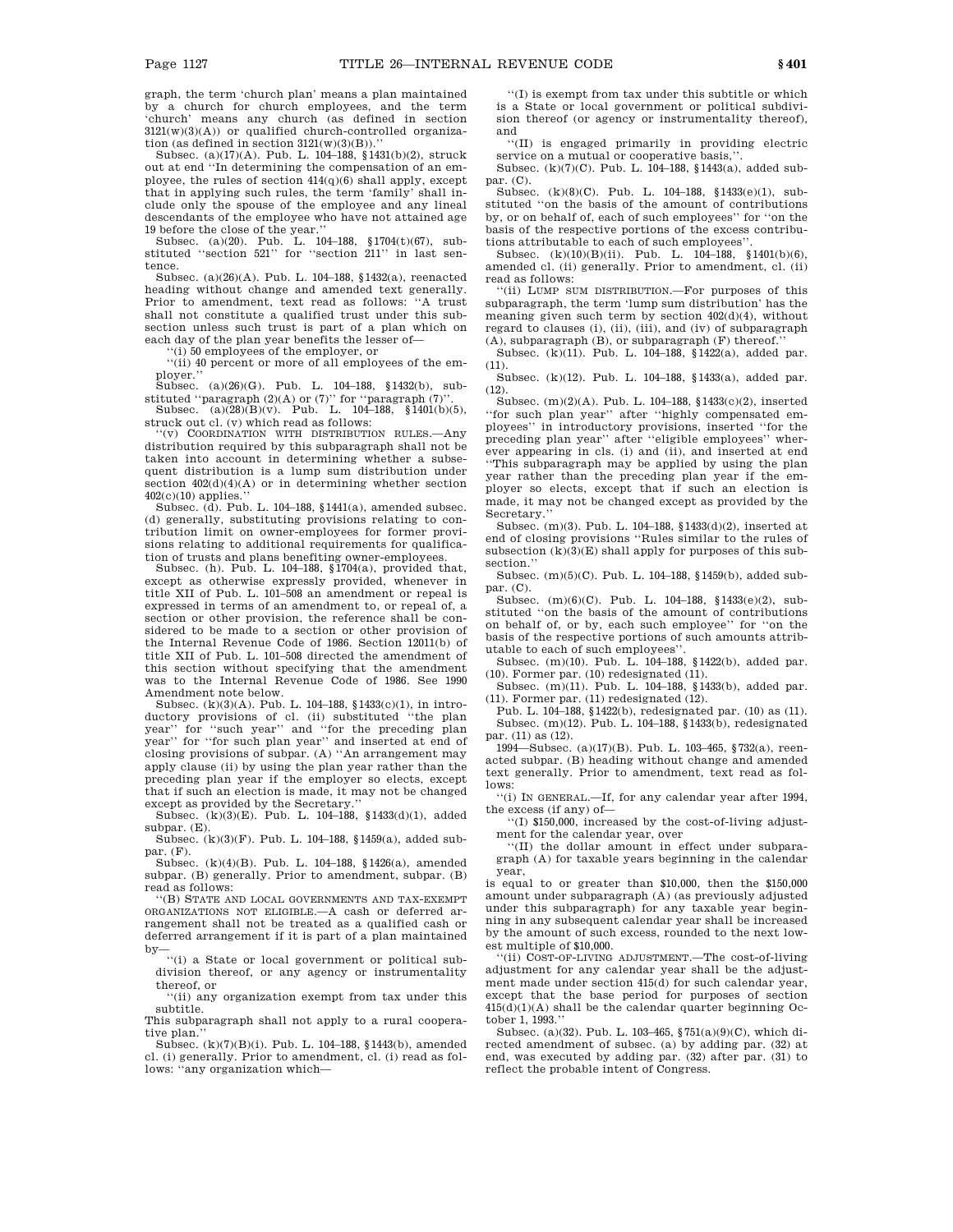graph, the term 'church plan' means a plan maintained by a church for church employees, and the term 'church' means any church (as defined in section  $3121(w)(3)(A)$  or qualified church-controlled organization (as defined in section  $3121(w)(3)(B)$ ).''

Subsec. (a)(17)(A). Pub. L. 104–188, §1431(b)(2), struck out at end ''In determining the compensation of an employee, the rules of section 414(q)(6) shall apply, except that in applying such rules, the term 'family' shall include only the spouse of the employee and any lineal descendants of the employee who have not attained age

19 before the close of the year.'' Subsec. (a)(20). Pub. L. 104–188, §1704(t)(67), substituted ''section 521'' for ''section 211'' in last sentence.

Subsec. (a)(26)(A). Pub. L. 104–188, §1432(a), reenacted heading without change and amended text generally. Prior to amendment, text read as follows: ''A trust shall not constitute a qualified trust under this subsection unless such trust is part of a plan which on each day of the plan year benefits the lesser of—

(i) 50 employees of the employer, or

''(ii) 40 percent or more of all employees of the em-

ployer.'' Subsec. (a)(26)(G). Pub. L. 104–188, §1432(b), substituted "paragraph  $(2)(A)$  or  $(7)$ " for "paragraph  $(7)$ 

Subsec. (a)(28)(B)(v). Pub. L. 104–188, §1401(b)(5), struck out cl. (v) which read as follows:

''(v) COORDINATION WITH DISTRIBUTION RULES.—Any distribution required by this subparagraph shall not be taken into account in determining whether a subsequent distribution is a lump sum distribution under section 402(d)(4)(A) or in determining whether section 402(c)(10) applies.''

Subsec. (d). Pub. L. 104–188, §1441(a), amended subsec. (d) generally, substituting provisions relating to contribution limit on owner-employees for former provisions relating to additional requirements for qualification of trusts and plans benefiting owner-employees.

Subsec. (h). Pub. L. 104–188, §1704(a), provided that, except as otherwise expressly provided, whenever in title XII of Pub. L. 101–508 an amendment or repeal is expressed in terms of an amendment to, or repeal of, a section or other provision, the reference shall be considered to be made to a section or other provision of the Internal Revenue Code of 1986. Section 12011(b) of title XII of Pub. L. 101–508 directed the amendment of this section without specifying that the amendment was to the Internal Revenue Code of 1986. See 1990 Amendment note below.

Subsec. (k)(3)(A). Pub. L. 104–188, §1433(c)(1), in introductory provisions of cl. (ii) substituted ''the plan year'' for ''such year'' and ''for the preceding plan year'' for ''for such year'' and ''' one preceding plant closing provisions of subpar. (A) ''An arrangement may apply clause (ii) by using the plan year rather than the preceding plan year if the employer so elects, except that if such an election is made, it may not be changed except as provided by the Secretary.''

Subsec. (k)(3)(E). Pub. L. 104–188, §1433(d)(1), added subpar. (E).

Subsec. (k)(3)(F). Pub. L. 104–188, §1459(a), added subpar. (F).

Subsec. (k)(4)(B). Pub. L. 104–188, §1426(a), amended subpar. (B) generally. Prior to amendment, subpar. (B) read as follows:

''(B) STATE AND LOCAL GOVERNMENTS AND TAX-EXEMPT ORGANIZATIONS NOT ELIGIBLE.—A cash or deferred arrangement shall not be treated as a qualified cash or deferred arrangement if it is part of a plan maintained by—

''(i) a State or local government or political subdivision thereof, or any agency or instrumentality thereof, or

''(ii) any organization exempt from tax under this subtitle.

This subparagraph shall not apply to a rural cooperative plan.''

Subsec. (k)(7)(B)(i). Pub. L. 104–188, §1443(b), amended cl. (i) generally. Prior to amendment, cl. (i) read as follows: ''any organization which—

''(I) is exempt from tax under this subtitle or which is a State or local government or political subdivision thereof (or agency or instrumentality thereof), and

''(II) is engaged primarily in providing electric service on a mutual or cooperative basis,''.

Subsec. (k)(7)(C). Pub. L. 104–188, §1443(a), added subpar. (C).

Subsec. (k)(8)(C). Pub. L. 104–188, §1433(e)(1), substituted ''on the basis of the amount of contributions by, or on behalf of, each of such employees'' for ''on the basis of the respective portions of the excess contributions attributable to each of such employees''.

Subsec. (k)(10)(B)(ii). Pub. L. 104–188, §1401(b)(6), amended cl. (ii) generally. Prior to amendment, cl. (ii) read as follows:

''(ii) LUMP SUM DISTRIBUTION.—For purposes of this subparagraph, the term 'lump sum distribution' has the meaning given such term by section 402(d)(4), without regard to clauses (i), (ii), (iii), and (iv) of subparagraph

(A), subparagraph (B), or subparagraph (F) thereof.'' Subsec. (k)(11). Pub. L. 104–188, §1422(a), added par. (11).

Subsec. (k)(12). Pub. L. 104–188, §1433(a), added par.  $(12).$ 

Subsec. (m)(2)(A). Pub. L. 104–188, §1433(c)(2), inserted ''for such plan year'' after ''highly compensated employees'' in introductory provisions, inserted ''for the preceding plan year'' after ''eligible employees'' wherever appearing in cls. (i) and (ii), and inserted at end ''This subparagraph may be applied by using the plan year rather than the preceding plan year if the employer so elects, except that if such an election is made, it may not be changed except as provided by the Secretary.''

Subsec. (m)(3). Pub. L. 104–188, §1433(d)(2), inserted at end of closing provisions ''Rules similar to the rules of subsection  $(k)(3)(E)$  shall apply for purposes of this subsection.''

Subsec. (m)(5)(C). Pub. L. 104–188, §1459(b), added sub $par. (C).$ 

Subsec. (m)(6)(C). Pub. L. 104–188, §1433(e)(2), substituted ''on the basis of the amount of contributions on behalf of, or by, each such employee'' for ''on the basis of the respective portions of such amounts attributable to each of such employees''.

Subsec. (m)(10). Pub. L. 104–188, §1422(b), added par.  $(10)$ . Former par.  $(10)$  redesignated  $(11)$ .

Subsec. (m)(11). Pub. L. 104–188, §1433(b), added par. (11). Former par. (11) redesignated (12).

Pub. L. 104–188, §1422(b), redesignated par. (10) as (11). Subsec. (m)(12). Pub. L. 104–188, §1433(b), redesignated par. (11) as (12).

1994—Subsec. (a)(17)(B). Pub. L. 103–465, §732(a), reenacted subpar. (B) heading without change and amended text generally. Prior to amendment, text read as follows:

''(i) IN GENERAL.—If, for any calendar year after 1994, the excess (if any) of—

''(I) \$150,000, increased by the cost-of-living adjustment for the calendar year, over

''(II) the dollar amount in effect under subparagraph (A) for taxable years beginning in the calendar year,

is equal to or greater than \$10,000, then the \$150,000 amount under subparagraph (A) (as previously adjusted under this subparagraph) for any taxable year beginning in any subsequent calendar year shall be increased by the amount of such excess, rounded to the next lowest multiple of \$10,000.

''(ii) COST-OF-LIVING ADJUSTMENT.—The cost-of-living adjustment for any calendar year shall be the adjustment made under section 415(d) for such calendar year, except that the base period for purposes of section  $415(d)(1)(A)$  shall be the calendar quarter beginning October 1, 1993.''

Subsec. (a)(32). Pub. L. 103–465, §751(a)(9)(C), which directed amendment of subsec. (a) by adding par. (32) at end, was executed by adding par. (32) after par. (31) to reflect the probable intent of Congress.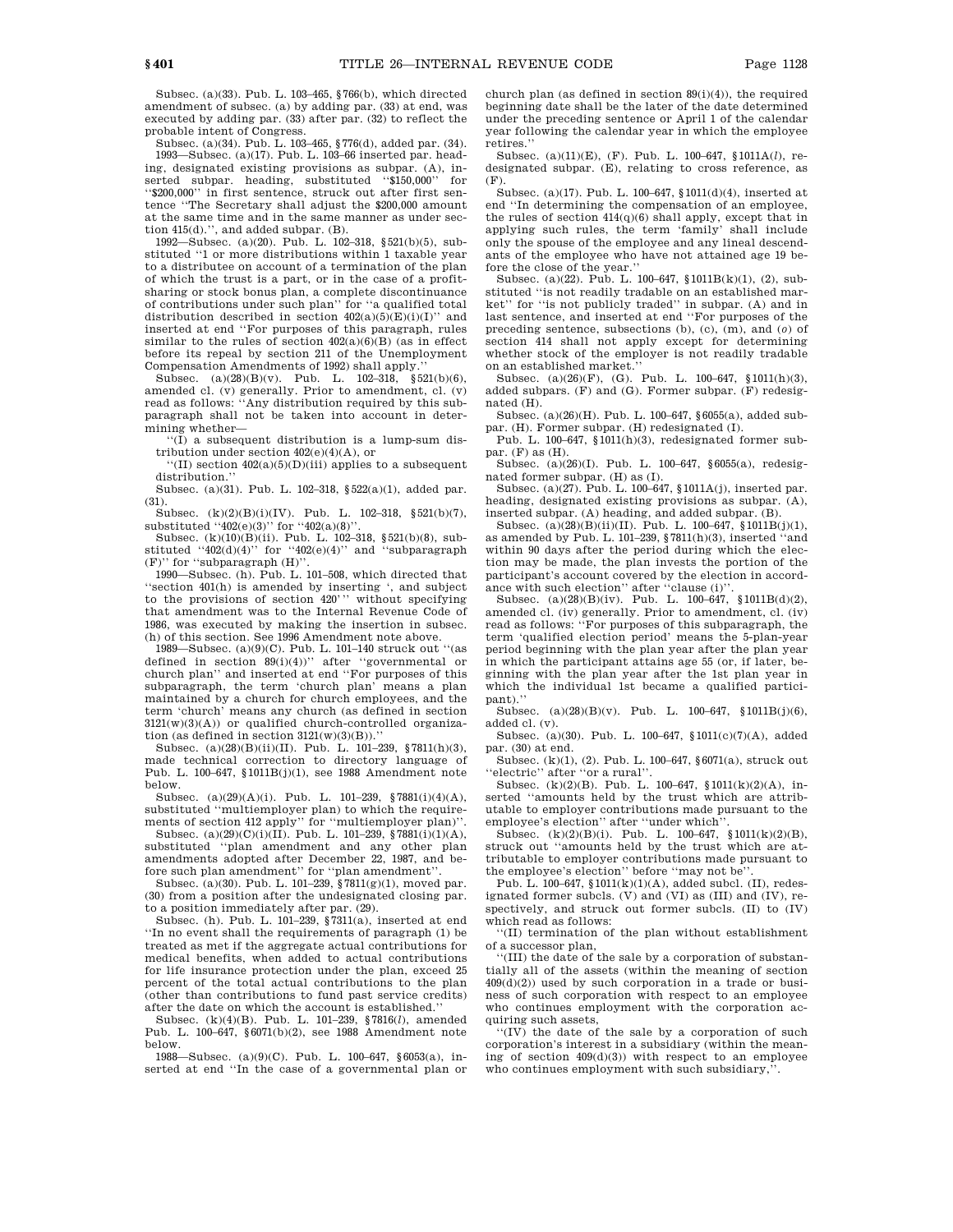Subsec. (a)(33). Pub. L. 103–465, §766(b), which directed amendment of subsec. (a) by adding par. (33) at end, was executed by adding par. (33) after par. (32) to reflect the probable intent of Congress.

Subsec. (a)(34). Pub. L. 103–465, §776(d), added par. (34). 1993—Subsec. (a)(17). Pub. L. 103–66 inserted par. heading, designated existing provisions as subpar. (A), inserted subpar. heading, substituted ''\$150,000'' for ''\$200,000'' in first sentence, struck out after first sentence ''The Secretary shall adjust the \$200,000 amount at the same time and in the same manner as under section 415(d).'', and added subpar. (B).

1992—Subsec. (a)(20). Pub. L. 102–318, §521(b)(5), substituted ''1 or more distributions within 1 taxable year to a distributee on account of a termination of the plan of which the trust is a part, or in the case of a profitsharing or stock bonus plan, a complete discontinuance of contributions under such plan'' for ''a qualified total distribution described in section  $402(a)(5)(E)(i)(I)$ " and inserted at end ''For purposes of this paragraph, rules similar to the rules of section  $402(a)(6)$ (B) (as in effect before its repeal by section 211 of the Unemployment Compensation Amendments of 1992) shall apply.

Subsec.  $(a)(28)(B)(v)$ . Pub. L.  $102-318$ ,  $\S 521(b)(6)$ , amended cl.  $(v)$  generally. Prior to amendment, cl.  $(v)$ read as follows: "Any distribution required by this subparagraph shall not be taken into account in determining whether—

 $\sqrt{\text{I}}$  a subsequent distribution is a lump-sum distribution under section 402(e)(4)(A), or

''(II) section 402(a)(5)(D)(iii) applies to a subsequent distribution.

Subsec. (a)(31). Pub. L. 102–318, §522(a)(1), added par. (31).

Subsec. (k)(2)(B)(i)(IV). Pub. L. 102-318, §521(b)(7), substituted  $(402(e)(3))$  for  $(402(a)(8))$ .

Subsec. (k)(10)(B)(ii). Pub. L. 102–318, §521(b)(8), substituted " $402(d)(4)$ " for " $402(e)(4)$ " and "subparagraph" (F)'' for ''subparagraph (H)''.

1990—Subsec. (h). Pub. L. 101–508, which directed that ''section 401(h) is amended by inserting ', and subject to the provisions of section 420''' without specifying that amendment was to the Internal Revenue Code of 1986, was executed by making the insertion in subsec. (h) of this section. See 1996 Amendment note above.

1989—Subsec. (a)(9)(C). Pub. L. 101–140 struck out ''(as defined in section 89(i)(4))'' after ''governmental or church plan'' and inserted at end ''For purposes of this subparagraph, the term 'church plan' means a plan maintained by a church for church employees, and the term 'church' means any church (as defined in section 3121(w)(3)(A)) or qualified church-controlled organization (as defined in section  $3121(w)(3)(B)$ ).'

Subsec. (a)(28)(B)(ii)(II). Pub. L. 101–239, §7811(h)(3), made technical correction to directory language of Pub. L. 100–647, §1011B(j)(1), see 1988 Amendment note below.

Subsec. (a)(29)(A)(i). Pub. L. 101–239, §7881(i)(4)(A), substituted "multiemployer plan) to which the requirements of section 412 apply'' for ''multiemployer plan)''.

Subsec. (a)(29)(C)(i)(II). Pub. L. 101–239, §7881(i)(1)(A), substituted ''plan amendment and any other plan amendments adopted after December 22, 1987, and be-fore such plan amendment'' for ''plan amendment''.

Subsec. (a)(30). Pub. L. 101–239, §7811(g)(1), moved par. (30) from a position after the undesignated closing par. to a position immediately after par. (29).

Subsec. (h). Pub. L. 101–239, §7311(a), inserted at end ''In no event shall the requirements of paragraph (1) be treated as met if the aggregate actual contributions for medical benefits, when added to actual contributions for life insurance protection under the plan, exceed 25 percent of the total actual contributions to the plan (other than contributions to fund past service credits) after the date on which the account is established.''

Subsec. (k)(4)(B). Pub. L. 101–239, §7816(*l*), amended Pub. L. 100–647, §6071(b)(2), see 1988 Amendment note below.

1988—Subsec. (a)(9)(C). Pub. L. 100–647, §6053(a), inserted at end ''In the case of a governmental plan or church plan (as defined in section 89(i)(4)), the required beginning date shall be the later of the date determined under the preceding sentence or April 1 of the calendar year following the calendar year in which the employee retires.''

Subsec. (a)(11)(E), (F). Pub. L. 100–647, §1011A(*l*), redesignated subpar. (E), relating to cross reference, as (F).

Subsec. (a)(17). Pub. L. 100–647, §1011(d)(4), inserted at end ''In determining the compensation of an employee, the rules of section 414(q)(6) shall apply, except that in applying such rules, the term 'family' shall include only the spouse of the employee and any lineal descendants of the employee who have not attained age 19 before the close of the year.''

Subsec. (a)(22). Pub. L. 100–647, §1011B(k)(1), (2), substituted ''is not readily tradable on an established market'' for ''is not publicly traded'' in subpar. (A) and in last sentence, and inserted at end ''For purposes of the preceding sentence, subsections (b), (c), (m), and (*o*) of section 414 shall not apply except for determining whether stock of the employer is not readily tradable on an established market.

Subsec. (a)(26)(F), (G). Pub. L. 100–647, §1011(h)(3), added subpars.  $(F)$  and  $(G)$ . Former subpar.  $(F)$  redesignated (H).

Subsec. (a)(26)(H). Pub. L. 100–647, §6055(a), added subpar. (H). Former subpar. (H) redesignated (I).

Pub. L. 100–647, §1011(h)(3), redesignated former subpar. (F) as (H).

Subsec. (a)(26)(I). Pub. L. 100–647, §6055(a), redesignated former subpar. (H) as (I).

Subsec. (a)(27). Pub. L. 100–647, §1011A(j), inserted par. heading, designated existing provisions as subpar. (A), inserted subpar. (A) heading, and added subpar. (B).

Subsec. (a)(28)(B)(ii)(II). Pub. L. 100–647, §1011B(j)(1), as amended by Pub. L. 101–239, §7811(h)(3), inserted ''and within 90 days after the period during which the election may be made, the plan invests the portion of the participant's account covered by the election in accordance with such election'' after ''clause (i)''.

Subsec. (a)(28)(B)(iv). Pub. L. 100–647, §1011B(d)(2), amended cl. (iv) generally. Prior to amendment, cl. (iv) read as follows: ''For purposes of this subparagraph, the term 'qualified election period' means the 5-plan-year period beginning with the plan year after the plan year in which the participant attains age 55 (or, if later, beginning with the plan year after the 1st plan year in which the individual 1st became a qualified participant).''

Subsec. (a)(28)(B)(v). Pub. L. 100–647,  $$1011B(j)(6)$ , added cl. (v).

Subsec. (a)(30). Pub. L. 100–647, §1011(c)(7)(A), added par. (30) at end.

Subsec. (k)(1), (2). Pub. L. 100–647, §6071(a), struck out 'electric'' after "or a rural".

Subsec. (k)(2)(B). Pub. L. 100–647, §1011(k)(2)(A), inserted ''amounts held by the trust which are attributable to employer contributions made pursuant to the employee's election" after "under which"

Subsec.  $(k)(2)(B)(i)$ . Pub. L. 100–647, §1011 $(k)(2)(B)$ , struck out ''amounts held by the trust which are attributable to employer contributions made pursuant to the employee's election" before "may not be

Pub. L. 100–647,  $$1011(k)(1)(A)$ , added subcl. (II), redesignated former subcls.  $(V)$  and  $(VI)$  as  $(III)$  and  $(IV)$ , respectively, and struck out former subcls. (II) to (IV) which read as follows:

''(II) termination of the plan without establishment of a successor plan,

''(III) the date of the sale by a corporation of substantially all of the assets (within the meaning of section 409(d)(2)) used by such corporation in a trade or business of such corporation with respect to an employee who continues employment with the corporation acquiring such assets,

''(IV) the date of the sale by a corporation of such corporation's interest in a subsidiary (within the meaning of section  $409(d)(3)$  with respect to an employee who continues employment with such subsidiary,''.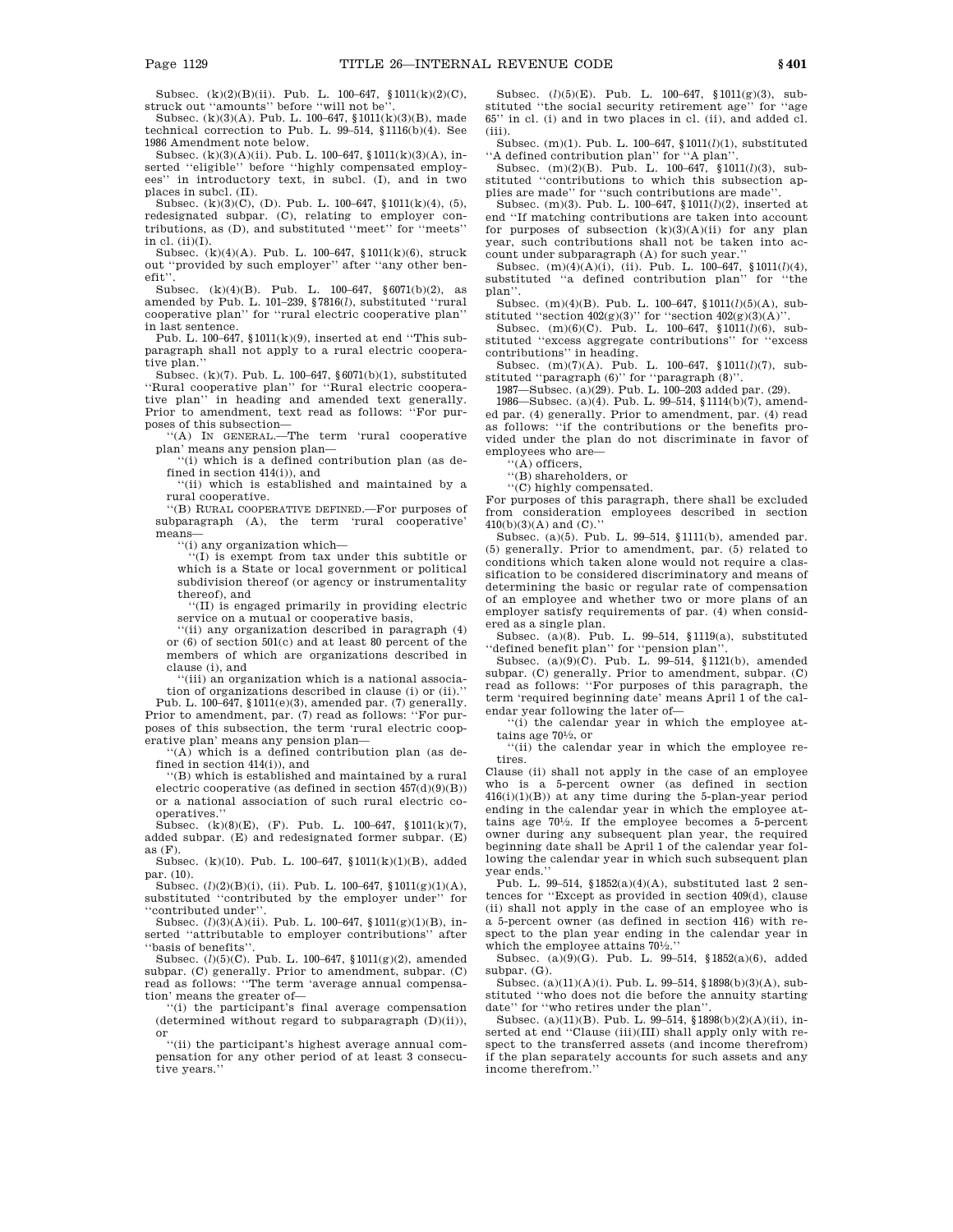Subsec. (k)(2)(B)(ii). Pub. L. 100–647, §1011(k)(2)(C), struck out "amounts" before "will not be

Subsec. (k)(3)(A). Pub. L. 100–647, §1011(k)(3)(B), made technical correction to Pub. L. 99–514, §1116(b)(4). See 1986 Amendment note below.

Subsec. (k)(3)(A)(ii). Pub. L. 100–647, §1011(k)(3)(A), inserted ''eligible'' before ''highly compensated employees'' in introductory text, in subcl. (I), and in two places in subcl. (II).

Subsec. (k)(3)(C), (D). Pub. L. 100–647, §1011(k)(4), (5), redesignated subpar. (C), relating to employer contributions, as (D), and substituted ''meet'' for ''meets'' in cl.  $(ii)(I)$ .

Subsec. (k)(4)(A). Pub. L. 100–647, §1011(k)(6), struck out ''provided by such employer'' after ''any other benefit''.

Subsec. (k)(4)(B). Pub. L. 100–647, §6071(b)(2), as amended by Pub. L. 101–239, §7816(*l*), substituted ''rural cooperative plan'' for ''rural electric cooperative plan'' in last sentence.

Pub. L. 100–647, §1011(k)(9), inserted at end ''This subparagraph shall not apply to a rural electric cooperative plan.''

Subsec. (k)(7). Pub. L. 100–647, §6071(b)(1), substituted ''Rural cooperative plan'' for ''Rural electric cooperative plan'' in heading and amended text generally. Prior to amendment, text read as follows: ''For pur-

poses of this subsection— ''(A) IN GENERAL.—The term 'rural cooperative plan' means any pension plan—

'(i) which is a defined contribution plan (as defined in section 414(i)), and

''(ii) which is established and maintained by a rural cooperative.

''(B) RURAL COOPERATIVE DEFINED.—For purposes of subparagraph (A), the term 'rural cooperative' means—

''(i) any organization which—

''(I) is exempt from tax under this subtitle or which is a State or local government or political subdivision thereof (or agency or instrumentality thereof), and

''(II) is engaged primarily in providing electric service on a mutual or cooperative basis,

''(ii) any organization described in paragraph (4) or (6) of section 501(c) and at least 80 percent of the members of which are organizations described in clause (i), and

''(iii) an organization which is a national association of organizations described in clause (i) or (ii).

Pub. L. 100–647, §1011(e)(3), amended par. (7) generally. Prior to amendment, par. (7) read as follows: ''For purposes of this subsection, the term 'rural electric cooperative plan' means any pension plan—

''(A) which is a defined contribution plan (as defined in section 414(i)), and

''(B) which is established and maintained by a rural electric cooperative (as defined in section 457(d)(9)(B)) or a national association of such rural electric cooperatives.

Subsec. (k)(8)(E), (F). Pub. L. 100-647,  $$1011(k)(7)$ , added subpar. (E) and redesignated former subpar. (E) as  $(F)$ .

Subsec. (k)(10). Pub. L. 100–647, §1011(k)(1)(B), added par. (10).

Subsec. (*l*)(2)(B)(i), (ii). Pub. L. 100-647, §1011(g)(1)(A), substituted ''contributed by the employer under'' for ''contributed under''.

Subsec. ( $l$ )(3)(A)(ii). Pub. L. 100–647, §1011(g)(1)(B), inserted ''attributable to employer contributions'' after ''basis of benefits''.

Subsec. (*l*)(5)(C). Pub. L. 100–647, §1011(g)(2), amended subpar. (C) generally. Prior to amendment, subpar. (C) read as follows: ''The term 'average annual compensa-

tion' means the greater of— ''(i) the participant's final average compensation (determined without regard to subparagraph (D)(ii)), or

''(ii) the participant's highest average annual compensation for any other period of at least 3 consecutive years.''

Subsec. (*l*)(5)(E). Pub. L. 100–647, §1011(g)(3), substituted ''the social security retirement age'' for ''age 65'' in cl. (i) and in two places in cl. (ii), and added cl. (iii).

Subsec. (m)(1). Pub. L. 100–647, §1011(*l*)(1), substituted "A defined contribution plan" for "A plan

Subsec. (m)(2)(B). Pub. L. 100–647, §1011(*l*)(3), substituted ''contributions to which this subsection applies are made'' for ''such contributions are made''.

Subsec. (m)(3). Pub. L. 100–647, §1011(*l*)(2), inserted at end ''If matching contributions are taken into account for purposes of subsection  $(k)(3)(A)(ii)$  for any plan year, such contributions shall not be taken into account under subparagraph (A) for such year.

Subsec. (m)(4)(A)(i), (ii). Pub. L. 100–647, §1011(*l*)(4), substituted ''a defined contribution plan'' for ''the plan''.

Subsec. (m)(4)(B). Pub. L. 100–647, §1011(*l*)(5)(A), substituted "section  $402(g)(3)$ " for "section  $402(g)(3)(A)$ "

Subsec. (m)(6)(C). Pub. L. 100–647, §1011(*l*)(6), substituted ''excess aggregate contributions'' for ''excess contributions'' in heading.

Subsec. (m)(7)(A). Pub. L. 100–647, §1011(*l*)(7), sub-

stituted ''paragraph (6)'' for ''paragraph (8)''. 1987—Subsec. (a)(29). Pub. L. 100–203 added par. (29).

1986—Subsec. (a)(4). Pub. L. 99–514, §1114(b)(7), amended par. (4) generally. Prior to amendment, par. (4) read as follows: ''if the contributions or the benefits provided under the plan do not discriminate in favor of employees who are—

''(A) officers,

''(B) shareholders, or

''(C) highly compensated.

For purposes of this paragraph, there shall be excluded from consideration employees described in section  $410(b)(3)(A)$  and  $(C)$ .

Subsec. (a)(5). Pub. L. 99–514, §1111(b), amended par. (5) generally. Prior to amendment, par. (5) related to conditions which taken alone would not require a classification to be considered discriminatory and means of determining the basic or regular rate of compensation of an employee and whether two or more plans of an employer satisfy requirements of par. (4) when considered as a single plan.

Subsec. (a)(8). Pub. L. 99–514, §1119(a), substituted ''defined benefit plan'' for ''pension plan''.

Subsec.  $(a)(9)(C)$ . Pub. L. 99–514, §1121(b), amended subpar. (C) generally. Prior to amendment, subpar. (C) read as follows: ''For purposes of this paragraph, the term 'required beginning date' means April 1 of the calendar year following the later of—

''(i) the calendar year in which the employee attains age 701 ⁄2, or

''(ii) the calendar year in which the employee retires.

Clause (ii) shall not apply in the case of an employee who is a 5-percent owner (as defined in section  $416(i)(1)(B)$  at any time during the 5-plan-year period ending in the calendar year in which the employee attains age 701 ⁄2. If the employee becomes a 5-percent owner during any subsequent plan year, the required beginning date shall be April 1 of the calendar year following the calendar year in which such subsequent plan year ends.''

Pub. L. 99–514, §1852(a)(4)(A), substituted last 2 sentences for ''Except as provided in section 409(d), clause (ii) shall not apply in the case of an employee who is a 5-percent owner (as defined in section 416) with respect to the plan year ending in the calendar year in which the employee attains 701 ⁄2.''

Subsec. (a)(9)(G). Pub. L. 99–514, §1852(a)(6), added subpar. (G).

Subsec. (a)(11)(A)(i). Pub. L. 99–514, §1898(b)(3)(A), substituted ''who does not die before the annuity starting date'' for "who retires under the plan"

Subsec. (a)(11)(B). Pub. L. 99–514, §1898(b)(2)(A)(ii), inserted at end "Clause (iii)(III) shall apply only with respect to the transferred assets (and income therefrom) if the plan separately accounts for such assets and any income therefrom.''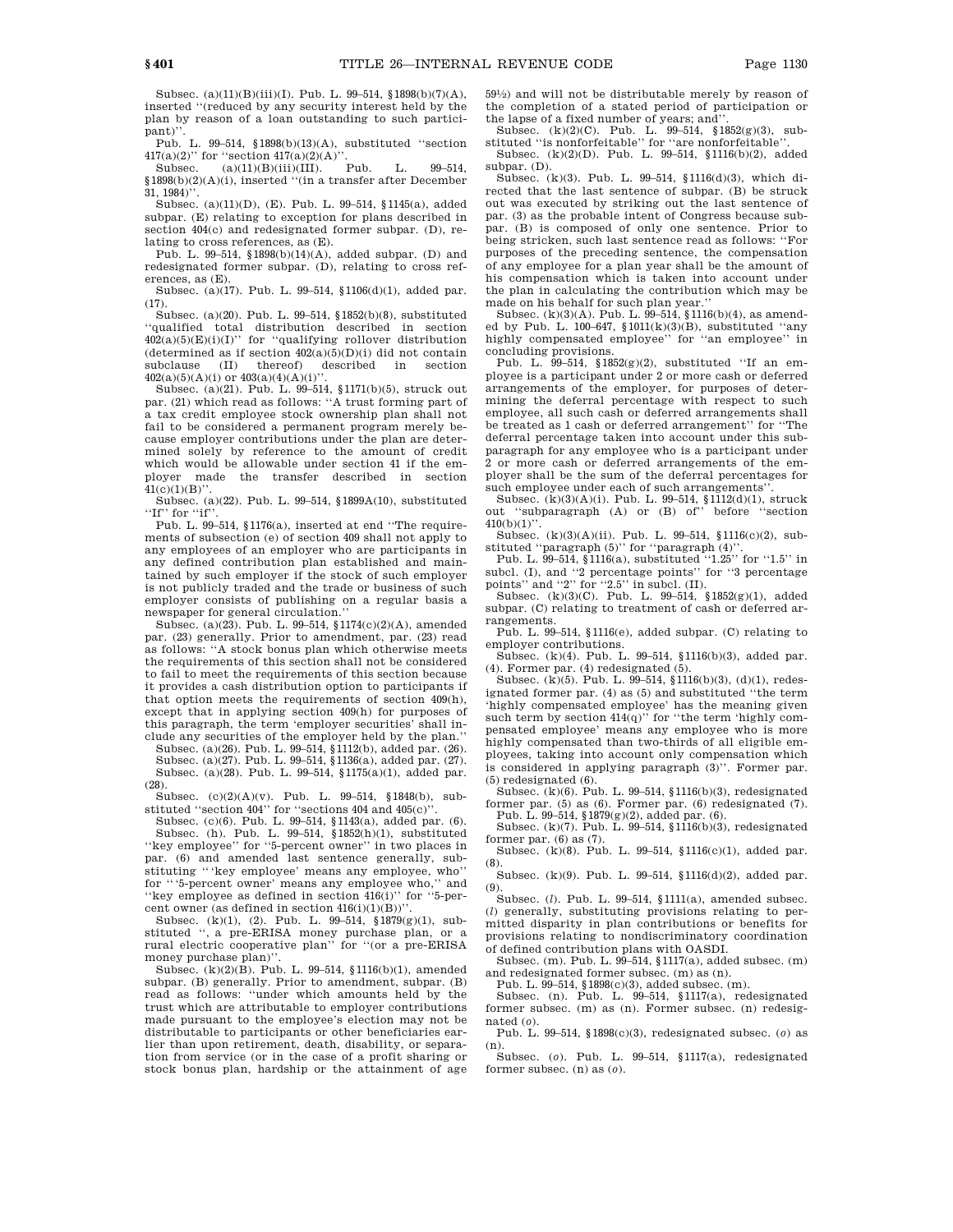Subsec. (a)(11)(B)(iii)(I). Pub. L. 99–514, §1898(b)(7)(A), inserted ''(reduced by any security interest held by the plan by reason of a loan outstanding to such participant)''.

Pub. L. 99–514, §1898(b)(13)(A), substituted ''section  $417(a)(2)$ " for "section  $417(a)(2)(A)$ ".<br>Subsec. (a)(11)(B)(iii)(III). Pub.

 $(a)(11)(B)(iii)(III)$ . Pub. L. 99-514, §1898(b)(2)(A)(i), inserted ''(in a transfer after December 31, 1984)''.

Subsec. (a)(11)(D), (E). Pub. L. 99–514, §1145(a), added subpar. (E) relating to exception for plans described in section 404(c) and redesignated former subpar. (D), relating to cross references, as (E).

Pub. L. 99–514, §1898(b)(14)(A), added subpar. (D) and redesignated former subpar. (D), relating to cross references, as (E).

Subsec. (a)(17). Pub. L. 99–514, §1106(d)(1), added par. (17).

Subsec. (a)(20). Pub. L. 99–514, §1852(b)(8), substituted ''qualified total distribution described in section  $402(a)(5)(E)(i)(I)$ " for "qualifying rollover distribution (determined as if section  $402(a)(5)(D)(i)$  did not contain<br>subclause (II) thereof) described in section described 402(a)(5)(A)(i) or 403(a)(4)(A)(i)''.

Subsec. (a)(21). Pub. L. 99–514, §1171(b)(5), struck out par. (21) which read as follows: ''A trust forming part of a tax credit employee stock ownership plan shall not fail to be considered a permanent program merely because employer contributions under the plan are determined solely by reference to the amount of credit which would be allowable under section 41 if the employer made the transfer described in section  $41(c)(1)(B)$ ".

Subsec. (a)(22). Pub. L. 99–514, §1899A(10), substituted  $\cdot$ 'If'' for  $\cdot$ 'if''

Pub. L. 99–514, §1176(a), inserted at end ''The requirements of subsection (e) of section 409 shall not apply to any employees of an employer who are participants in any defined contribution plan established and maintained by such employer if the stock of such employer is not publicly traded and the trade or business of such employer consists of publishing on a regular basis a newspaper for general circulation.''

Subsec. (a)(23). Pub. L. 99–514, §1174(c)(2)(A), amended par. (23) generally. Prior to amendment, par. (23) read as follows: ''A stock bonus plan which otherwise meets the requirements of this section shall not be considered to fail to meet the requirements of this section because it provides a cash distribution option to participants if that option meets the requirements of section 409(h), except that in applying section 409(h) for purposes of this paragraph, the term 'employer securities' shall include any securities of the employer held by the plan.''

Subsec. (a)(26). Pub. L. 99–514, §1112(b), added par. (26). Subsec. (a)(27). Pub. L. 99–514, §1136(a), added par. (27). Subsec. (a)(28). Pub. L. 99–514, §1175(a)(1), added par. (28).

Subsec. (c)(2)(A)(v). Pub. L. 99–514, §1848(b), substituted "section 404" for "sections 404 and 405(c)".

Subsec. (c)(6). Pub. L. 99–514, §1143(a), added par. (6). Subsec. (h). Pub. L. 99–514, §1852(h)(1), substituted ''key employee'' for ''5-percent owner'' in two places in par. (6) and amended last sentence generally, sub-

stituting '''key employee' means any employee, who'' for '''5-percent owner' means any employee who,'' and 'key employee as defined in section  $416(i)$ " for "5-percent owner (as defined in section  $416(i)(1)(B))$ "

Subsec. (k)(1), (2). Pub. L. 99–514, §1879(g)(1), substituted '', a pre-ERISA money purchase plan, or a rural electric cooperative plan'' for ''(or a pre-ERISA money purchase plan)''.

Subsec. (k)(2)(B). Pub. L. 99–514, §1116(b)(1), amended subpar. (B) generally. Prior to amendment, subpar. (B) read as follows: ''under which amounts held by the trust which are attributable to employer contributions made pursuant to the employee's election may not be distributable to participants or other beneficiaries earlier than upon retirement, death, disability, or separation from service (or in the case of a profit sharing or stock bonus plan, hardship or the attainment of age 591 ⁄2) and will not be distributable merely by reason of the completion of a stated period of participation or the lapse of a fixed number of years; and''.<br>Subsec.  $(k)(2)(C)$ . Pub. L. 99-514, §1852(g)(3), sub-

stituted ''is nonforfeitable'' for ''are nonforfeitable''.

Subsec. (k)(2)(D). Pub. L. 99–514, §1116(b)(2), added subpar. (D).  $Subsec. (k)(3)$ . Pub. L. 99–514, §1116(d)(3), which di-

rected that the last sentence of subpar. (B) be struck out was executed by striking out the last sentence of par. (3) as the probable intent of Congress because subpar. (B) is composed of only one sentence. Prior to being stricken, such last sentence read as follows: ''For purposes of the preceding sentence, the compensation of any employee for a plan year shall be the amount of his compensation which is taken into account under the plan in calculating the contribution which may be made on his behalf for such plan year.''

Subsec. (k)(3)(A). Pub. L. 99-514, §1116(b)(4), as amended by Pub. L. 100–647, §1011(k)(3)(B), substituted ''any highly compensated employee'' for ''an employee'' in concluding provisions.

Pub. L. 99–514, §1852(g)(2), substituted ''If an employee is a participant under 2 or more cash or deferred arrangements of the employer, for purposes of determining the deferral percentage with respect to such employee, all such cash or deferred arrangements shall be treated as 1 cash or deferred arrangement'' for ''The deferral percentage taken into account under this subparagraph for any employee who is a participant under 2 or more cash or deferred arrangements of the employer shall be the sum of the deferral percentages for such employee under each of such arrangements'

Subsec. (k)(3)(A)(i). Pub. L. 99–514, §1112(d)(1), struck out ''subparagraph (A) or (B) of'' before ''section  $410(b)(1)$ ".

Subsec. (k)(3)(A)(ii). Pub. L. 99–514, §1116(c)(2), sub-

stituted ''paragraph (5)'' for ''paragraph (4)''. Pub. L. 99–514, §1116(a), substituted ''1.25'' for ''1.5'' in subcl. (I), and "2 percentage points" for "3 percentage

points'' and ''2'' for ''2.5'' in subcl. (II).<br>Subsec. (k)(3)(C). Pub. L. 99–514, §1852(g)(1), added subpar. (C) relating to treatment of cash or deferred arrangements.

Pub. L. 99–514, §1116(e), added subpar. (C) relating to employer contributions.

Subsec. (k)(4). Pub. L. 99–514, §1116(b)(3), added par. (4). Former par. (4) redesignated (5).

Subsec. (k)(5). Pub. L. 99–514, §1116(b)(3), (d)(1), redesignated former par. (4) as (5) and substituted ''the term 'highly compensated employee' has the meaning given such term by section  $414(q)$ " for "the term 'highly compensated employee' means any employee who is more highly compensated than two-thirds of all eligible employees, taking into account only compensation which is considered in applying paragraph (3)''. Former par. (5) redesignated (6).

Subsec. (k)(6). Pub. L. 99–514, §1116(b)(3), redesignated former par. (5) as (6). Former par. (6) redesignated (7).

Pub. L. 99–514, §1879(g)(2), added par. (6). Subsec. (k)(7). Pub. L. 99–514, §1116(b)(3), redesignated former par. (6) as (7).

Subsec. (k)(8). Pub. L. 99–514, §1116(c)(1), added par. (8).

Subsec. (k)(9). Pub. L. 99–514, §1116(d)(2), added par. (9).

Subsec. (*l*). Pub. L. 99–514, §1111(a), amended subsec. (*l*) generally, substituting provisions relating to permitted disparity in plan contributions or benefits for provisions relating to nondiscriminatory coordination of defined contribution plans with OASDI.

Subsec. (m). Pub. L. 99–514, §1117(a), added subsec. (m) and redesignated former subsec. (m) as (n).

Pub. L. 99–514, §1898(c)(3), added subsec. (m). Subsec. (n). Pub. L. 99–514, §1117(a), redesignated former subsec. (m) as (n). Former subsec. (n) redesig-

nated (*o*). Pub. L. 99–514, §1898(c)(3), redesignated subsec. (*o*) as (n).

Subsec. (*o*). Pub. L. 99–514, §1117(a), redesignated former subsec. (n) as (*o*).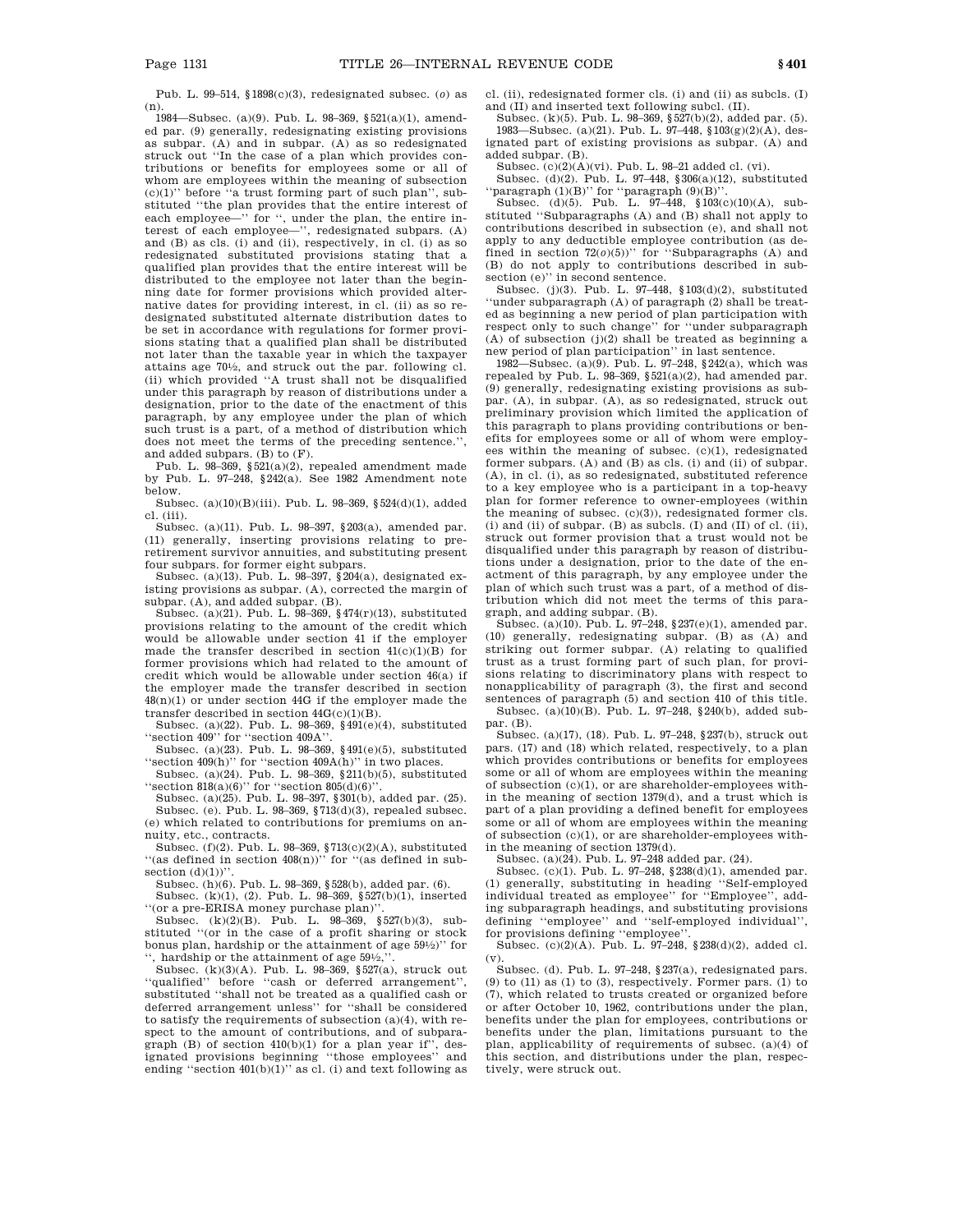Pub. L. 99–514, §1898(c)(3), redesignated subsec. (*o*) as (n).

1984—Subsec. (a)(9). Pub. L. 98–369, §521(a)(1), amended par. (9) generally, redesignating existing provisions as subpar. (A) and in subpar. (A) as so redesignated struck out ''In the case of a plan which provides contributions or benefits for employees some or all of whom are employees within the meaning of subsection  $(c)(1)$ " before "a trust forming part of such plan", substituted ''the plan provides that the entire interest of each employee—" for ", under the plan, the entire interest of each employee—'', redesignated subpars. (A) and (B) as cls. (i) and (ii), respectively, in cl. (i) as so redesignated substituted provisions stating that a qualified plan provides that the entire interest will be distributed to the employee not later than the beginning date for former provisions which provided alternative dates for providing interest, in cl. (ii) as so redesignated substituted alternate distribution dates to be set in accordance with regulations for former provisions stating that a qualified plan shall be distributed not later than the taxable year in which the taxpayer attains age 701 ⁄2, and struck out the par. following cl. (ii) which provided ''A trust shall not be disqualified under this paragraph by reason of distributions under a designation, prior to the date of the enactment of this paragraph, by any employee under the plan of which such trust is a part, of a method of distribution which does not meet the terms of the preceding sentence.' and added subpars. (B) to (F).

Pub. L. 98–369, §521(a)(2), repealed amendment made by Pub. L. 97–248, §242(a). See 1982 Amendment note below.

Subsec. (a)(10)(B)(iii). Pub. L. 98–369, §524(d)(1), added cl. (iii).

Subsec. (a)(11). Pub. L. 98–397, §203(a), amended par. (11) generally, inserting provisions relating to preretirement survivor annuities, and substituting present four subpars. for former eight subpars.

Subsec. (a)(13). Pub. L. 98–397, §204(a), designated existing provisions as subpar. (A), corrected the margin of subpar. (A), and added subpar. (B).

Subsec. (a)(21). Pub. L. 98–369, §474(r)(13), substituted provisions relating to the amount of the credit which would be allowable under section 41 if the employer made the transfer described in section  $41(c)(1)(B)$  for former provisions which had related to the amount of credit which would be allowable under section 46(a) if the employer made the transfer described in section 48(n)(1) or under section 44G if the employer made the transfer described in section 44G(c)(1)(B).

Subsec. (a)(22). Pub. L. 98–369, §491(e)(4), substituted ''section 409'' for ''section 409A''.

Subsec. (a)(23). Pub. L. 98–369, §491(e)(5), substituted "section 409(h)" for "section 409A(h)" in two places.

Subsec. (a)(24). Pub. L. 98–369, §211(b)(5), substituted "section  $818(a)(6)$ " for "section  $805(d)(6)$ ".

Subsec. (a)(25). Pub. L. 98–397, §301(b), added par. (25). Subsec. (e). Pub. L. 98–369, §713(d)(3), repealed subsec. (e) which related to contributions for premiums on annuity, etc., contracts.

Subsec. (f)(2). Pub. L. 98–369, §713(c)(2)(A), substituted  $``$ (as defined in section  $408(n)$ )" for "(as defined in subsection  $(d)(1)$ )'

Subsec. (h)(6). Pub. L. 98–369, §528(b), added par. (6).

Subsec. (k)(1), (2). Pub. L. 98–369, §527(b)(1), inserted ''(or a pre-ERISA money purchase plan)''.

Subsec. (k)(2)(B). Pub. L. 98–369, §527(b)(3), substituted ''(or in the case of a profit sharing or stock bonus plan, hardship or the attainment of age 591 ⁄2)'' for '', hardship or the attainment of age 591 ⁄2,''.

Subsec. (k)(3)(A). Pub. L. 98–369, §527(a), struck out ''qualified'' before ''cash or deferred arrangement'', substituted ''shall not be treated as a qualified cash or deferred arrangement unless'' for ''shall be considered to satisfy the requirements of subsection  $(a)(4)$ , with respect to the amount of contributions, and of subparagraph (B) of section 410(b)(1) for a plan year if'', des-ignated provisions beginning ''those employees'' and ending "section  $401(b)(1)$ " as cl. (i) and text following as

cl. (ii), redesignated former cls. (i) and (ii) as subcls. (I) and (II) and inserted text following subcl. (II).

Subsec. (k)(5). Pub. L. 98–369, §527(b)(2), added par. (5). 1983—Subsec. (a)(21). Pub. L. 97–448, §103(g)(2)(A), designated part of existing provisions as subpar. (A) and added subpar. (B).

Subsec.  $(c)(2)(A)(vi)$ . Pub. L. 98-21 added cl. (vi).

Subsec. (d)(2). Pub. L. 97–448, §306(a)(12), substituted "paragraph  $(1)(B)$ " for "paragraph  $(9)(B)$ ".<br>Subsec.  $(d)(5)$ . Pub. L. 97–448, §103(c)(10)(A), sub-

stituted ''Subparagraphs (A) and (B) shall not apply to contributions described in subsection (e), and shall not apply to any deductible employee contribution (as de-fined in section 72(*o*)(5))'' for ''Subparagraphs (A) and (B) do not apply to contributions described in subsection (e)'' in second sentence.

Subsec. (j)(3). Pub. L. 97–448, §103(d)(2), substituted 'under subparagraph (A) of paragraph (2) shall be treated as beginning a new period of plan participation with respect only to such change'' for ''under subparagraph  $(A)$  of subsection  $(j)(2)$  shall be treated as beginning a new period of plan participation'' in last sentence.

1982—Subsec. (a)(9). Pub. L. 97–248, §242(a), which was repealed by Pub. L. 98-369,  $\S 521(a)(2)$ , had amended par. (9) generally, redesignating existing provisions as subpar. (A), in subpar. (A), as so redesignated, struck out preliminary provision which limited the application of this paragraph to plans providing contributions or benefits for employees some or all of whom were employees within the meaning of subsec. (c)(1), redesignated former subpars. (A) and (B) as cls. (i) and (ii) of subpar. (A), in cl. (i), as so redesignated, substituted reference to a key employee who is a participant in a top-heavy plan for former reference to owner-employees (within the meaning of subsec. (c)(3)), redesignated former cls. (i) and (ii) of subpar. (B) as subcls. (I) and (II) of cl. (ii), struck out former provision that a trust would not be disqualified under this paragraph by reason of distributions under a designation, prior to the date of the enactment of this paragraph, by any employee under the plan of which such trust was a part, of a method of distribution which did not meet the terms of this paragraph, and adding subpar. (B).

Subsec. (a)(10). Pub. L. 97–248, §237(e)(1), amended par. (10) generally, redesignating subpar. (B) as (A) and striking out former subpar. (A) relating to qualified trust as a trust forming part of such plan, for provisions relating to discriminatory plans with respect to nonapplicability of paragraph (3), the first and second sentences of paragraph (5) and section 410 of this title.

Subsec. (a)(10)(B). Pub. L. 97–248, §240(b), added subpar. (B).

Subsec. (a)(17), (18). Pub. L. 97–248, §237(b), struck out pars. (17) and (18) which related, respectively, to a plan which provides contributions or benefits for employees some or all of whom are employees within the meaning of subsection (c)(1), or are shareholder-employees within the meaning of section 1379(d), and a trust which is part of a plan providing a defined benefit for employees some or all of whom are employees within the meaning of subsection (c)(1), or are shareholder-employees within the meaning of section 1379(d).

Subsec. (a)(24). Pub. L. 97–248 added par. (24).

Subsec. (c)(1). Pub. L. 97–248, §238(d)(1), amended par. (1) generally, substituting in heading "Self-employed individual treated as employee'' for ''Employee'', adding subparagraph headings, and substituting provisions defining ''employee'' and ''self-employed individual'', for provisions defining ''employee''.

Subsec. (c)(2)(A). Pub. L. 97–248, §238(d)(2), added cl. (v).

Subsec. (d). Pub. L. 97–248, §237(a), redesignated pars. (9) to (11) as (1) to (3), respectively. Former pars. (1) to (7), which related to trusts created or organized before or after October 10, 1962, contributions under the plan, benefits under the plan for employees, contributions or benefits under the plan, limitations pursuant to the plan, applicability of requirements of subsec. (a)(4) of this section, and distributions under the plan, respectively, were struck out.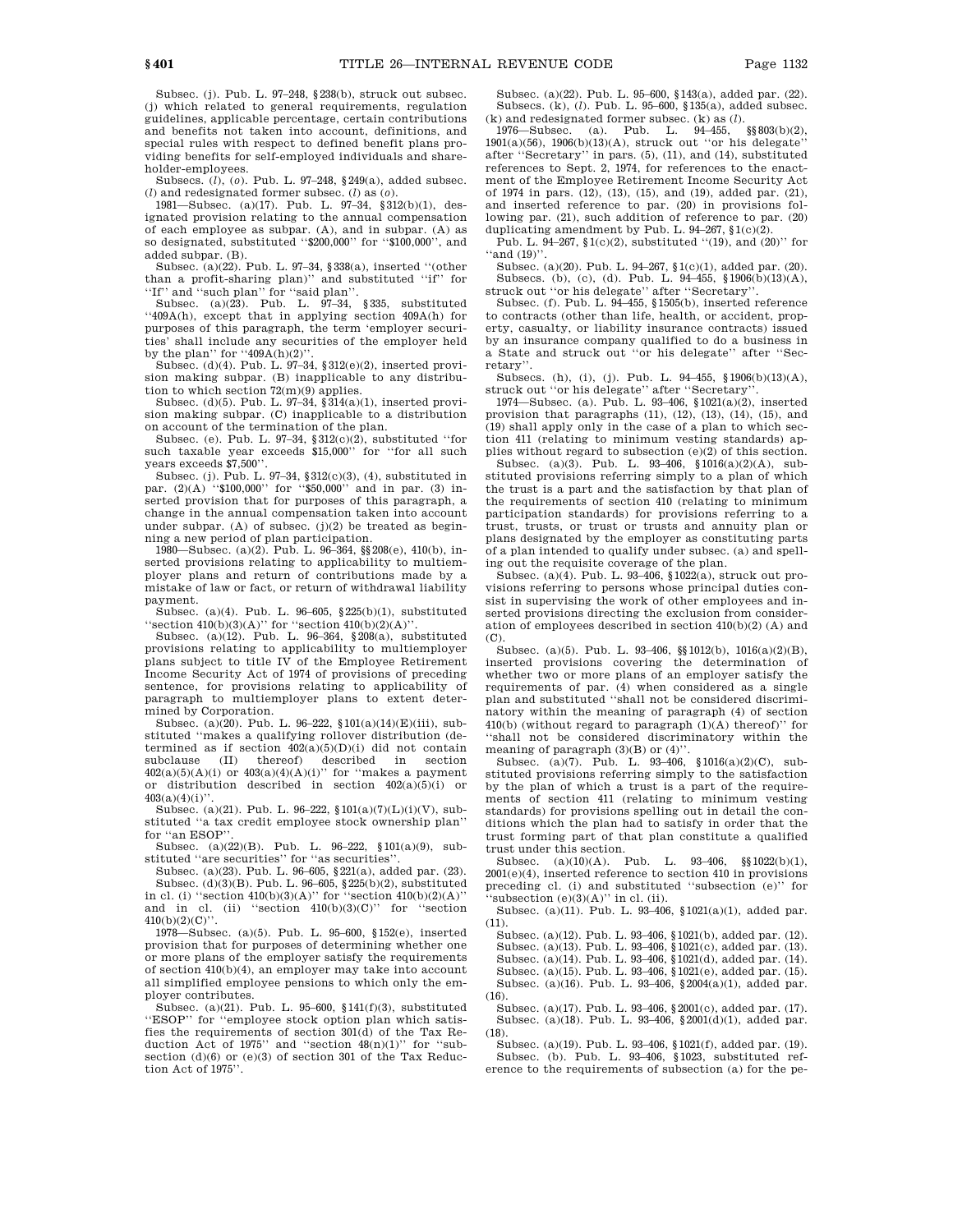Subsec. (j). Pub. L. 97–248, §238(b), struck out subsec. (j) which related to general requirements, regulation guidelines, applicable percentage, certain contributions and benefits not taken into account, definitions, and special rules with respect to defined benefit plans providing benefits for self-employed individuals and shareholder-employees.

Subsecs. (*l*), (*o*). Pub. L. 97–248, §249(a), added subsec. (*l*) and redesignated former subsec. (*l*) as (*o*).

1981—Subsec. (a)(17). Pub. L. 97–34, §312(b)(1), designated provision relating to the annual compensation of each employee as subpar. (A), and in subpar. (A) as so designated, substituted "\$200,000" for "\$100,000", and added subpar. (B).

Subsec. (a)(22). Pub. L. 97–34, §338(a), inserted ''(other than a profit-sharing plan)'' and substituted ''if'' for ''If'' and ''such plan'' for ''said plan''.

Subsec. (a) $(23)$ . Pub. L.  $97-34$ , §335, substituted ''409A(h), except that in applying section 409A(h) for purposes of this paragraph, the term 'employer securities' shall include any securities of the employer held by the plan'' for  $409A(h)(2)$ '.

Subsec. (d)(4). Pub. L. 97–34, §312(e)(2), inserted provision making subpar. (B) inapplicable to any distribution to which section  $72(m)(9)$  applies.

Subsec. (d)(5). Pub. L. 97–34, §314(a)(1), inserted provision making subpar. (C) inapplicable to a distribution on account of the termination of the plan.

Subsec. (e). Pub. L. 97-34,  $$312(c)(2)$ , substituted "for such taxable year exceeds \$15,000'' for ''for all such years exceeds \$7,500''.

Subsec. (j). Pub. L. 97–34, §312(c)(3), (4), substituted in par. (2)(A) "\$100,000" for "\$50,000" and in par. (3) inserted provision that for purposes of this paragraph, a change in the annual compensation taken into account under subpar. (A) of subsec.  $(j)(2)$  be treated as beginning a new period of plan participation.

1980—Subsec. (a)(2). Pub. L. 96–364, §§208(e), 410(b), inserted provisions relating to applicability to multiemployer plans and return of contributions made by a mistake of law or fact, or return of withdrawal liability payment.

Subsec. (a)(4). Pub. L. 96–605, §225(b)(1), substituted "section  $410(b)(3)(A)$ " for "section  $410(b)(2)(A)$ "

Subsec. (a)(12). Pub. L. 96–364, §208(a), substituted provisions relating to applicability to multiemployer plans subject to title IV of the Employee Retirement Income Security Act of 1974 of provisions of preceding sentence, for provisions relating to applicability of paragraph to multiemployer plans to extent determined by Corporation.

Subsec. (a)(20). Pub. L. 96-222,  $$101(a)(14)(E)(iii)$ , substituted ''makes a qualifying rollover distribution (determined as if section  $402(a)(5)(D)(i)$  did not contain subclause (II) thereof) described in section  $402(a)(5)(A)(i)$  or  $403(a)(4)(A)(i)$ " for "makes a payment" or distribution described in section  $402(a)(5)(i)$  or  $403(a)(4)(i)$ 

Subsec. (a)(21). Pub. L. 96–222,  $$101(a)(7)(L)(i)(V)$ , substituted ''a tax credit employee stock ownership plan'' for "an ESOP"

Subsec. (a)(22)(B). Pub. L. 96–222, §101(a)(9), substituted "are securities" for "as securities".

Subsec. (a)(23). Pub. L. 96–605, §221(a), added par. (23). Subsec. (d)(3)(B). Pub. L. 96–605, §225(b)(2), substituted in cl. (i) "section  $410(b)(3)(A)$ " for "section  $410(b)(2)(A)$ " and in cl. (ii) "section  $410(b)(3)(C)$ " for "section 410(b)(2)(C)''.

1978—Subsec. (a)(5). Pub. L. 95–600, §152(e), inserted provision that for purposes of determining whether one or more plans of the employer satisfy the requirements of section 410(b)(4), an employer may take into account all simplified employee pensions to which only the employer contributes.

Subsec. (a)(21). Pub. L. 95–600, §141(f)(3), substituted ''ESOP'' for ''employee stock option plan which satisfies the requirements of section 301(d) of the Tax Reduction Act of 1975" and "section  $48(n)(1)$ " for "subsection (d)(6) or (e)(3) of section 301 of the Tax Reduction Act of 1975''.

Subsec. (a)(22). Pub. L. 95–600, §143(a), added par. (22). Subsecs. (k), (*l*). Pub. L. 95–600, §135(a), added subsec.

(k) and redesignated former subsec. (k) as (*l*). 1976—Subsec. (a). Pub. L. 94–455, 1901(a)(56), 1906(b)(13)(A), struck out ''or his delegate'' after ''Secretary'' in pars. (5), (11), and (14), substituted references to Sept. 2, 1974, for references to the enactment of the Employee Retirement Income Security Act of 1974 in pars. (12), (13), (15), and (19), added par. (21), and inserted reference to par. (20) in provisions following par. (21), such addition of reference to par. (20) duplicating amendment by Pub. L. 94-267,  $\S1(c)(2)$ .

Pub. L. 94–267, §1(c)(2), substituted "(19), and (20)" for "and  $(19)$ "

Subsec. (a)(20). Pub. L. 94–267, §1(c)(1), added par. (20). Subsecs. (b), (c), (d). Pub. L. 94–455, §1906(b)(13)(A), struck out ''or his delegate'' after ''Secretary''.

Subsec. (f). Pub. L. 94–455, §1505(b), inserted reference to contracts (other than life, health, or accident, property, casualty, or liability insurance contracts) issued by an insurance company qualified to do a business in a State and struck out ''or his delegate'' after ''Secretary''.

Subsecs. (h), (i), (j). Pub. L. 94–455, §1906(b)(13)(A), struck out ''or his delegate'' after ''Secretary''.

1974—Subsec. (a). Pub. L. 93–406, §1021(a)(2), inserted provision that paragraphs (11), (12), (13), (14), (15), and (19) shall apply only in the case of a plan to which section 411 (relating to minimum vesting standards) applies without regard to subsection (e)(2) of this section.

Subsec. (a)(3). Pub. L. 93–406, §1016(a)(2)(A), substituted provisions referring simply to a plan of which the trust is a part and the satisfaction by that plan of the requirements of section 410 (relating to minimum participation standards) for provisions referring to a trust, trusts, or trust or trusts and annuity plan or plans designated by the employer as constituting parts of a plan intended to qualify under subsec. (a) and spelling out the requisite coverage of the plan.

Subsec. (a)(4). Pub. L. 93-406, §1022(a), struck out provisions referring to persons whose principal duties consist in supervising the work of other employees and inserted provisions directing the exclusion from consideration of employees described in section 410(b)(2) (A) and (C).

Subsec. (a)(5). Pub. L. 93–406, §§1012(b), 1016(a)(2)(B), inserted provisions covering the determination of whether two or more plans of an employer satisfy the requirements of par. (4) when considered as a single plan and substituted ''shall not be considered discriminatory within the meaning of paragraph (4) of section  $410(b)$  (without regard to paragraph  $(1)(\mathrm{A})$  thereof)'' for ''shall not be considered discriminatory within the meaning of paragraph (3)(B) or (4)".

Subsec. (a)(7). Pub. L. 93-406,  $$1016(a)(2)(C)$ , substituted provisions referring simply to the satisfaction by the plan of which a trust is a part of the requirements of section 411 (relating to minimum vesting standards) for provisions spelling out in detail the conditions which the plan had to satisfy in order that the trust forming part of that plan constitute a qualified trust under this section.

Subsec. (a)(10)(A). Pub. L. 93–406, §§1022(b)(1), 2001(e)(4), inserted reference to section 410 in provisions preceding cl. (i) and substituted ''subsection (e)'' for 'subsection  $(e)(3)(A)$ " in cl. (ii).

Subsec. (a)(11). Pub. L. 93–406, §1021(a)(1), added par. (11).

Subsec. (a)(12). Pub. L. 93–406, §1021(b), added par. (12). Subsec. (a)(13). Pub. L. 93–406, §1021(c), added par. (13). Subsec. (a)(14). Pub. L. 93–406, §1021(d), added par. (14). Subsec. (a)(15). Pub. L. 93–406, §1021(e), added par. (15). Subsec. (a)(16). Pub. L. 93–406, §2004(a)(1), added par. (16).

Subsec. (a)(17). Pub. L. 93–406, §2001(c), added par. (17). Subsec. (a)(18). Pub. L. 93–406, §2001(d)(1), added par. (18).

Subsec. (a)(19). Pub. L. 93–406, §1021(f), added par. (19). Subsec. (b). Pub. L. 93–406, §1023, substituted reference to the requirements of subsection (a) for the pe-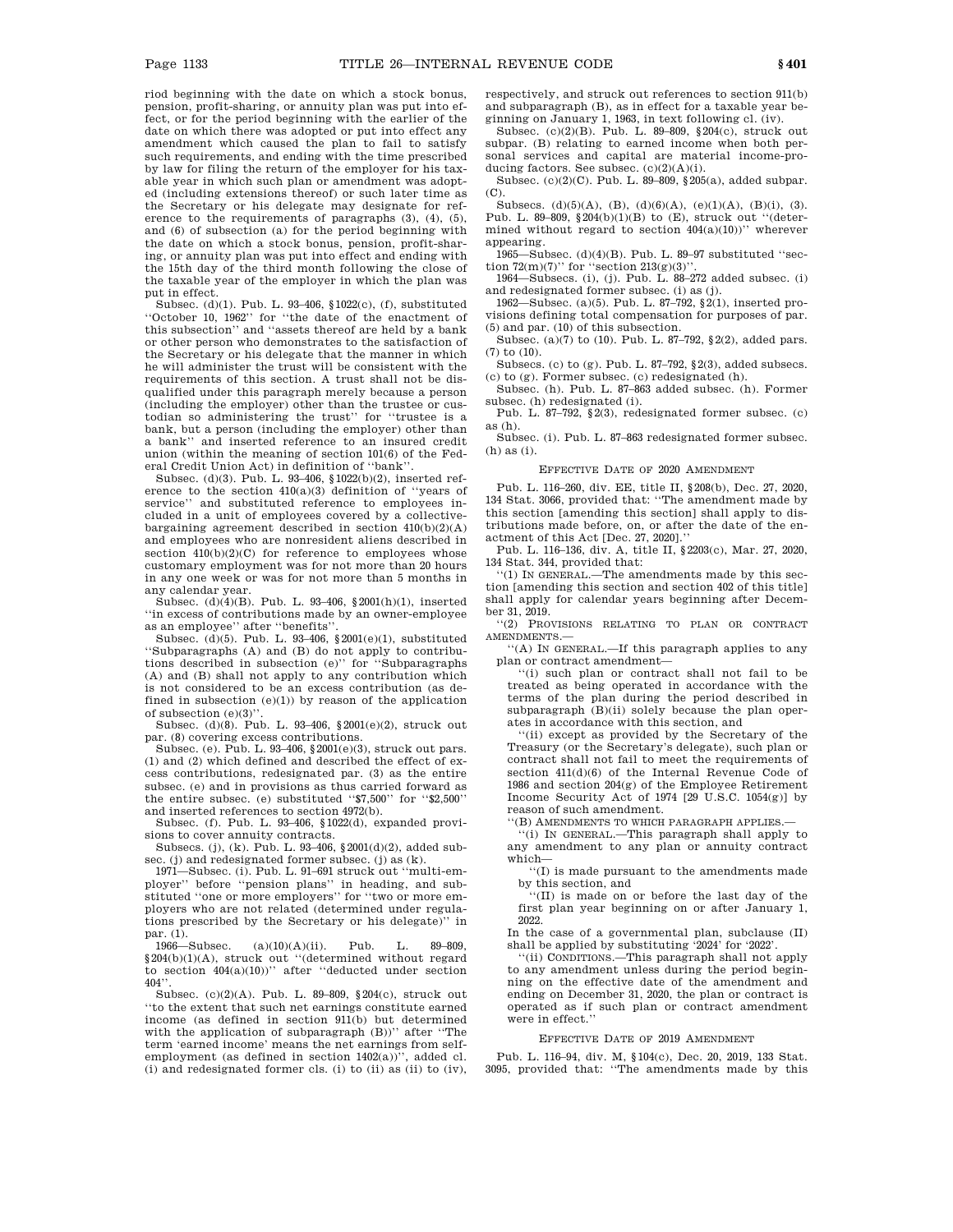riod beginning with the date on which a stock bonus, pension, profit-sharing, or annuity plan was put into effect, or for the period beginning with the earlier of the date on which there was adopted or put into effect any amendment which caused the plan to fail to satisfy such requirements, and ending with the time prescribed by law for filing the return of the employer for his taxable year in which such plan or amendment was adopted (including extensions thereof) or such later time as the Secretary or his delegate may designate for reference to the requirements of paragraphs (3), (4), (5), and (6) of subsection (a) for the period beginning with the date on which a stock bonus, pension, profit-sharing, or annuity plan was put into effect and ending with the 15th day of the third month following the close of the taxable year of the employer in which the plan was put in effect.

Subsec. (d)(1). Pub. L. 93–406, §1022(c), (f), substituted ''October 10, 1962'' for ''the date of the enactment of this subsection'' and ''assets thereof are held by a bank or other person who demonstrates to the satisfaction of the Secretary or his delegate that the manner in which he will administer the trust will be consistent with the requirements of this section. A trust shall not be disqualified under this paragraph merely because a person (including the employer) other than the trustee or custodian so administering the trust'' for ''trustee is a bank, but a person (including the employer) other than a bank'' and inserted reference to an insured credit union (within the meaning of section 101(6) of the Federal Credit Union Act) in definition of ''bank''.

Subsec. (d)(3). Pub. L. 93–406, §1022(b)(2), inserted reference to the section 410(a)(3) definition of ''years of service'' and substituted reference to employees included in a unit of employees covered by a collectivebargaining agreement described in section 410(b)(2)(A) and employees who are nonresident aliens described in section  $410(b)(2)(C)$  for reference to employees whose customary employment was for not more than 20 hours in any one week or was for not more than 5 months in any calendar year.

Subsec. (d) $(4)(B)$ . Pub. L. 93-406, §2001(h)(1), inserted ''in excess of contributions made by an owner-employee as an employee'' after ''benefits''.

Subsec. (d)(5). Pub. L. 93–406, §2001(e)(1), substituted ''Subparagraphs (A) and (B) do not apply to contributions described in subsection (e)'' for ''Subparagraphs (A) and (B) shall not apply to any contribution which is not considered to be an excess contribution (as defined in subsection  $(e)(1)$ ) by reason of the application of subsection (e)(3)''.

Subsec. (d)(8). Pub. L. 93–406, §2001(e)(2), struck out par. (8) covering excess contributions.

Subsec. (e). Pub. L. 93–406, §2001(e)(3), struck out pars. (1) and (2) which defined and described the effect of excess contributions, redesignated par. (3) as the entire subsec. (e) and in provisions as thus carried forward as the entire subsec. (e) substituted ''\$7,500'' for ''\$2,500'' and inserted references to section 4972(b).

Subsec. (f). Pub. L. 93–406, §1022(d), expanded provisions to cover annuity contracts.

Subsecs. (j), (k). Pub. L. 93–406, §2001(d)(2), added subsec. (i) and redesignated former subsec. (i) as  $(k)$ .

1971—Subsec. (i). Pub. L. 91–691 struck out ''multi-employer'' before ''pension plans'' in heading, and substituted ''one or more employers'' for ''two or more employers who are not related (determined under regulations prescribed by the Secretary or his delegate)'' in

par. (1).<br>1966—Subsec.  $(a)(10)(A)(ii)$ . Pub. L. 89–809. §204(b)(1)(A), struck out ''(determined without regard to section 404(a)(10))'' after ''deducted under section  $404$ 

Subsec. (c)(2)(A). Pub. L. 89–809, §204(c), struck out ''to the extent that such net earnings constitute earned income (as defined in section 911(b) but determined with the application of subparagraph (B))'' after ''The term 'earned income' means the net earnings from selfemployment (as defined in section 1402(a))'', added cl. (i) and redesignated former cls. (i) to (ii) as (ii) to (iv), respectively, and struck out references to section 911(b) and subparagraph (B), as in effect for a taxable year beginning on January 1, 1963, in text following cl. (iv).

Subsec. (c)(2)(B). Pub. L. 89–809, §204(c), struck out subpar. (B) relating to earned income when both personal services and capital are material income-producing factors. See subsec.  $(c)(2)(A)(i)$ .

Subsec. (c)(2)(C). Pub. L. 89–809, §205(a), added subpar. (C).

Subsecs. (d)(5)(A), (B), (d)(6)(A), (e)(1)(A), (B)(i), (3). Pub. L. 89-809,  $§204(b)(1)(B)$  to  $(E)$ , struck out "(determined without regard to section  $404(a)(10)$ )" wherever appearing.

1965—Subsec. (d)(4)(B). Pub. L. 89–97 substituted ''section  $72(m)(7)$ " for "section  $213(g)(3)$ "

1964—Subsecs. (i), (j). Pub. L. 88–272 added subsec. (i) and redesignated former subsec. (i) as (j).

1962—Subsec. (a)(5). Pub. L. 87–792, §2(1), inserted provisions defining total compensation for purposes of par. (5) and par. (10) of this subsection.

Subsec. (a)(7) to (10). Pub. L. 87–792, §2(2), added pars. (7) to (10).

Subsecs. (c) to (g). Pub. L. 87–792, §2(3), added subsecs. (c) to (g). Former subsec. (c) redesignated (h).

Subsec. (h). Pub. L. 87–863 added subsec. (h). Former subsec. (h) redesignated (i).

Pub. L. 87–792, §2(3), redesignated former subsec. (c) as (h).

Subsec. (i). Pub. L. 87–863 redesignated former subsec. (h) as (i).

#### EFFECTIVE DATE OF 2020 AMENDMENT

Pub. L. 116–260, div. EE, title II, §208(b), Dec. 27, 2020, 134 Stat. 3066, provided that: ''The amendment made by this section [amending this section] shall apply to distributions made before, on, or after the date of the enactment of this Act [Dec. 27, 2020].''

Pub. L. 116–136, div. A, title II, §2203(c), Mar. 27, 2020, 134 Stat. 344, provided that:

''(1) IN GENERAL.—The amendments made by this section [amending this section and section 402 of this title] shall apply for calendar years beginning after December 31, 2019.

''(2) PROVISIONS RELATING TO PLAN OR CONTRACT AMENDMENTS.—

''(A) IN GENERAL.—If this paragraph applies to any plan or contract amendment—

''(i) such plan or contract shall not fail to be treated as being operated in accordance with the terms of the plan during the period described in subparagraph (B)(ii) solely because the plan operates in accordance with this section, and

''(ii) except as provided by the Secretary of the Treasury (or the Secretary's delegate), such plan or contract shall not fail to meet the requirements of section 411(d)(6) of the Internal Revenue Code of 1986 and section 204(g) of the Employee Retirement Income Security Act of 1974 [29 U.S.C. 1054(g)] by reason of such amendment.

''(B) AMENDMENTS TO WHICH PARAGRAPH APPLIES.—

''(i) IN GENERAL.—This paragraph shall apply to any amendment to any plan or annuity contract which—

''(I) is made pursuant to the amendments made

by this section, and ''(II) is made on or before the last day of the first plan year beginning on or after January 1, 2022.

In the case of a governmental plan, subclause (II) shall be applied by substituting '2024' for '2022'.

''(ii) CONDITIONS.—This paragraph shall not apply to any amendment unless during the period beginning on the effective date of the amendment and ending on December 31, 2020, the plan or contract is operated as if such plan or contract amendment were in effect.''

#### EFFECTIVE DATE OF 2019 AMENDMENT

Pub. L. 116–94, div. M, §104(c), Dec. 20, 2019, 133 Stat. 3095, provided that: ''The amendments made by this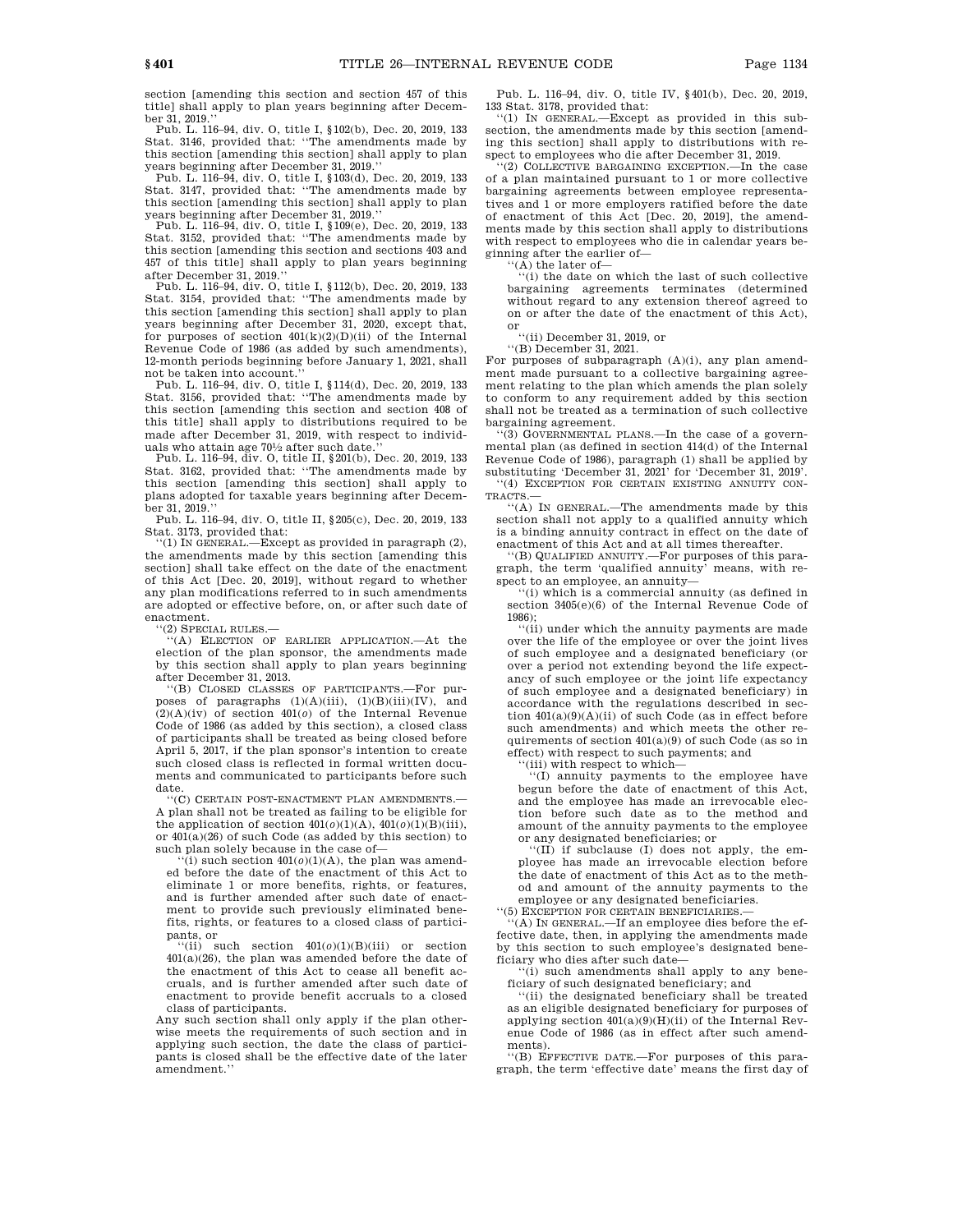section [amending this section and section 457 of this title] shall apply to plan years beginning after December 31, 2019.''

Pub. L. 116–94, div. O, title I, §102(b), Dec. 20, 2019, 133 Stat. 3146, provided that: ''The amendments made by this section [amending this section] shall apply to plan years beginning after December 31, 2019.''

Pub. L. 116–94, div. O, title I, §103(d), Dec. 20, 2019, 133 Stat. 3147, provided that: ''The amendments made by this section [amending this section] shall apply to plan years beginning after December 31, 2019.''

Pub. L. 116–94, div. O, title I, §109(e), Dec. 20, 2019, 133 Stat. 3152, provided that: ''The amendments made by this section [amending this section and sections 403 and 457 of this title] shall apply to plan years beginning after December 31, 2019.''

Pub. L. 116–94, div. O, title I, §112(b), Dec. 20, 2019, 133 Stat. 3154, provided that: ''The amendments made by this section [amending this section] shall apply to plan years beginning after December 31, 2020, except that, for purposes of section  $401(k)(2)(D)(ii)$  of the Internal Revenue Code of 1986 (as added by such amendments), 12-month periods beginning before January 1, 2021, shall not be taken into account.

Pub. L. 116–94, div. O, title I, §114(d), Dec. 20, 2019, 133 Stat. 3156, provided that: ''The amendments made by this section [amending this section and section 408 of this title] shall apply to distributions required to be made after December 31, 2019, with respect to individuals who attain age 701 ⁄2 after such date.''

Pub. L. 116–94, div. O, title II, §201(b), Dec. 20, 2019, 133 Stat. 3162, provided that: ''The amendments made by this section [amending this section] shall apply to plans adopted for taxable years beginning after December 31, 2019.''

Pub. L. 116–94, div. O, title II, §205(c), Dec. 20, 2019, 133 Stat. 3173, provided that:

 $'(1)$  IN GENERAL.—Except as provided in paragraph  $(2)$ . the amendments made by this section [amending this section] shall take effect on the date of the enactment of this Act [Dec. 20, 2019], without regard to whether any plan modifications referred to in such amendments are adopted or effective before, on, or after such date of enactment.

(2) SPECIAL RULES.-

''(A) ELECTION OF EARLIER APPLICATION.—At the election of the plan sponsor, the amendments made by this section shall apply to plan years beginning after December 31, 2013.

''(B) CLOSED CLASSES OF PARTICIPANTS.—For purposes of paragraphs  $(1)(A)(iii)$ ,  $(1)(B)(iii)(IV)$ , and (2)(A)(iv) of section 401(*o*) of the Internal Revenue Code of 1986 (as added by this section), a closed class of participants shall be treated as being closed before April 5, 2017, if the plan sponsor's intention to create such closed class is reflected in formal written documents and communicated to participants before such date.

''(C) CERTAIN POST-ENACTMENT PLAN AMENDMENTS.— A plan shall not be treated as failing to be eligible for the application of section  $401(0)(1)(A)$ ,  $401(0)(1)(B)(iii)$ , or 401(a)(26) of such Code (as added by this section) to such plan solely because in the case of—

 $``(i)$  such section  $401(o)(1)(A)$ , the plan was amended before the date of the enactment of this Act to eliminate 1 or more benefits, rights, or features, and is further amended after such date of enactment to provide such previously eliminated benefits, rights, or features to a closed class of participants, or

''(ii) such section 401(*o*)(1)(B)(iii) or section  $401(a)(26)$ , the plan was amended before the date of the enactment of this Act to cease all benefit accruals, and is further amended after such date of enactment to provide benefit accruals to a closed class of participants.

Any such section shall only apply if the plan otherwise meets the requirements of such section and in applying such section, the date the class of participants is closed shall be the effective date of the later amendment.''

Pub. L. 116–94, div. O, title IV, §401(b), Dec. 20, 2019, 133 Stat. 3178, provided that:

''(1) IN GENERAL.—Except as provided in this subsection, the amendments made by this section [amending this section] shall apply to distributions with respect to employees who die after December 31, 2019.

'(2) COLLECTIVE BARGAINING EXCEPTION.—In the case of a plan maintained pursuant to 1 or more collective bargaining agreements between employee representatives and 1 or more employers ratified before the date of enactment of this Act [Dec. 20, 2019], the amendments made by this section shall apply to distributions with respect to employees who die in calendar years beginning after the earlier of—

''(A) the later of— ''(i) the date on which the last of such collective bargaining agreements terminates (determined without regard to any extension thereof agreed to on or after the date of the enactment of this Act), or

''(ii) December 31, 2019, or ''(B) December 31, 2021.

For purposes of subparagraph (A)(i), any plan amendment made pursuant to a collective bargaining agreement relating to the plan which amends the plan solely to conform to any requirement added by this section shall not be treated as a termination of such collective bargaining agreement.

'(3) GOVERNMENTAL PLANS.—In the case of a governmental plan (as defined in section 414(d) of the Internal Revenue Code of 1986), paragraph (1) shall be applied by substituting 'December 31, 2021' for 'December 31, 2019'. ''(4) EXCEPTION FOR CERTAIN EXISTING ANNUITY CON-

TRACTS.— ''(A) IN GENERAL.—The amendments made by this

section shall not apply to a qualified annuity which is a binding annuity contract in effect on the date of enactment of this Act and at all times thereafter.

''(B) QUALIFIED ANNUITY.—For purposes of this paragraph, the term 'qualified annuity' means, with respect to an employee, an annuity—

''(i) which is a commercial annuity (as defined in section 3405(e)(6) of the Internal Revenue Code of 1986)

''(ii) under which the annuity payments are made over the life of the employee or over the joint lives of such employee and a designated beneficiary (or over a period not extending beyond the life expectancy of such employee or the joint life expectancy of such employee and a designated beneficiary) in accordance with the regulations described in section  $401(a)(9)(A)(ii)$  of such Code (as in effect before such amendments) and which meets the other requirements of section 401(a)(9) of such Code (as so in effect) with respect to such payments; and

'(iii) with respect to which-

''(I) annuity payments to the employee have begun before the date of enactment of this Act, and the employee has made an irrevocable election before such date as to the method and amount of the annuity payments to the employee or any designated beneficiaries; or

 $\overline{f(II)}$  if subclause (I) does not apply, the employee has made an irrevocable election before the date of enactment of this Act as to the method and amount of the annuity payments to the employee or any designated beneficiaries.

''(5) EXCEPTION FOR CERTAIN BENEFICIARIES.—

 $f(A)$  IN GENERAL.—If an employee dies before the effective date, then, in applying the amendments made by this section to such employee's designated beneficiary who dies after such date—

''(i) such amendments shall apply to any beneficiary of such designated beneficiary; and

'(ii) the designated beneficiary shall be treated as an eligible designated beneficiary for purposes of applying section 401(a)(9)(H)(ii) of the Internal Revenue Code of 1986 (as in effect after such amendments).

''(B) EFFECTIVE DATE.—For purposes of this paragraph, the term 'effective date' means the first day of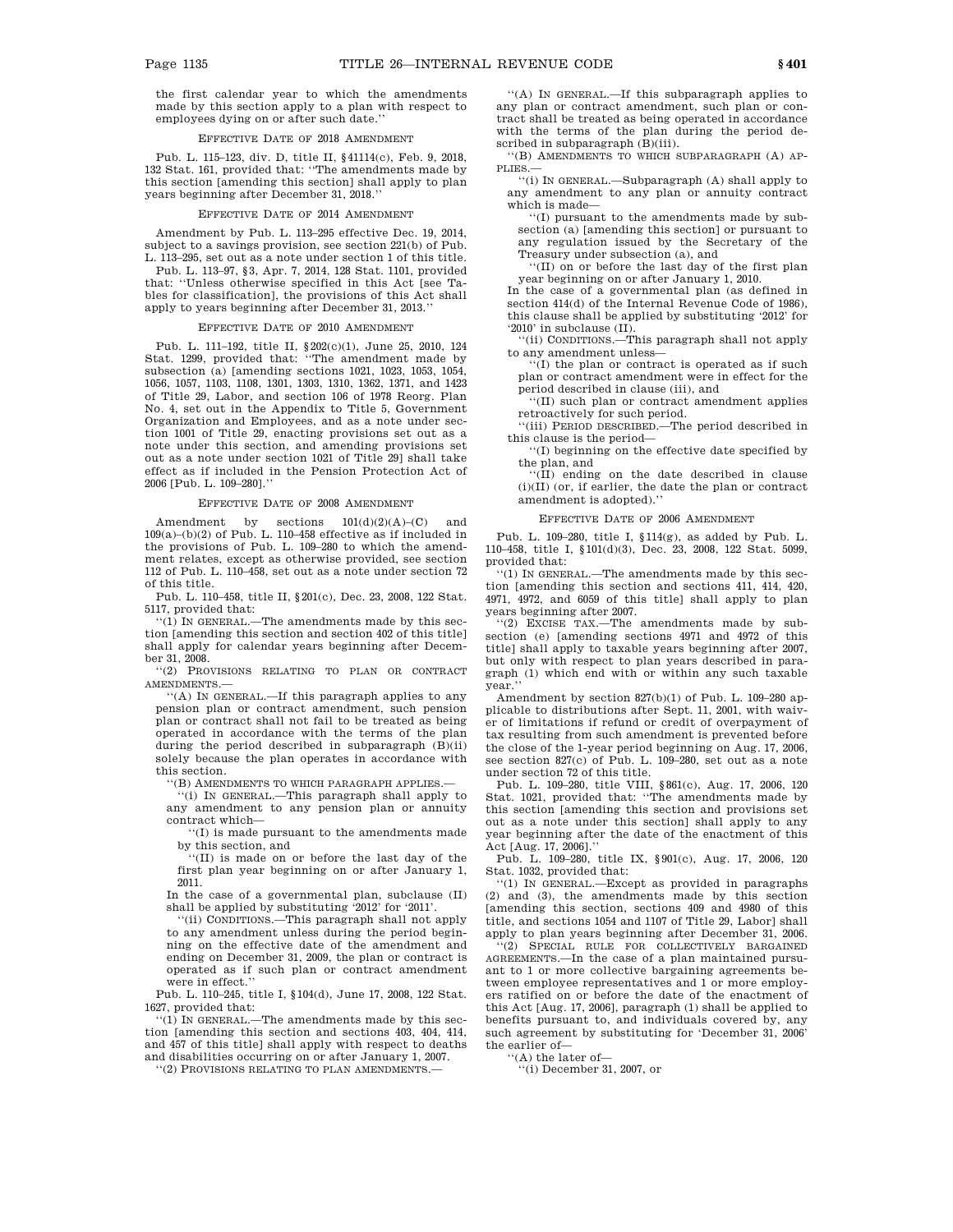the first calendar year to which the amendments made by this section apply to a plan with respect to employees dying on or after such date.''

#### EFFECTIVE DATE OF 2018 AMENDMENT

Pub. L. 115–123, div. D, title II, §41114(c), Feb. 9, 2018, 132 Stat. 161, provided that: ''The amendments made by this section [amending this section] shall apply to plan years beginning after December 31, 2018.''

#### EFFECTIVE DATE OF 2014 AMENDMENT

Amendment by Pub. L. 113–295 effective Dec. 19, 2014, subject to a savings provision, see section 221(b) of Pub. L. 113–295, set out as a note under section 1 of this title.

Pub. L. 113–97, §3, Apr. 7, 2014, 128 Stat. 1101, provided that: ''Unless otherwise specified in this Act [see Tables for classification], the provisions of this Act shall apply to years beginning after December 31, 2013.''

#### EFFECTIVE DATE OF 2010 AMENDMENT

Pub. L. 111–192, title II, §202(c)(1), June 25, 2010, 124 Stat. 1299, provided that: ''The amendment made by subsection (a) [amending sections 1021, 1023, 1053, 1054, 1056, 1057, 1103, 1108, 1301, 1303, 1310, 1362, 1371, and 1423 of Title 29, Labor, and section 106 of 1978 Reorg. Plan No. 4, set out in the Appendix to Title 5, Government Organization and Employees, and as a note under section 1001 of Title 29, enacting provisions set out as a note under this section, and amending provisions set out as a note under section 1021 of Title 29] shall take effect as if included in the Pension Protection Act of 2006 [Pub. L. 109–280].''

#### EFFECTIVE DATE OF 2008 AMENDMENT

Amendment by sections  $101(d)(2)(A)-(C)$  and  $109(a)$ –(b)(2) of Pub. L. 110–458 effective as if included in the provisions of Pub. L. 109–280 to which the amendment relates, except as otherwise provided, see section 112 of Pub. L. 110–458, set out as a note under section 72 of this title.

Pub. L. 110–458, title II, §201(c), Dec. 23, 2008, 122 Stat. 5117, provided that:

''(1) IN GENERAL.—The amendments made by this section [amending this section and section 402 of this title] shall apply for calendar years beginning after December 31, 2008.

''(2) PROVISIONS RELATING TO PLAN OR CONTRACT AMENDMENTS.—

''(A) IN GENERAL.—If this paragraph applies to any pension plan or contract amendment, such pension plan or contract shall not fail to be treated as being operated in accordance with the terms of the plan during the period described in subparagraph (B)(ii) solely because the plan operates in accordance with this section.

''(B) AMENDMENTS TO WHICH PARAGRAPH APPLIES.—

''(i) IN GENERAL.—This paragraph shall apply to any amendment to any pension plan or annuity contract which—

''(I) is made pursuant to the amendments made by this section, and

''(II) is made on or before the last day of the first plan year beginning on or after January 1, 2011.

In the case of a governmental plan, subclause (II) shall be applied by substituting '2012' for '2011'.

''(ii) CONDITIONS.—This paragraph shall not apply to any amendment unless during the period beginning on the effective date of the amendment and ending on December 31, 2009, the plan or contract is operated as if such plan or contract amendment were in effect.''

Pub. L. 110–245, title I, §104(d), June 17, 2008, 122 Stat. 1627, provided that:

 $(1)$  IN GENERAL.—The amendments made by this section [amending this section and sections 403, 404, 414, and 457 of this title] shall apply with respect to deaths and disabilities occurring on or after January 1, 2007.

''(2) PROVISIONS RELATING TO PLAN AMENDMENTS.—

''(A) IN GENERAL.—If this subparagraph applies to any plan or contract amendment, such plan or contract shall be treated as being operated in accordance with the terms of the plan during the period described in subparagraph (B)(iii).

''(B) AMENDMENTS TO WHICH SUBPARAGRAPH (A) AP-PLIES.—

''(i) IN GENERAL.—Subparagraph (A) shall apply to any amendment to any plan or annuity contract which is made—

''(I) pursuant to the amendments made by subsection (a) [amending this section] or pursuant to any regulation issued by the Secretary of the Treasury under subsection (a), and

''(II) on or before the last day of the first plan year beginning on or after January 1, 2010.

In the case of a governmental plan (as defined in section 414(d) of the Internal Revenue Code of 1986), this clause shall be applied by substituting '2012' for '2010' in subclause (II).

''(ii) CONDITIONS.—This paragraph shall not apply to any amendment unless-

''(I) the plan or contract is operated as if such plan or contract amendment were in effect for the period described in clause (iii), and

''(II) such plan or contract amendment applies retroactively for such period.

''(iii) PERIOD DESCRIBED.—The period described in this clause is the period—

''(I) beginning on the effective date specified by the plan, and

''(II) ending on the date described in clause  $\left( i\right) \left( \Pi\right)$  (or, if earlier, the date the plan or contract amendment is adopted).''

#### EFFECTIVE DATE OF 2006 AMENDMENT

Pub. L. 109–280, title I, §114(g), as added by Pub. L. 110–458, title I, §101(d)(3), Dec. 23, 2008, 122 Stat. 5099, provided that:

''(1) IN GENERAL.—The amendments made by this section [amending this section and sections 411, 414, 420, 4971, 4972, and 6059 of this title] shall apply to plan years beginning after 2007.

''(2) EXCISE TAX.—The amendments made by subsection (e) [amending sections 4971 and 4972 of this title] shall apply to taxable years beginning after 2007, but only with respect to plan years described in paragraph (1) which end with or within any such taxable year.''

Amendment by section 827(b)(1) of Pub. L. 109–280 applicable to distributions after Sept. 11, 2001, with waiver of limitations if refund or credit of overpayment of tax resulting from such amendment is prevented before the close of the 1-year period beginning on Aug. 17, 2006, see section 827(c) of Pub. L. 109–280, set out as a note under section 72 of this title.

Pub. L. 109–280, title VIII, §861(c), Aug. 17, 2006, 120 Stat. 1021, provided that: ''The amendments made by this section [amending this section and provisions set out as a note under this section] shall apply to any year beginning after the date of the enactment of this Act [Aug. 17, 2006].

Pub. L. 109–280, title IX, §901(c), Aug. 17, 2006, 120 Stat. 1032, provided that:

''(1) IN GENERAL.—Except as provided in paragraphs (2) and (3), the amendments made by this section [amending this section, sections 409 and 4980 of this title, and sections 1054 and 1107 of Title 29, Labor] shall apply to plan years beginning after December 31, 2006.

''(2) SPECIAL RULE FOR COLLECTIVELY BARGAINED AGREEMENTS.—In the case of a plan maintained pursuant to 1 or more collective bargaining agreements between employee representatives and 1 or more employers ratified on or before the date of the enactment of this Act [Aug. 17, 2006], paragraph (1) shall be applied to benefits pursuant to, and individuals covered by, any such agreement by substituting for 'December 31, 2006' the earlier of—

''(A) the later of—

'(i) December 31, 2007, or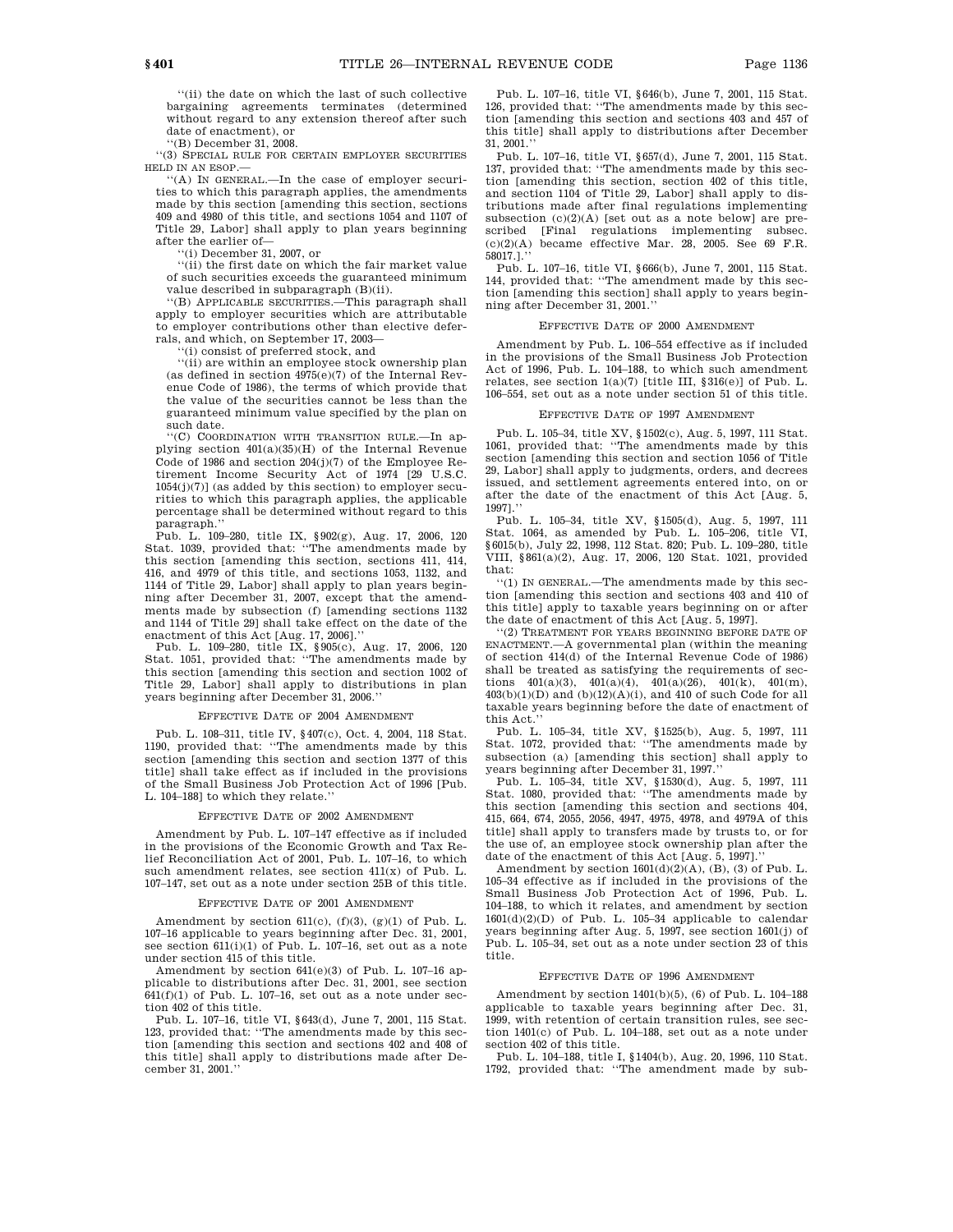''(B) December 31, 2008.

''(3) SPECIAL RULE FOR CERTAIN EMPLOYER SECURITIES HELD IN AN ESOP.—

''(A) IN GENERAL.—In the case of employer securities to which this paragraph applies, the amendments made by this section [amending this section, sections 409 and 4980 of this title, and sections 1054 and 1107 of Title 29, Labor] shall apply to plan years beginning after the earlier of—

''(i) December 31, 2007, or

''(ii) the first date on which the fair market value of such securities exceeds the guaranteed minimum value described in subparagraph (B)(ii).

''(B) APPLICABLE SECURITIES.—This paragraph shall apply to employer securities which are attributable to employer contributions other than elective deferrals, and which, on September 17, 2003—

(i) consist of preferred stock, and

''(ii) are within an employee stock ownership plan (as defined in section  $4975(e)(7)$  of the Internal Revenue Code of 1986), the terms of which provide that the value of the securities cannot be less than the guaranteed minimum value specified by the plan on such date.

''(C) COORDINATION WITH TRANSITION RULE.—In applying section 401(a)(35)(H) of the Internal Revenue Code of 1986 and section  $204(j)(7)$  of the Employee Retirement Income Security Act of 1974 [29 U.S.C.  $1054(j)(7)$ ] (as added by this section) to employer securities to which this paragraph applies, the applicable percentage shall be determined without regard to this paragraph.''

Pub. L. 109–280, title IX, §902(g), Aug. 17, 2006, 120 Stat. 1039, provided that: ''The amendments made by this section [amending this section, sections 411, 414, 416, and 4979 of this title, and sections 1053, 1132, and 1144 of Title 29, Labor] shall apply to plan years beginning after December 31, 2007, except that the amendments made by subsection (f) [amending sections 1132 and 1144 of Title 29] shall take effect on the date of the enactment of this Act [Aug. 17, 2006].''

Pub. L. 109–280, title IX, §905(c), Aug. 17, 2006, 120 Stat. 1051, provided that: ''The amendments made by this section [amending this section and section 1002 of Title 29, Labor] shall apply to distributions in plan years beginning after December 31, 2006.''

### EFFECTIVE DATE OF 2004 AMENDMENT

Pub. L. 108–311, title IV, §407(c), Oct. 4, 2004, 118 Stat. 1190, provided that: ''The amendments made by this section [amending this section and section 1377 of this title] shall take effect as if included in the provisions of the Small Business Job Protection Act of 1996 [Pub. L. 104–188] to which they relate.''

#### EFFECTIVE DATE OF 2002 AMENDMENT

Amendment by Pub. L. 107–147 effective as if included in the provisions of the Economic Growth and Tax Relief Reconciliation Act of 2001, Pub. L. 107–16, to which such amendment relates, see section 411(x) of Pub. L. 107–147, set out as a note under section 25B of this title.

#### EFFECTIVE DATE OF 2001 AMENDMENT

Amendment by section  $611(c)$ ,  $(f)(3)$ ,  $(g)(1)$  of Pub. L. 107–16 applicable to years beginning after Dec. 31, 2001, see section 611(i)(1) of Pub. L. 107–16, set out as a note under section 415 of this title.

Amendment by section 641(e)(3) of Pub. L. 107–16 applicable to distributions after Dec. 31, 2001, see section  $641(f)(1)$  of Pub. L. 107-16, set out as a note under section 402 of this title.

Pub. L. 107–16, title VI, §643(d), June 7, 2001, 115 Stat. 123, provided that: ''The amendments made by this section [amending this section and sections 402 and 408 of this title] shall apply to distributions made after December 31, 2001.''

Pub. L. 107–16, title VI, §646(b), June 7, 2001, 115 Stat. 126, provided that: ''The amendments made by this section [amending this section and sections 403 and 457 of this title] shall apply to distributions after December 31, 2001.''

Pub. L. 107–16, title VI, §657(d), June 7, 2001, 115 Stat. 137, provided that: ''The amendments made by this section [amending this section, section 402 of this title, and section 1104 of Title 29, Labor] shall apply to distributions made after final regulations implementing subsection (c)(2)(A) [set out as a note below] are prescribed [Final regulations implementing subsec.  $(c)(2)(A)$  became effective Mar. 28, 2005. See 69 F.R. 58017.1.

Pub. L. 107–16, title VI, §666(b), June 7, 2001, 115 Stat. 144, provided that: ''The amendment made by this section [amending this section] shall apply to years beginning after December 31, 2001.''

#### EFFECTIVE DATE OF 2000 AMENDMENT

Amendment by Pub. L. 106–554 effective as if included in the provisions of the Small Business Job Protection Act of 1996, Pub. L. 104–188, to which such amendment relates, see section 1(a)(7) [title III, §316(e)] of Pub. L. 106–554, set out as a note under section 51 of this title.

#### EFFECTIVE DATE OF 1997 AMENDMENT

Pub. L. 105–34, title XV, §1502(c), Aug. 5, 1997, 111 Stat. 1061, provided that: ''The amendments made by this section [amending this section and section 1056 of Title 29, Labor] shall apply to judgments, orders, and decrees issued, and settlement agreements entered into, on or after the date of the enactment of this Act [Aug. 5, 1997].''

Pub. L. 105–34, title XV, §1505(d), Aug. 5, 1997, 111 Stat. 1064, as amended by Pub. L. 105–206, title VI, §6015(b), July 22, 1998, 112 Stat. 820; Pub. L. 109–280, title VIII, §861(a)(2), Aug. 17, 2006, 120 Stat. 1021, provided that:

''(1) IN GENERAL.—The amendments made by this section [amending this section and sections 403 and 410 of this title] apply to taxable years beginning on or after the date of enactment of this Act [Aug. 5, 1997].

''(2) TREATMENT FOR YEARS BEGINNING BEFORE DATE OF ENACTMENT.—A governmental plan (within the meaning of section 414(d) of the Internal Revenue Code of 1986) shall be treated as satisfying the requirements of sections  $401(a)(3)$ ,  $401(a)(4)$ ,  $401(a)(26)$ ,  $401(k)$ ,  $401(m)$ ,  $403(b)(1)(D)$  and  $(b)(12)(A)(i)$ , and  $410$  of such Code for all taxable years beginning before the date of enactment of this Act.''

Pub. L. 105–34, title XV, §1525(b), Aug. 5, 1997, 111 Stat. 1072, provided that: ''The amendments made by subsection  $(a)$  [amending this section] shall apply to years beginning after December 31, 1997.

Pub. L. 105–34, title XV, §1530(d), Aug. 5, 1997, 111 Stat. 1080, provided that: ''The amendments made by this section [amending this section and sections 404, 415, 664, 674, 2055, 2056, 4947, 4975, 4978, and 4979A of this title] shall apply to transfers made by trusts to, or for the use of, an employee stock ownership plan after the date of the enactment of this Act [Aug. 5, 1997].

Amendment by section 1601(d)(2)(A), (B), (3) of Pub. L. 105–34 effective as if included in the provisions of the Small Business Job Protection Act of 1996, Pub. L. 104–188, to which it relates, and amendment by section 1601(d)(2)(D) of Pub. L. 105–34 applicable to calendar years beginning after Aug. 5, 1997, see section 1601(j) of Pub. L. 105–34, set out as a note under section 23 of this title.

#### EFFECTIVE DATE OF 1996 AMENDMENT

Amendment by section 1401(b)(5), (6) of Pub. L. 104–188 applicable to taxable years beginning after Dec. 31, 1999, with retention of certain transition rules, see section 1401(c) of Pub. L. 104–188, set out as a note under section 402 of this title.

Pub. L. 104–188, title I, §1404(b), Aug. 20, 1996, 110 Stat. 1792, provided that: "The amendment made by sub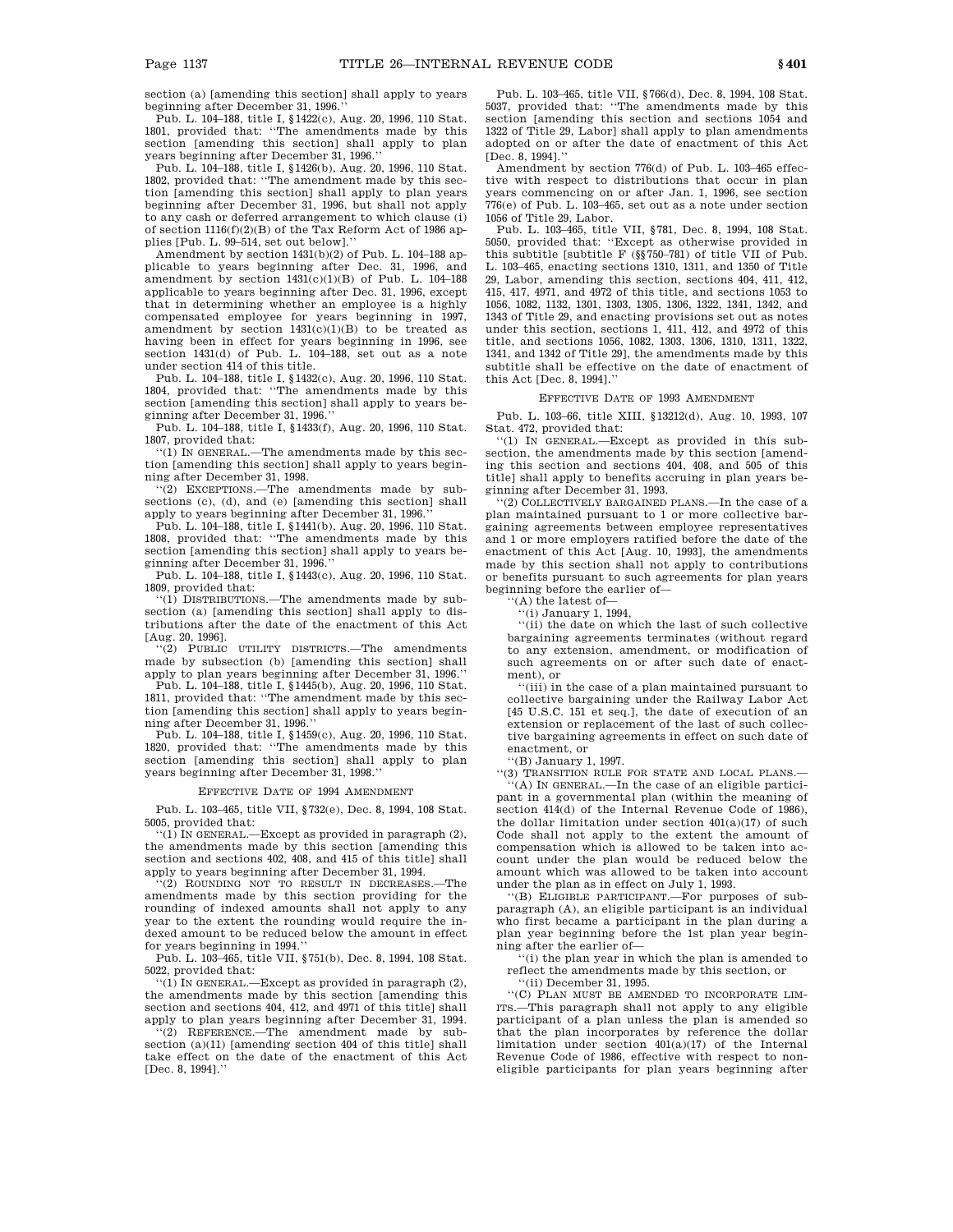section (a) [amending this section] shall apply to years beginning after December 31, 1996.''

Pub. L. 104–188, title I, §1422(c), Aug. 20, 1996, 110 Stat. 1801, provided that: ''The amendments made by this section [amending this section] shall apply to plan years beginning after December 31, 1996.''

Pub. L. 104–188, title I, §1426(b), Aug. 20, 1996, 110 Stat. 1802, provided that: ''The amendment made by this section [amending this section] shall apply to plan years beginning after December 31, 1996, but shall not apply to any cash or deferred arrangement to which clause (i) of section 1116(f)(2)(B) of the Tax Reform Act of 1986 applies [Pub. L. 99–514, set out below].''

Amendment by section  $1431(b)(2)$  of Pub. L. 104–188 applicable to years beginning after Dec. 31, 1996, and amendment by section  $1431(c)(1)(B)$  of Pub. L. 104-188 applicable to years beginning after Dec. 31, 1996, except that in determining whether an employee is a highly compensated employee for years beginning in 1997, amendment by section  $1431(c)(1)(B)$  to be treated as having been in effect for years beginning in 1996, see section 1431(d) of Pub. L. 104–188, set out as a note under section 414 of this title.

Pub. L. 104–188, title I, §1432(c), Aug. 20, 1996, 110 Stat. 1804, provided that: ''The amendments made by this section [amending this section] shall apply to years beginning after December 31, 1996.''

Pub. L. 104–188, title I, §1433(f), Aug. 20, 1996, 110 Stat. 1807, provided that:

 $(1)$  IN GENERAL.—The amendments made by this section [amending this section] shall apply to years beginning after December 31, 1998.

''(2) EXCEPTIONS.—The amendments made by subsections (c), (d), and (e) [amending this section] shall apply to years beginning after December 31, 1996.

Pub. L. 104–188, title I, §1441(b), Aug. 20, 1996, 110 Stat. 1808, provided that: ''The amendments made by this section [amending this section] shall apply to years beginning after December 31, 1996.''

Pub. L. 104–188, title I, §1443(c), Aug. 20, 1996, 110 Stat. 1809, provided that:

''(1) DISTRIBUTIONS.—The amendments made by subsection (a) [amending this section] shall apply to distributions after the date of the enactment of this Act [Aug. 20, 1996].

''(2) PUBLIC UTILITY DISTRICTS.—The amendments made by subsection (b) [amending this section] shall apply to plan years beginning after December 31, 1996.''

Pub. L. 104–188, title I, §1445(b), Aug. 20, 1996, 110 Stat. 1811, provided that: ''The amendment made by this section [amending this section] shall apply to years beginning after December 31, 1996.

Pub. L. 104–188, title I, §1459(c), Aug. 20, 1996, 110 Stat. 1820, provided that: ''The amendments made by this section [amending this section] shall apply to plan years beginning after December 31, 1998.

#### EFFECTIVE DATE OF 1994 AMENDMENT

Pub. L. 103–465, title VII, §732(e), Dec. 8, 1994, 108 Stat. 5005, provided that:

''(1) IN GENERAL.—Except as provided in paragraph (2), the amendments made by this section [amending this section and sections 402, 408, and 415 of this title] shall apply to years beginning after December 31, 1994.

'(2) ROUNDING NOT TO RESULT IN DECREASES. amendments made by this section providing for the rounding of indexed amounts shall not apply to any year to the extent the rounding would require the indexed amount to be reduced below the amount in effect for years beginning in 1994.

Pub. L. 103–465, title VII, §751(b), Dec. 8, 1994, 108 Stat. 5022, provided that:

''(1) IN GENERAL.—Except as provided in paragraph (2), the amendments made by this section [amending this section and sections 404, 412, and 4971 of this title] shall apply to plan years beginning after December 31, 1994. ''(2) REFERENCE.—The amendment made by sub-

section (a)(11) [amending section 404 of this title] shall take effect on the date of the enactment of this Act [Dec. 8, 1994].''

Pub. L. 103–465, title VII, §766(d), Dec. 8, 1994, 108 Stat. 5037, provided that: ''The amendments made by this section [amending this section and sections 1054 and 1322 of Title 29, Labor] shall apply to plan amendments adopted on or after the date of enactment of this Act  $[Dec. 8, 1994].$ 

Amendment by section 776(d) of Pub. L. 103–465 effective with respect to distributions that occur in plan years commencing on or after Jan. 1, 1996, see section 776(e) of Pub. L. 103–465, set out as a note under section 1056 of Title 29, Labor.

Pub. L. 103–465, title VII, §781, Dec. 8, 1994, 108 Stat. 5050, provided that: ''Except as otherwise provided in this subtitle [subtitle F (§§750–781) of title VII of Pub. L. 103–465, enacting sections 1310, 1311, and 1350 of Title 29, Labor, amending this section, sections 404, 411, 412, 415, 417, 4971, and 4972 of this title, and sections 1053 to 1056, 1082, 1132, 1301, 1303, 1305, 1306, 1322, 1341, 1342, and 1343 of Title 29, and enacting provisions set out as notes under this section, sections 1, 411, 412, and 4972 of this title, and sections 1056, 1082, 1303, 1306, 1310, 1311, 1322, 1341, and 1342 of Title 29], the amendments made by this subtitle shall be effective on the date of enactment of this Act  $[Dec. 8, 1994].$ 

#### EFFECTIVE DATE OF 1993 AMENDMENT

Pub. L. 103–66, title XIII, §13212(d), Aug. 10, 1993, 107 Stat. 472, provided that:

''(1) IN GENERAL.—Except as provided in this subsection, the amendments made by this section [amending this section and sections 404, 408, and 505 of this title] shall apply to benefits accruing in plan years beginning after December 31, 1993.

''(2) COLLECTIVELY BARGAINED PLANS.—In the case of a plan maintained pursuant to 1 or more collective bargaining agreements between employee representatives and 1 or more employers ratified before the date of the enactment of this Act [Aug. 10, 1993], the amendments made by this section shall not apply to contributions or benefits pursuant to such agreements for plan years beginning before the earlier of—

''(A) the latest of—

''(i) January 1, 1994,

''(ii) the date on which the last of such collective bargaining agreements terminates (without regard to any extension, amendment, or modification of such agreements on or after such date of enactment), or

''(iii) in the case of a plan maintained pursuant to collective bargaining under the Railway Labor Act [45 U.S.C. 151 et seq.], the date of execution of an extension or replacement of the last of such collective bargaining agreements in effect on such date of enactment, or

''(B) January 1, 1997.

''(3) TRANSITION RULE FOR STATE AND LOCAL PLANS.— ''(A) IN GENERAL.—In the case of an eligible participant in a governmental plan (within the meaning of section 414(d) of the Internal Revenue Code of 1986), the dollar limitation under section 401(a)(17) of such Code shall not apply to the extent the amount of compensation which is allowed to be taken into account under the plan would be reduced below the amount which was allowed to be taken into account under the plan as in effect on July 1, 1993.

''(B) ELIGIBLE PARTICIPANT.—For purposes of subparagraph (A), an eligible participant is an individual who first became a participant in the plan during a plan year beginning before the 1st plan year beginning after the earlier of—

 $^{\backprime}$  (i) the plan year in which the plan is amended to reflect the amendments made by this section, or

''(ii) December 31, 1995.

''(C) PLAN MUST BE AMENDED TO INCORPORATE LIM-ITS.—This paragraph shall not apply to any eligible participant of a plan unless the plan is amended so that the plan incorporates by reference the dollar limitation under section 401(a)(17) of the Internal Revenue Code of 1986, effective with respect to noneligible participants for plan years beginning after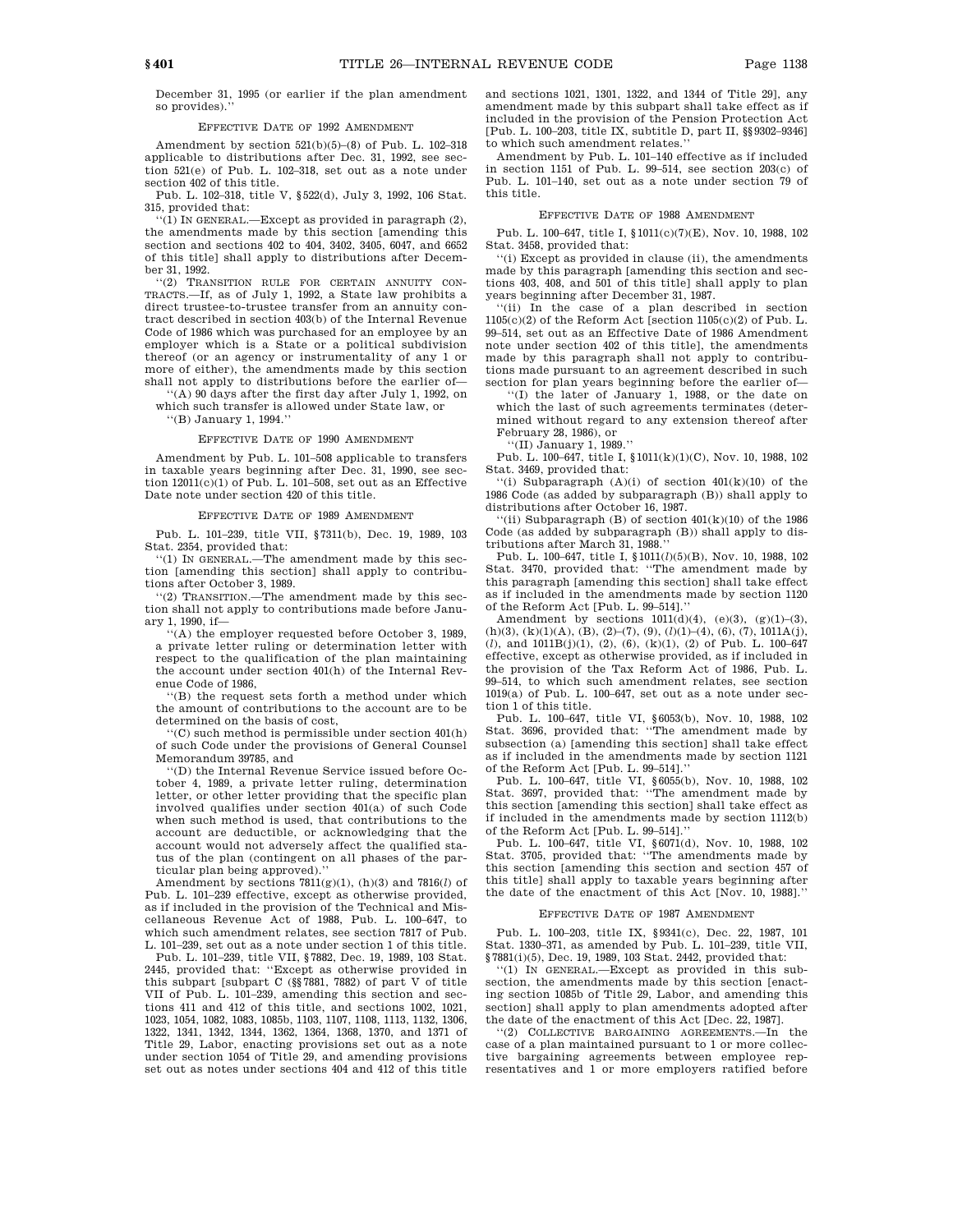December 31, 1995 (or earlier if the plan amendment so provides).'

# EFFECTIVE DATE OF 1992 AMENDMENT

Amendment by section  $521(b)(5)-(8)$  of Pub. L. 102-318 applicable to distributions after Dec. 31, 1992, see section 521(e) of Pub. L. 102–318, set out as a note under section 402 of this title.

Pub. L. 102–318, title V, §522(d), July 3, 1992, 106 Stat. 315, provided that:

''(1) IN GENERAL.—Except as provided in paragraph (2), the amendments made by this section [amending this section and sections 402 to 404, 3402, 3405, 6047, and 6652 of this title] shall apply to distributions after December 31, 1992.

''(2) TRANSITION RULE FOR CERTAIN ANNUITY CON-TRACTS.—If, as of July 1, 1992, a State law prohibits a direct trustee-to-trustee transfer from an annuity contract described in section 403(b) of the Internal Revenue Code of 1986 which was purchased for an employee by an employer which is a State or a political subdivision thereof (or an agency or instrumentality of any 1 or more of either), the amendments made by this section shall not apply to distributions before the earlier of—

'(A) 90 days after the first day after July 1, 1992, on which such transfer is allowed under State law, or

''(B) January 1, 1994.''

#### EFFECTIVE DATE OF 1990 AMENDMENT

Amendment by Pub. L. 101–508 applicable to transfers in taxable years beginning after Dec. 31, 1990, see section  $12011(c)(1)$  of Pub. L. 101-508, set out as an Effective Date note under section 420 of this title.

#### EFFECTIVE DATE OF 1989 AMENDMENT

Pub. L. 101–239, title VII, §7311(b), Dec. 19, 1989, 103 Stat. 2354, provided that:

''(1) IN GENERAL.—The amendment made by this section [amending this section] shall apply to contributions after October 3, 1989.

''(2) TRANSITION.—The amendment made by this section shall not apply to contributions made before January 1, 1990, if—

''(A) the employer requested before October 3, 1989, a private letter ruling or determination letter with respect to the qualification of the plan maintaining the account under section 401(h) of the Internal Revenue Code of 1986,

''(B) the request sets forth a method under which the amount of contributions to the account are to be determined on the basis of cost,

''(C) such method is permissible under section 401(h) of such Code under the provisions of General Counsel Memorandum 39785, and

''(D) the Internal Revenue Service issued before October 4, 1989, a private letter ruling, determination letter, or other letter providing that the specific plan involved qualifies under section 401(a) of such Code when such method is used, that contributions to the account are deductible, or acknowledging that the account would not adversely affect the qualified status of the plan (contingent on all phases of the particular plan being approved).''

Amendment by sections 7811(g)(1), (h)(3) and 7816(*l*) of Pub. L. 101–239 effective, except as otherwise provided, as if included in the provision of the Technical and Miscellaneous Revenue Act of 1988, Pub. L. 100–647, to which such amendment relates, see section 7817 of Pub. L. 101–239, set out as a note under section 1 of this title.

Pub. L. 101–239, title VII, §7882, Dec. 19, 1989, 103 Stat. 2445, provided that: ''Except as otherwise provided in this subpart [subpart C (§§7881, 7882) of part V of title VII of Pub. L. 101–239, amending this section and sections 411 and 412 of this title, and sections 1002, 1021, 1023, 1054, 1082, 1083, 1085b, 1103, 1107, 1108, 1113, 1132, 1306, 1322, 1341, 1342, 1344, 1362, 1364, 1368, 1370, and 1371 of Title 29, Labor, enacting provisions set out as a note under section 1054 of Title 29, and amending provisions set out as notes under sections 404 and 412 of this title

and sections 1021, 1301, 1322, and 1344 of Title 29], any amendment made by this subpart shall take effect as if included in the provision of the Pension Protection Act [Pub. L. 100–203, title IX, subtitle D, part II, §§9302–9346] to which such amendment relates.''

Amendment by Pub. L. 101–140 effective as if included in section 1151 of Pub. L. 99–514, see section 203(c) of Pub. L. 101–140, set out as a note under section 79 of this title.

#### EFFECTIVE DATE OF 1988 AMENDMENT

Pub. L. 100–647, title I, §1011(c)(7)(E), Nov. 10, 1988, 102 Stat. 3458, provided that:

''(i) Except as provided in clause (ii), the amendments made by this paragraph [amending this section and sections 403, 408, and 501 of this title] shall apply to plan years beginning after December 31, 1987.

''(ii) In the case of a plan described in section  $1105(c)(2)$  of the Reform Act [section  $1105(c)(2)$  of Pub. L. 99–514, set out as an Effective Date of 1986 Amendment note under section 402 of this title], the amendments made by this paragraph shall not apply to contributions made pursuant to an agreement described in such section for plan years beginning before the earlier of—

''(I) the later of January 1, 1988, or the date on which the last of such agreements terminates (determined without regard to any extension thereof after February 28, 1986), or

''(II) January 1, 1989.''

Pub. L. 100–647, title I, §1011(k)(1)(C), Nov. 10, 1988, 102 Stat. 3469, provided that:

''(i) Subparagraph (A)(i) of section 401(k)(10) of the 1986 Code (as added by subparagraph (B)) shall apply to distributions after October 16, 1987.

''(ii) Subparagraph (B) of section  $401(k)(10)$  of the 1986 Code (as added by subparagraph (B)) shall apply to distributions after March 31, 1988.''

Pub. L. 100–647, title I, §1011(*l*)(5)(B), Nov. 10, 1988, 102 Stat. 3470, provided that: ''The amendment made by this paragraph [amending this section] shall take effect as if included in the amendments made by section 1120 of the Reform Act [Pub. L. 99–514].''

Amendment by sections  $1011(d)(4)$ ,  $(e)(3)$ ,  $(g)(1)-(3)$ , (h)(3), (k)(1)(A), (B), (2)–(7), (9), (*l*)(1)–(4), (6), (7), 1011A(j), (*l*), and 1011B(j)(1), (2), (6), (k)(1), (2) of Pub. L. 100–647 effective, except as otherwise provided, as if included in the provision of the Tax Reform Act of 1986, Pub. L. 99–514, to which such amendment relates, see section 1019(a) of Pub. L. 100–647, set out as a note under section 1 of this title.

Pub. L. 100–647, title VI, §6053(b), Nov. 10, 1988, 102 Stat. 3696, provided that: ''The amendment made by subsection (a) [amending this section] shall take effect as if included in the amendments made by section 1121 of the Reform Act [Pub. L. 99–514].''

Pub. L. 100–647, title VI, §6055(b), Nov. 10, 1988, 102 Stat. 3697, provided that: ''The amendment made by this section [amending this section] shall take effect as if included in the amendments made by section 1112(b) of the Reform Act [Pub. L. 99-514].

Pub. L. 100–647, title VI, §6071(d), Nov. 10, 1988, 102 Stat. 3705, provided that: ''The amendments made by this section [amending this section and section 457 of this title] shall apply to taxable years beginning after the date of the enactment of this Act [Nov. 10, 1988].''

#### EFFECTIVE DATE OF 1987 AMENDMENT

Pub. L. 100–203, title IX, §9341(c), Dec. 22, 1987, 101 Stat. 1330–371, as amended by Pub. L. 101–239, title VII, §7881(i)(5), Dec. 19, 1989, 103 Stat. 2442, provided that:

''(1) IN GENERAL.—Except as provided in this subsection, the amendments made by this section [enacting section 1085b of Title 29, Labor, and amending this section] shall apply to plan amendments adopted after the date of the enactment of this Act [Dec. 22, 1987].

''(2) COLLECTIVE BARGAINING AGREEMENTS.—In the case of a plan maintained pursuant to 1 or more collective bargaining agreements between employee representatives and 1 or more employers ratified before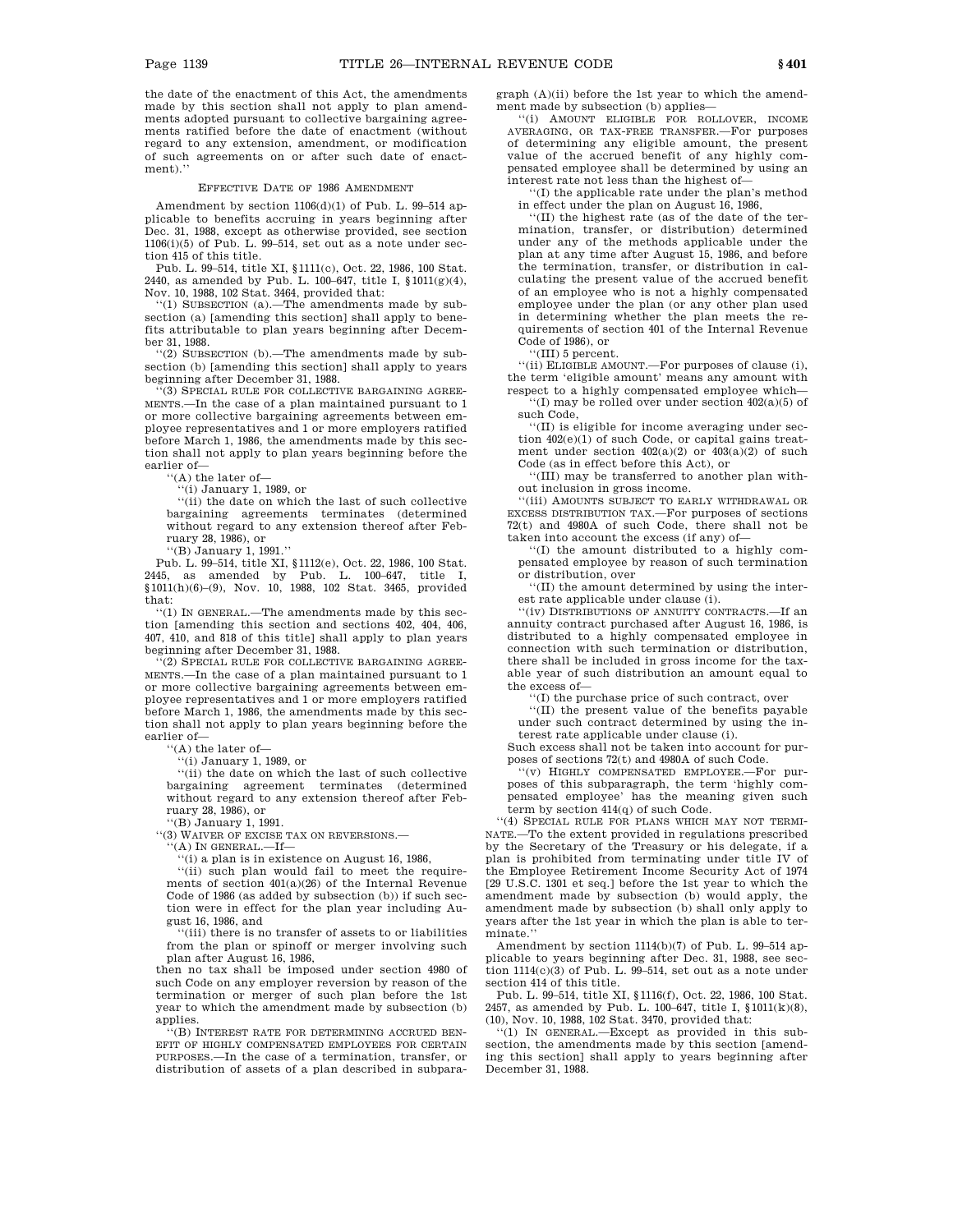the date of the enactment of this Act, the amendments made by this section shall not apply to plan amendments adopted pursuant to collective bargaining agreements ratified before the date of enactment (without regard to any extension, amendment, or modification of such agreements on or after such date of enactment).''

#### EFFECTIVE DATE OF 1986 AMENDMENT

Amendment by section  $1106(d)(1)$  of Pub. L. 99-514 applicable to benefits accruing in years beginning after Dec. 31, 1988, except as otherwise provided, see section  $1106(i)(5)$  of Pub. L. 99-514, set out as a note under section 415 of this title.

Pub. L. 99–514, title XI, §1111(c), Oct. 22, 1986, 100 Stat. 2440, as amended by Pub. L. 100–647, title I, §1011(g)(4), Nov. 10, 1988, 102 Stat. 3464, provided that:

''(1) SUBSECTION (a).—The amendments made by subsection (a) [amending this section] shall apply to benefits attributable to plan years beginning after December 31, 1988.

''(2) SUBSECTION (b).—The amendments made by subsection (b) [amending this section] shall apply to years beginning after December 31, 1988.

''(3) SPECIAL RULE FOR COLLECTIVE BARGAINING AGREE-MENTS.—In the case of a plan maintained pursuant to 1 or more collective bargaining agreements between employee representatives and 1 or more employers ratified before March 1, 1986, the amendments made by this section shall not apply to plan years beginning before the earlier of—

''(A) the later of—

 $(i)$  January 1, 1989, or

''(ii) the date on which the last of such collective bargaining agreements terminates (determined without regard to any extension thereof after February 28, 1986), or

''(B) January 1, 1991.''

Pub. L. 99–514, title XI, §1112(e), Oct. 22, 1986, 100 Stat. 2445, as amended by Pub. L. 100–647, title I, §1011(h)(6)–(9), Nov. 10, 1988, 102 Stat. 3465, provided that:

''(1) IN GENERAL.—The amendments made by this section [amending this section and sections 402, 404, 406, 407, 410, and 818 of this title] shall apply to plan years beginning after December 31, 1988.

(2) SPECIAL RULE FOR COLLECTIVE BARGAINING AGREE-MENTS.—In the case of a plan maintained pursuant to 1 or more collective bargaining agreements between employee representatives and 1 or more employers ratified before March 1, 1986, the amendments made by this section shall not apply to plan years beginning before the earlier of—

''(A) the later of—

''(i) January 1, 1989, or

''(ii) the date on which the last of such collective bargaining agreement terminates (determined without regard to any extension thereof after February 28, 1986), or

''(B) January 1, 1991. ''(3) WAIVER OF EXCISE TAX ON REVERSIONS.—

 $($ A) IN GENERAL.—If—

''(i) a plan is in existence on August 16, 1986, ''(ii) such plan would fail to meet the requirements of section 401(a)(26) of the Internal Revenue Code of 1986 (as added by subsection (b)) if such section were in effect for the plan year including August 16, 1986, and

''(iii) there is no transfer of assets to or liabilities from the plan or spinoff or merger involving such plan after August 16, 1986,

then no tax shall be imposed under section 4980 of such Code on any employer reversion by reason of the termination or merger of such plan before the 1st year to which the amendment made by subsection (b) applies.

''(B) INTEREST RATE FOR DETERMINING ACCRUED BEN-EFIT OF HIGHLY COMPENSATED EMPLOYEES FOR CERTAIN PURPOSES.—In the case of a termination, transfer, or distribution of assets of a plan described in subparagraph (A)(ii) before the 1st year to which the amendment made by subsection (b) applies—

''(i) AMOUNT ELIGIBLE FOR ROLLOVER, INCOME AVERAGING, OR TAX-FREE TRANSFER.—For purposes of determining any eligible amount, the present value of the accrued benefit of any highly compensated employee shall be determined by using an interest rate not less than the highest of—

''(I) the applicable rate under the plan's method in effect under the plan on August 16, 1986,

''(II) the highest rate (as of the date of the termination, transfer, or distribution) determined under any of the methods applicable under the plan at any time after August 15, 1986, and before the termination, transfer, or distribution in calculating the present value of the accrued benefit of an employee who is not a highly compensated employee under the plan (or any other plan used in determining whether the plan meets the requirements of section 401 of the Internal Revenue Code of 1986), or

''(III) 5 percent.

''(ii) ELIGIBLE AMOUNT.—For purposes of clause (i), the term 'eligible amount' means any amount with respect to a highly compensated employee which—

''(I) may be rolled over under section 402(a)(5) of such Code,

''(II) is eligible for income averaging under section  $402(e)(1)$  of such Code, or capital gains treatment under section  $402(a)(2)$  or  $403(a)(2)$  of such Code (as in effect before this Act), or

''(III) may be transferred to another plan without inclusion in gross income.

''(iii) AMOUNTS SUBJECT TO EARLY WITHDRAWAL OR EXCESS DISTRIBUTION TAX.—For purposes of sections 72(t) and 4980A of such Code, there shall not be taken into account the excess (if any) of—

''(I) the amount distributed to a highly compensated employee by reason of such termination or distribution, over

''(II) the amount determined by using the interest rate applicable under clause (i).

''(iv) DISTRIBUTIONS OF ANNUITY CONTRACTS.—If an annuity contract purchased after August 16, 1986, is distributed to a highly compensated employee in connection with such termination or distribution, there shall be included in gross income for the taxable year of such distribution an amount equal to the excess of—

''(I) the purchase price of such contract, over

''(II) the present value of the benefits payable under such contract determined by using the interest rate applicable under clause (i).

Such excess shall not be taken into account for purposes of sections 72(t) and 4980A of such Code.

'(v) HIGHLY COMPENSATED EMPLOYEE.-For purposes of this subparagraph, the term 'highly compensated employee' has the meaning given such term by section 414(q) of such Code.

''(4) SPECIAL RULE FOR PLANS WHICH MAY NOT TERMI-NATE.—To the extent provided in regulations prescribed by the Secretary of the Treasury or his delegate, if a plan is prohibited from terminating under title IV of the Employee Retirement Income Security Act of 1974 [29 U.S.C. 1301 et seq.] before the 1st year to which the amendment made by subsection (b) would apply, the amendment made by subsection (b) shall only apply to years after the 1st year in which the plan is able to terminate.''

Amendment by section 1114(b)(7) of Pub. L. 99–514 applicable to years beginning after Dec. 31, 1988, see section 1114(c)(3) of Pub. L. 99–514, set out as a note under section 414 of this title.

Pub. L. 99–514, title XI, §1116(f), Oct. 22, 1986, 100 Stat. 2457, as amended by Pub. L. 100–647, title I, §1011(k)(8), (10), Nov. 10, 1988, 102 Stat. 3470, provided that:

''(1) IN GENERAL.—Except as provided in this subsection, the amendments made by this section [amending this section] shall apply to years beginning after December 31, 1988.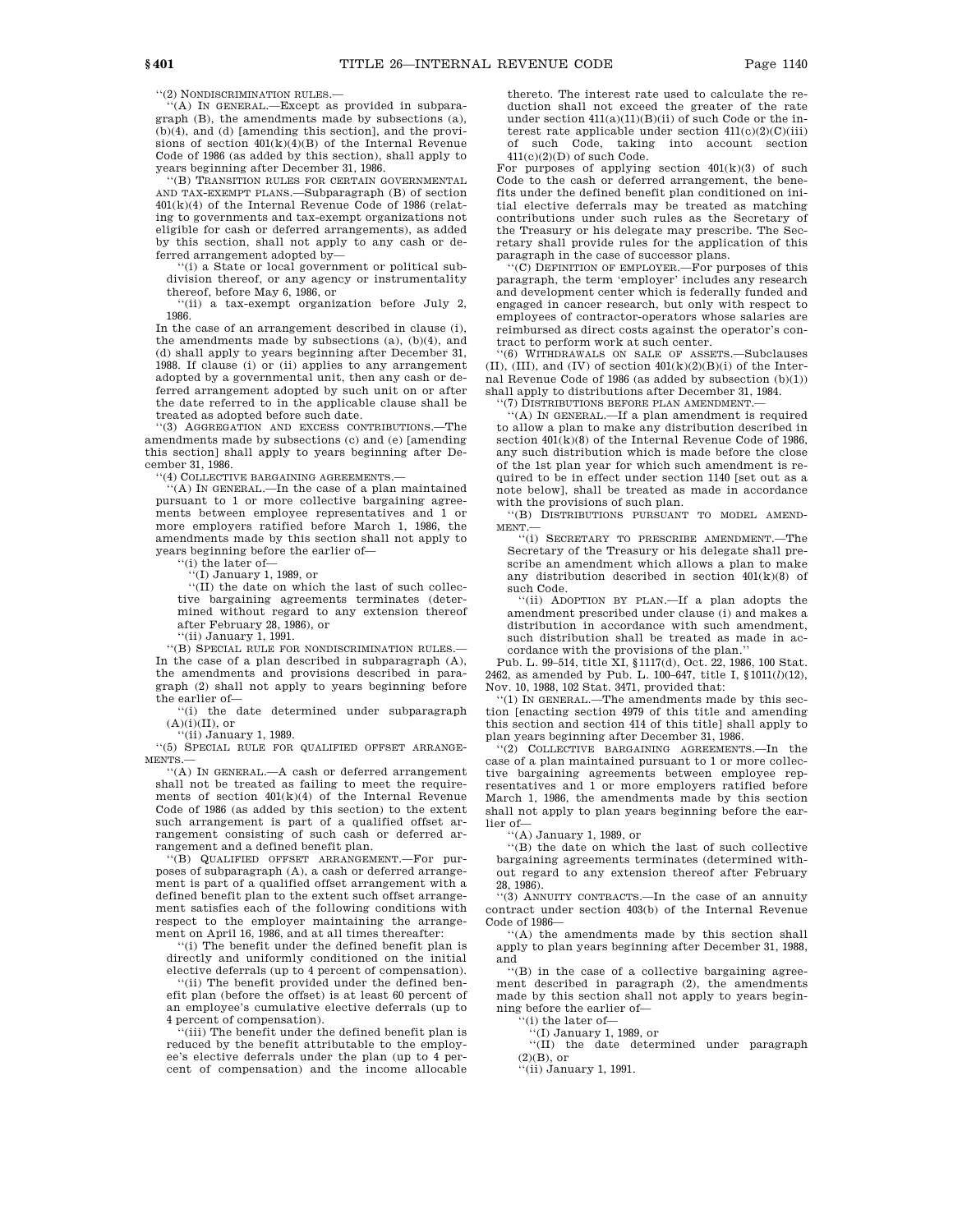''(2) NONDISCRIMINATION RULES.—

''(A) IN GENERAL.—Except as provided in subparagraph (B), the amendments made by subsections (a), (b)(4), and (d) [amending this section], and the provisions of section  $401(k)(4)(B)$  of the Internal Revenue Code of 1986 (as added by this section), shall apply to years beginning after December 31, 1986.

'(B) TRANSITION RULES FOR CERTAIN GOVERNMENTAL AND TAX-EXEMPT PLANS.—Subparagraph (B) of section 401(k)(4) of the Internal Revenue Code of 1986 (relating to governments and tax-exempt organizations not eligible for cash or deferred arrangements), as added by this section, shall not apply to any cash or deferred arrangement adopted by-

'(i) a State or local government or political subdivision thereof, or any agency or instrumentality thereof, before May 6, 1986, or

''(ii) a tax-exempt organization before July 2, 1986.

In the case of an arrangement described in clause (i), the amendments made by subsections (a), (b)(4), and (d) shall apply to years beginning after December 31, 1988. If clause (i) or (ii) applies to any arrangement adopted by a governmental unit, then any cash or deferred arrangement adopted by such unit on or after the date referred to in the applicable clause shall be treated as adopted before such date.

''(3) AGGREGATION AND EXCESS CONTRIBUTIONS.—The amendments made by subsections (c) and (e) [amending this section] shall apply to years beginning after December 31, 1986.

'(4) COLLECTIVE BARGAINING AGREEMENTS.

''(A) IN GENERAL.—In the case of a plan maintained pursuant to 1 or more collective bargaining agreements between employee representatives and 1 or more employers ratified before March 1, 1986, the amendments made by this section shall not apply to years beginning before the earlier of—

''(i) the later of—

''(I) January 1, 1989, or

''(II) the date on which the last of such collective bargaining agreements terminates (determined without regard to any extension thereof after February 28, 1986), or

(ii) January 1, 1991.

''(B) SPECIAL RULE FOR NONDISCRIMINATION RULES.— In the case of a plan described in subparagraph (A), the amendments and provisions described in paragraph (2) shall not apply to years beginning before the earlier of—

''(i) the date determined under subparagraph  $(A)(i)(II)$ , or

''(ii) January 1, 1989.

''(5) SPECIAL RULE FOR QUALIFIED OFFSET ARRANGE-MENTS.—

''(A) IN GENERAL.—A cash or deferred arrangement shall not be treated as failing to meet the requirements of section  $401(k)(4)$  of the Internal Revenue Code of 1986 (as added by this section) to the extent such arrangement is part of a qualified offset arrangement consisting of such cash or deferred arrangement and a defined benefit plan.

''(B) QUALIFIED OFFSET ARRANGEMENT.—For purposes of subparagraph (A), a cash or deferred arrangement is part of a qualified offset arrangement with a defined benefit plan to the extent such offset arrangement satisfies each of the following conditions with respect to the employer maintaining the arrangement on April 16, 1986, and at all times thereafter:

''(i) The benefit under the defined benefit plan is directly and uniformly conditioned on the initial elective deferrals (up to 4 percent of compensation).

''(ii) The benefit provided under the defined benefit plan (before the offset) is at least 60 percent of an employee's cumulative elective deferrals (up to  $\frac{4 \text{ percent of compensation}}{4 \text{ cm}}$ .

'(iii) The benefit under the defined benefit plan is reduced by the benefit attributable to the employee's elective deferrals under the plan (up to 4 percent of compensation) and the income allocable thereto. The interest rate used to calculate the reduction shall not exceed the greater of the rate under section  $411(a)(11)(B)(ii)$  of such Code or the interest rate applicable under section  $411(c)(2)(C)(iii)$ of such Code, taking into account section 411(c)(2)(D) of such Code.

For purposes of applying section  $401(k)(3)$  of such Code to the cash or deferred arrangement, the benefits under the defined benefit plan conditioned on initial elective deferrals may be treated as matching contributions under such rules as the Secretary of the Treasury or his delegate may prescribe. The Secretary shall provide rules for the application of this paragraph in the case of successor plans.

''(C) DEFINITION OF EMPLOYER.—For purposes of this paragraph, the term 'employer' includes any research and development center which is federally funded and engaged in cancer research, but only with respect to employees of contractor-operators whose salaries are reimbursed as direct costs against the operator's contract to perform work at such center.

''(6) WITHDRAWALS ON SALE OF ASSETS.—Subclauses (II), (III), and (IV) of section  $401(k)(2)(B)(i)$  of the Internal Revenue Code of 1986 (as added by subsection (b)(1)) shall apply to distributions after December 31, 1984.

''(7) DISTRIBUTIONS BEFORE PLAN AMENDMENT.—

 $(A)$  IN GENERAL.—If a plan amendment is required to allow a plan to make any distribution described in section  $401(k)(8)$  of the Internal Revenue Code of 1986, any such distribution which is made before the close of the 1st plan year for which such amendment is required to be in effect under section 1140 [set out as a note below], shall be treated as made in accordance with the provisions of such plan.

''(B) DISTRIBUTIONS PURSUANT TO MODEL AMEND-MENT.—

''(i) SECRETARY TO PRESCRIBE AMENDMENT.—The Secretary of the Treasury or his delegate shall prescribe an amendment which allows a plan to make any distribution described in section 401(k)(8) of such Code.

''(ii) ADOPTION BY PLAN.—If a plan adopts the amendment prescribed under clause (i) and makes a distribution in accordance with such amendment, such distribution shall be treated as made in ac-

cordance with the provisions of the plan.'' Pub. L. 99–514, title XI, §1117(d), Oct. 22, 1986, 100 Stat. 2462, as amended by Pub. L. 100–647, title I, §1011(*l*)(12), Nov. 10, 1988, 102 Stat. 3471, provided that:

''(1) IN GENERAL.—The amendments made by this section [enacting section 4979 of this title and amending this section and section 414 of this title] shall apply to plan years beginning after December 31, 1986.

''(2) COLLECTIVE BARGAINING AGREEMENTS.—In the case of a plan maintained pursuant to 1 or more collective bargaining agreements between employee representatives and 1 or more employers ratified before March 1, 1986, the amendments made by this section shall not apply to plan years beginning before the earlier of—

''(A) January 1, 1989, or

''(B) the date on which the last of such collective bargaining agreements terminates (determined without regard to any extension thereof after February 28, 1986).

''(3) ANNUITY CONTRACTS.—In the case of an annuity contract under section 403(b) of the Internal Revenue Code of 1986—

''(A) the amendments made by this section shall apply to plan years beginning after December 31, 1988, and

''(B) in the case of a collective bargaining agreement described in paragraph (2), the amendments made by this section shall not apply to years beginning before the earlier of—

'(i) the later of-

''(I) January 1, 1989, or

''(II) the date determined under paragraph (2)(B), or

''(ii) January 1, 1991.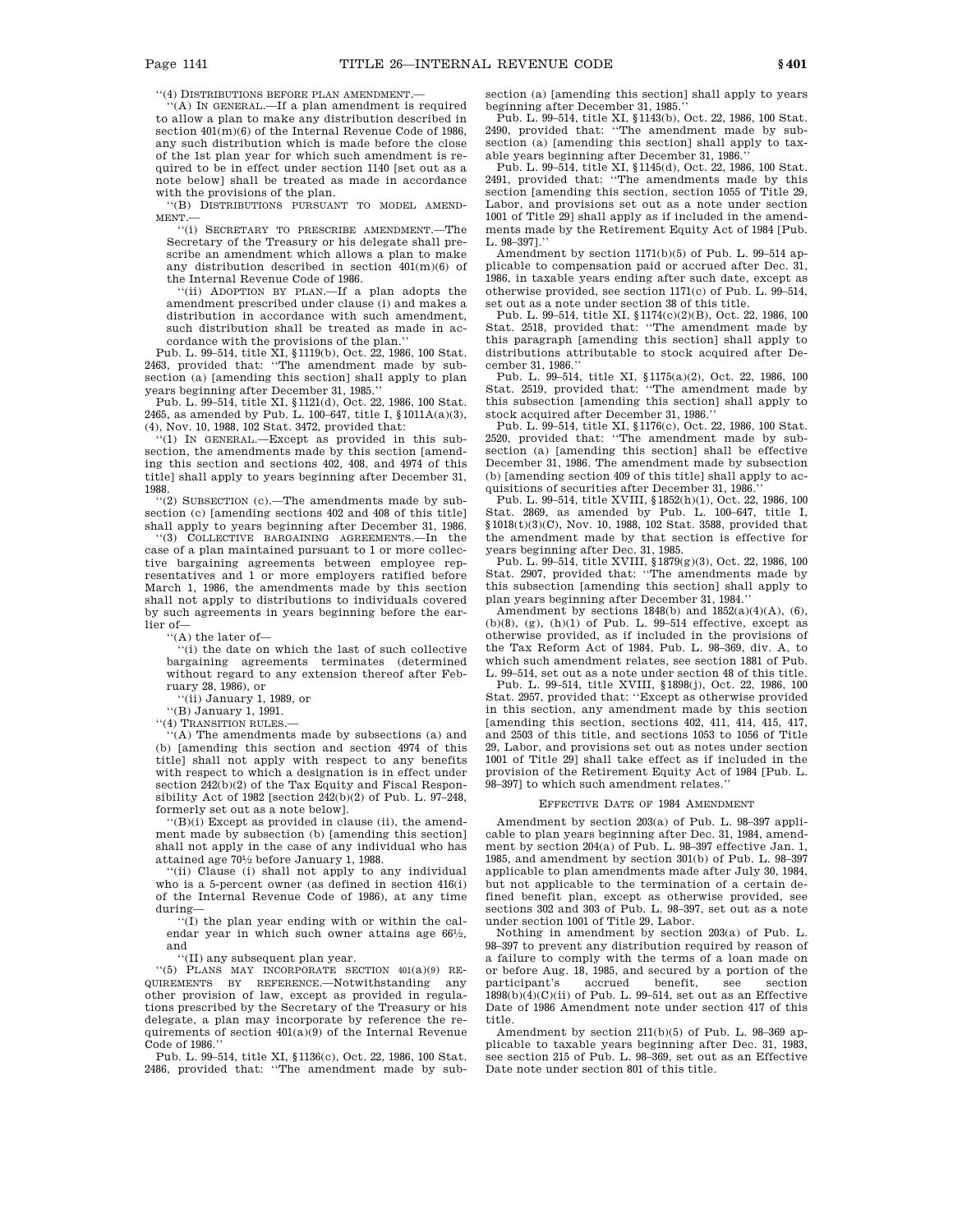''(4) DISTRIBUTIONS BEFORE PLAN AMENDMENT.—

''(A) IN GENERAL.—If a plan amendment is required to allow a plan to make any distribution described in section 401(m)(6) of the Internal Revenue Code of 1986, any such distribution which is made before the close of the 1st plan year for which such amendment is required to be in effect under section 1140 [set out as a note below] shall be treated as made in accordance with the provisions of the plan.

''(B) DISTRIBUTIONS PURSUANT TO MODEL AMEND-MENT.—

''(i) SECRETARY TO PRESCRIBE AMENDMENT.—The Secretary of the Treasury or his delegate shall prescribe an amendment which allows a plan to make any distribution described in section 401(m)(6) of the Internal Revenue Code of 1986.

''(ii) ADOPTION BY PLAN.—If a plan adopts the amendment prescribed under clause (i) and makes a distribution in accordance with such amendment, such distribution shall be treated as made in accordance with the provisions of the plan.''

Pub. L. 99–514, title XI, §1119(b), Oct. 22, 1986, 100 Stat. 2463, provided that: ''The amendment made by subsection (a) [amending this section] shall apply to plan years beginning after December 31, 1985.''

Pub. L. 99–514, title XI, §1121(d), Oct. 22, 1986, 100 Stat. 2465, as amended by Pub. L. 100–647, title I, §1011A(a)(3), (4), Nov. 10, 1988, 102 Stat. 3472, provided that:

(1) IN GENERAL.—Except as provided in this subsection, the amendments made by this section [amending this section and sections 402, 408, and 4974 of this title] shall apply to years beginning after December 31, 1988.

''(2) SUBSECTION (c).—The amendments made by subsection (c) [amending sections 402 and 408 of this title] shall apply to years beginning after December 31, 1986.

''(3) COLLECTIVE BARGAINING AGREEMENTS.—In the case of a plan maintained pursuant to 1 or more collective bargaining agreements between employee representatives and 1 or more employers ratified before March 1, 1986, the amendments made by this section shall not apply to distributions to individuals covered by such agreements in years beginning before the earlier of—

"(A) the later of —  $\cdot$ "(i) the date on which the last of such collective bargaining agreements terminates (determined without regard to any extension thereof after February 28, 1986), or

''(ii) January 1, 1989, or

''(B) January 1, 1991.

''(4) TRANSITION RULES.—

''(A) The amendments made by subsections (a) and (b) [amending this section and section 4974 of this title] shall not apply with respect to any benefits with respect to which a designation is in effect under section  $242(b)(2)$  of the Tax Equity and Fiscal Responsibility Act of 1982 [section 242(b)(2) of Pub. L. 97–248, formerly set out as a note below].

 $'(B)(i)$  Except as provided in clause (ii), the amendment made by subsection (b) [amending this section] shall not apply in the case of any individual who has attained age 701 ⁄2 before January 1, 1988.

''(ii) Clause (i) shall not apply to any individual who is a 5-percent owner (as defined in section 416(i) of the Internal Revenue Code of 1986), at any time during—

''(I) the plan year ending with or within the calendar year in which such owner attains age 661/2, and

''(II) any subsequent plan year.

''(5) PLANS MAY INCORPORATE SECTION 401(a)(9) RE-QUIREMENTS BY REFERENCE.—Notwithstanding any other provision of law, except as provided in regulations prescribed by the Secretary of the Treasury or his delegate, a plan may incorporate by reference the requirements of section  $401(a)(9)$  of the Internal Revenue Code of 1986.

Pub. L. 99–514, title XI, §1136(c), Oct. 22, 1986, 100 Stat. 2486, provided that: ''The amendment made by subsection (a) [amending this section] shall apply to years beginning after December 31, 1985.''

Pub. L. 99–514, title XI, §1143(b), Oct. 22, 1986, 100 Stat. 2490, provided that: ''The amendment made by subsection (a) [amending this section] shall apply to taxable years beginning after December 31, 1986.

Pub. L. 99–514, title XI, §1145(d), Oct. 22, 1986, 100 Stat. 2491, provided that: ''The amendments made by this section [amending this section, section 1055 of Title 29, Labor, and provisions set out as a note under section 1001 of Title 29] shall apply as if included in the amendments made by the Retirement Equity Act of 1984 [Pub. L. 98–397].''

Amendment by section 1171(b)(5) of Pub. L. 99–514 applicable to compensation paid or accrued after Dec. 31, 1986, in taxable years ending after such date, except as otherwise provided, see section 1171(c) of Pub. L. 99–514, set out as a note under section 38 of this title.

Pub. L. 99–514, title XI, §1174(c)(2)(B), Oct. 22, 1986, 100 Stat. 2518, provided that: ''The amendment made by this paragraph [amending this section] shall apply to distributions attributable to stock acquired after December 31, 1986.''

Pub. L. 99–514, title XI, §1175(a)(2), Oct. 22, 1986, 100 Stat. 2519, provided that: ''The amendment made by this subsection [amending this section] shall apply to stock acquired after December 31, 1986.''

Pub. L. 99–514, title XI, §1176(c), Oct. 22, 1986, 100 Stat. 2520, provided that: ''The amendment made by subsection (a) [amending this section] shall be effective December 31, 1986. The amendment made by subsection (b) [amending section 409 of this title] shall apply to acquisitions of securities after December 31, 1986.

Pub. L. 99–514, title XVIII, §1852(h)(1), Oct. 22, 1986, 100 Stat. 2869, as amended by Pub. L. 100–647, title I, §1018(t)(3)(C), Nov. 10, 1988, 102 Stat. 3588, provided that the amendment made by that section is effective for years beginning after Dec. 31, 1985.

Pub. L. 99–514, title XVIII, §1879(g)(3), Oct. 22, 1986, 100 Stat. 2907, provided that: ''The amendments made by this subsection [amending this section] shall apply to plan years beginning after December 31, 1984.''

Amendment by sections  $1848(b)$  and  $1852(a)(4)(A)$ , (6),  $(b)(8)$ ,  $(g)$ ,  $(h)(1)$  of Pub. L. 99-514 effective, except as otherwise provided, as if included in the provisions of the Tax Reform Act of 1984, Pub. L. 98–369, div. A, to which such amendment relates, see section 1881 of Pub. L. 99–514, set out as a note under section 48 of this title.

Pub. L. 99–514, title XVIII, §1898(j), Oct. 22, 1986, 100 Stat. 2957, provided that: ''Except as otherwise provided in this section, any amendment made by this section [amending this section, sections 402, 411, 414, 415, 417, and 2503 of this title, and sections 1053 to 1056 of Title 29, Labor, and provisions set out as notes under section 1001 of Title 29] shall take effect as if included in the provision of the Retirement Equity Act of 1984 [Pub. L. 98–397] to which such amendment relates.''

#### EFFECTIVE DATE OF 1984 AMENDMENT

Amendment by section 203(a) of Pub. L. 98–397 applicable to plan years beginning after Dec. 31, 1984, amendment by section 204(a) of Pub. L. 98–397 effective Jan. 1, 1985, and amendment by section 301(b) of Pub. L. 98–397 applicable to plan amendments made after July 30, 1984, but not applicable to the termination of a certain defined benefit plan, except as otherwise provided, see sections 302 and 303 of Pub. L. 98–397, set out as a note under section 1001 of Title 29, Labor.

Nothing in amendment by section 203(a) of Pub. L. 98–397 to prevent any distribution required by reason of a failure to comply with the terms of a loan made on or before Aug. 18, 1985, and secured by a portion of the participant's accrued benefit, see section  $1898(b)(4)(C)(ii)$  of Pub. L. 99-514, set out as an Effective Date of 1986 Amendment note under section 417 of this title.

Amendment by section 211(b)(5) of Pub. L. 98–369 applicable to taxable years beginning after Dec. 31, 1983, see section 215 of Pub. L. 98–369, set out as an Effective Date note under section 801 of this title.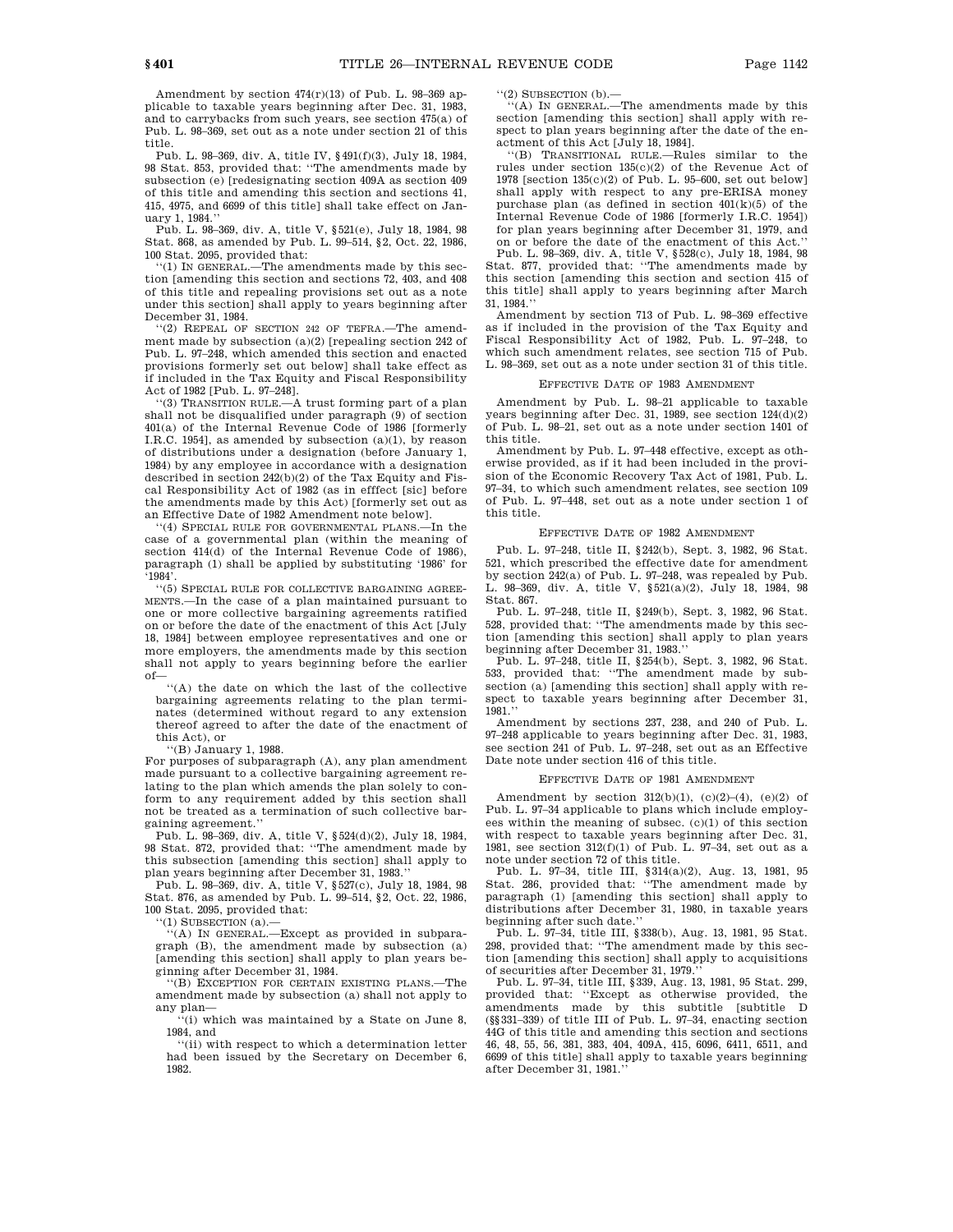Amendment by section 474(r)(13) of Pub. L. 98–369 applicable to taxable years beginning after Dec. 31, 1983, and to carrybacks from such years, see section 475(a) of Pub. L. 98–369, set out as a note under section 21 of this title.

Pub. L. 98–369, div. A, title IV, §491(f)(3), July 18, 1984, 98 Stat. 853, provided that: ''The amendments made by subsection (e) [redesignating section 409A as section 409 of this title and amending this section and sections 41, 415, 4975, and 6699 of this title] shall take effect on January 1, 1984.''

Pub. L. 98–369, div. A, title V, §521(e), July 18, 1984, 98 Stat. 868, as amended by Pub. L. 99–514, §2, Oct. 22, 1986, 100 Stat. 2095, provided that:

 $(1)$  IN GENERAL.—The amendments made by this section [amending this section and sections 72, 403, and 408 of this title and repealing provisions set out as a note under this section] shall apply to years beginning after December 31, 1984.

'(2) REPEAL OF SECTION 242 OF TEFRA. The amendment made by subsection (a)(2) [repealing section 242 of Pub. L. 97–248, which amended this section and enacted provisions formerly set out below] shall take effect as if included in the Tax Equity and Fiscal Responsibility Act of 1982 [Pub. L. 97–248].

''(3) TRANSITION RULE.—A trust forming part of a plan shall not be disqualified under paragraph (9) of section 401(a) of the Internal Revenue Code of 1986 [formerly I.R.C. 1954], as amended by subsection (a)(1), by reason of distributions under a designation (before January 1, 1984) by any employee in accordance with a designation described in section 242(b)(2) of the Tax Equity and Fiscal Responsibility Act of 1982 (as in efffect [sic] before the amendments made by this Act) [formerly set out as an Effective Date of 1982 Amendment note below].

''(4) SPECIAL RULE FOR GOVERNMENTAL PLANS.—In the case of a governmental plan (within the meaning of section 414(d) of the Internal Revenue Code of 1986), paragraph (1) shall be applied by substituting '1986' for '1984'.

''(5) SPECIAL RULE FOR COLLECTIVE BARGAINING AGREE-MENTS.—In the case of a plan maintained pursuant to one or more collective bargaining agreements ratified on or before the date of the enactment of this Act [July 18, 1984] between employee representatives and one or more employers, the amendments made by this section shall not apply to years beginning before the earlier

of— ''(A) the date on which the last of the collective bargaining agreements relating to the plan terminates (determined without regard to any extension thereof agreed to after the date of the enactment of this Act), or

''(B) January 1, 1988.

For purposes of subparagraph (A), any plan amendment made pursuant to a collective bargaining agreement relating to the plan which amends the plan solely to conform to any requirement added by this section shall not be treated as a termination of such collective bargaining agreement.''

Pub. L. 98–369, div. A, title V, §524(d)(2), July 18, 1984, 98 Stat. 872, provided that: ''The amendment made by this subsection [amending this section] shall apply to plan years beginning after December 31, 1983.''

Pub. L. 98–369, div. A, title V, §527(c), July 18, 1984, 98 Stat. 876, as amended by Pub. L. 99–514, §2, Oct. 22, 1986, 100 Stat. 2095, provided that:

''(1) SUBSECTION (a).—

''(A) IN GENERAL.—Except as provided in subparagraph (B), the amendment made by subsection (a) [amending this section] shall apply to plan years beginning after December 31, 1984.

''(B) EXCEPTION FOR CERTAIN EXISTING PLANS.—The amendment made by subsection (a) shall not apply to any plan—

''(i) which was maintained by a State on June 8, 1984, and

''(ii) with respect to which a determination letter had been issued by the Secretary on December 6, 1982.

''(2) SUBSECTION (b).—

''(A) IN GENERAL.—The amendments made by this section [amending this section] shall apply with respect to plan years beginning after the date of the enactment of this Act [July 18, 1984].

''(B) TRANSITIONAL RULE.—Rules similar to the rules under section 135(c)(2) of the Revenue Act of 1978 [section 135(c)(2) of Pub. L. 95–600, set out below] shall apply with respect to any pre-ERISA money purchase plan (as defined in section 401(k)(5) of the Internal Revenue Code of 1986 [formerly I.R.C. 1954]) for plan years beginning after December 31, 1979, and on or before the date of the enactment of this Act.'' Pub. L. 98–369, div. A, title V, §528(c), July 18, 1984, 98 Stat. 877, provided that: ''The amendments made by this section [amending this section and section 415 of this title] shall apply to years beginning after March 31, 1984.''

Amendment by section 713 of Pub. L. 98–369 effective as if included in the provision of the Tax Equity and Fiscal Responsibility Act of 1982, Pub. L. 97–248, to which such amendment relates, see section 715 of Pub. L. 98–369, set out as a note under section 31 of this title.

#### EFFECTIVE DATE OF 1983 AMENDMENT

Amendment by Pub. L. 98–21 applicable to taxable years beginning after Dec. 31, 1989, see section 124(d)(2) of Pub. L. 98–21, set out as a note under section 1401 of this title.

Amendment by Pub. L. 97–448 effective, except as otherwise provided, as if it had been included in the provision of the Economic Recovery Tax Act of 1981, Pub. L. 97–34, to which such amendment relates, see section 109 of Pub. L. 97–448, set out as a note under section 1 of this title.

#### EFFECTIVE DATE OF 1982 AMENDMENT

Pub. L. 97–248, title II, §242(b), Sept. 3, 1982, 96 Stat. 521, which prescribed the effective date for amendment by section 242(a) of Pub. L. 97–248, was repealed by Pub. L. 98–369, div. A, title V, §521(a)(2), July 18, 1984, 98 Stat. 867.

Pub. L. 97–248, title II, §249(b), Sept. 3, 1982, 96 Stat. 528, provided that: ''The amendments made by this section [amending this section] shall apply to plan years beginning after December 31, 1983.''

Pub. L. 97–248, title II, §254(b), Sept. 3, 1982, 96 Stat. 533, provided that: ''The amendment made by subsection (a) [amending this section] shall apply with respect to taxable years beginning after December 31,  $1981.$ ''

Amendment by sections 237, 238, and 240 of Pub. L. 97–248 applicable to years beginning after Dec. 31, 1983, see section 241 of Pub. L. 97–248, set out as an Effective Date note under section 416 of this title.

#### EFFECTIVE DATE OF 1981 AMENDMENT

Amendment by section  $312(b)(1)$ ,  $(c)(2)-(4)$ ,  $(e)(2)$  of Pub. L. 97–34 applicable to plans which include employees within the meaning of subsec. (c)(1) of this section with respect to taxable years beginning after Dec. 31, 1981, see section 312(f)(1) of Pub. L. 97–34, set out as a note under section 72 of this title.

Pub. L. 97–34, title III, §314(a)(2), Aug. 13, 1981, 95 Stat. 286, provided that: ''The amendment made by paragraph (1) [amending this section] shall apply to distributions after December 31, 1980, in taxable years beginning after such date.''

Pub. L. 97–34, title III, §338(b), Aug. 13, 1981, 95 Stat. 298, provided that: ''The amendment made by this section [amending this section] shall apply to acquisitions of securities after December 31, 1979.

Pub. L. 97–34, title III, §339, Aug. 13, 1981, 95 Stat. 299, provided that: ''Except as otherwise provided, the amendments made by this subtitle [subtitle D (§§331–339) of title III of Pub. L. 97–34, enacting section 44G of this title and amending this section and sections 46, 48, 55, 56, 381, 383, 404, 409A, 415, 6096, 6411, 6511, and 6699 of this title] shall apply to taxable years beginning after December 31, 1981.''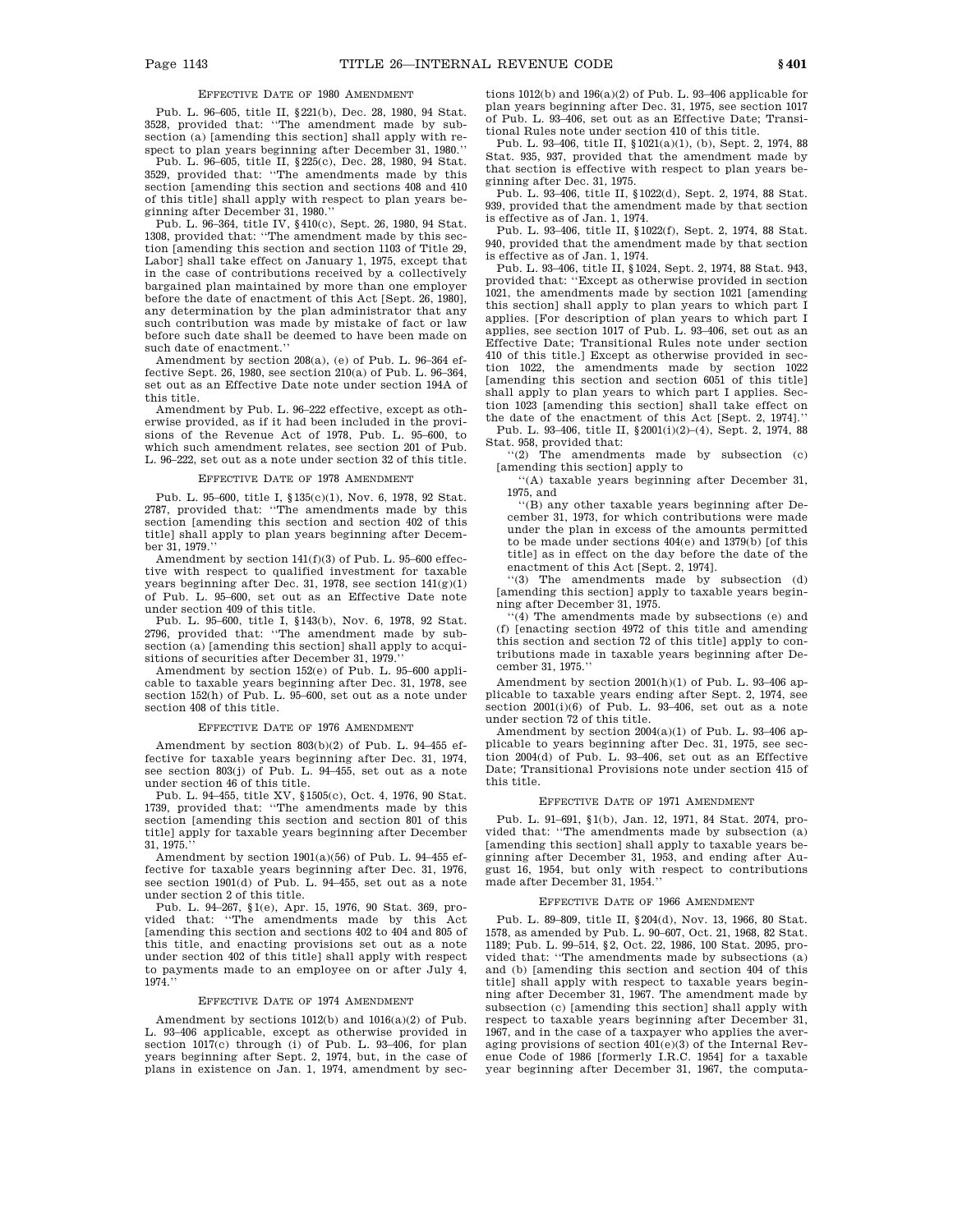# EFFECTIVE DATE OF 1980 AMENDMENT

Pub. L. 96–605, title II, §221(b), Dec. 28, 1980, 94 Stat. 3528, provided that: ''The amendment made by subsection (a) [amending this section] shall apply with respect to plan years beginning after December 31, 1980.''

Pub. L. 96–605, title II, §225(c), Dec. 28, 1980, 94 Stat. 3529, provided that: ''The amendments made by this section [amending this section and sections 408 and 410 of this title] shall apply with respect to plan years beginning after December 31, 1980.''

Pub. L. 96–364, title IV, §410(c), Sept. 26, 1980, 94 Stat. 1308, provided that: ''The amendment made by this section [amending this section and section 1103 of Title 29, Labor] shall take effect on January 1, 1975, except that in the case of contributions received by a collectively bargained plan maintained by more than one employer before the date of enactment of this Act [Sept. 26, 1980], any determination by the plan administrator that any such contribution was made by mistake of fact or law before such date shall be deemed to have been made on such date of enactment.''

Amendment by section 208(a), (e) of Pub. L. 96–364 effective Sept. 26, 1980, see section 210(a) of Pub. L. 96–364, set out as an Effective Date note under section 194A of this title.

Amendment by Pub. L. 96–222 effective, except as otherwise provided, as if it had been included in the provisions of the Revenue Act of 1978, Pub. L. 95–600, to which such amendment relates, see section 201 of Pub. L. 96–222, set out as a note under section 32 of this title.

#### EFFECTIVE DATE OF 1978 AMENDMENT

Pub. L. 95–600, title I, §135(c)(1), Nov. 6, 1978, 92 Stat. 2787, provided that: ''The amendments made by this section [amending this section and section 402 of this title] shall apply to plan years beginning after December 31, 1979.''

Amendment by section 141(f)(3) of Pub. L. 95–600 effective with respect to qualified investment for taxable years beginning after Dec. 31, 1978, see section  $141(g)(1)$ of Pub. L. 95–600, set out as an Effective Date note under section 409 of this title.

Pub. L. 95–600, title I, §143(b), Nov. 6, 1978, 92 Stat. 2796, provided that: ''The amendment made by subsection (a) [amending this section] shall apply to acquisitions of securities after December 31, 1979.

Amendment by section 152(e) of Pub. L. 95–600 applicable to taxable years beginning after Dec. 31, 1978, see section 152(h) of Pub. L. 95–600, set out as a note under section 408 of this title.

#### EFFECTIVE DATE OF 1976 AMENDMENT

Amendment by section 803(b)(2) of Pub. L. 94–455 effective for taxable years beginning after Dec. 31, 1974, see section 803(j) of Pub. L. 94–455, set out as a note under section 46 of this title.

Pub. L. 94–455, title XV, §1505(c), Oct. 4, 1976, 90 Stat. 1739, provided that: ''The amendments made by this section [amending this section and section 801 of this title] apply for taxable years beginning after December 31, 1975.''

Amendment by section 1901(a)(56) of Pub. L. 94–455 effective for taxable years beginning after Dec. 31, 1976, see section 1901(d) of Pub. L. 94–455, set out as a note under section 2 of this title.

Pub. L. 94–267, §1(e), Apr. 15, 1976, 90 Stat. 369, provided that: ''The amendments made by this Act [amending this section and sections 402 to 404 and 805 of this title, and enacting provisions set out as a note under section 402 of this title] shall apply with respect to payments made to an employee on or after July 4, 1974.''

#### EFFECTIVE DATE OF 1974 AMENDMENT

Amendment by sections 1012(b) and 1016(a)(2) of Pub. L. 93–406 applicable, except as otherwise provided in section 1017(c) through (i) of Pub. L. 93–406, for plan years beginning after Sept. 2, 1974, but, in the case of plans in existence on Jan. 1, 1974, amendment by sec-

tions 1012(b) and 196(a)(2) of Pub. L. 93–406 applicable for plan years beginning after Dec. 31, 1975, see section 1017 of Pub. L. 93–406, set out as an Effective Date; Transitional Rules note under section 410 of this title.

Pub. L. 93–406, title II, §1021(a)(1), (b), Sept. 2, 1974, 88 Stat. 935, 937, provided that the amendment made by that section is effective with respect to plan years beginning after Dec. 31, 1975.

Pub. L. 93–406, title II, §1022(d), Sept. 2, 1974, 88 Stat. 939, provided that the amendment made by that section is effective as of Jan. 1, 1974.

Pub. L. 93–406, title II, §1022(f), Sept. 2, 1974, 88 Stat. 940, provided that the amendment made by that section is effective as of Jan. 1, 1974.

Pub. L. 93–406, title II, §1024, Sept. 2, 1974, 88 Stat. 943, provided that: ''Except as otherwise provided in section 1021, the amendments made by section 1021 [amending this section] shall apply to plan years to which part I applies. [For description of plan years to which part I applies, see section 1017 of Pub. L. 93–406, set out as an Effective Date; Transitional Rules note under section 410 of this title.] Except as otherwise provided in section 1022, the amendments made by section 1022 [amending this section and section 6051 of this title] shall apply to plan years to which part I applies. Section 1023 [amending this section] shall take effect on the date of the enactment of this Act [Sept. 2, 1974].''

Pub. L. 93–406, title II, §2001(i)(2)–(4), Sept. 2, 1974, 88 Stat. 958, provided that:

''(2) The amendments made by subsection (c) [amending this section] apply to

''(A) taxable years beginning after December 31, 1975, and

''(B) any other taxable years beginning after December 31, 1973, for which contributions were made under the plan in excess of the amounts permitted to be made under sections 404(e) and 1379(b) [of this title] as in effect on the day before the date of the enactment of this Act [Sept. 2, 1974].

''(3) The amendments made by subsection (d) [amending this section] apply to taxable years beginning after December 31, 1975.

 $(4)$  The amendments made by subsections (e) and (f) [enacting section 4972 of this title and amending this section and section 72 of this title] apply to contributions made in taxable years beginning after December 31, 1975.''

Amendment by section 2001(h)(1) of Pub. L. 93–406 applicable to taxable years ending after Sept. 2, 1974, see section 2001(i)(6) of Pub. L. 93-406, set out as a note under section 72 of this title.

Amendment by section  $2004(a)(1)$  of Pub. L. 93-406 applicable to years beginning after Dec. 31, 1975, see section 2004(d) of Pub. L. 93–406, set out as an Effective Date; Transitional Provisions note under section 415 of this title.

#### EFFECTIVE DATE OF 1971 AMENDMENT

Pub. L. 91–691, §1(b), Jan. 12, 1971, 84 Stat. 2074, provided that: ''The amendments made by subsection (a) [amending this section] shall apply to taxable years beginning after December 31, 1953, and ending after August 16, 1954, but only with respect to contributions made after December 31, 1954.''

#### EFFECTIVE DATE OF 1966 AMENDMENT

Pub. L. 89–809, title II, §204(d), Nov. 13, 1966, 80 Stat. 1578, as amended by Pub. L. 90–607, Oct. 21, 1968, 82 Stat. 1189; Pub. L. 99–514, §2, Oct. 22, 1986, 100 Stat. 2095, provided that: ''The amendments made by subsections (a) and (b) [amending this section and section 404 of this title] shall apply with respect to taxable years beginning after December 31, 1967. The amendment made by subsection (c) [amending this section] shall apply with respect to taxable years beginning after December 31, 1967, and in the case of a taxpayer who applies the averaging provisions of section 401(e)(3) of the Internal Revenue Code of 1986 [formerly I.R.C. 1954] for a taxable year beginning after December 31, 1967, the computa-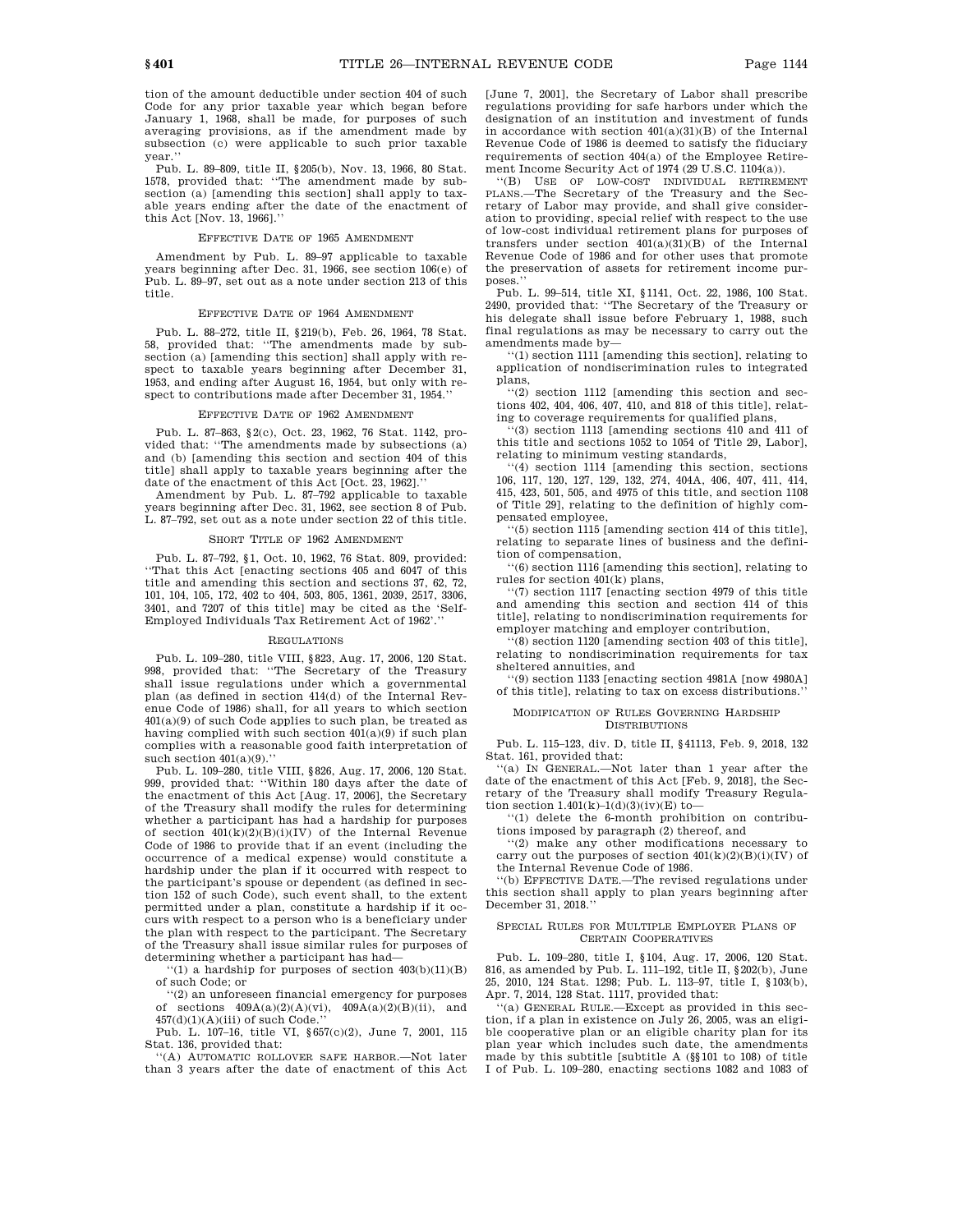tion of the amount deductible under section 404 of such Code for any prior taxable year which began before January 1, 1968, shall be made, for purposes of such averaging provisions, as if the amendment made by subsection (c) were applicable to such prior taxable year.

Pub. L. 89–809, title II, §205(b), Nov. 13, 1966, 80 Stat. 1578, provided that: ''The amendment made by subsection (a) [amending this section] shall apply to taxable years ending after the date of the enactment of this Act [Nov. 13, 1966].''

#### EFFECTIVE DATE OF 1965 AMENDMENT

Amendment by Pub. L. 89–97 applicable to taxable years beginning after Dec. 31, 1966, see section 106(e) of Pub. L. 89–97, set out as a note under section 213 of this title.

#### EFFECTIVE DATE OF 1964 AMENDMENT

Pub. L. 88–272, title II, §219(b), Feb. 26, 1964, 78 Stat. 58, provided that: ''The amendments made by subsection (a) [amending this section] shall apply with respect to taxable years beginning after December 31, 1953, and ending after August 16, 1954, but only with respect to contributions made after December 31, 1954.''

#### EFFECTIVE DATE OF 1962 AMENDMENT

Pub. L. 87–863, §2(c), Oct. 23, 1962, 76 Stat. 1142, provided that: ''The amendments made by subsections (a) and (b) [amending this section and section 404 of this title] shall apply to taxable years beginning after the date of the enactment of this Act [Oct. 23, 1962].''

Amendment by Pub. L. 87–792 applicable to taxable years beginning after Dec. 31, 1962, see section 8 of Pub. L. 87–792, set out as a note under section 22 of this title.

#### SHORT TITLE OF 1962 AMENDMENT

Pub. L. 87–792, §1, Oct. 10, 1962, 76 Stat. 809, provided: ''That this Act [enacting sections 405 and 6047 of this title and amending this section and sections 37, 62, 72, 101, 104, 105, 172, 402 to 404, 503, 805, 1361, 2039, 2517, 3306, 3401, and 7207 of this title] may be cited as the 'Self-Employed Individuals Tax Retirement Act of 1962'.''

#### REGULATIONS

Pub. L. 109–280, title VIII, §823, Aug. 17, 2006, 120 Stat. 998, provided that: ''The Secretary of the Treasury shall issue regulations under which a governmental plan (as defined in section 414(d) of the Internal Revenue Code of 1986) shall, for all years to which section 401(a)(9) of such Code applies to such plan, be treated as having complied with such section 401(a)(9) if such plan complies with a reasonable good faith interpretation of such section  $401(a)(9)$ .

Pub. L. 109–280, title VIII, §826, Aug. 17, 2006, 120 Stat. 999, provided that: ''Within 180 days after the date of the enactment of this Act [Aug. 17, 2006], the Secretary of the Treasury shall modify the rules for determining whether a participant has had a hardship for purposes of section  $401(k)(2)(B)(i)(IV)$  of the Internal Revenue Code of 1986 to provide that if an event (including the occurrence of a medical expense) would constitute a hardship under the plan if it occurred with respect to the participant's spouse or dependent (as defined in section 152 of such Code), such event shall, to the extent permitted under a plan, constitute a hardship if it occurs with respect to a person who is a beneficiary under the plan with respect to the participant. The Secretary of the Treasury shall issue similar rules for purposes of determining whether a participant has had—

 $\lq\lq(1)$  a hardship for purposes of section  $403(b)(11)(B)$ of such Code; or

''(2) an unforeseen financial emergency for purposes of sections  $409\mathcal{A}(a)(2)(\mathcal{A})(vi)$  ,  $409\mathcal{A}(a)(2)(\mathcal{B})(ii)$  , and  $457(d)(1)(A)(iii)$  of such Code.'

Pub. L. 107–16, title VI, §657(c)(2), June 7, 2001, 115 Stat. 136, provided that:

''(A) AUTOMATIC ROLLOVER SAFE HARBOR.—Not later than 3 years after the date of enactment of this Act [June 7, 2001], the Secretary of Labor shall prescribe regulations providing for safe harbors under which the designation of an institution and investment of funds in accordance with section  $401(a)(31)(B)$  of the Internal Revenue Code of 1986 is deemed to satisfy the fiduciary requirements of section 404(a) of the Employee Retirement Income Security Act of 1974 (29 U.S.C. 1104(a)).

''(B) USE OF LOW-COST INDIVIDUAL RETIREMENT PLANS.—The Secretary of the Treasury and the Secretary of Labor may provide, and shall give consideration to providing, special relief with respect to the use of low-cost individual retirement plans for purposes of transfers under section 401(a)(31)(B) of the Internal Revenue Code of 1986 and for other uses that promote the preservation of assets for retirement income purposes.''

Pub. L. 99–514, title XI, §1141, Oct. 22, 1986, 100 Stat. 2490, provided that: ''The Secretary of the Treasury or his delegate shall issue before February 1, 1988, such final regulations as may be necessary to carry out the amendments made by—

''(1) section 1111 [amending this section], relating to application of nondiscrimination rules to integrated plans,

''(2) section 1112 [amending this section and sections 402, 404, 406, 407, 410, and 818 of this title], relating to coverage requirements for qualified plans

''(3) section 1113 [amending sections 410 and 411 of this title and sections 1052 to 1054 of Title 29, Labor], relating to minimum vesting standards,

''(4) section 1114 [amending this section, sections 106, 117, 120, 127, 129, 132, 274, 404A, 406, 407, 411, 414, 415, 423, 501, 505, and 4975 of this title, and section 1108 of Title 29], relating to the definition of highly compensated employee,

''(5) section 1115 [amending section 414 of this title], relating to separate lines of business and the definition of compensation,

 $(6)$  section 1116 [amending this section], relating to rules for section 401(k) plans,

''(7) section 1117 [enacting section 4979 of this title and amending this section and section 414 of this title], relating to nondiscrimination requirements for employer matching and employer contribution,

 $(8)$  section 1120 [amending section 403 of this title], relating to nondiscrimination requirements for tax sheltered annuities, and

''(9) section 1133 [enacting section 4981A [now 4980A] of this title], relating to tax on excess distributions.''

#### MODIFICATION OF RULES GOVERNING HARDSHIP DISTRIBUTIONS

Pub. L. 115–123, div. D, title II, §41113, Feb. 9, 2018, 132 Stat. 161, provided that:

''(a) IN GENERAL.—Not later than 1 year after the date of the enactment of this Act [Feb. 9, 2018], the Secretary of the Treasury shall modify Treasury Regulation section  $1.401(k)-1(d)(3)(iv)(E)$  to-

''(1) delete the 6-month prohibition on contributions imposed by paragraph (2) thereof, and

''(2) make any other modifications necessary to carry out the purposes of section  $401(k)(2)(B)(i)(IV)$  of the Internal Revenue Code of 1986.

''(b) EFFECTIVE DATE.—The revised regulations under this section shall apply to plan years beginning after December 31, 2018.''

#### SPECIAL RULES FOR MULTIPLE EMPLOYER PLANS OF CERTAIN COOPERATIVES

Pub. L. 109–280, title I, §104, Aug. 17, 2006, 120 Stat. 816, as amended by Pub. L. 111–192, title II, §202(b), June 25, 2010, 124 Stat. 1298; Pub. L. 113–97, title I, §103(b), Apr. 7, 2014, 128 Stat. 1117, provided that:

''(a) GENERAL RULE.—Except as provided in this section, if a plan in existence on July 26, 2005, was an eligible cooperative plan or an eligible charity plan for its plan year which includes such date, the amendments made by this subtitle [subtitle A (§§101 to 108) of title I of Pub. L. 109–280, enacting sections 1082 and 1083 of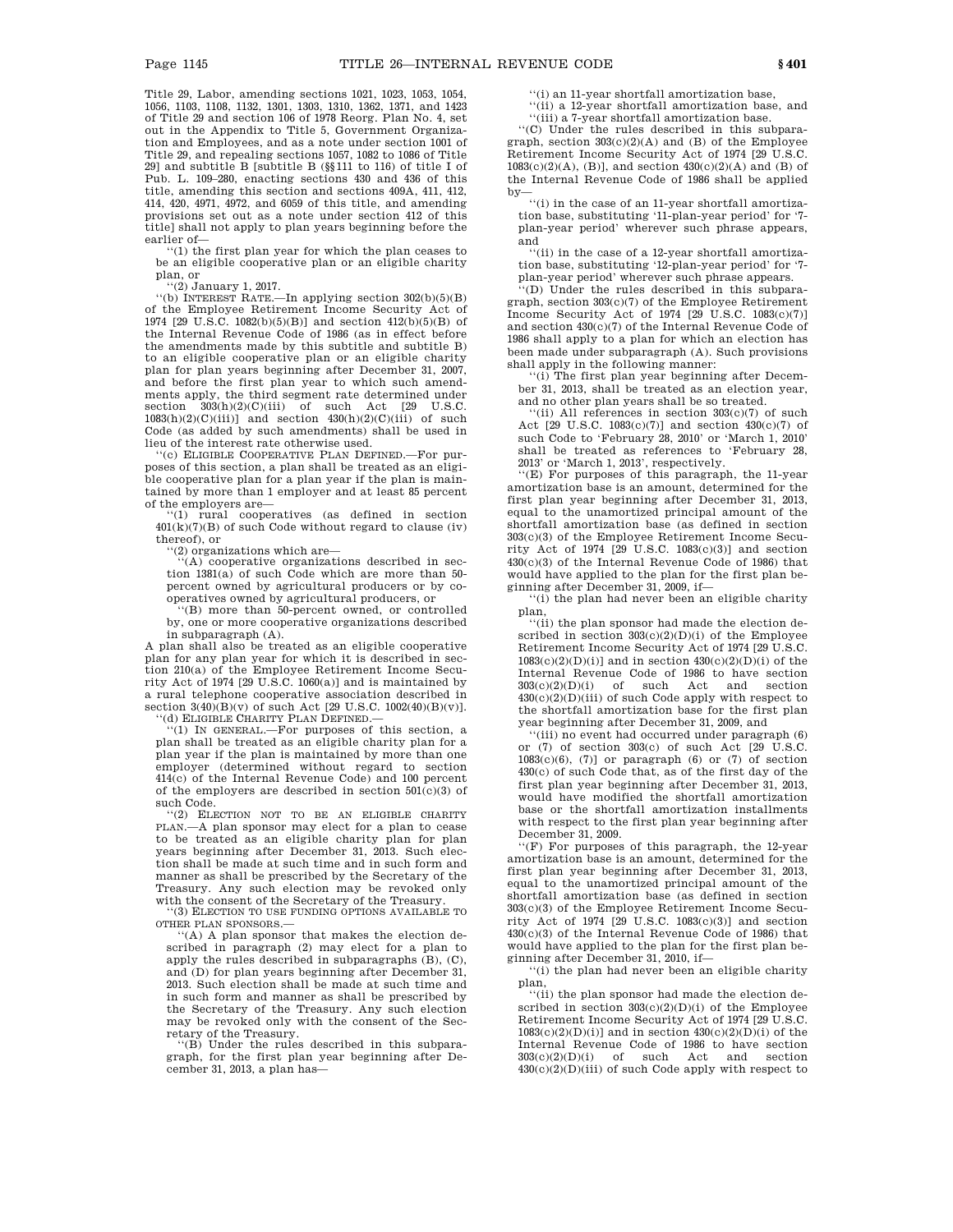Title 29, Labor, amending sections 1021, 1023, 1053, 1054, 1056, 1103, 1108, 1132, 1301, 1303, 1310, 1362, 1371, and 1423 of Title 29 and section 106 of 1978 Reorg. Plan No. 4, set out in the Appendix to Title 5, Government Organization and Employees, and as a note under section 1001 of Title 29, and repealing sections 1057, 1082 to 1086 of Title 29] and subtitle B [subtitle B (§§111 to 116) of title I of Pub. L. 109–280, enacting sections 430 and 436 of this title, amending this section and sections 409A, 411, 412, 414, 420, 4971, 4972, and 6059 of this title, and amending provisions set out as a note under section 412 of this title] shall not apply to plan years beginning before the

earlier of—<br>"(1) the first plan year for which the plan ceases to be an eligible cooperative plan or an eligible charity plan, or

(2) January 1, 2017.<br>
"(b) INTEREST RATE.—In applying section  $302(b)(5)(B)$ of the Employee Retirement Income Security Act of 1974 [29 U.S.C. 1082(b)(5)(B)] and section 412(b)(5)(B) of the Internal Revenue Code of 1986 (as in effect before the amendments made by this subtitle and subtitle B) to an eligible cooperative plan or an eligible charity plan for plan years beginning after December 31, 2007, and before the first plan year to which such amendments apply, the third segment rate determined under<br>section  $303(h)(2)(C)(iii)$  of such Act [29 U.S.C.]  $303(h)(2)(C)(iii)$  of such Act  $[29$  U.S.C.  $1083(h)(2)(C)(iii)$  and section  $430(h)(2)(C)(iii)$  of such Code (as added by such amendments) shall be used in lieu of the interest rate otherwise used.

''(c) ELIGIBLE COOPERATIVE PLAN DEFINED.—For purposes of this section, a plan shall be treated as an eligible cooperative plan for a plan year if the plan is maintained by more than 1 employer and at least 85 percent of the employers are—

'(1) rural cooperatives (as defined in section  $401(k)(7)(B)$  of such Code without regard to clause (iv) thereof), or

 $(2)$  organizations which are-

''(A) cooperative organizations described in section 1381(a) of such Code which are more than 50 percent owned by agricultural producers or by cooperatives owned by agricultural producers, or

''(B) more than 50-percent owned, or controlled by, one or more cooperative organizations described in subparagraph (A).

A plan shall also be treated as an eligible cooperative plan for any plan year for which it is described in section 210(a) of the Employee Retirement Income Security Act of 1974 [29 U.S.C. 1060(a)] and is maintained by a rural telephone cooperative association described in section  $3(40)(B)(v)$  of such Act [29 U.S.C.  $1002(40)(B)(v)$ ]. <br>"(d) ELIGIBLE CHARITY PLAN DEFINED.—

''(1) IN GENERAL.—For purposes of this section, a plan shall be treated as an eligible charity plan for a plan year if the plan is maintained by more than one employer (determined without regard to section 414(c) of the Internal Revenue Code) and 100 percent of the employers are described in section  $501(c)(3)$  of such Code.

''(2) ELECTION NOT TO BE AN ELIGIBLE CHARITY PLAN.—A plan sponsor may elect for a plan to cease to be treated as an eligible charity plan for plan years beginning after December 31, 2013. Such election shall be made at such time and in such form and manner as shall be prescribed by the Secretary of the Treasury. Any such election may be revoked only with the consent of the Secretary of the Treasury.

'(3) ELECTION TO USE FUNDING OPTIONS AVAILABLE TO OTHER PLAN SPONSORS.—

''(A) A plan sponsor that makes the election described in paragraph (2) may elect for a plan to apply the rules described in subparagraphs (B), (C), and (D) for plan years beginning after December 31, 2013. Such election shall be made at such time and in such form and manner as shall be prescribed by the Secretary of the Treasury. Any such election may be revoked only with the consent of the Secretary of the Treasury.

''(B) Under the rules described in this subparagraph, for the first plan year beginning after December 31, 2013, a plan has''(i) an 11-year shortfall amortization base,

''(ii) a 12-year shortfall amortization base, and

''(iii) a 7-year shortfall amortization base.

''(C) Under the rules described in this subparagraph, section 303(c)(2)(A) and (B) of the Employee Retirement Income Security Act of 1974 [29 U.S.C.  $1083(c)(2)(A)$ , (B)], and section  $430(c)(2)(A)$  and (B) of the Internal Revenue Code of 1986 shall be applied by—

 $\lq\lq$  in the case of an 11-year shortfall amortization base, substituting '11-plan-year period' for '7 plan-year period' wherever such phrase appears, and

''(ii) in the case of a 12-year shortfall amortization base, substituting '12-plan-year period' for '7 plan-year period' wherever such phrase appears.

''(D) Under the rules described in this subparagraph, section 303(c)(7) of the Employee Retirement Income Security Act of 1974 [29 U.S.C. 1083(c)(7)] and section 430(c)(7) of the Internal Revenue Code of 1986 shall apply to a plan for which an election has been made under subparagraph (A). Such provisions shall apply in the following manner:

''(i) The first plan year beginning after December 31, 2013, shall be treated as an election year, and no other plan years shall be so treated.

''(ii) All references in section 303(c)(7) of such Act [29 U.S.C. 1083(c)(7)] and section 430(c)(7) of such Code to 'February 28, 2010' or 'March 1, 2010' shall be treated as references to 'February 28, 2013' or 'March 1, 2013', respectively.

''(E) For purposes of this paragraph, the 11-year amortization base is an amount, determined for the first plan year beginning after December 31, 2013, equal to the unamortized principal amount of the shortfall amortization base (as defined in section 303(c)(3) of the Employee Retirement Income Security Act of 1974 [29 U.S.C. 1083(c)(3)] and section 430(c)(3) of the Internal Revenue Code of 1986) that would have applied to the plan for the first plan beginning after December 31, 2009, if—

''(i) the plan had never been an eligible charity plan,

''(ii) the plan sponsor had made the election described in section  $303(c)(2)(D)(i)$  of the Employee Retirement Income Security Act of 1974 [29 U.S.C.  $1083(c)(2)(D)(i)$ ] and in section  $430(c)(2)(D)(i)$  of the Internal Revenue Code of 1986 to have section 303(c)(2)(D)(i) of such Act and section  $430(c)(2)(D)(iii)$  of such Code apply with respect to the shortfall amortization base for the first plan year beginning after December 31, 2009, and

''(iii) no event had occurred under paragraph (6) or (7) of section 303(c) of such Act [29 U.S.C.  $1083(c)(6)$ , (7)] or paragraph (6) or (7) of section 430(c) of such Code that, as of the first day of the first plan year beginning after December 31, 2013, would have modified the shortfall amortization base or the shortfall amortization installments with respect to the first plan year beginning after December 31, 2009.

 $f(F)$  For purposes of this paragraph, the 12-year amortization base is an amount, determined for the first plan year beginning after December 31, 2013, equal to the unamortized principal amount of the shortfall amortization base (as defined in section 303(c)(3) of the Employee Retirement Income Security Act of 1974  $[29 \text{ U.S.C. } 1083(c)(3)]$  and section 430(c)(3) of the Internal Revenue Code of 1986) that would have applied to the plan for the first plan beginning after December 31, 2010, if—

''(i) the plan had never been an eligible charity plan,

''(ii) the plan sponsor had made the election described in section  $303(c)(2)(D)(i)$  of the Employee Retirement Income Security Act of 1974 [29 U.S.C.  $1083(c)(2)(D)(i)$ ] and in section  $430(c)(2)(D)(i)$  of the Internal Revenue Code of 1986 to have section 303(c)(2)(D)(i) of such Act and section  $430(c)(2)(D)(iii)$  of such Code apply with respect to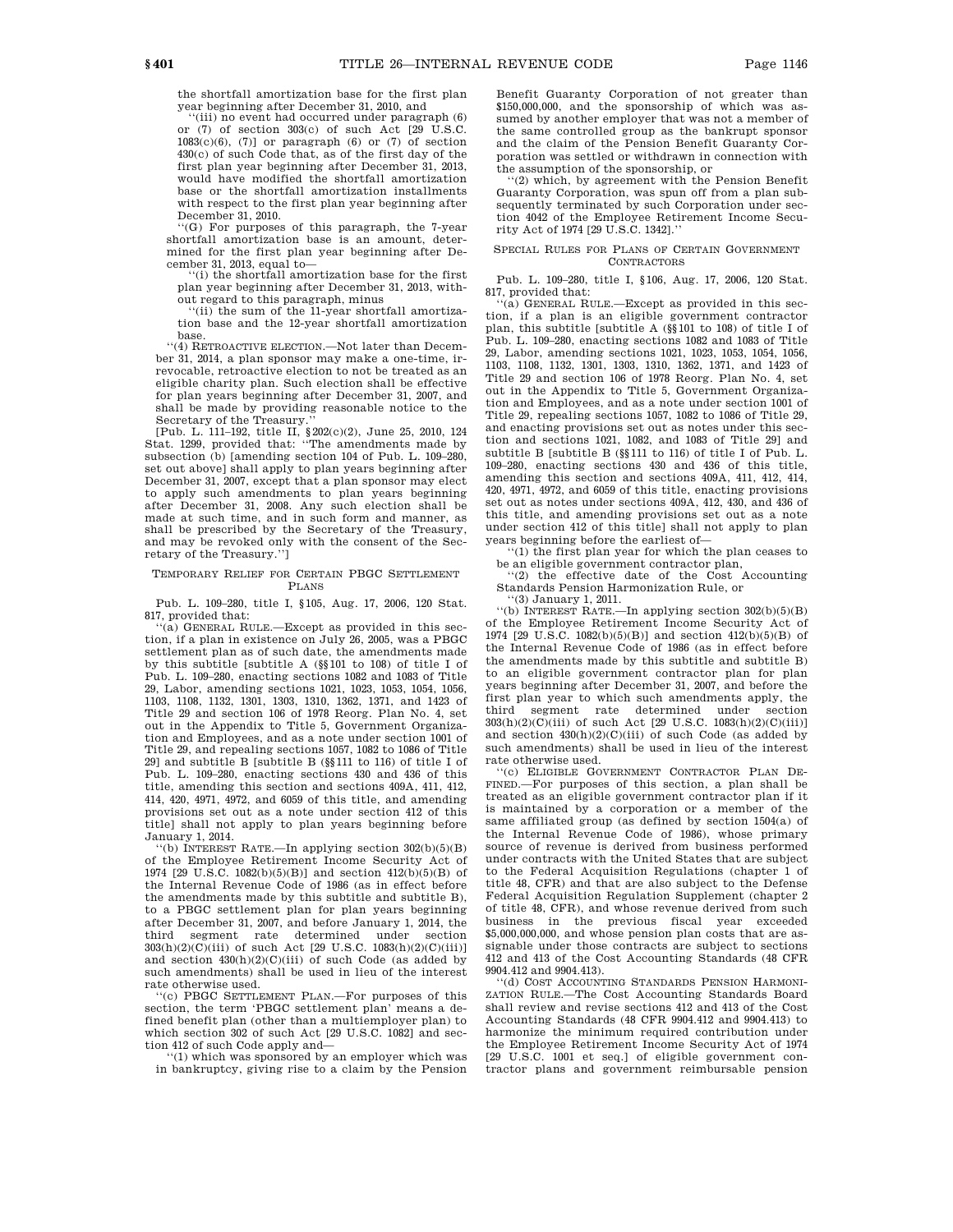the shortfall amortization base for the first plan year beginning after December 31, 2010, and

''(iii) no event had occurred under paragraph (6) or (7) of section 303(c) of such Act [29 U.S.C.  $1083(c)(6)$ , (7)] or paragraph (6) or (7) of section 430(c) of such Code that, as of the first day of the first plan year beginning after December 31, 2013, would have modified the shortfall amortization base or the shortfall amortization installments with respect to the first plan year beginning after December 31, 2010.

''(G) For purposes of this paragraph, the 7-year shortfall amortization base is an amount, determined for the first plan year beginning after December 31, 2013, equal to—

''(i) the shortfall amortization base for the first plan year beginning after December 31, 2013, without regard to this paragraph, minus

''(ii) the sum of the 11-year shortfall amortization base and the 12-year shortfall amortization base.

''(4) RETROACTIVE ELECTION.—Not later than December 31, 2014, a plan sponsor may make a one-time, irrevocable, retroactive election to not be treated as an eligible charity plan. Such election shall be effective for plan years beginning after December 31, 2007, and shall be made by providing reasonable notice to the

Secretary of the Treasury.'' [Pub. L. 111–192, title II, §202(c)(2), June 25, 2010, 124 Stat. 1299, provided that: ''The amendments made by subsection (b) [amending section 104 of Pub. L. 109–280, set out above] shall apply to plan years beginning after December 31, 2007, except that a plan sponsor may elect to apply such amendments to plan years beginning after December 31, 2008. Any such election shall be made at such time, and in such form and manner, as shall be prescribed by the Secretary of the Treasury, and may be revoked only with the consent of the Secretary of the Treasury.'']

#### TEMPORARY RELIEF FOR CERTAIN PBGC SETTLEMENT PLANS

Pub. L. 109–280, title I, §105, Aug. 17, 2006, 120 Stat. 817, provided that:

''(a) GENERAL RULE.—Except as provided in this section, if a plan in existence on July 26, 2005, was a PBGC settlement plan as of such date, the amendments made by this subtitle [subtitle A (§§101 to 108) of title I of Pub. L. 109–280, enacting sections 1082 and 1083 of Title 29, Labor, amending sections 1021, 1023, 1053, 1054, 1056, 1103, 1108, 1132, 1301, 1303, 1310, 1362, 1371, and 1423 of Title 29 and section 106 of 1978 Reorg. Plan No. 4, set out in the Appendix to Title 5, Government Organization and Employees, and as a note under section 1001 of Title 29, and repealing sections 1057, 1082 to 1086 of Title 29] and subtitle B [subtitle B (§§111 to 116) of title I of Pub. L. 109–280, enacting sections 430 and 436 of this title, amending this section and sections 409A, 411, 412, 414, 420, 4971, 4972, and 6059 of this title, and amending provisions set out as a note under section 412 of this title] shall not apply to plan years beginning before January 1, 2014.

 $f(b)$  INTEREST RATE.—In applying section  $302(b)(5)(B)$ of the Employee Retirement Income Security Act of 1974 [29 U.S.C. 1082(b)(5)(B)] and section 412(b)(5)(B) of the Internal Revenue Code of 1986 (as in effect before the amendments made by this subtitle and subtitle B), to a PBGC settlement plan for plan years beginning after December 31, 2007, and before January 1, 2014, the third segment rate determined under section 303(h)(2)(C)(iii) of such Act [29 U.S.C. 1083(h)(2)(C)(iii)] and section  $430(h)(2)(C)(iii)$  of such Code (as added by such amendments) shall be used in lieu of the interest rate otherwise used.

''(c) PBGC SETTLEMENT PLAN.—For purposes of this section, the term 'PBGC settlement plan' means a defined benefit plan (other than a multiemployer plan) to which section 302 of such Act [29 U.S.C. 1082] and sec-

tion 412 of such Code apply and— ''(1) which was sponsored by an employer which was in bankruptcy, giving rise to a claim by the Pension

Benefit Guaranty Corporation of not greater than \$150,000,000, and the sponsorship of which was assumed by another employer that was not a member of the same controlled group as the bankrupt sponsor and the claim of the Pension Benefit Guaranty Corporation was settled or withdrawn in connection with the assumption of the sponsorship, or

'(2) which, by agreement with the Pension Benefit Guaranty Corporation, was spun off from a plan subsequently terminated by such Corporation under section 4042 of the Employee Retirement Income Security Act of 1974 [29 U.S.C. 1342].''

#### SPECIAL RULES FOR PLANS OF CERTAIN GOVERNMENT CONTRACTORS

Pub. L. 109–280, title I, §106, Aug. 17, 2006, 120 Stat. 817, provided that:

(a) GENERAL RULE.—Except as provided in this section, if a plan is an eligible government contractor plan, this subtitle [subtitle A (§§101 to 108) of title I of Pub. L. 109–280, enacting sections 1082 and 1083 of Title 29, Labor, amending sections 1021, 1023, 1053, 1054, 1056, 1103, 1108, 1132, 1301, 1303, 1310, 1362, 1371, and 1423 of Title 29 and section 106 of 1978 Reorg. Plan No. 4, set out in the Appendix to Title 5, Government Organization and Employees, and as a note under section 1001 of Title 29, repealing sections 1057, 1082 to 1086 of Title 29, and enacting provisions set out as notes under this section and sections 1021, 1082, and 1083 of Title 29] and subtitle B [subtitle B (§§111 to 116) of title I of Pub. L. 109–280, enacting sections 430 and 436 of this title, amending this section and sections 409A, 411, 412, 414, 420, 4971, 4972, and 6059 of this title, enacting provisions set out as notes under sections 409A, 412, 430, and 436 of this title, and amending provisions set out as a note under section 412 of this title] shall not apply to plan years beginning before the earliest of—

''(1) the first plan year for which the plan ceases to be an eligible government contractor plan,

 $(2)$  the effective date of the Cost Accounting Standards Pension Harmonization Rule, or

''(3) January 1, 2011.

''(b) INTEREST RATE.—In applying section 302(b)(5)(B) of the Employee Retirement Income Security Act of 1974 [29 U.S.C. 1082(b)(5)(B)] and section 412(b)(5)(B) of the Internal Revenue Code of 1986 (as in effect before the amendments made by this subtitle and subtitle B) to an eligible government contractor plan for plan years beginning after December 31, 2007, and before the first plan year to which such amendments apply, the third segment rate determined under 303(h)(2)(C)(iii) of such Act [29 U.S.C. 1083(h)(2)(C)(iii)] and section  $430(h)(2)(C)(iii)$  of such Code (as added by such amendments) shall be used in lieu of the interest rate otherwise used.

''(c) ELIGIBLE GOVERNMENT CONTRACTOR PLAN DE-FINED.—For purposes of this section, a plan shall be treated as an eligible government contractor plan if it is maintained by a corporation or a member of the same affiliated group (as defined by section 1504(a) of the Internal Revenue Code of 1986), whose primary source of revenue is derived from business performed under contracts with the United States that are subject to the Federal Acquisition Regulations (chapter 1 of title 48, CFR) and that are also subject to the Defense Federal Acquisition Regulation Supplement (chapter 2 of title 48, CFR), and whose revenue derived from such business in the previous fiscal year exceeded \$5,000,000,000, and whose pension plan costs that are assignable under those contracts are subject to sections 412 and 413 of the Cost Accounting Standards (48 CFR 9904.412 and 9904.413).

''(d) COST ACCOUNTING STANDARDS PENSION HARMONI-ZATION RULE.—The Cost Accounting Standards Board shall review and revise sections 412 and 413 of the Cost Accounting Standards (48 CFR 9904.412 and 9904.413) to harmonize the minimum required contribution under the Employee Retirement Income Security Act of 1974 [29 U.S.C. 1001 et seq.] of eligible government contractor plans and government reimbursable pension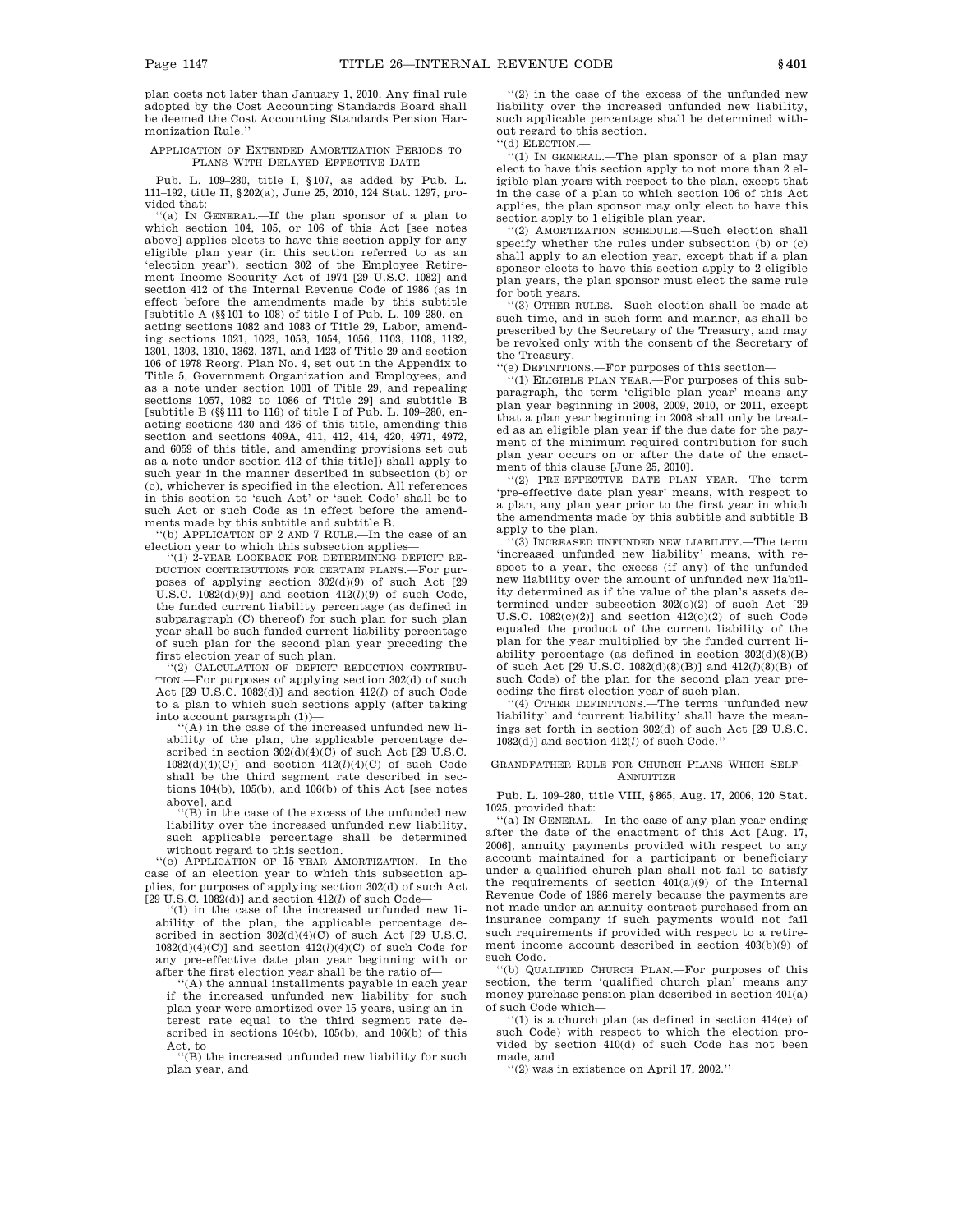plan costs not later than January 1, 2010. Any final rule adopted by the Cost Accounting Standards Board shall be deemed the Cost Accounting Standards Pension Harmonization Rule.''

#### APPLICATION OF EXTENDED AMORTIZATION PERIODS TO PLANS WITH DELAYED EFFECTIVE DATE

Pub. L. 109–280, title I, §107, as added by Pub. L. 111–192, title II, §202(a), June 25, 2010, 124 Stat. 1297, provided that:

(a) IN GENERAL.—If the plan sponsor of a plan to which section 104, 105, or 106 of this Act [see notes above] applies elects to have this section apply for any eligible plan year (in this section referred to as an 'election year'), section 302 of the Employee Retirement Income Security Act of 1974 [29 U.S.C. 1082] and section 412 of the Internal Revenue Code of 1986 (as in effect before the amendments made by this subtitle [subtitle A (§§101 to 108) of title I of Pub. L. 109–280, enacting sections 1082 and 1083 of Title 29, Labor, amending sections 1021, 1023, 1053, 1054, 1056, 1103, 1108, 1132, 1301, 1303, 1310, 1362, 1371, and 1423 of Title 29 and section 106 of 1978 Reorg. Plan No. 4, set out in the Appendix to Title 5, Government Organization and Employees, and as a note under section 1001 of Title 29, and repealing sections 1057, 1082 to 1086 of Title 29] and subtitle B [subtitle B (§§111 to 116) of title I of Pub. L. 109–280, enacting sections 430 and 436 of this title, amending this section and sections 409A, 411, 412, 414, 420, 4971, 4972, and 6059 of this title, and amending provisions set out as a note under section 412 of this title]) shall apply to such year in the manner described in subsection (b) or (c), whichever is specified in the election. All references in this section to 'such Act' or 'such Code' shall be to such Act or such Code as in effect before the amendments made by this subtitle and subtitle B.

''(b) APPLICATION OF 2 AND 7 RULE.—In the case of an election year to which this subsection applies—

'(1) 2-YEAR LOOKBACK FOR DETERMINING DEFICIT RE-DUCTION CONTRIBUTIONS FOR CERTAIN PLANS.—For purposes of applying section 302(d)(9) of such Act [29 U.S.C. 1082(d)(9)] and section 412(*l*)(9) of such Code, the funded current liability percentage (as defined in subparagraph (C) thereof) for such plan for such plan year shall be such funded current liability percentage of such plan for the second plan year preceding the first election year of such plan.

''(2) CALCULATION OF DEFICIT REDUCTION CONTRIBU-TION.—For purposes of applying section 302(d) of such Act [29 U.S.C. 1082(d)] and section 412(*l*) of such Code to a plan to which such sections apply (after taking into account paragraph (1))—

 $(A)$  in the case of the increased unfunded new liability of the plan, the applicable percentage described in section  $302(d)(d)(C)$  of such Act [29 U.S.C.  $1082(d)(4)(C)$ ] and section  $412(l)(4)(C)$  of such Code shall be the third segment rate described in sections 104(b), 105(b), and 106(b) of this Act [see notes above], and

 $(B)$  in the case of the excess of the unfunded new liability over the increased unfunded new liability, such applicable percentage shall be determined without regard to this section.

''(c) APPLICATION OF 15-YEAR AMORTIZATION.—In the case of an election year to which this subsection applies, for purposes of applying section 302(d) of such Act  $[29$  U.S.C.  $1082(d)]$  and section  $412(l)$  of such Code–

 $'(1)$  in the case of the increased unfunded new liability of the plan, the applicable percentage described in section  $302(d)(4)(C)$  of such Act [29 U.S.C.  $1082(d)(4)(C)$ ] and section  $412(l)(4)(C)$  of such Code for any pre-effective date plan year beginning with or after the first election year shall be the ratio of—

'(A) the annual installments payable in each year if the increased unfunded new liability for such plan year were amortized over 15 years, using an interest rate equal to the third segment rate described in sections 104(b), 105(b), and 106(b) of this

Act, to ''(B) the increased unfunded new liability for such plan year, and

''(2) in the case of the excess of the unfunded new liability over the increased unfunded new liability, such applicable percentage shall be determined without regard to this section.

''(d) ELECTION.—

'(1) IN GENERAL.—The plan sponsor of a plan may elect to have this section apply to not more than 2 eligible plan years with respect to the plan, except that in the case of a plan to which section 106 of this Act applies, the plan sponsor may only elect to have this section apply to 1 eligible plan year.

'(2) AMORTIZATION SCHEDULE.—Such election shall specify whether the rules under subsection (b) or (c) shall apply to an election year, except that if a plan sponsor elects to have this section apply to 2 eligible plan years, the plan sponsor must elect the same rule for both years.

''(3) OTHER RULES.—Such election shall be made at such time, and in such form and manner, as shall be prescribed by the Secretary of the Treasury, and may be revoked only with the consent of the Secretary of the Treasury.

''(e) DEFINITIONS.—For purposes of this section—

''(1) ELIGIBLE PLAN YEAR.—For purposes of this subparagraph, the term 'eligible plan year' means any plan year beginning in 2008, 2009, 2010, or 2011, except that a plan year beginning in 2008 shall only be treated as an eligible plan year if the due date for the payment of the minimum required contribution for such plan year occurs on or after the date of the enactment of this clause [June 25, 2010].

''(2) PRE-EFFECTIVE DATE PLAN YEAR.—The term 'pre-effective date plan year' means, with respect to a plan, any plan year prior to the first year in which the amendments made by this subtitle and subtitle B apply to the plan.

'(3) INCREASED UNFUNDED NEW LIABILITY.—The term 'increased unfunded new liability' means, with respect to a year, the excess (if any) of the unfunded new liability over the amount of unfunded new liability determined as if the value of the plan's assets determined under subsection  $302(c)(2)$  of such Act [29] U.S.C.  $1082(c)(2)$ ] and section  $412(c)(2)$  of such Code equaled the product of the current liability of the plan for the year multiplied by the funded current liability percentage (as defined in section 302(d)(8)(B) of such Act [29 U.S.C. 1082(d)(8)(B)] and 412(*l*)(8)(B) of such Code) of the plan for the second plan year preceding the first election year of such plan.

''(4) OTHER DEFINITIONS.—The terms 'unfunded new liability' and 'current liability' shall have the meanings set forth in section 302(d) of such Act [29 U.S.C. 1082(d)] and section 412(*l*) of such Code.''

#### GRANDFATHER RULE FOR CHURCH PLANS WHICH SELF-**ANNUITIZE**

Pub. L. 109–280, title VIII, §865, Aug. 17, 2006, 120 Stat. 1025, provided that:

''(a) IN GENERAL.—In the case of any plan year ending after the date of the enactment of this Act [Aug. 17, 2006], annuity payments provided with respect to any account maintained for a participant or beneficiary under a qualified church plan shall not fail to satisfy the requirements of section 401(a)(9) of the Internal Revenue Code of 1986 merely because the payments are not made under an annuity contract purchased from an insurance company if such payments would not fail such requirements if provided with respect to a retirement income account described in section 403(b)(9) of such Code.

''(b) QUALIFIED CHURCH PLAN.—For purposes of this section, the term 'qualified church plan' means any money purchase pension plan described in section 401(a) of such Code which—

 $(1)$  is a church plan (as defined in section  $414(e)$  of such Code) with respect to which the election provided by section 410(d) of such Code has not been made, and

''(2) was in existence on April 17, 2002.''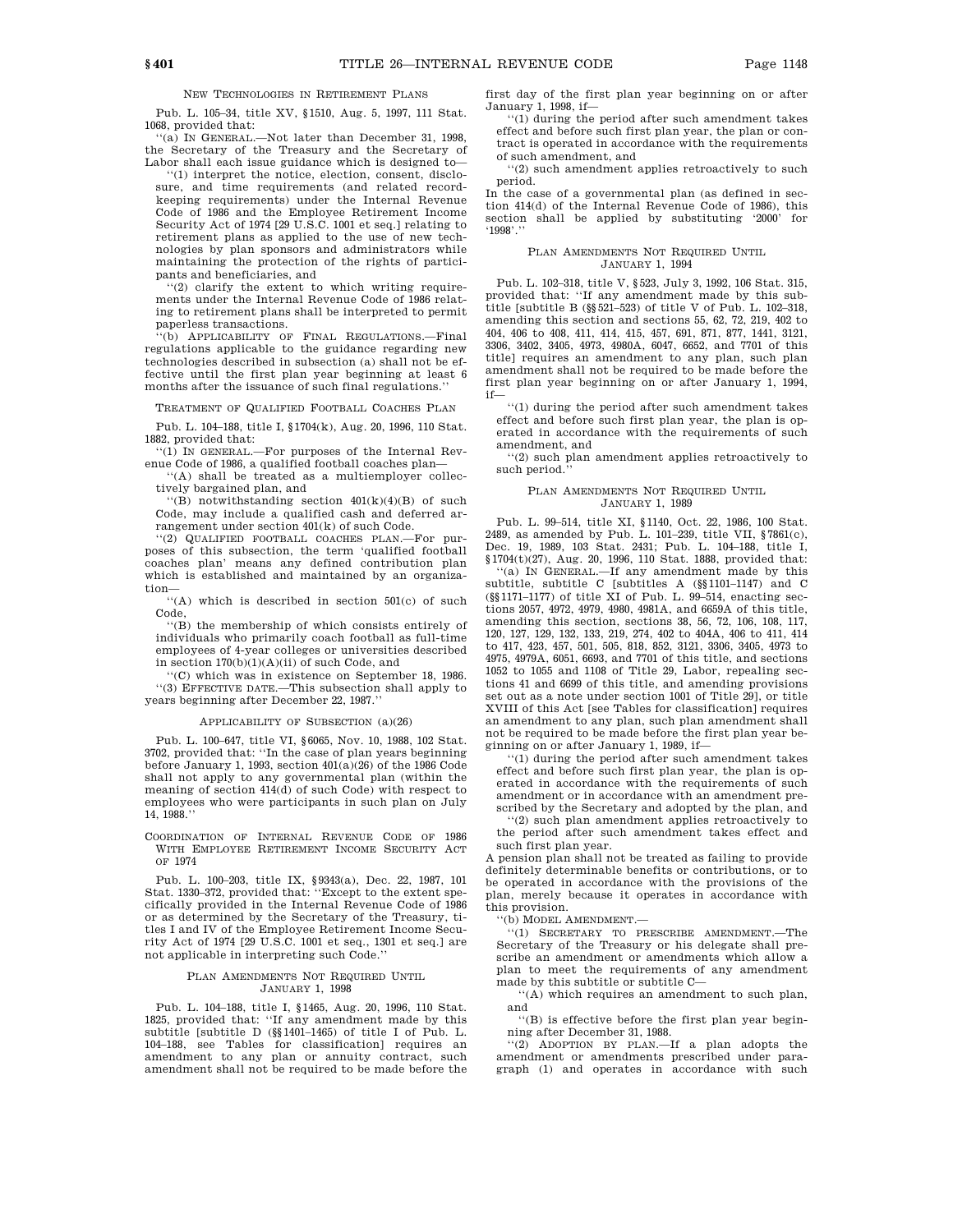NEW TECHNOLOGIES IN RETIREMENT PLANS

Pub. L. 105–34, title XV, §1510, Aug. 5, 1997, 111 Stat. 1068, provided that:

''(a) IN GENERAL.—Not later than December 31, 1998, the Secretary of the Treasury and the Secretary of Labor shall each issue guidance which is designed to—

''(1) interpret the notice, election, consent, disclosure, and time requirements (and related recordkeeping requirements) under the Internal Revenue Code of 1986 and the Employee Retirement Income Security Act of 1974 [29 U.S.C. 1001 et seq.] relating to retirement plans as applied to the use of new technologies by plan sponsors and administrators while maintaining the protection of the rights of participants and beneficiaries, and

''(2) clarify the extent to which writing requirements under the Internal Revenue Code of 1986 relating to retirement plans shall be interpreted to permit paperless transactions.

'(b) APPLICABILITY OF FINAL REGULATIONS.-Final regulations applicable to the guidance regarding new technologies described in subsection (a) shall not be effective until the first plan year beginning at least 6 months after the issuance of such final regulations.''

TREATMENT OF QUALIFIED FOOTBALL COACHES PLAN

Pub. L. 104–188, title I, §1704(k), Aug. 20, 1996, 110 Stat. 1882, provided that:

''(1) IN GENERAL.—For purposes of the Internal Revenue Code of 1986, a qualified football coaches plan—

'(A) shall be treated as a multiemployer collectively bargained plan, and

 $f'(B)$  notwithstanding section  $401(k)(4)(B)$  of such Code, may include a qualified cash and deferred arrangement under section 401(k) of such Code.

''(2) QUALIFIED FOOTBALL COACHES PLAN.—For purposes of this subsection, the term 'qualified football coaches plan' means any defined contribution plan which is established and maintained by an organization—

''(A) which is described in section 501(c) of such Code,

''(B) the membership of which consists entirely of individuals who primarily coach football as full-time employees of 4-year colleges or universities described in section  $170(b)(1)(A)(ii)$  of such Code, and

''(C) which was in existence on September 18, 1986. ''(3) EFFECTIVE DATE.—This subsection shall apply to years beginning after December 22, 1987.''

#### APPLICABILITY OF SUBSECTION (a)(26)

Pub. L. 100–647, title VI, §6065, Nov. 10, 1988, 102 Stat. 3702, provided that: ''In the case of plan years beginning before January 1, 1993, section 401(a)(26) of the 1986 Code shall not apply to any governmental plan (within the meaning of section 414(d) of such Code) with respect to employees who were participants in such plan on July 14, 1988.''

COORDINATION OF INTERNAL REVENUE CODE OF 1986 WITH EMPLOYEE RETIREMENT INCOME SECURITY ACT OF 1974

Pub. L. 100–203, title IX, §9343(a), Dec. 22, 1987, 101 Stat. 1330–372, provided that: ''Except to the extent specifically provided in the Internal Revenue Code of 1986 or as determined by the Secretary of the Treasury, titles I and IV of the Employee Retirement Income Security Act of 1974 [29 U.S.C. 1001 et seq., 1301 et seq.] are not applicable in interpreting such Code.''

#### PLAN AMENDMENTS NOT REQUIRED UNTIL JANUARY 1, 1998

Pub. L. 104–188, title I, §1465, Aug. 20, 1996, 110 Stat. 1825, provided that: ''If any amendment made by this subtitle [subtitle D (§§1401–1465) of title I of Pub. L. 104–188, see Tables for classification] requires an amendment to any plan or annuity contract, such amendment shall not be required to be made before the

first day of the first plan year beginning on or after January 1, 1998, if—

''(1) during the period after such amendment takes effect and before such first plan year, the plan or contract is operated in accordance with the requirements of such amendment, and

''(2) such amendment applies retroactively to such period.

In the case of a governmental plan (as defined in section 414(d) of the Internal Revenue Code of 1986), this section shall be applied by substituting '2000' for '1998'.''

#### PLAN AMENDMENTS NOT REQUIRED UNTIL JANUARY 1, 1994

Pub. L. 102–318, title V, §523, July 3, 1992, 106 Stat. 315, provided that: ''If any amendment made by this subtitle [subtitle B (§§521–523) of title V of Pub. L. 102–318, amending this section and sections 55, 62, 72, 219, 402 to 404, 406 to 408, 411, 414, 415, 457, 691, 871, 877, 1441, 3121, 3306, 3402, 3405, 4973, 4980A, 6047, 6652, and 7701 of this title] requires an amendment to any plan, such plan amendment shall not be required to be made before the first plan year beginning on or after January 1, 1994, if—

 $\lq\lq(1)$  during the period after such amendment takes effect and before such first plan year, the plan is operated in accordance with the requirements of such amendment, and

''(2) such plan amendment applies retroactively to such period.''

#### PLAN AMENDMENTS NOT REQUIRED UNTIL JANUARY 1, 1989

Pub. L. 99–514, title XI, §1140, Oct. 22, 1986, 100 Stat. 2489, as amended by Pub. L. 101–239, title VII, §7861(c), Dec. 19, 1989, 103 Stat. 2431; Pub. L. 104–188, title I, §1704(t)(27), Aug. 20, 1996, 110 Stat. 1888, provided that:

''(a) IN GENERAL.—If any amendment made by this subtitle, subtitle C [subtitles A (§§1101–1147) and C (§§1171–1177) of title XI of Pub. L. 99–514, enacting sections 2057, 4972, 4979, 4980, 4981A, and 6659A of this title, amending this section, sections 38, 56, 72, 106, 108, 117, 120, 127, 129, 132, 133, 219, 274, 402 to 404A, 406 to 411, 414 to 417, 423, 457, 501, 505, 818, 852, 3121, 3306, 3405, 4973 to 4975, 4979A, 6051, 6693, and 7701 of this title, and sections 1052 to 1055 and 1108 of Title 29, Labor, repealing sections 41 and 6699 of this title, and amending provisions set out as a note under section 1001 of Title 29], or title XVIII of this Act [see Tables for classification] requires an amendment to any plan, such plan amendment shall not be required to be made before the first plan year beginning on or after January 1, 1989, if—

''(1) during the period after such amendment takes effect and before such first plan year, the plan is operated in accordance with the requirements of such amendment or in accordance with an amendment prescribed by the Secretary and adopted by the plan, and

''(2) such plan amendment applies retroactively to the period after such amendment takes effect and

such first plan year. A pension plan shall not be treated as failing to provide

definitely determinable benefits or contributions, or to be operated in accordance with the provisions of the plan, merely because it operates in accordance with this provision.

''(b) MODEL AMENDMENT.—

''(1) SECRETARY TO PRESCRIBE AMENDMENT.—The Secretary of the Treasury or his delegate shall prescribe an amendment or amendments which allow a plan to meet the requirements of any amendment made by this subtitle or subtitle C—

''(A) which requires an amendment to such plan, and

''(B) is effective before the first plan year beginning after December 31, 1988.

''(2) ADOPTION BY PLAN.—If a plan adopts the amendment or amendments prescribed under paragraph (1) and operates in accordance with such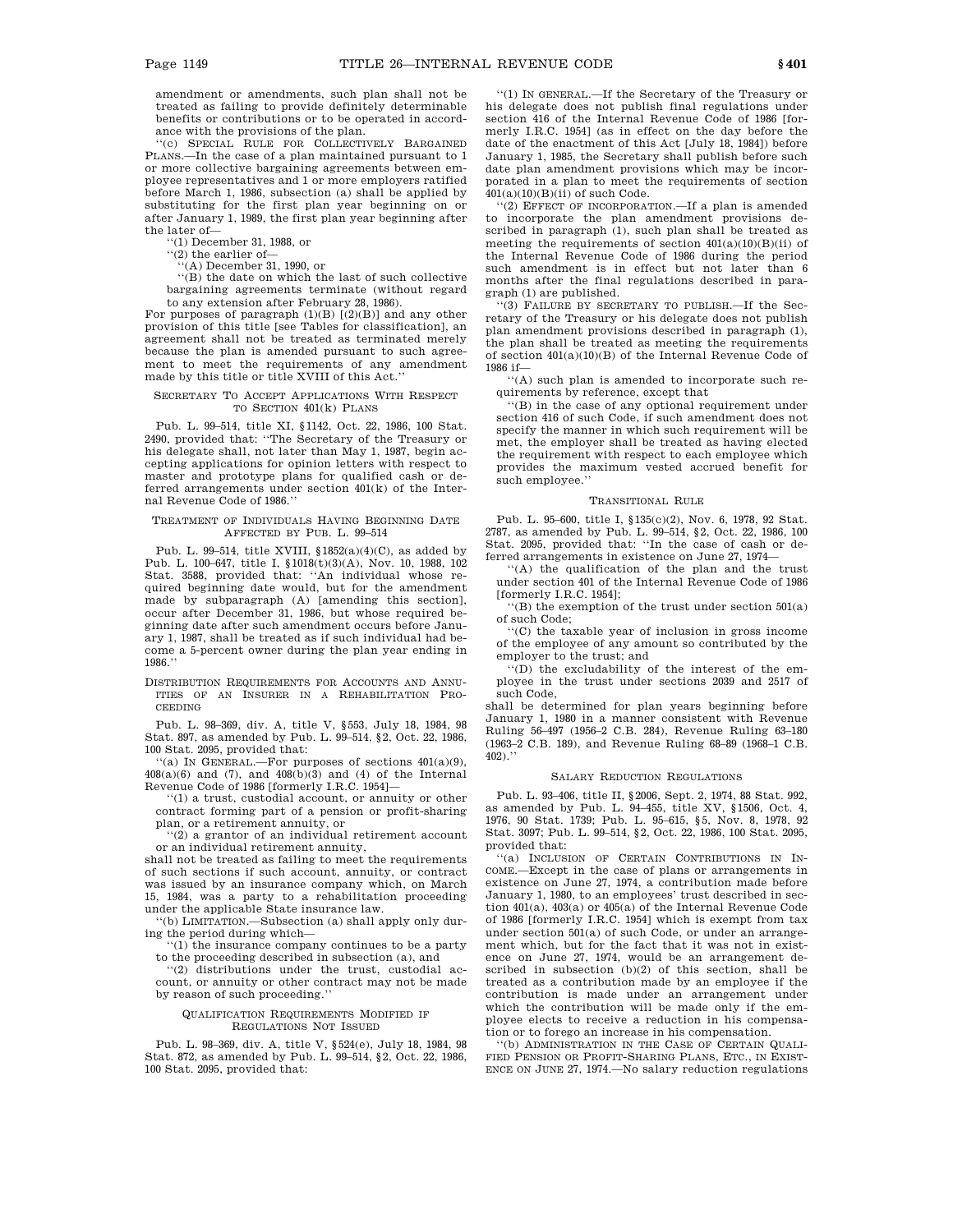amendment or amendments, such plan shall not be treated as failing to provide definitely determinable benefits or contributions or to be operated in accordance with the provisions of the plan.

''(c) SPECIAL RULE FOR COLLECTIVELY BARGAINED PLANS.—In the case of a plan maintained pursuant to 1 or more collective bargaining agreements between employee representatives and 1 or more employers ratified before March 1, 1986, subsection (a) shall be applied by substituting for the first plan year beginning on or after January 1, 1989, the first plan year beginning after the later of—

''(1) December 31, 1988, or

 $''(2)$  the earlier of

''(A) December 31, 1990, or

''(B) the date on which the last of such collective bargaining agreements terminate (without regard to any extension after February 28, 1986).

For purposes of paragraph  $(1)(B)$   $[(2)(B)]$  and any other provision of this title [see Tables for classification], an agreement shall not be treated as terminated merely because the plan is amended pursuant to such agreement to meet the requirements of any amendment made by this title or title XVIII of this Act.''

#### SECRETARY TO ACCEPT APPLICATIONS WITH RESPECT TO SECTION  $401(k)$  PLANS

Pub. L. 99–514, title XI, §1142, Oct. 22, 1986, 100 Stat. 2490, provided that: ''The Secretary of the Treasury or his delegate shall, not later than May 1, 1987, begin accepting applications for opinion letters with respect to master and prototype plans for qualified cash or deferred arrangements under section 401(k) of the Internal Revenue Code of 1986.''

#### TREATMENT OF INDIVIDUALS HAVING BEGINNING DATE AFFECTED BY PUB. L. 99–514

Pub. L. 99–514, title XVIII,  $$1852(a)(4)(C)$ , as added by Pub. L. 100–647, title I, §1018(t)(3)(A), Nov. 10, 1988, 102 Stat. 3588, provided that: ''An individual whose required beginning date would, but for the amendment made by subparagraph (A) [amending this section], occur after December 31, 1986, but whose required beginning date after such amendment occurs before January 1, 1987, shall be treated as if such individual had become a 5-percent owner during the plan year ending in 1986.''

DISTRIBUTION REQUIREMENTS FOR ACCOUNTS AND ANNU-ITIES OF AN INSURER IN A REHABILITATION PRO-CEEDING

Pub. L. 98–369, div. A, title V, §553, July 18, 1984, 98 Stat. 897, as amended by Pub. L. 99–514, §2, Oct. 22, 1986, 100 Stat. 2095, provided that:

'(a) IN GENERAL.—For purposes of sections  $401(a)(9)$ , 408(a)(6) and (7), and 408(b)(3) and (4) of the Internal Revenue Code of 1986 [formerly I.R.C. 1954]—

''(1) a trust, custodial account, or annuity or other contract forming part of a pension or profit-sharing plan, or a retirement annuity, or

''(2) a grantor of an individual retirement account

or an individual retirement annuity, shall not be treated as failing to meet the requirements of such sections if such account, annuity, or contract was issued by an insurance company which, on March 15, 1984, was a party to a rehabilitation proceeding under the applicable State insurance law.

''(b) LIMITATION.—Subsection (a) shall apply only during the period during which—

''(1) the insurance company continues to be a party to the proceeding described in subsection (a), and

''(2) distributions under the trust, custodial account, or annuity or other contract may not be made by reason of such proceeding.''

#### QUALIFICATION REQUIREMENTS MODIFIED IF REGULATIONS NOT ISSUED

Pub. L. 98–369, div. A, title V, §524(e), July 18, 1984, 98 Stat. 872, as amended by Pub. L. 99–514, §2, Oct. 22, 1986, 100 Stat. 2095, provided that:

''(1) IN GENERAL.—If the Secretary of the Treasury or his delegate does not publish final regulations under section 416 of the Internal Revenue Code of 1986 [formerly I.R.C. 1954] (as in effect on the day before the date of the enactment of this Act [July 18, 1984]) before January 1, 1985, the Secretary shall publish before such date plan amendment provisions which may be incorporated in a plan to meet the requirements of section  $401(a)(10)(B)(ii)$  of such Code.

 $(2)$  EFFECT OF INCORPORATION.—If a plan is amended to incorporate the plan amendment provisions described in paragraph (1), such plan shall be treated as meeting the requirements of section 401(a)(10)(B)(ii) of the Internal Revenue Code of 1986 during the period such amendment is in effect but not later than 6 months after the final regulations described in paragraph (1) are published.

''(3) FAILURE BY SECRETARY TO PUBLISH.—If the Secretary of the Treasury or his delegate does not publish plan amendment provisions described in paragraph (1), the plan shall be treated as meeting the requirements of section 401(a)(10)(B) of the Internal Revenue Code of 1986 if—

''(A) such plan is amended to incorporate such requirements by reference, except that

''(B) in the case of any optional requirement under section 416 of such Code, if such amendment does not specify the manner in which such requirement will be met, the employer shall be treated as having elected the requirement with respect to each employee which provides the maximum vested accrued benefit for such employee.''

#### TRANSITIONAL RULE

Pub. L. 95–600, title I, §135(c)(2), Nov. 6, 1978, 92 Stat. 2787, as amended by Pub. L. 99–514, §2, Oct. 22, 1986, 100 Stat. 2095, provided that: ''In the case of cash or deferred arrangements in existence on June 27, 1974—

''(A) the qualification of the plan and the trust under section 401 of the Internal Revenue Code of 1986 [formerly I.R.C. 1954];

''(B) the exemption of the trust under section 501(a) of such Code;

''(C) the taxable year of inclusion in gross income of the employee of any amount so contributed by the employer to the trust; and

''(D) the excludability of the interest of the employee in the trust under sections 2039 and 2517 of such Code,

shall be determined for plan years beginning before January 1, 1980 in a manner consistent with Revenue Ruling 56–497 (1956–2 C.B. 284), Revenue Ruling 63–180 (1963–2 C.B. 189), and Revenue Ruling 68–89 (1968–1 C.B.  $402$ ).'

#### SALARY REDUCTION REGULATIONS

Pub. L. 93–406, title II, §2006, Sept. 2, 1974, 88 Stat. 992, as amended by Pub. L. 94–455, title XV, §1506, Oct. 4, 1976, 90 Stat. 1739; Pub. L. 95–615, §5, Nov. 8, 1978, 92 Stat. 3097; Pub. L. 99–514, §2, Oct. 22, 1986, 100 Stat. 2095, provided that:

''(a) INCLUSION OF CERTAIN CONTRIBUTIONS IN IN-COME.—Except in the case of plans or arrangements in existence on June 27, 1974, a contribution made before January 1, 1980, to an employees' trust described in section 401(a), 403(a) or 405(a) of the Internal Revenue Code of 1986 [formerly I.R.C. 1954] which is exempt from tax under section 501(a) of such Code, or under an arrangement which, but for the fact that it was not in existence on June 27, 1974, would be an arrangement described in subsection (b)(2) of this section, shall be treated as a contribution made by an employee if the contribution is made under an arrangement under which the contribution will be made only if the employee elects to receive a reduction in his compensation or to forego an increase in his compensation.

''(b) ADMINISTRATION IN THE CASE OF CERTAIN QUALI-FIED PENSION OR PROFIT-SHARING PLANS, ETC., IN EXIST-ENCE ON JUNE 27, 1974.—No salary reduction regulations